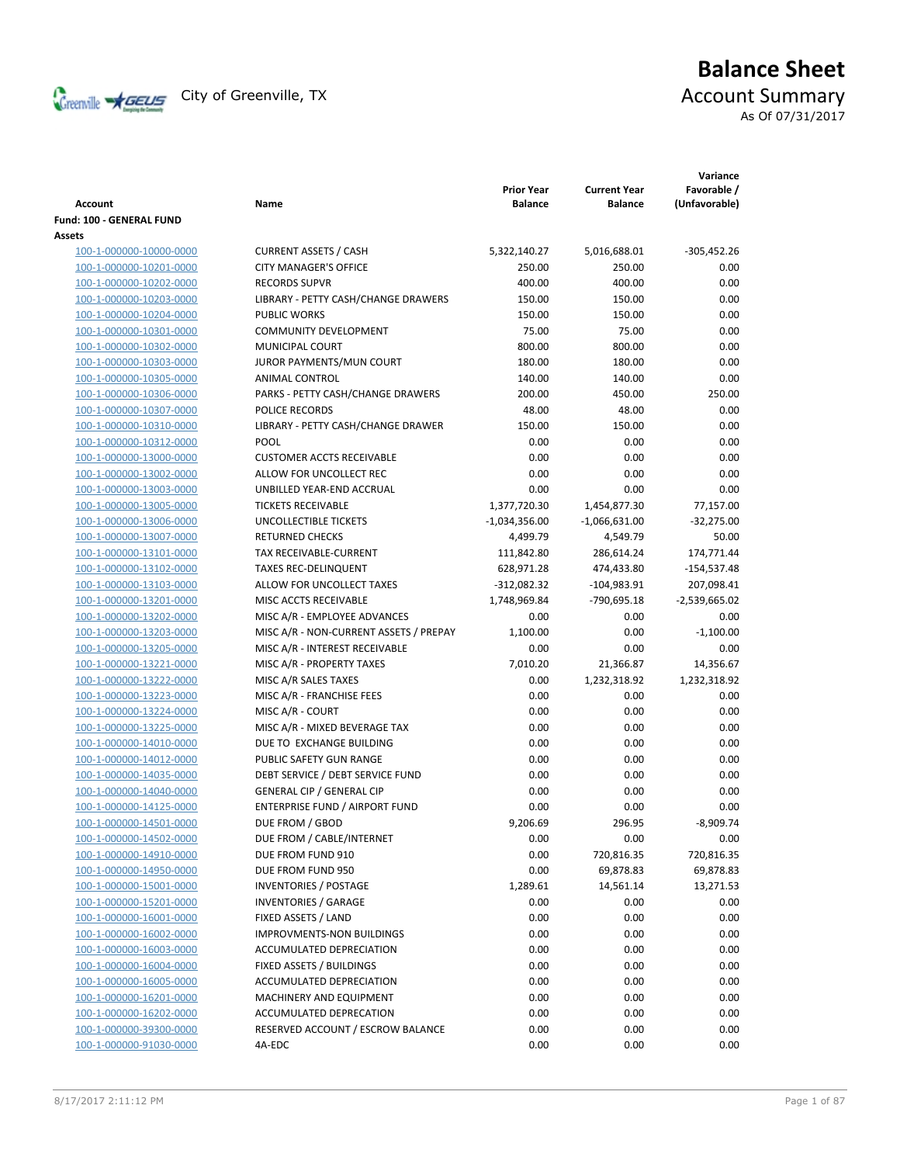

# **Balance Sheet** Creenville  $\star$  GEUS</del> City of Greenville, TX **Account Summary** As Of 07/31/2017

**Variance**

|                                 |                                        | <b>Prior Year</b> | <b>Current Year</b><br><b>Balance</b> | Favorable /     |
|---------------------------------|----------------------------------------|-------------------|---------------------------------------|-----------------|
| <b>Account</b>                  | Name                                   | <b>Balance</b>    |                                       | (Unfavorable)   |
| <b>Fund: 100 - GENERAL FUND</b> |                                        |                   |                                       |                 |
| Assets                          |                                        |                   |                                       |                 |
| 100-1-000000-10000-0000         | <b>CURRENT ASSETS / CASH</b>           | 5,322,140.27      | 5,016,688.01                          | $-305,452.26$   |
| 100-1-000000-10201-0000         | <b>CITY MANAGER'S OFFICE</b>           | 250.00            | 250.00                                | 0.00            |
| 100-1-000000-10202-0000         | <b>RECORDS SUPVR</b>                   | 400.00            | 400.00                                | 0.00            |
| 100-1-000000-10203-0000         | LIBRARY - PETTY CASH/CHANGE DRAWERS    | 150.00            | 150.00                                | 0.00            |
| 100-1-000000-10204-0000         | <b>PUBLIC WORKS</b>                    | 150.00            | 150.00                                | 0.00            |
| 100-1-000000-10301-0000         | <b>COMMUNITY DEVELOPMENT</b>           | 75.00             | 75.00                                 | 0.00            |
| 100-1-000000-10302-0000         | MUNICIPAL COURT                        | 800.00            | 800.00                                | 0.00            |
| 100-1-000000-10303-0000         | JUROR PAYMENTS/MUN COURT               | 180.00            | 180.00                                | 0.00            |
| 100-1-000000-10305-0000         | ANIMAL CONTROL                         | 140.00            | 140.00                                | 0.00            |
| 100-1-000000-10306-0000         | PARKS - PETTY CASH/CHANGE DRAWERS      | 200.00            | 450.00                                | 250.00          |
| 100-1-000000-10307-0000         | POLICE RECORDS                         | 48.00             | 48.00                                 | 0.00            |
| 100-1-000000-10310-0000         | LIBRARY - PETTY CASH/CHANGE DRAWER     | 150.00            | 150.00                                | 0.00            |
| 100-1-000000-10312-0000         | POOL                                   | 0.00              | 0.00                                  | 0.00            |
| 100-1-000000-13000-0000         | <b>CUSTOMER ACCTS RECEIVABLE</b>       | 0.00              | 0.00                                  | 0.00            |
| 100-1-000000-13002-0000         | ALLOW FOR UNCOLLECT REC                | 0.00              | 0.00                                  | 0.00            |
| 100-1-000000-13003-0000         | UNBILLED YEAR-END ACCRUAL              | 0.00              | 0.00                                  | 0.00            |
| 100-1-000000-13005-0000         | <b>TICKETS RECEIVABLE</b>              | 1,377,720.30      | 1,454,877.30                          | 77,157.00       |
| 100-1-000000-13006-0000         | <b>UNCOLLECTIBLE TICKETS</b>           | $-1,034,356.00$   | $-1,066,631.00$                       | $-32,275.00$    |
| 100-1-000000-13007-0000         | <b>RETURNED CHECKS</b>                 | 4,499.79          | 4,549.79                              | 50.00           |
| 100-1-000000-13101-0000         | TAX RECEIVABLE-CURRENT                 | 111,842.80        | 286,614.24                            | 174,771.44      |
| 100-1-000000-13102-0000         | <b>TAXES REC-DELINQUENT</b>            | 628,971.28        | 474,433.80                            | -154,537.48     |
| 100-1-000000-13103-0000         | ALLOW FOR UNCOLLECT TAXES              | $-312,082.32$     | $-104,983.91$                         | 207,098.41      |
| 100-1-000000-13201-0000         | MISC ACCTS RECEIVABLE                  | 1,748,969.84      | -790,695.18                           | $-2,539,665.02$ |
| 100-1-000000-13202-0000         | MISC A/R - EMPLOYEE ADVANCES           | 0.00              | 0.00                                  | 0.00            |
| 100-1-000000-13203-0000         | MISC A/R - NON-CURRENT ASSETS / PREPAY | 1,100.00          | 0.00                                  | $-1,100.00$     |
| 100-1-000000-13205-0000         | MISC A/R - INTEREST RECEIVABLE         | 0.00              | 0.00                                  | 0.00            |
| 100-1-000000-13221-0000         | MISC A/R - PROPERTY TAXES              | 7,010.20          | 21,366.87                             | 14,356.67       |
| 100-1-000000-13222-0000         | MISC A/R SALES TAXES                   | 0.00              | 1,232,318.92                          | 1,232,318.92    |
| 100-1-000000-13223-0000         | MISC A/R - FRANCHISE FEES              | 0.00              | 0.00                                  | 0.00            |
| 100-1-000000-13224-0000         | MISC A/R - COURT                       | 0.00              | 0.00                                  | 0.00            |
| 100-1-000000-13225-0000         | MISC A/R - MIXED BEVERAGE TAX          | 0.00              | 0.00                                  | 0.00            |
| 100-1-000000-14010-0000         | DUE TO EXCHANGE BUILDING               | 0.00              | 0.00                                  | 0.00            |
| 100-1-000000-14012-0000         | PUBLIC SAFETY GUN RANGE                | 0.00              | 0.00                                  | 0.00            |
| 100-1-000000-14035-0000         | DEBT SERVICE / DEBT SERVICE FUND       | 0.00              | 0.00                                  | 0.00            |
| 100-1-000000-14040-0000         | <b>GENERAL CIP / GENERAL CIP</b>       | 0.00              | 0.00                                  | 0.00            |
| 100-1-000000-14125-0000         | ENTERPRISE FUND / AIRPORT FUND         | 0.00              | 0.00                                  | 0.00            |
| 100-1-000000-14501-0000         | DUE FROM / GBOD                        | 9,206.69          | 296.95                                | $-8,909.74$     |
| 100-1-000000-14502-0000         | DUE FROM / CABLE/INTERNET              | 0.00              | 0.00                                  | 0.00            |
| 100-1-000000-14910-0000         | DUE FROM FUND 910                      | 0.00              | 720,816.35                            | 720,816.35      |
| 100-1-000000-14950-0000         | DUE FROM FUND 950                      | 0.00              | 69,878.83                             | 69,878.83       |
| 100-1-000000-15001-0000         | <b>INVENTORIES / POSTAGE</b>           | 1,289.61          | 14,561.14                             | 13,271.53       |
| 100-1-000000-15201-0000         | <b>INVENTORIES / GARAGE</b>            | 0.00              | 0.00                                  | 0.00            |
| 100-1-000000-16001-0000         | FIXED ASSETS / LAND                    | 0.00              | 0.00                                  | 0.00            |
| 100-1-000000-16002-0000         | <b>IMPROVMENTS-NON BUILDINGS</b>       | 0.00              | 0.00                                  | 0.00            |
| 100-1-000000-16003-0000         | ACCUMULATED DEPRECIATION               | 0.00              | 0.00                                  | 0.00            |
| 100-1-000000-16004-0000         | FIXED ASSETS / BUILDINGS               | 0.00              | 0.00                                  | 0.00            |
| 100-1-000000-16005-0000         | ACCUMULATED DEPRECIATION               | 0.00              | 0.00                                  | 0.00            |
| 100-1-000000-16201-0000         | MACHINERY AND EQUIPMENT                | 0.00              | 0.00                                  | 0.00            |
| 100-1-000000-16202-0000         | ACCUMULATED DEPRECATION                | 0.00              | 0.00                                  | 0.00            |
| 100-1-000000-39300-0000         | RESERVED ACCOUNT / ESCROW BALANCE      | 0.00              | 0.00                                  | 0.00            |
| 100-1-000000-91030-0000         | 4A-EDC                                 | 0.00              | 0.00                                  | 0.00            |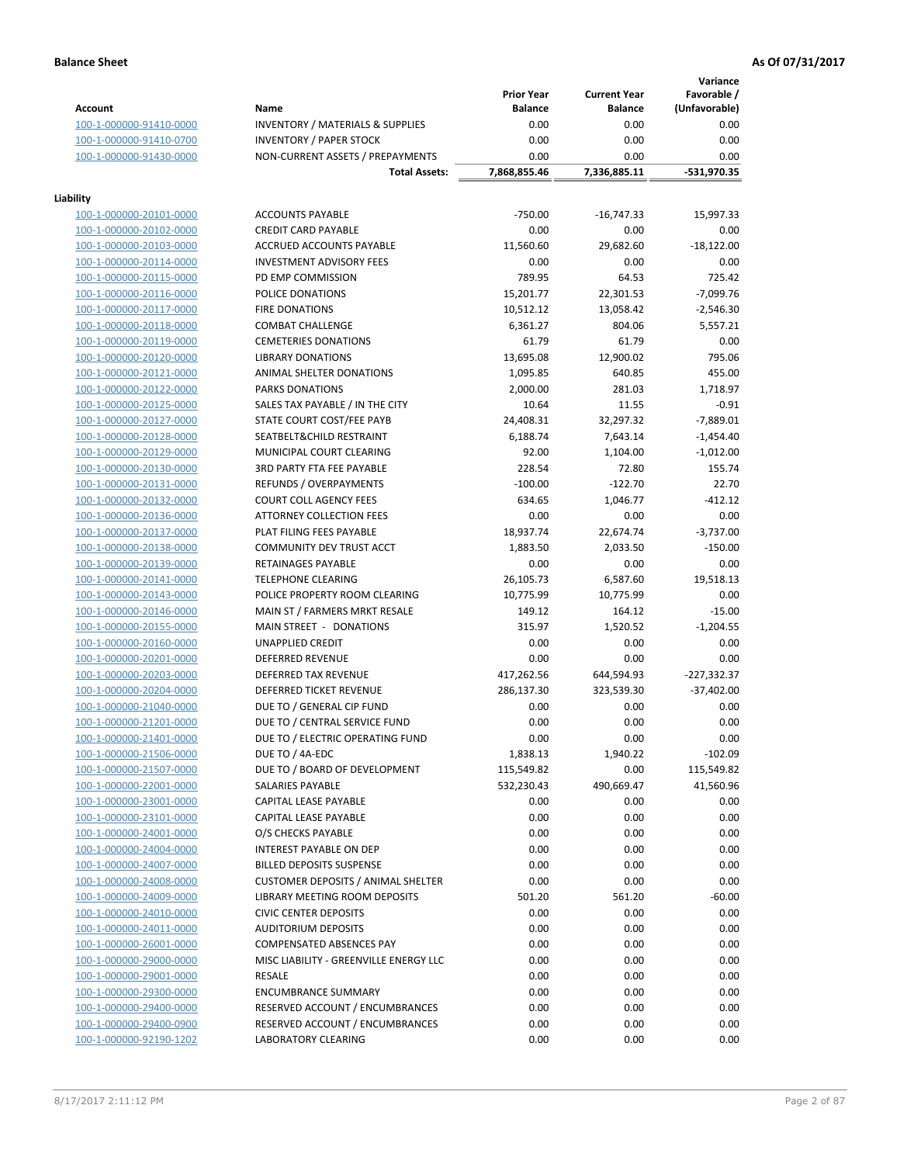### **Balance Sheet As Of 07/31/2017 As Of 07/31/2017**

**Variance**

|                         |                                             | <b>Prior Year</b> | <b>Current Year</b> | vanance<br>Favorable / |
|-------------------------|---------------------------------------------|-------------------|---------------------|------------------------|
| <b>Account</b>          | Name                                        | <b>Balance</b>    | <b>Balance</b>      | (Unfavorable)          |
| 100-1-000000-91410-0000 | <b>INVENTORY / MATERIALS &amp; SUPPLIES</b> | 0.00              | 0.00                | 0.00                   |
| 100-1-000000-91410-0700 | <b>INVENTORY / PAPER STOCK</b>              | 0.00              | 0.00                | 0.00                   |
| 100-1-000000-91430-0000 | NON-CURRENT ASSETS / PREPAYMENTS            | 0.00              | 0.00                | 0.00                   |
|                         | <b>Total Assets:</b>                        | 7,868,855.46      | 7,336,885.11        | -531,970.35            |
| Liability               |                                             |                   |                     |                        |
| 100-1-000000-20101-0000 | <b>ACCOUNTS PAYABLE</b>                     | $-750.00$         | $-16,747.33$        | 15,997.33              |
| 100-1-000000-20102-0000 | <b>CREDIT CARD PAYABLE</b>                  | 0.00              | 0.00                | 0.00                   |
| 100-1-000000-20103-0000 | ACCRUED ACCOUNTS PAYABLE                    | 11,560.60         | 29,682.60           | $-18,122.00$           |
| 100-1-000000-20114-0000 | <b>INVESTMENT ADVISORY FEES</b>             | 0.00              | 0.00                | 0.00                   |
| 100-1-000000-20115-0000 | PD EMP COMMISSION                           | 789.95            | 64.53               | 725.42                 |
| 100-1-000000-20116-0000 | POLICE DONATIONS                            | 15,201.77         | 22,301.53           | $-7,099.76$            |
| 100-1-000000-20117-0000 | <b>FIRE DONATIONS</b>                       | 10,512.12         | 13,058.42           | $-2,546.30$            |
| 100-1-000000-20118-0000 | <b>COMBAT CHALLENGE</b>                     | 6,361.27          | 804.06              | 5,557.21               |
| 100-1-000000-20119-0000 | <b>CEMETERIES DONATIONS</b>                 | 61.79             | 61.79               | 0.00                   |
| 100-1-000000-20120-0000 | <b>LIBRARY DONATIONS</b>                    | 13,695.08         | 12,900.02           | 795.06                 |
| 100-1-000000-20121-0000 | ANIMAL SHELTER DONATIONS                    | 1,095.85          | 640.85              | 455.00                 |
| 100-1-000000-20122-0000 | PARKS DONATIONS                             | 2,000.00          | 281.03              | 1.718.97               |
| 100-1-000000-20125-0000 | SALES TAX PAYABLE / IN THE CITY             | 10.64             | 11.55               | $-0.91$                |
| 100-1-000000-20127-0000 | STATE COURT COST/FEE PAYB                   | 24,408.31         | 32,297.32           | $-7,889.01$            |
| 100-1-000000-20128-0000 | SEATBELT&CHILD RESTRAINT                    | 6,188.74          | 7,643.14            | $-1,454.40$            |
| 100-1-000000-20129-0000 | MUNICIPAL COURT CLEARING                    | 92.00             | 1,104.00            | $-1,012.00$            |
| 100-1-000000-20130-0000 | <b>3RD PARTY FTA FEE PAYABLE</b>            | 228.54            | 72.80               | 155.74                 |
| 100-1-000000-20131-0000 | REFUNDS / OVERPAYMENTS                      | $-100.00$         | $-122.70$           | 22.70                  |
| 100-1-000000-20132-0000 | <b>COURT COLL AGENCY FEES</b>               | 634.65            | 1,046.77            | $-412.12$              |
| 100-1-000000-20136-0000 | ATTORNEY COLLECTION FEES                    | 0.00              | 0.00                | 0.00                   |
| 100-1-000000-20137-0000 | PLAT FILING FEES PAYABLE                    | 18,937.74         | 22,674.74           | $-3,737.00$            |
| 100-1-000000-20138-0000 | COMMUNITY DEV TRUST ACCT                    | 1,883.50          | 2,033.50            | $-150.00$              |
| 100-1-000000-20139-0000 | RETAINAGES PAYABLE                          | 0.00              | 0.00                | 0.00                   |
| 100-1-000000-20141-0000 | <b>TELEPHONE CLEARING</b>                   | 26,105.73         | 6,587.60            | 19,518.13              |
|                         | POLICE PROPERTY ROOM CLEARING               | 10,775.99         | 10,775.99           | 0.00                   |
| 100-1-000000-20143-0000 |                                             | 149.12            |                     |                        |
| 100-1-000000-20146-0000 | MAIN ST / FARMERS MRKT RESALE               |                   | 164.12              | $-15.00$               |
| 100-1-000000-20155-0000 | MAIN STREET - DONATIONS                     | 315.97            | 1,520.52            | $-1,204.55$            |
| 100-1-000000-20160-0000 | UNAPPLIED CREDIT                            | 0.00              | 0.00                | 0.00                   |
| 100-1-000000-20201-0000 | <b>DEFERRED REVENUE</b>                     | 0.00              | 0.00                | 0.00                   |
| 100-1-000000-20203-0000 | DEFERRED TAX REVENUE                        | 417,262.56        | 644,594.93          | $-227,332.37$          |
| 100-1-000000-20204-0000 | DEFERRED TICKET REVENUE                     | 286,137.30        | 323,539.30          | $-37,402.00$           |
| 100-1-000000-21040-0000 | DUE TO / GENERAL CIP FUND                   | 0.00              | 0.00                | 0.00                   |
| 100-1-000000-21201-0000 | DUE TO / CENTRAL SERVICE FUND               | 0.00              | 0.00                | 0.00                   |
| 100-1-000000-21401-0000 | DUE TO / ELECTRIC OPERATING FUND            | 0.00              | 0.00                | 0.00                   |
| 100-1-000000-21506-0000 | DUE TO / 4A-EDC                             | 1,838.13          | 1,940.22            | $-102.09$              |
| 100-1-000000-21507-0000 | DUE TO / BOARD OF DEVELOPMENT               | 115,549.82        | 0.00                | 115,549.82             |
| 100-1-000000-22001-0000 | SALARIES PAYABLE                            | 532,230.43        | 490,669.47          | 41,560.96              |
| 100-1-000000-23001-0000 | CAPITAL LEASE PAYABLE                       | 0.00              | 0.00                | 0.00                   |
| 100-1-000000-23101-0000 | CAPITAL LEASE PAYABLE                       | 0.00              | 0.00                | 0.00                   |
| 100-1-000000-24001-0000 | O/S CHECKS PAYABLE                          | 0.00              | 0.00                | 0.00                   |
| 100-1-000000-24004-0000 | INTEREST PAYABLE ON DEP                     | 0.00              | 0.00                | 0.00                   |
| 100-1-000000-24007-0000 | <b>BILLED DEPOSITS SUSPENSE</b>             | 0.00              | 0.00                | 0.00                   |
| 100-1-000000-24008-0000 | <b>CUSTOMER DEPOSITS / ANIMAL SHELTER</b>   | 0.00              | 0.00                | 0.00                   |
| 100-1-000000-24009-0000 | LIBRARY MEETING ROOM DEPOSITS               | 501.20            | 561.20              | $-60.00$               |
| 100-1-000000-24010-0000 | <b>CIVIC CENTER DEPOSITS</b>                | 0.00              | 0.00                | 0.00                   |
| 100-1-000000-24011-0000 | <b>AUDITORIUM DEPOSITS</b>                  | 0.00              | 0.00                | 0.00                   |
| 100-1-000000-26001-0000 | <b>COMPENSATED ABSENCES PAY</b>             | 0.00              | 0.00                | 0.00                   |
| 100-1-000000-29000-0000 | MISC LIABILITY - GREENVILLE ENERGY LLC      | 0.00              | 0.00                | 0.00                   |
| 100-1-000000-29001-0000 | RESALE                                      | 0.00              | 0.00                | 0.00                   |
| 100-1-000000-29300-0000 | <b>ENCUMBRANCE SUMMARY</b>                  | 0.00              | 0.00                | 0.00                   |
| 100-1-000000-29400-0000 | RESERVED ACCOUNT / ENCUMBRANCES             | 0.00              | 0.00                | 0.00                   |
| 100-1-000000-29400-0900 | RESERVED ACCOUNT / ENCUMBRANCES             | 0.00              | 0.00                | 0.00                   |
| 100-1-000000-92190-1202 | LABORATORY CLEARING                         | 0.00              | 0.00                | 0.00                   |
|                         |                                             |                   |                     |                        |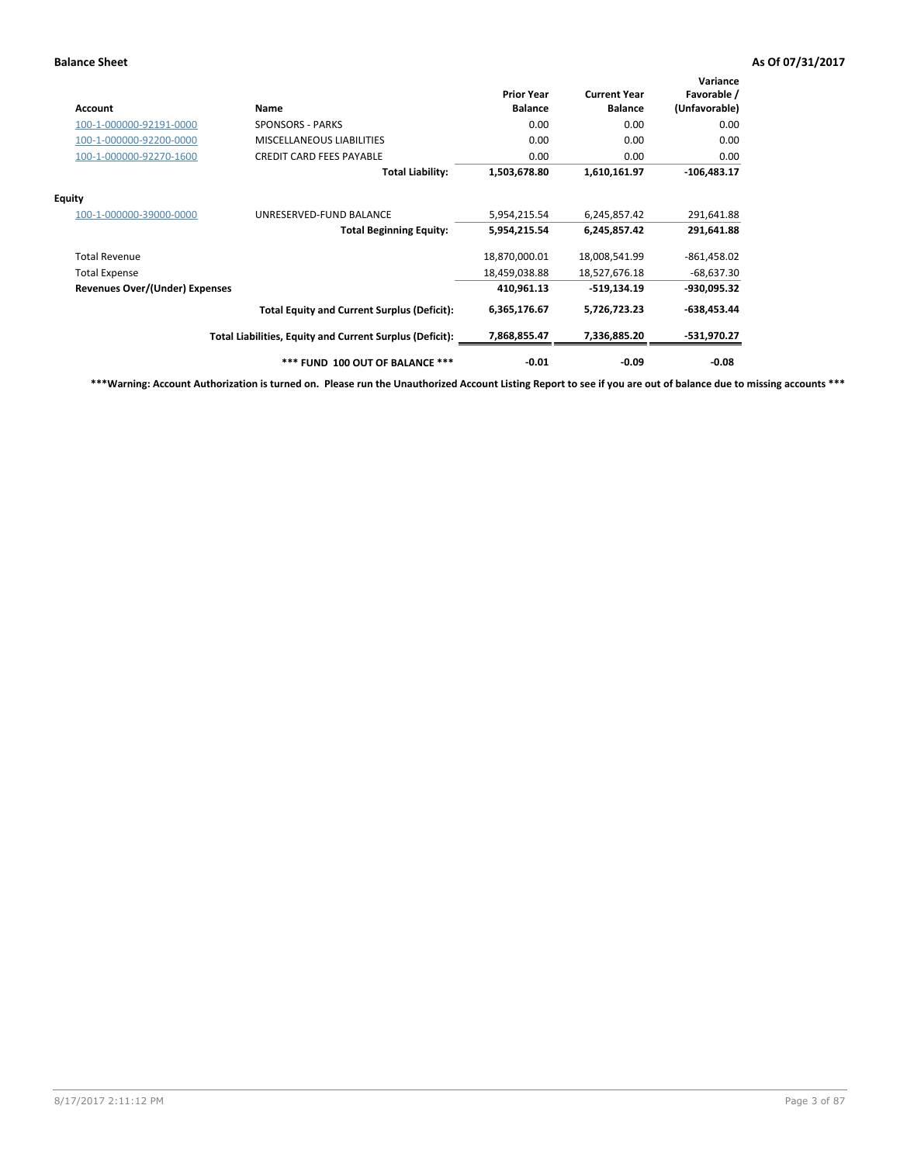### **Balance Sheet As Of 07/31/2017 As Of 07/31/2017**

| <b>Account</b>                 | Name                                                     | <b>Prior Year</b><br><b>Balance</b> | <b>Current Year</b><br><b>Balance</b> | Variance<br>Favorable /<br>(Unfavorable) |
|--------------------------------|----------------------------------------------------------|-------------------------------------|---------------------------------------|------------------------------------------|
| 100-1-000000-92191-0000        | <b>SPONSORS - PARKS</b>                                  | 0.00                                | 0.00                                  | 0.00                                     |
| 100-1-000000-92200-0000        | <b>MISCELLANEOUS LIABILITIES</b>                         | 0.00                                | 0.00                                  | 0.00                                     |
| 100-1-000000-92270-1600        | <b>CREDIT CARD FEES PAYABLE</b>                          | 0.00                                | 0.00                                  | 0.00                                     |
|                                | <b>Total Liability:</b>                                  | 1,503,678.80                        | 1,610,161.97                          | $-106,483.17$                            |
| Equity                         |                                                          |                                     |                                       |                                          |
| 100-1-000000-39000-0000        | UNRESERVED-FUND BALANCE                                  | 5,954,215.54                        | 6,245,857.42                          | 291,641.88                               |
|                                | <b>Total Beginning Equity:</b>                           | 5,954,215.54                        | 6,245,857.42                          | 291,641.88                               |
| <b>Total Revenue</b>           |                                                          | 18,870,000.01                       | 18,008,541.99                         | $-861,458.02$                            |
| <b>Total Expense</b>           |                                                          | 18,459,038.88                       | 18,527,676.18                         | $-68,637.30$                             |
| Revenues Over/(Under) Expenses |                                                          | 410.961.13                          | -519.134.19                           | -930,095.32                              |
|                                | <b>Total Equity and Current Surplus (Deficit):</b>       | 6,365,176.67                        | 5,726,723.23                          | $-638,453.44$                            |
|                                | Total Liabilities, Equity and Current Surplus (Deficit): | 7,868,855.47                        | 7,336,885.20                          | -531,970.27                              |
|                                | *** FUND 100 OUT OF BALANCE ***                          | $-0.01$                             | $-0.09$                               | -0.08                                    |

**\*\*\*Warning: Account Authorization is turned on. Please run the Unauthorized Account Listing Report to see if you are out of balance due to missing accounts \*\*\***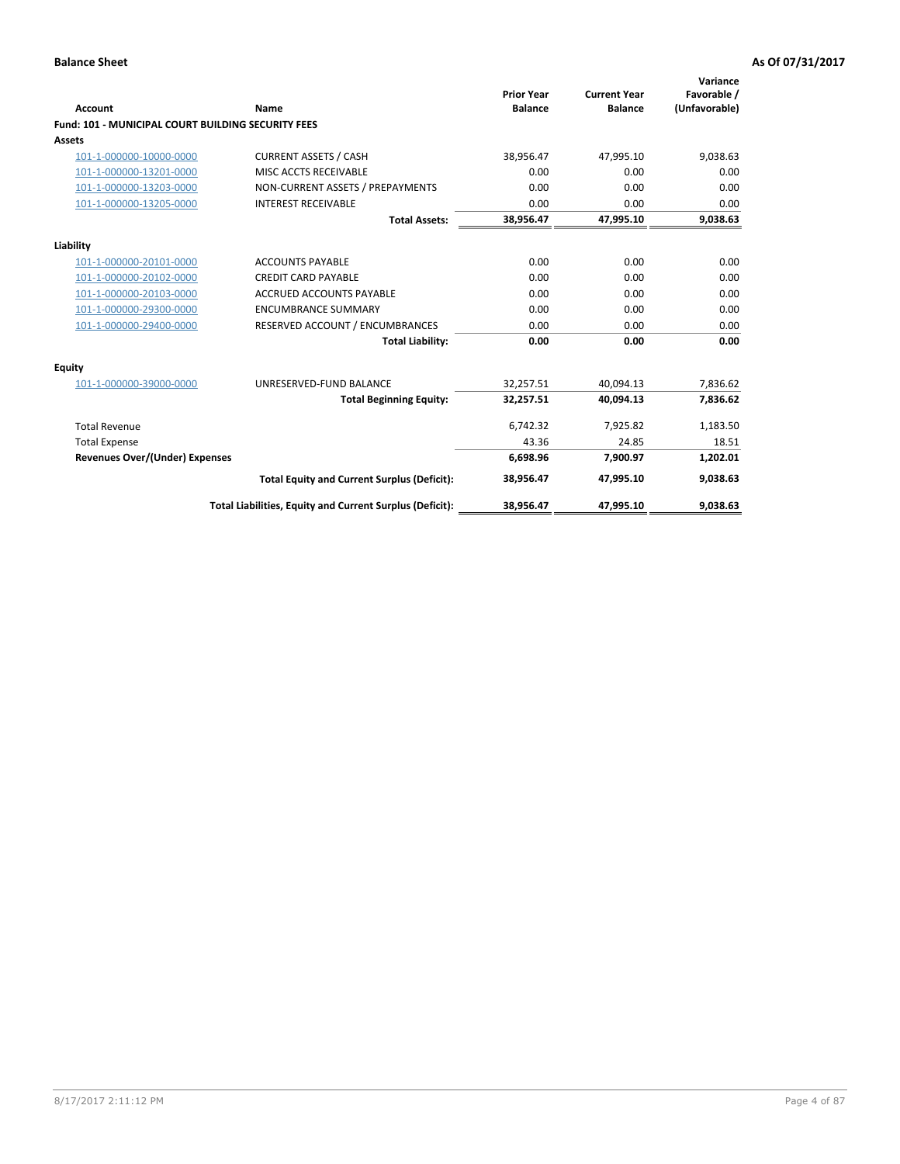| Account                                                   | <b>Name</b>                                              | <b>Prior Year</b><br><b>Balance</b> | <b>Current Year</b><br><b>Balance</b> | Variance<br>Favorable /<br>(Unfavorable) |
|-----------------------------------------------------------|----------------------------------------------------------|-------------------------------------|---------------------------------------|------------------------------------------|
| <b>Fund: 101 - MUNICIPAL COURT BUILDING SECURITY FEES</b> |                                                          |                                     |                                       |                                          |
| Assets                                                    |                                                          |                                     |                                       |                                          |
| 101-1-000000-10000-0000                                   | <b>CURRENT ASSETS / CASH</b>                             | 38,956.47                           | 47,995.10                             | 9,038.63                                 |
| 101-1-000000-13201-0000                                   | MISC ACCTS RECEIVABLE                                    | 0.00                                | 0.00                                  | 0.00                                     |
| 101-1-000000-13203-0000                                   | NON-CURRENT ASSETS / PREPAYMENTS                         | 0.00                                | 0.00                                  | 0.00                                     |
| 101-1-000000-13205-0000                                   | <b>INTEREST RECEIVABLE</b>                               | 0.00                                | 0.00                                  | 0.00                                     |
|                                                           | <b>Total Assets:</b>                                     | 38,956.47                           | 47,995.10                             | 9,038.63                                 |
| Liability                                                 |                                                          |                                     |                                       |                                          |
| 101-1-000000-20101-0000                                   | <b>ACCOUNTS PAYABLE</b>                                  | 0.00                                | 0.00                                  | 0.00                                     |
| 101-1-000000-20102-0000                                   | <b>CREDIT CARD PAYABLE</b>                               | 0.00                                | 0.00                                  | 0.00                                     |
| 101-1-000000-20103-0000                                   | <b>ACCRUED ACCOUNTS PAYABLE</b>                          | 0.00                                | 0.00                                  | 0.00                                     |
| 101-1-000000-29300-0000                                   | <b>ENCUMBRANCE SUMMARY</b>                               | 0.00                                | 0.00                                  | 0.00                                     |
| 101-1-000000-29400-0000                                   | RESERVED ACCOUNT / ENCUMBRANCES                          | 0.00                                | 0.00                                  | 0.00                                     |
|                                                           | <b>Total Liability:</b>                                  | 0.00                                | 0.00                                  | 0.00                                     |
| <b>Equity</b>                                             |                                                          |                                     |                                       |                                          |
| 101-1-000000-39000-0000                                   | UNRESERVED-FUND BALANCE                                  | 32,257.51                           | 40,094.13                             | 7,836.62                                 |
|                                                           | <b>Total Beginning Equity:</b>                           | 32,257.51                           | 40.094.13                             | 7,836.62                                 |
| <b>Total Revenue</b>                                      |                                                          | 6,742.32                            | 7,925.82                              | 1,183.50                                 |
| <b>Total Expense</b>                                      |                                                          | 43.36                               | 24.85                                 | 18.51                                    |
| Revenues Over/(Under) Expenses                            |                                                          | 6,698.96                            | 7,900.97                              | 1,202.01                                 |
|                                                           | <b>Total Equity and Current Surplus (Deficit):</b>       | 38,956.47                           | 47.995.10                             | 9,038.63                                 |
|                                                           | Total Liabilities, Equity and Current Surplus (Deficit): | 38,956.47                           | 47,995.10                             | 9,038.63                                 |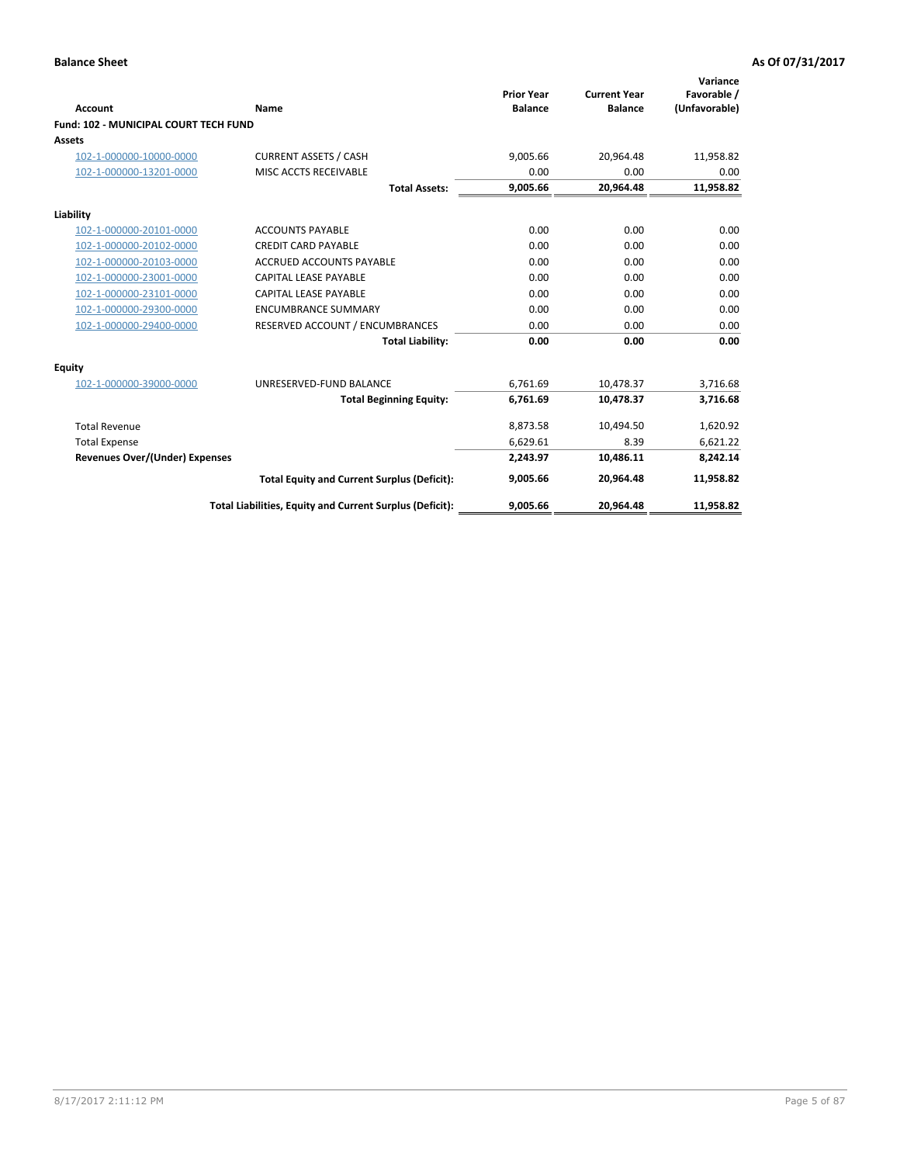| Account                                      | Name                                                     | <b>Prior Year</b><br><b>Balance</b> | <b>Current Year</b><br><b>Balance</b> | Variance<br>Favorable /<br>(Unfavorable) |
|----------------------------------------------|----------------------------------------------------------|-------------------------------------|---------------------------------------|------------------------------------------|
| <b>Fund: 102 - MUNICIPAL COURT TECH FUND</b> |                                                          |                                     |                                       |                                          |
| <b>Assets</b>                                |                                                          |                                     |                                       |                                          |
| 102-1-000000-10000-0000                      | <b>CURRENT ASSETS / CASH</b>                             | 9,005.66                            | 20,964.48                             | 11,958.82                                |
| 102-1-000000-13201-0000                      | MISC ACCTS RECEIVABLE                                    | 0.00                                | 0.00                                  | 0.00                                     |
|                                              | <b>Total Assets:</b>                                     | 9,005.66                            | 20,964.48                             | 11,958.82                                |
| Liability                                    |                                                          |                                     |                                       |                                          |
| 102-1-000000-20101-0000                      | <b>ACCOUNTS PAYABLE</b>                                  | 0.00                                | 0.00                                  | 0.00                                     |
| 102-1-000000-20102-0000                      | <b>CREDIT CARD PAYABLE</b>                               | 0.00                                | 0.00                                  | 0.00                                     |
| 102-1-000000-20103-0000                      | <b>ACCRUED ACCOUNTS PAYABLE</b>                          | 0.00                                | 0.00                                  | 0.00                                     |
| 102-1-000000-23001-0000                      | <b>CAPITAL LEASE PAYABLE</b>                             | 0.00                                | 0.00                                  | 0.00                                     |
| 102-1-000000-23101-0000                      | <b>CAPITAL LEASE PAYABLE</b>                             | 0.00                                | 0.00                                  | 0.00                                     |
| 102-1-000000-29300-0000                      | <b>ENCUMBRANCE SUMMARY</b>                               | 0.00                                | 0.00                                  | 0.00                                     |
| 102-1-000000-29400-0000                      | RESERVED ACCOUNT / ENCUMBRANCES                          | 0.00                                | 0.00                                  | 0.00                                     |
|                                              | <b>Total Liability:</b>                                  | 0.00                                | 0.00                                  | 0.00                                     |
| Equity                                       |                                                          |                                     |                                       |                                          |
| 102-1-000000-39000-0000                      | UNRESERVED-FUND BALANCE                                  | 6,761.69                            | 10,478.37                             | 3,716.68                                 |
|                                              | <b>Total Beginning Equity:</b>                           | 6,761.69                            | 10,478.37                             | 3,716.68                                 |
| <b>Total Revenue</b>                         |                                                          | 8,873.58                            | 10,494.50                             | 1,620.92                                 |
| <b>Total Expense</b>                         |                                                          | 6,629.61                            | 8.39                                  | 6,621.22                                 |
| <b>Revenues Over/(Under) Expenses</b>        |                                                          | 2,243.97                            | 10,486.11                             | 8,242.14                                 |
|                                              | <b>Total Equity and Current Surplus (Deficit):</b>       | 9,005.66                            | 20,964.48                             | 11,958.82                                |
|                                              | Total Liabilities, Equity and Current Surplus (Deficit): | 9,005.66                            | 20,964.48                             | 11,958.82                                |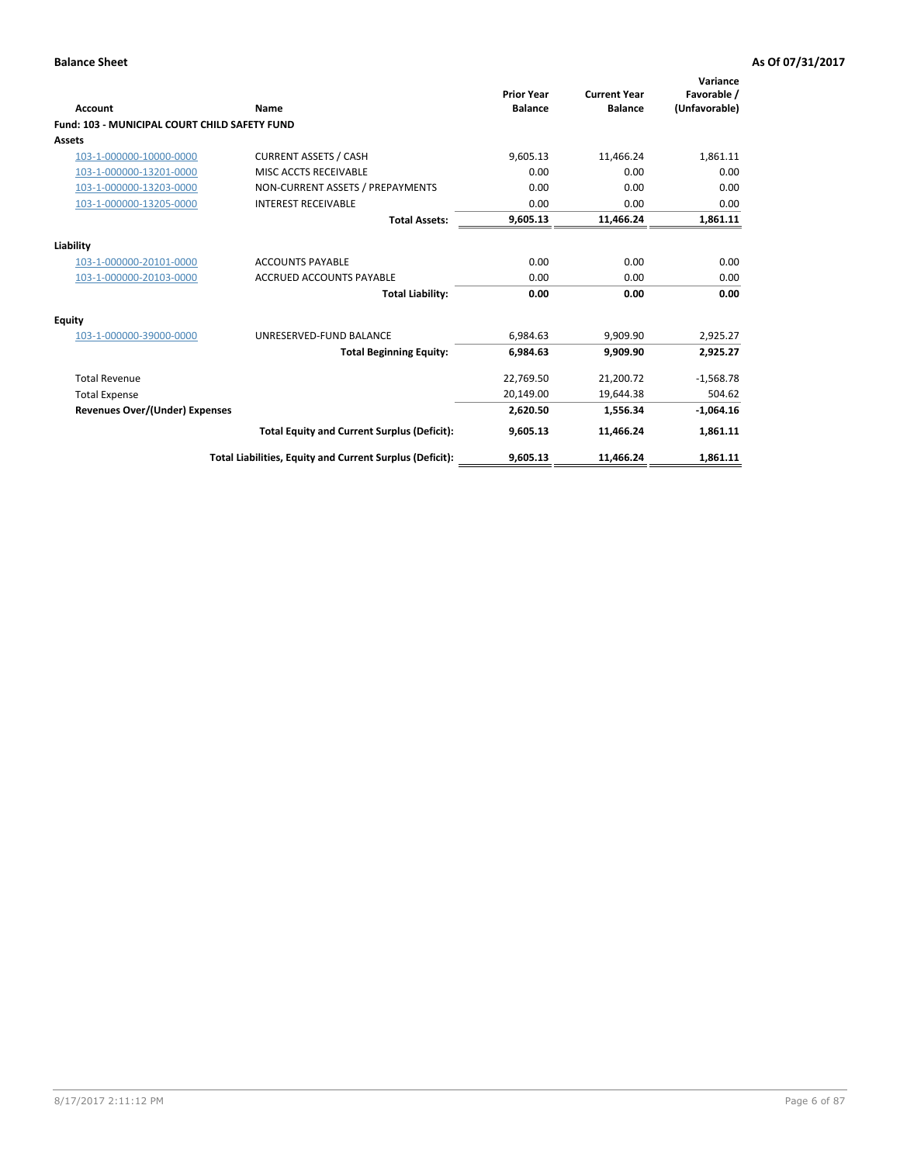| Account                                              | Name                                                     | <b>Prior Year</b><br><b>Balance</b> | <b>Current Year</b><br><b>Balance</b> | Variance<br>Favorable /<br>(Unfavorable) |
|------------------------------------------------------|----------------------------------------------------------|-------------------------------------|---------------------------------------|------------------------------------------|
| <b>Fund: 103 - MUNICIPAL COURT CHILD SAFETY FUND</b> |                                                          |                                     |                                       |                                          |
| <b>Assets</b>                                        |                                                          |                                     |                                       |                                          |
| 103-1-000000-10000-0000                              | <b>CURRENT ASSETS / CASH</b>                             | 9,605.13                            | 11,466.24                             | 1,861.11                                 |
| 103-1-000000-13201-0000                              | MISC ACCTS RECEIVABLE                                    | 0.00                                | 0.00                                  | 0.00                                     |
| 103-1-000000-13203-0000                              | NON-CURRENT ASSETS / PREPAYMENTS                         | 0.00                                | 0.00                                  | 0.00                                     |
| 103-1-000000-13205-0000                              | <b>INTEREST RECEIVABLE</b>                               | 0.00                                | 0.00                                  | 0.00                                     |
|                                                      | <b>Total Assets:</b>                                     | 9,605.13                            | 11,466.24                             | 1,861.11                                 |
| Liability                                            |                                                          |                                     |                                       |                                          |
| 103-1-000000-20101-0000                              | <b>ACCOUNTS PAYABLE</b>                                  | 0.00                                | 0.00                                  | 0.00                                     |
| 103-1-000000-20103-0000                              | <b>ACCRUED ACCOUNTS PAYABLE</b>                          | 0.00                                | 0.00                                  | 0.00                                     |
|                                                      | <b>Total Liability:</b>                                  | 0.00                                | 0.00                                  | 0.00                                     |
| <b>Equity</b>                                        |                                                          |                                     |                                       |                                          |
| 103-1-000000-39000-0000                              | UNRESERVED-FUND BALANCE                                  | 6,984.63                            | 9,909.90                              | 2,925.27                                 |
|                                                      | <b>Total Beginning Equity:</b>                           | 6,984.63                            | 9.909.90                              | 2,925.27                                 |
| <b>Total Revenue</b>                                 |                                                          | 22,769.50                           | 21,200.72                             | $-1,568.78$                              |
| <b>Total Expense</b>                                 |                                                          | 20,149.00                           | 19,644.38                             | 504.62                                   |
| Revenues Over/(Under) Expenses                       |                                                          | 2,620.50                            | 1.556.34                              | $-1,064.16$                              |
|                                                      | <b>Total Equity and Current Surplus (Deficit):</b>       | 9,605.13                            | 11,466.24                             | 1,861.11                                 |
|                                                      | Total Liabilities, Equity and Current Surplus (Deficit): | 9,605.13                            | 11,466.24                             | 1,861.11                                 |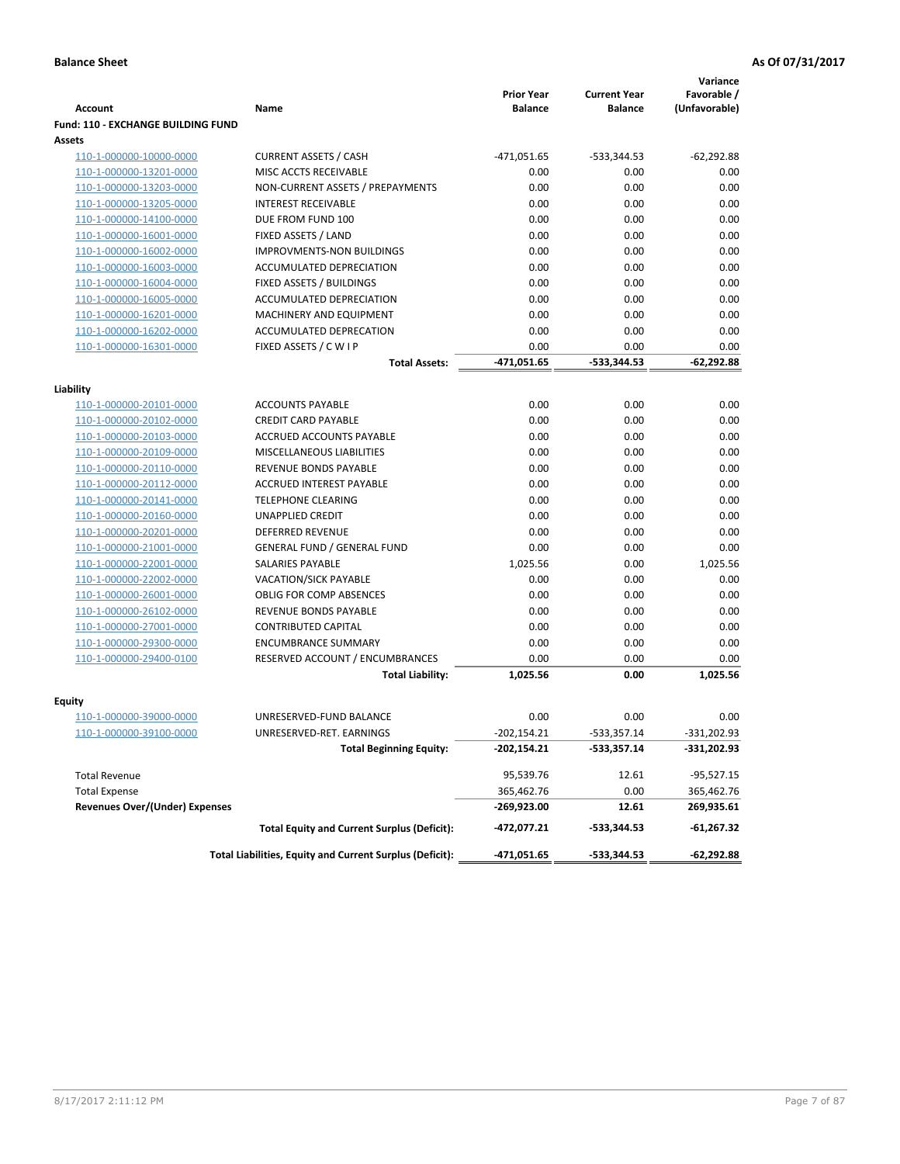|                                           |                                                          | <b>Prior Year</b> | <b>Current Year</b> | Variance<br>Favorable / |
|-------------------------------------------|----------------------------------------------------------|-------------------|---------------------|-------------------------|
| <b>Account</b>                            | Name                                                     | <b>Balance</b>    | <b>Balance</b>      | (Unfavorable)           |
| <b>Fund: 110 - EXCHANGE BUILDING FUND</b> |                                                          |                   |                     |                         |
| Assets                                    |                                                          |                   |                     |                         |
| 110-1-000000-10000-0000                   | <b>CURRENT ASSETS / CASH</b>                             | -471,051.65       | -533,344.53         | $-62,292.88$            |
| 110-1-000000-13201-0000                   | MISC ACCTS RECEIVABLE                                    | 0.00              | 0.00                | 0.00                    |
| 110-1-000000-13203-0000                   | NON-CURRENT ASSETS / PREPAYMENTS                         | 0.00              | 0.00                | 0.00                    |
| 110-1-000000-13205-0000                   | <b>INTEREST RECEIVABLE</b>                               | 0.00              | 0.00                | 0.00                    |
| 110-1-000000-14100-0000                   | DUE FROM FUND 100                                        | 0.00              | 0.00                | 0.00                    |
| 110-1-000000-16001-0000                   | FIXED ASSETS / LAND                                      | 0.00              | 0.00                | 0.00                    |
| 110-1-000000-16002-0000                   | <b>IMPROVMENTS-NON BUILDINGS</b>                         | 0.00              | 0.00                | 0.00                    |
| 110-1-000000-16003-0000                   | <b>ACCUMULATED DEPRECIATION</b>                          | 0.00              | 0.00                | 0.00                    |
| 110-1-000000-16004-0000                   | FIXED ASSETS / BUILDINGS                                 | 0.00              | 0.00                | 0.00                    |
| 110-1-000000-16005-0000                   | ACCUMULATED DEPRECIATION                                 | 0.00              | 0.00                | 0.00                    |
| 110-1-000000-16201-0000                   | <b>MACHINERY AND EQUIPMENT</b>                           | 0.00              | 0.00                | 0.00                    |
| 110-1-000000-16202-0000                   | ACCUMULATED DEPRECATION                                  | 0.00              | 0.00                | 0.00                    |
| 110-1-000000-16301-0000                   | FIXED ASSETS / C W I P                                   | 0.00              | 0.00                | 0.00                    |
|                                           | <b>Total Assets:</b>                                     | -471,051.65       | $-533,344.53$       | $-62,292.88$            |
| Liability                                 |                                                          |                   |                     |                         |
| 110-1-000000-20101-0000                   | <b>ACCOUNTS PAYABLE</b>                                  | 0.00              | 0.00                | 0.00                    |
| 110-1-000000-20102-0000                   | <b>CREDIT CARD PAYABLE</b>                               | 0.00              | 0.00                | 0.00                    |
| 110-1-000000-20103-0000                   | <b>ACCRUED ACCOUNTS PAYABLE</b>                          | 0.00              | 0.00                | 0.00                    |
| 110-1-000000-20109-0000                   | <b>MISCELLANEOUS LIABILITIES</b>                         | 0.00              | 0.00                | 0.00                    |
| 110-1-000000-20110-0000                   | <b>REVENUE BONDS PAYABLE</b>                             | 0.00              | 0.00                | 0.00                    |
| 110-1-000000-20112-0000                   | <b>ACCRUED INTEREST PAYABLE</b>                          | 0.00              | 0.00                | 0.00                    |
| 110-1-000000-20141-0000                   | <b>TELEPHONE CLEARING</b>                                | 0.00              | 0.00                | 0.00                    |
| 110-1-000000-20160-0000                   | <b>UNAPPLIED CREDIT</b>                                  | 0.00              | 0.00                | 0.00                    |
| 110-1-000000-20201-0000                   | <b>DEFERRED REVENUE</b>                                  | 0.00              | 0.00                | 0.00                    |
| 110-1-000000-21001-0000                   | <b>GENERAL FUND / GENERAL FUND</b>                       | 0.00              | 0.00                | 0.00                    |
| 110-1-000000-22001-0000                   | SALARIES PAYABLE                                         | 1,025.56          | 0.00                | 1,025.56                |
| 110-1-000000-22002-0000                   | VACATION/SICK PAYABLE                                    | 0.00              | 0.00                | 0.00                    |
| 110-1-000000-26001-0000                   | <b>OBLIG FOR COMP ABSENCES</b>                           | 0.00              | 0.00                | 0.00                    |
| 110-1-000000-26102-0000                   | REVENUE BONDS PAYABLE                                    | 0.00              | 0.00                | 0.00                    |
| 110-1-000000-27001-0000                   | <b>CONTRIBUTED CAPITAL</b>                               | 0.00              | 0.00                | 0.00                    |
| 110-1-000000-29300-0000                   | <b>ENCUMBRANCE SUMMARY</b>                               | 0.00              | 0.00                | 0.00                    |
| 110-1-000000-29400-0100                   | RESERVED ACCOUNT / ENCUMBRANCES                          | 0.00              | 0.00                | 0.00                    |
|                                           | <b>Total Liability:</b>                                  | 1,025.56          | 0.00                | 1,025.56                |
|                                           |                                                          |                   |                     |                         |
| Equity                                    |                                                          |                   |                     |                         |
| 110-1-000000-39000-0000                   | UNRESERVED-FUND BALANCE                                  | 0.00              | 0.00                | 0.00                    |
| <u>110-1-000000-39100-0000</u>            | UNRESERVED-RET. EARNINGS                                 | -202,154.21       | -533,357.14         | -331,202.93             |
|                                           | <b>Total Beginning Equity:</b>                           | -202,154.21       | -533,357.14         | -331,202.93             |
| <b>Total Revenue</b>                      |                                                          | 95,539.76         | 12.61               | $-95,527.15$            |
| <b>Total Expense</b>                      |                                                          | 365,462.76        | 0.00                | 365,462.76              |
| <b>Revenues Over/(Under) Expenses</b>     |                                                          | -269,923.00       | 12.61               | 269,935.61              |
|                                           | <b>Total Equity and Current Surplus (Deficit):</b>       | -472,077.21       | -533,344.53         | -61,267.32              |
|                                           | Total Liabilities, Equity and Current Surplus (Deficit): | -471,051.65       | -533,344.53         | -62,292.88              |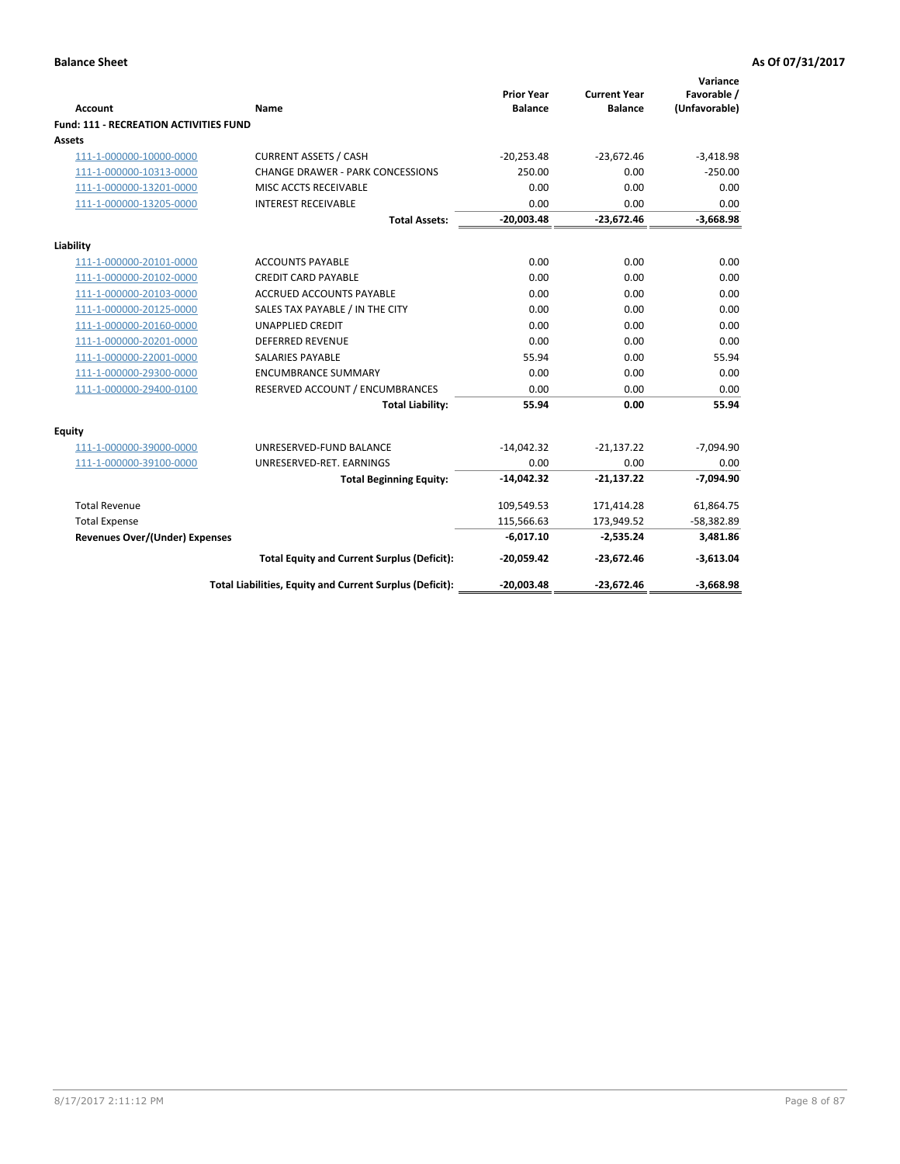| <b>Account</b>                                | Name                                                     | <b>Prior Year</b><br><b>Balance</b> | <b>Current Year</b><br><b>Balance</b> | Variance<br>Favorable /<br>(Unfavorable) |
|-----------------------------------------------|----------------------------------------------------------|-------------------------------------|---------------------------------------|------------------------------------------|
| <b>Fund: 111 - RECREATION ACTIVITIES FUND</b> |                                                          |                                     |                                       |                                          |
| Assets                                        |                                                          |                                     |                                       |                                          |
| 111-1-000000-10000-0000                       | <b>CURRENT ASSETS / CASH</b>                             | $-20,253.48$                        | $-23,672.46$                          | $-3,418.98$                              |
| 111-1-000000-10313-0000                       | <b>CHANGE DRAWER - PARK CONCESSIONS</b>                  | 250.00                              | 0.00                                  | $-250.00$                                |
| 111-1-000000-13201-0000                       | MISC ACCTS RECEIVABLE                                    | 0.00                                | 0.00                                  | 0.00                                     |
| 111-1-000000-13205-0000                       | <b>INTEREST RECEIVABLE</b>                               | 0.00                                | 0.00                                  | 0.00                                     |
|                                               | <b>Total Assets:</b>                                     | $-20,003.48$                        | $-23,672.46$                          | $-3,668.98$                              |
| Liability                                     |                                                          |                                     |                                       |                                          |
| 111-1-000000-20101-0000                       | <b>ACCOUNTS PAYABLE</b>                                  | 0.00                                | 0.00                                  | 0.00                                     |
| 111-1-000000-20102-0000                       | <b>CREDIT CARD PAYABLE</b>                               | 0.00                                | 0.00                                  | 0.00                                     |
| 111-1-000000-20103-0000                       | <b>ACCRUED ACCOUNTS PAYABLE</b>                          | 0.00                                | 0.00                                  | 0.00                                     |
| 111-1-000000-20125-0000                       | SALES TAX PAYABLE / IN THE CITY                          | 0.00                                | 0.00                                  | 0.00                                     |
| 111-1-000000-20160-0000                       | <b>UNAPPLIED CREDIT</b>                                  | 0.00                                | 0.00                                  | 0.00                                     |
| 111-1-000000-20201-0000                       | <b>DEFERRED REVENUE</b>                                  | 0.00                                | 0.00                                  | 0.00                                     |
| 111-1-000000-22001-0000                       | <b>SALARIES PAYABLE</b>                                  | 55.94                               | 0.00                                  | 55.94                                    |
| 111-1-000000-29300-0000                       | <b>ENCUMBRANCE SUMMARY</b>                               | 0.00                                | 0.00                                  | 0.00                                     |
| 111-1-000000-29400-0100                       | RESERVED ACCOUNT / ENCUMBRANCES                          | 0.00                                | 0.00                                  | 0.00                                     |
|                                               | <b>Total Liability:</b>                                  | 55.94                               | 0.00                                  | 55.94                                    |
| Equity                                        |                                                          |                                     |                                       |                                          |
| 111-1-000000-39000-0000                       | UNRESERVED-FUND BALANCE                                  | $-14,042.32$                        | $-21,137.22$                          | $-7,094.90$                              |
| 111-1-000000-39100-0000                       | UNRESERVED-RET. EARNINGS                                 | 0.00                                | 0.00                                  | 0.00                                     |
|                                               | <b>Total Beginning Equity:</b>                           | $-14,042.32$                        | $-21,137.22$                          | $-7,094.90$                              |
| <b>Total Revenue</b>                          |                                                          | 109,549.53                          | 171,414.28                            | 61,864.75                                |
| <b>Total Expense</b>                          |                                                          | 115,566.63                          | 173,949.52                            | $-58,382.89$                             |
| <b>Revenues Over/(Under) Expenses</b>         |                                                          | $-6,017.10$                         | $-2,535.24$                           | 3,481.86                                 |
|                                               | <b>Total Equity and Current Surplus (Deficit):</b>       | $-20,059.42$                        | $-23,672.46$                          | $-3,613.04$                              |
|                                               | Total Liabilities, Equity and Current Surplus (Deficit): | $-20,003.48$                        | $-23,672.46$                          | $-3,668.98$                              |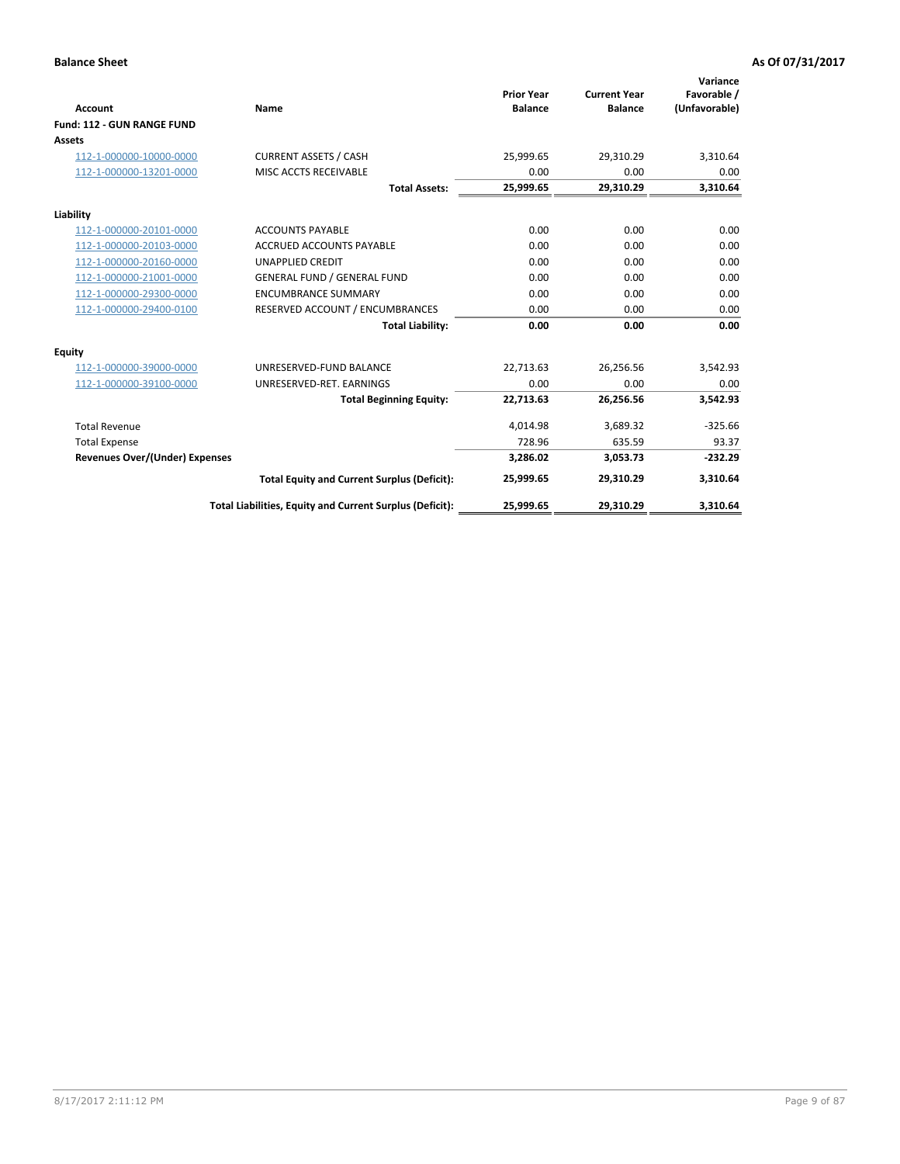|                                       |                                                          |                                     |                                       | Variance                     |
|---------------------------------------|----------------------------------------------------------|-------------------------------------|---------------------------------------|------------------------------|
| <b>Account</b>                        | Name                                                     | <b>Prior Year</b><br><b>Balance</b> | <b>Current Year</b><br><b>Balance</b> | Favorable /<br>(Unfavorable) |
| Fund: 112 - GUN RANGE FUND            |                                                          |                                     |                                       |                              |
| <b>Assets</b>                         |                                                          |                                     |                                       |                              |
| 112-1-000000-10000-0000               | <b>CURRENT ASSETS / CASH</b>                             | 25,999.65                           | 29,310.29                             | 3,310.64                     |
| 112-1-000000-13201-0000               | MISC ACCTS RECEIVABLE                                    | 0.00                                | 0.00                                  | 0.00                         |
|                                       | <b>Total Assets:</b>                                     | 25,999.65                           | 29,310.29                             | 3,310.64                     |
| Liability                             |                                                          |                                     |                                       |                              |
| 112-1-000000-20101-0000               | <b>ACCOUNTS PAYABLE</b>                                  | 0.00                                | 0.00                                  | 0.00                         |
| 112-1-000000-20103-0000               | <b>ACCRUED ACCOUNTS PAYABLE</b>                          | 0.00                                | 0.00                                  | 0.00                         |
| 112-1-000000-20160-0000               | <b>UNAPPLIED CREDIT</b>                                  | 0.00                                | 0.00                                  | 0.00                         |
| 112-1-000000-21001-0000               | <b>GENERAL FUND / GENERAL FUND</b>                       | 0.00                                | 0.00                                  | 0.00                         |
| 112-1-000000-29300-0000               | <b>ENCUMBRANCE SUMMARY</b>                               | 0.00                                | 0.00                                  | 0.00                         |
| 112-1-000000-29400-0100               | RESERVED ACCOUNT / ENCUMBRANCES                          | 0.00                                | 0.00                                  | 0.00                         |
|                                       | <b>Total Liability:</b>                                  | 0.00                                | 0.00                                  | 0.00                         |
| <b>Equity</b>                         |                                                          |                                     |                                       |                              |
| 112-1-000000-39000-0000               | UNRESERVED-FUND BALANCE                                  | 22,713.63                           | 26,256.56                             | 3,542.93                     |
| 112-1-000000-39100-0000               | UNRESERVED-RET. EARNINGS                                 | 0.00                                | 0.00                                  | 0.00                         |
|                                       | <b>Total Beginning Equity:</b>                           | 22,713.63                           | 26,256.56                             | 3,542.93                     |
| <b>Total Revenue</b>                  |                                                          | 4,014.98                            | 3,689.32                              | $-325.66$                    |
| <b>Total Expense</b>                  |                                                          | 728.96                              | 635.59                                | 93.37                        |
| <b>Revenues Over/(Under) Expenses</b> |                                                          | 3,286.02                            | 3,053.73                              | $-232.29$                    |
|                                       | <b>Total Equity and Current Surplus (Deficit):</b>       | 25,999.65                           | 29,310.29                             | 3,310.64                     |
|                                       | Total Liabilities, Equity and Current Surplus (Deficit): | 25,999.65                           | 29,310.29                             | 3,310.64                     |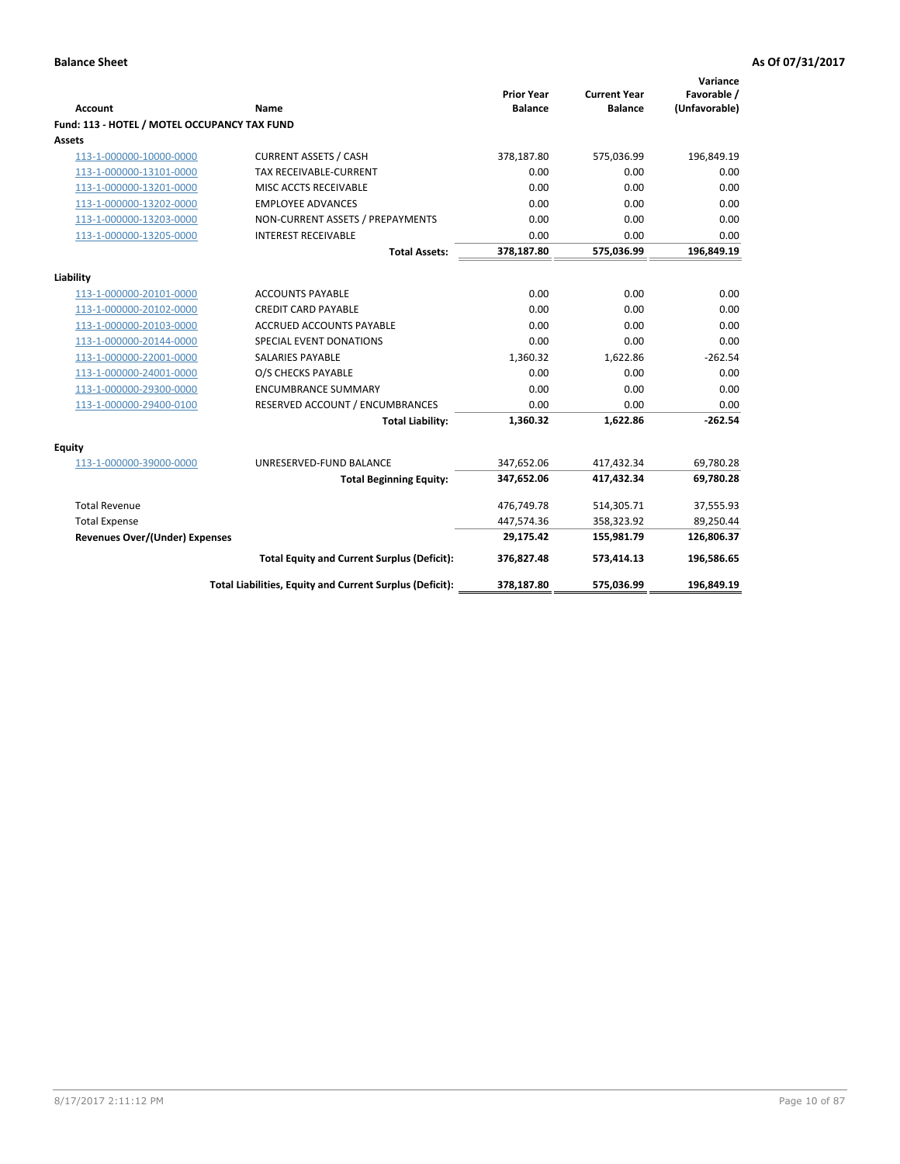| <b>Account</b>                               | <b>Name</b>                                              | <b>Prior Year</b><br><b>Balance</b> | <b>Current Year</b><br><b>Balance</b> | Variance<br>Favorable /<br>(Unfavorable) |
|----------------------------------------------|----------------------------------------------------------|-------------------------------------|---------------------------------------|------------------------------------------|
| Fund: 113 - HOTEL / MOTEL OCCUPANCY TAX FUND |                                                          |                                     |                                       |                                          |
| Assets                                       |                                                          |                                     |                                       |                                          |
| 113-1-000000-10000-0000                      | <b>CURRENT ASSETS / CASH</b>                             | 378,187.80                          | 575,036.99                            | 196,849.19                               |
| 113-1-000000-13101-0000                      | TAX RECEIVABLE-CURRENT                                   | 0.00                                | 0.00                                  | 0.00                                     |
| 113-1-000000-13201-0000                      | MISC ACCTS RECEIVABLE                                    | 0.00                                | 0.00                                  | 0.00                                     |
| 113-1-000000-13202-0000                      | <b>EMPLOYEE ADVANCES</b>                                 | 0.00                                | 0.00                                  | 0.00                                     |
| 113-1-000000-13203-0000                      | NON-CURRENT ASSETS / PREPAYMENTS                         | 0.00                                | 0.00                                  | 0.00                                     |
| 113-1-000000-13205-0000                      | <b>INTEREST RECEIVABLE</b>                               | 0.00                                | 0.00                                  | 0.00                                     |
|                                              | <b>Total Assets:</b>                                     | 378,187.80                          | 575,036.99                            | 196,849.19                               |
| Liability                                    |                                                          |                                     |                                       |                                          |
| 113-1-000000-20101-0000                      | <b>ACCOUNTS PAYABLE</b>                                  | 0.00                                | 0.00                                  | 0.00                                     |
| 113-1-000000-20102-0000                      | <b>CREDIT CARD PAYABLE</b>                               | 0.00                                | 0.00                                  | 0.00                                     |
| 113-1-000000-20103-0000                      | ACCRUED ACCOUNTS PAYABLE                                 | 0.00                                | 0.00                                  | 0.00                                     |
| 113-1-000000-20144-0000                      | SPECIAL EVENT DONATIONS                                  | 0.00                                | 0.00                                  | 0.00                                     |
| 113-1-000000-22001-0000                      | <b>SALARIES PAYABLE</b>                                  | 1,360.32                            | 1,622.86                              | $-262.54$                                |
| 113-1-000000-24001-0000                      | O/S CHECKS PAYABLE                                       | 0.00                                | 0.00                                  | 0.00                                     |
| 113-1-000000-29300-0000                      | <b>ENCUMBRANCE SUMMARY</b>                               | 0.00                                | 0.00                                  | 0.00                                     |
| 113-1-000000-29400-0100                      | RESERVED ACCOUNT / ENCUMBRANCES                          | 0.00                                | 0.00                                  | 0.00                                     |
|                                              | <b>Total Liability:</b>                                  | 1,360.32                            | 1,622.86                              | $-262.54$                                |
| Equity                                       |                                                          |                                     |                                       |                                          |
| 113-1-000000-39000-0000                      | UNRESERVED-FUND BALANCE                                  | 347,652.06                          | 417,432.34                            | 69,780.28                                |
|                                              | <b>Total Beginning Equity:</b>                           | 347,652.06                          | 417,432.34                            | 69,780.28                                |
| <b>Total Revenue</b>                         |                                                          | 476,749.78                          | 514,305.71                            | 37,555.93                                |
| <b>Total Expense</b>                         |                                                          | 447,574.36                          | 358,323.92                            | 89,250.44                                |
| <b>Revenues Over/(Under) Expenses</b>        |                                                          | 29,175.42                           | 155,981.79                            | 126,806.37                               |
|                                              | <b>Total Equity and Current Surplus (Deficit):</b>       | 376,827.48                          | 573,414.13                            | 196,586.65                               |
|                                              | Total Liabilities, Equity and Current Surplus (Deficit): | 378,187.80                          | 575,036.99                            | 196,849.19                               |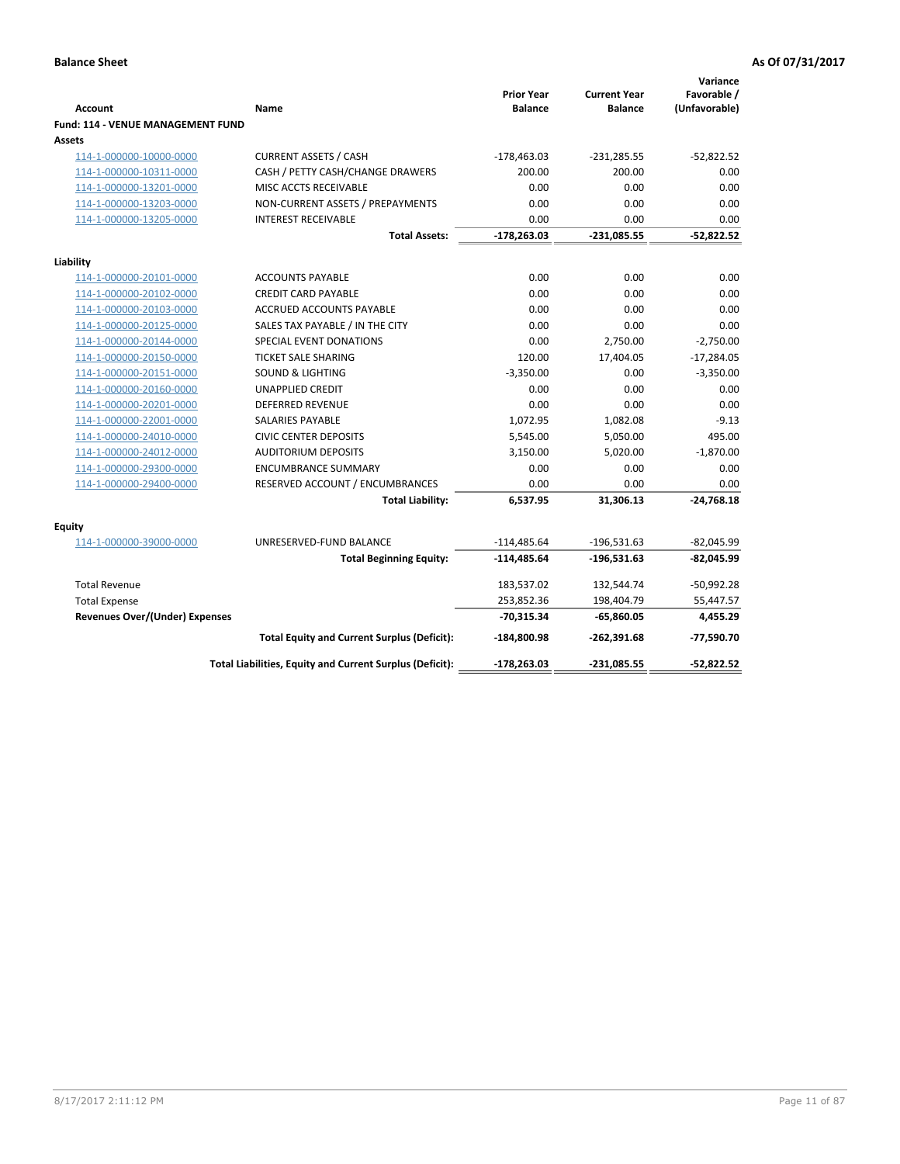### **Balance Sheet As Of 07/31/2017 As Of 07/31/2017**

| <b>Account</b>                           | Name                                                     | <b>Prior Year</b><br><b>Balance</b> | <b>Current Year</b><br><b>Balance</b> | Variance<br>Favorable /<br>(Unfavorable) |
|------------------------------------------|----------------------------------------------------------|-------------------------------------|---------------------------------------|------------------------------------------|
| <b>Fund: 114 - VENUE MANAGEMENT FUND</b> |                                                          |                                     |                                       |                                          |
| <b>Assets</b>                            |                                                          |                                     |                                       |                                          |
| 114-1-000000-10000-0000                  | <b>CURRENT ASSETS / CASH</b>                             | $-178,463.03$                       | $-231,285.55$                         | $-52,822.52$                             |
| 114-1-000000-10311-0000                  | CASH / PETTY CASH/CHANGE DRAWERS                         | 200.00                              | 200.00                                | 0.00                                     |
| 114-1-000000-13201-0000                  | MISC ACCTS RECEIVABLE                                    | 0.00                                | 0.00                                  | 0.00                                     |
| 114-1-000000-13203-0000                  | NON-CURRENT ASSETS / PREPAYMENTS                         | 0.00                                | 0.00                                  | 0.00                                     |
| 114-1-000000-13205-0000                  | <b>INTEREST RECEIVABLE</b>                               | 0.00                                | 0.00                                  | 0.00                                     |
|                                          | <b>Total Assets:</b>                                     | $-178,263.03$                       | $-231,085.55$                         | $-52,822.52$                             |
| Liability                                |                                                          |                                     |                                       |                                          |
| 114-1-000000-20101-0000                  | <b>ACCOUNTS PAYABLE</b>                                  | 0.00                                | 0.00                                  | 0.00                                     |
| 114-1-000000-20102-0000                  | <b>CREDIT CARD PAYABLE</b>                               | 0.00                                | 0.00                                  | 0.00                                     |
| 114-1-000000-20103-0000                  | <b>ACCRUED ACCOUNTS PAYABLE</b>                          | 0.00                                | 0.00                                  | 0.00                                     |
| 114-1-000000-20125-0000                  | SALES TAX PAYABLE / IN THE CITY                          | 0.00                                | 0.00                                  | 0.00                                     |
| 114-1-000000-20144-0000                  | SPECIAL EVENT DONATIONS                                  | 0.00                                | 2,750.00                              | $-2,750.00$                              |
| 114-1-000000-20150-0000                  | <b>TICKET SALE SHARING</b>                               | 120.00                              | 17,404.05                             | -17,284.05                               |
| 114-1-000000-20151-0000                  | <b>SOUND &amp; LIGHTING</b>                              | $-3,350.00$                         | 0.00                                  | $-3,350.00$                              |
| 114-1-000000-20160-0000                  | <b>UNAPPLIED CREDIT</b>                                  | 0.00                                | 0.00                                  | 0.00                                     |
| 114-1-000000-20201-0000                  | <b>DEFERRED REVENUE</b>                                  | 0.00                                | 0.00                                  | 0.00                                     |
| 114-1-000000-22001-0000                  | <b>SALARIES PAYABLE</b>                                  | 1,072.95                            | 1,082.08                              | $-9.13$                                  |
| 114-1-000000-24010-0000                  | <b>CIVIC CENTER DEPOSITS</b>                             | 5,545.00                            | 5,050.00                              | 495.00                                   |
| 114-1-000000-24012-0000                  | <b>AUDITORIUM DEPOSITS</b>                               | 3,150.00                            | 5,020.00                              | $-1,870.00$                              |
| 114-1-000000-29300-0000                  | <b>ENCUMBRANCE SUMMARY</b>                               | 0.00                                | 0.00                                  | 0.00                                     |
| 114-1-000000-29400-0000                  | RESERVED ACCOUNT / ENCUMBRANCES                          | 0.00                                | 0.00                                  | 0.00                                     |
|                                          | <b>Total Liability:</b>                                  | 6,537.95                            | 31,306.13                             | $-24,768.18$                             |
| <b>Equity</b>                            |                                                          |                                     |                                       |                                          |
| 114-1-000000-39000-0000                  | UNRESERVED-FUND BALANCE                                  | $-114,485.64$                       | $-196,531.63$                         | $-82,045.99$                             |
|                                          | <b>Total Beginning Equity:</b>                           | $-114,485.64$                       | $-196,531.63$                         | $-82,045.99$                             |
| <b>Total Revenue</b>                     |                                                          | 183,537.02                          | 132,544.74                            | $-50,992.28$                             |
| <b>Total Expense</b>                     |                                                          | 253,852.36                          | 198,404.79                            | 55,447.57                                |
| Revenues Over/(Under) Expenses           |                                                          | $-70,315.34$                        | $-65,860.05$                          | 4,455.29                                 |
|                                          | <b>Total Equity and Current Surplus (Deficit):</b>       | -184,800.98                         | $-262,391.68$                         | -77,590.70                               |
|                                          | Total Liabilities, Equity and Current Surplus (Deficit): | $-178,263.03$                       | -231,085.55                           | -52,822.52                               |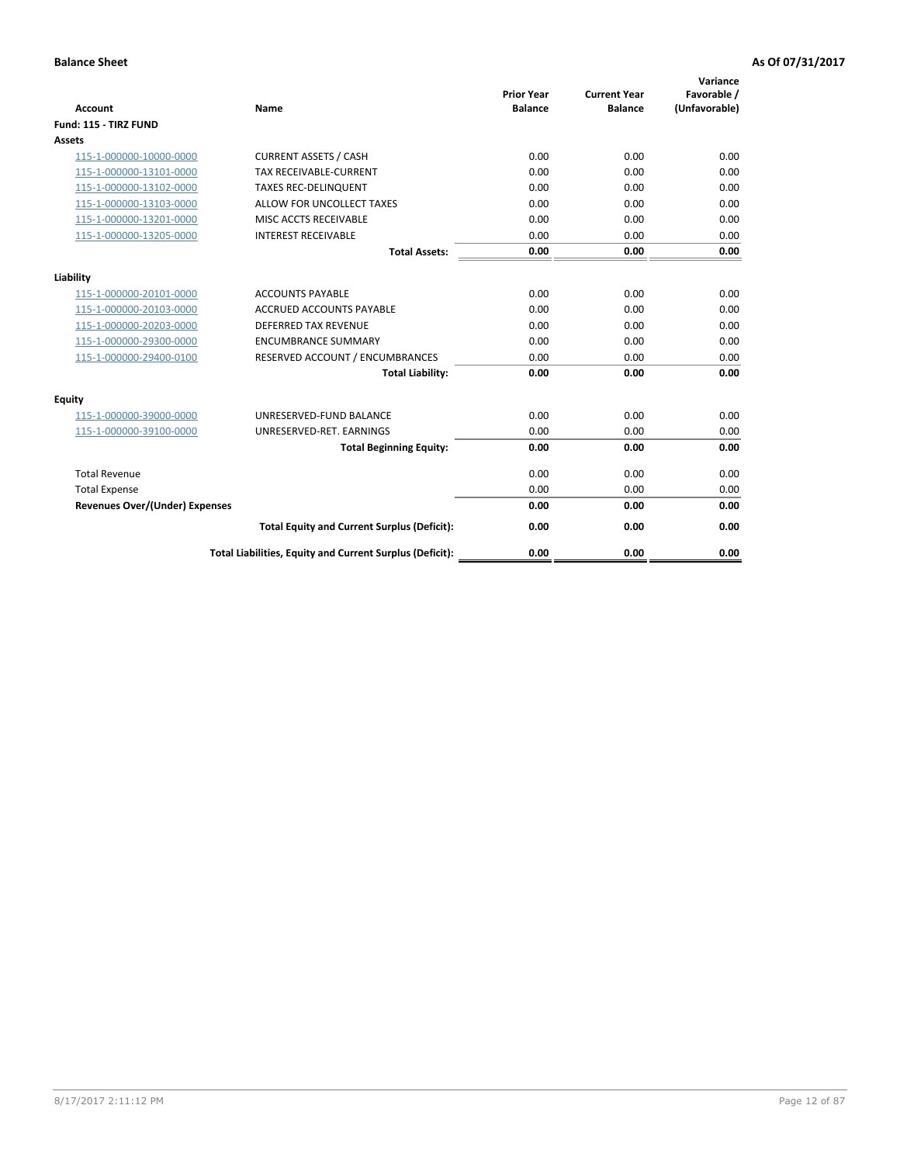| <b>Account</b>                        | <b>Name</b>                                              | <b>Prior Year</b><br><b>Balance</b> | <b>Current Year</b><br><b>Balance</b> | Variance<br>Favorable /<br>(Unfavorable) |
|---------------------------------------|----------------------------------------------------------|-------------------------------------|---------------------------------------|------------------------------------------|
| Fund: 115 - TIRZ FUND                 |                                                          |                                     |                                       |                                          |
| <b>Assets</b>                         |                                                          |                                     |                                       |                                          |
| 115-1-000000-10000-0000               | <b>CURRENT ASSETS / CASH</b>                             | 0.00                                | 0.00                                  | 0.00                                     |
| 115-1-000000-13101-0000               | TAX RECEIVABLE-CURRENT                                   | 0.00                                | 0.00                                  | 0.00                                     |
| 115-1-000000-13102-0000               | <b>TAXES REC-DELINQUENT</b>                              | 0.00                                | 0.00                                  | 0.00                                     |
| 115-1-000000-13103-0000               | ALLOW FOR UNCOLLECT TAXES                                | 0.00                                | 0.00                                  | 0.00                                     |
| 115-1-000000-13201-0000               | MISC ACCTS RECEIVABLE                                    | 0.00                                | 0.00                                  | 0.00                                     |
| 115-1-000000-13205-0000               | <b>INTEREST RECEIVABLE</b>                               | 0.00                                | 0.00                                  | 0.00                                     |
|                                       | <b>Total Assets:</b>                                     | 0.00                                | 0.00                                  | 0.00                                     |
| Liability                             |                                                          |                                     |                                       |                                          |
| 115-1-000000-20101-0000               | <b>ACCOUNTS PAYABLE</b>                                  | 0.00                                | 0.00                                  | 0.00                                     |
| 115-1-000000-20103-0000               | <b>ACCRUED ACCOUNTS PAYABLE</b>                          | 0.00                                | 0.00                                  | 0.00                                     |
| 115-1-000000-20203-0000               | <b>DEFERRED TAX REVENUE</b>                              | 0.00                                | 0.00                                  | 0.00                                     |
| 115-1-000000-29300-0000               | <b>ENCUMBRANCE SUMMARY</b>                               | 0.00                                | 0.00                                  | 0.00                                     |
| 115-1-000000-29400-0100               | RESERVED ACCOUNT / ENCUMBRANCES                          | 0.00                                | 0.00                                  | 0.00                                     |
|                                       | <b>Total Liability:</b>                                  | 0.00                                | 0.00                                  | 0.00                                     |
| Equity                                |                                                          |                                     |                                       |                                          |
| 115-1-000000-39000-0000               | UNRESERVED-FUND BALANCE                                  | 0.00                                | 0.00                                  | 0.00                                     |
| 115-1-000000-39100-0000               | UNRESERVED-RET. EARNINGS                                 | 0.00                                | 0.00                                  | 0.00                                     |
|                                       | <b>Total Beginning Equity:</b>                           | 0.00                                | 0.00                                  | 0.00                                     |
| <b>Total Revenue</b>                  |                                                          | 0.00                                | 0.00                                  | 0.00                                     |
| <b>Total Expense</b>                  |                                                          | 0.00                                | 0.00                                  | 0.00                                     |
| <b>Revenues Over/(Under) Expenses</b> |                                                          | 0.00                                | 0.00                                  | 0.00                                     |
|                                       | <b>Total Equity and Current Surplus (Deficit):</b>       | 0.00                                | 0.00                                  | 0.00                                     |
|                                       | Total Liabilities, Equity and Current Surplus (Deficit): | 0.00                                | 0.00                                  | 0.00                                     |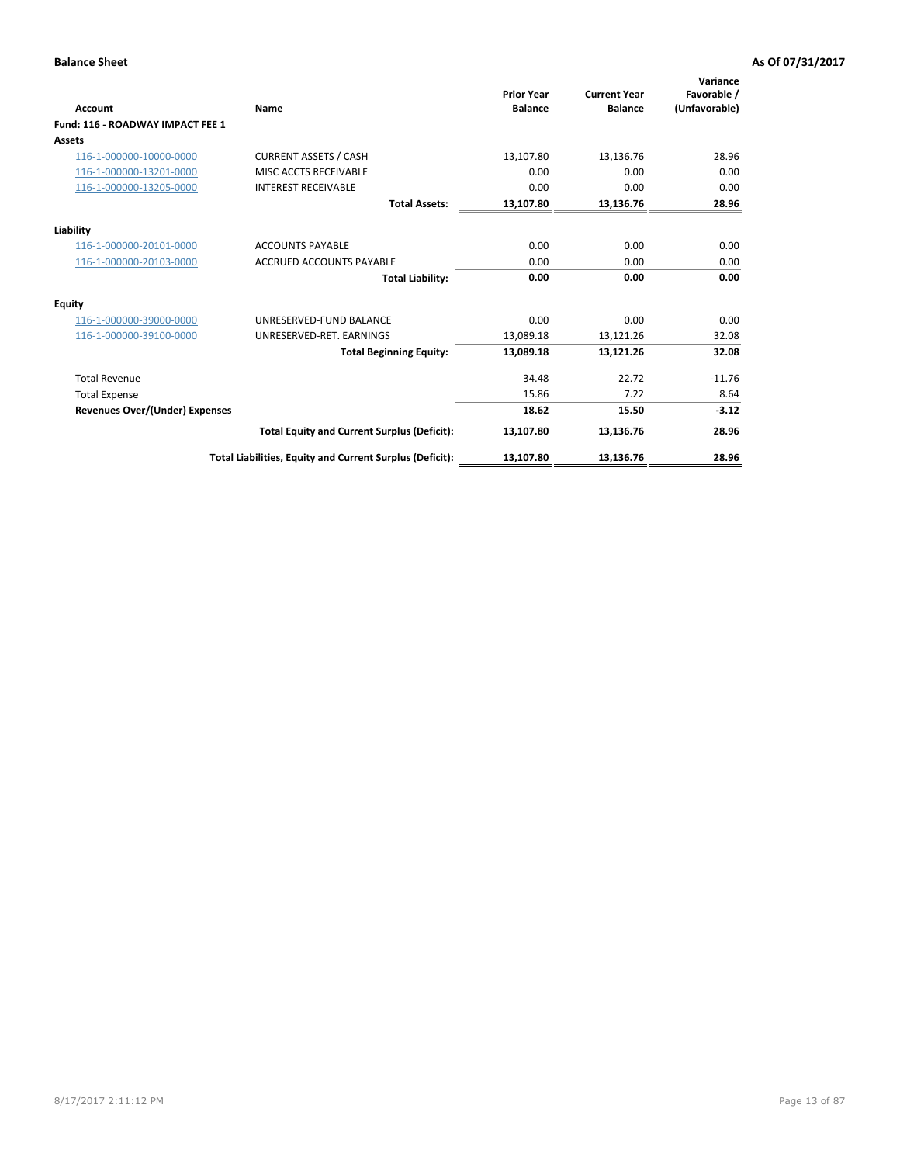| <b>Account</b>                        | <b>Name</b>                                              | <b>Prior Year</b><br><b>Balance</b> | <b>Current Year</b><br><b>Balance</b> | Variance<br>Favorable /<br>(Unfavorable) |
|---------------------------------------|----------------------------------------------------------|-------------------------------------|---------------------------------------|------------------------------------------|
| Fund: 116 - ROADWAY IMPACT FEE 1      |                                                          |                                     |                                       |                                          |
| Assets                                |                                                          |                                     |                                       |                                          |
| 116-1-000000-10000-0000               | <b>CURRENT ASSETS / CASH</b>                             | 13,107.80                           | 13,136.76                             | 28.96                                    |
| 116-1-000000-13201-0000               | MISC ACCTS RECEIVABLE                                    | 0.00                                | 0.00                                  | 0.00                                     |
| 116-1-000000-13205-0000               | <b>INTEREST RECEIVABLE</b>                               | 0.00                                | 0.00                                  | 0.00                                     |
|                                       | <b>Total Assets:</b>                                     | 13,107.80                           | 13,136.76                             | 28.96                                    |
| Liability                             |                                                          |                                     |                                       |                                          |
| 116-1-000000-20101-0000               | <b>ACCOUNTS PAYABLE</b>                                  | 0.00                                | 0.00                                  | 0.00                                     |
| 116-1-000000-20103-0000               | <b>ACCRUED ACCOUNTS PAYABLE</b>                          | 0.00                                | 0.00                                  | 0.00                                     |
|                                       | <b>Total Liability:</b>                                  | 0.00                                | 0.00                                  | 0.00                                     |
| Equity                                |                                                          |                                     |                                       |                                          |
| 116-1-000000-39000-0000               | UNRESERVED-FUND BALANCE                                  | 0.00                                | 0.00                                  | 0.00                                     |
| 116-1-000000-39100-0000               | UNRESERVED-RET. EARNINGS                                 | 13,089.18                           | 13,121.26                             | 32.08                                    |
|                                       | <b>Total Beginning Equity:</b>                           | 13,089.18                           | 13,121.26                             | 32.08                                    |
| <b>Total Revenue</b>                  |                                                          | 34.48                               | 22.72                                 | $-11.76$                                 |
| <b>Total Expense</b>                  |                                                          | 15.86                               | 7.22                                  | 8.64                                     |
| <b>Revenues Over/(Under) Expenses</b> |                                                          | 18.62                               | 15.50                                 | $-3.12$                                  |
|                                       | <b>Total Equity and Current Surplus (Deficit):</b>       | 13,107.80                           | 13,136.76                             | 28.96                                    |
|                                       | Total Liabilities, Equity and Current Surplus (Deficit): | 13,107.80                           | 13,136.76                             | 28.96                                    |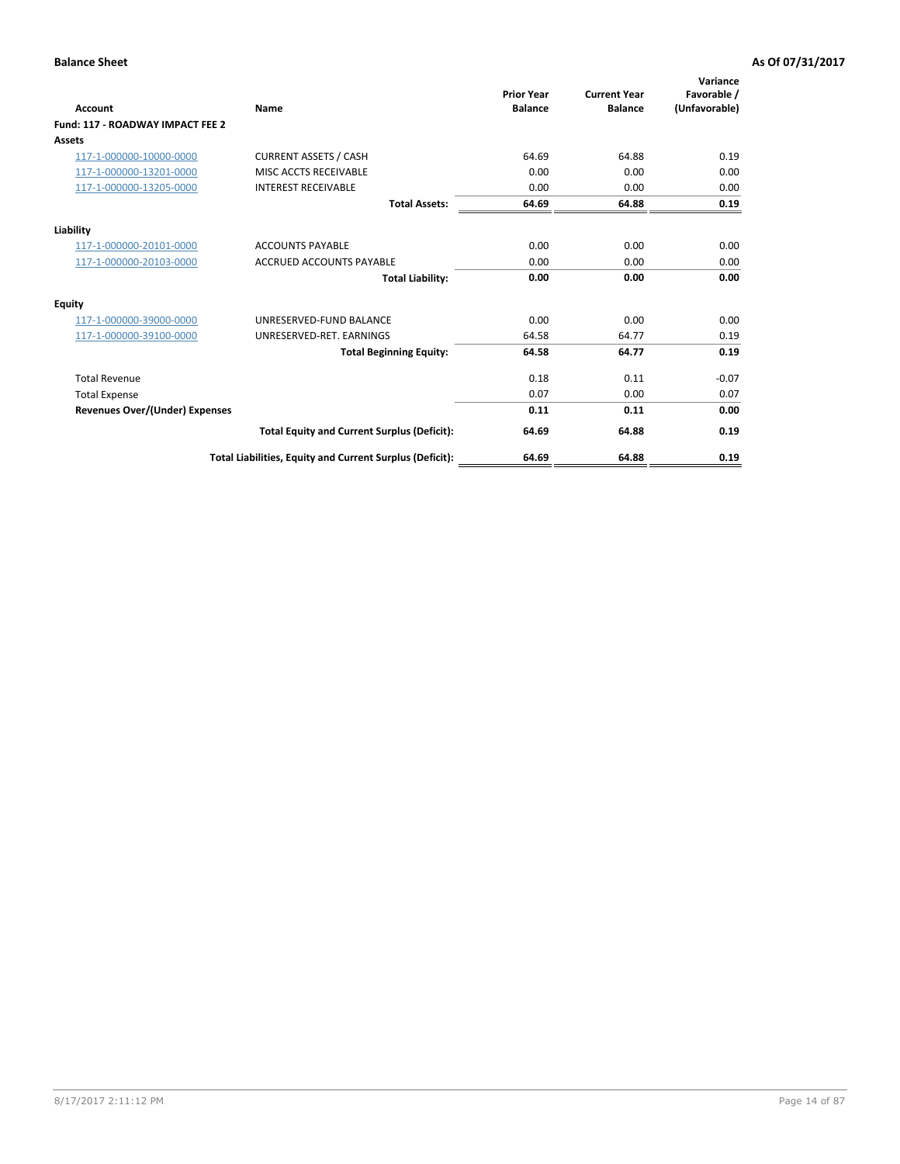| <b>Account</b>                        | Name                                                     | <b>Prior Year</b><br><b>Balance</b> | <b>Current Year</b><br><b>Balance</b> | Variance<br>Favorable /<br>(Unfavorable) |
|---------------------------------------|----------------------------------------------------------|-------------------------------------|---------------------------------------|------------------------------------------|
| Fund: 117 - ROADWAY IMPACT FEE 2      |                                                          |                                     |                                       |                                          |
| <b>Assets</b>                         |                                                          |                                     |                                       |                                          |
| 117-1-000000-10000-0000               | <b>CURRENT ASSETS / CASH</b>                             | 64.69                               | 64.88                                 | 0.19                                     |
| 117-1-000000-13201-0000               | MISC ACCTS RECEIVABLE                                    | 0.00                                | 0.00                                  | 0.00                                     |
| 117-1-000000-13205-0000               | <b>INTEREST RECEIVABLE</b>                               | 0.00                                | 0.00                                  | 0.00                                     |
|                                       | <b>Total Assets:</b>                                     | 64.69                               | 64.88                                 | 0.19                                     |
| Liability                             |                                                          |                                     |                                       |                                          |
| 117-1-000000-20101-0000               | <b>ACCOUNTS PAYABLE</b>                                  | 0.00                                | 0.00                                  | 0.00                                     |
| 117-1-000000-20103-0000               | <b>ACCRUED ACCOUNTS PAYABLE</b>                          | 0.00                                | 0.00                                  | 0.00                                     |
|                                       | <b>Total Liability:</b>                                  | 0.00                                | 0.00                                  | 0.00                                     |
| <b>Equity</b>                         |                                                          |                                     |                                       |                                          |
| 117-1-000000-39000-0000               | UNRESERVED-FUND BALANCE                                  | 0.00                                | 0.00                                  | 0.00                                     |
| 117-1-000000-39100-0000               | UNRESERVED-RET. EARNINGS                                 | 64.58                               | 64.77                                 | 0.19                                     |
|                                       | <b>Total Beginning Equity:</b>                           | 64.58                               | 64.77                                 | 0.19                                     |
| <b>Total Revenue</b>                  |                                                          | 0.18                                | 0.11                                  | $-0.07$                                  |
| <b>Total Expense</b>                  |                                                          | 0.07                                | 0.00                                  | 0.07                                     |
| <b>Revenues Over/(Under) Expenses</b> |                                                          | 0.11                                | 0.11                                  | 0.00                                     |
|                                       | <b>Total Equity and Current Surplus (Deficit):</b>       | 64.69                               | 64.88                                 | 0.19                                     |
|                                       | Total Liabilities, Equity and Current Surplus (Deficit): | 64.69                               | 64.88                                 | 0.19                                     |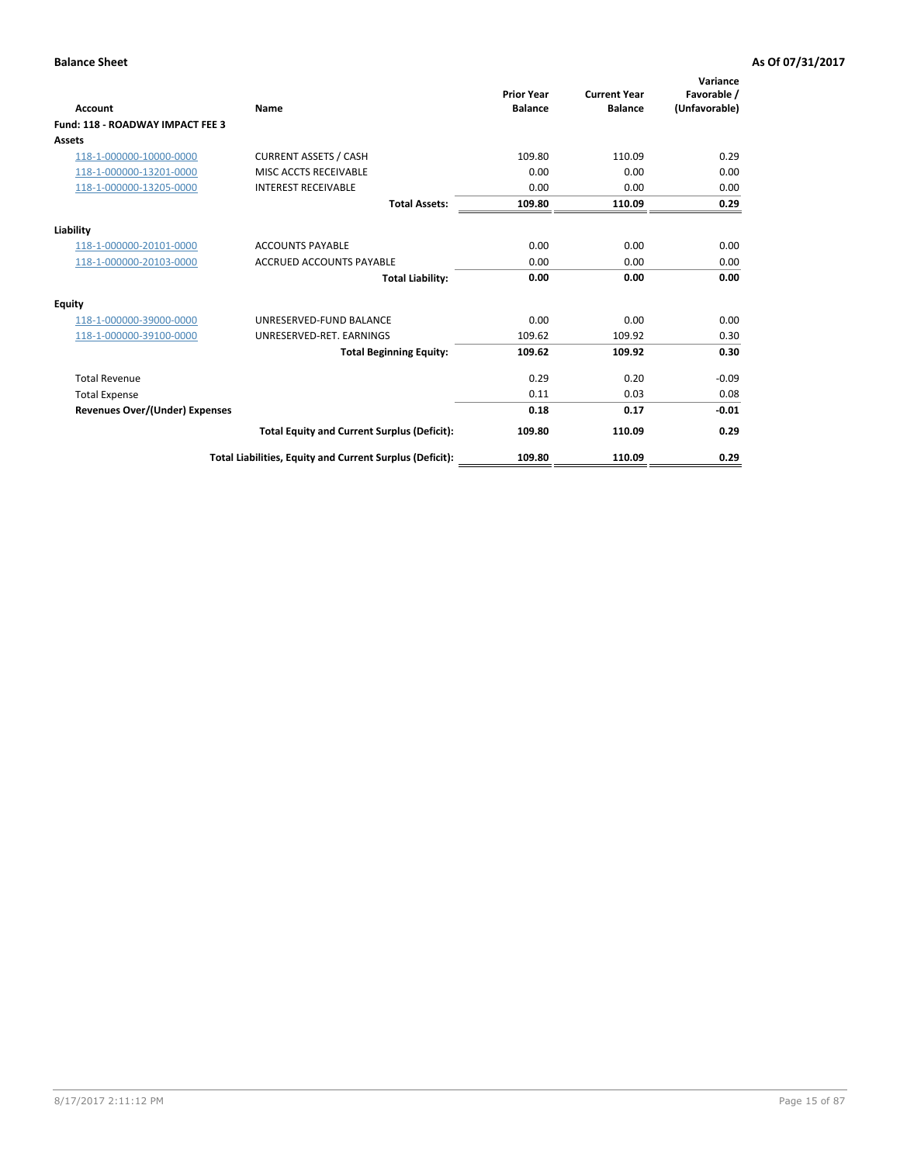| <b>Account</b>                        | Name                                                     | <b>Prior Year</b><br><b>Balance</b> | <b>Current Year</b><br><b>Balance</b> | Variance<br>Favorable /<br>(Unfavorable) |
|---------------------------------------|----------------------------------------------------------|-------------------------------------|---------------------------------------|------------------------------------------|
| Fund: 118 - ROADWAY IMPACT FEE 3      |                                                          |                                     |                                       |                                          |
| Assets                                |                                                          |                                     |                                       |                                          |
| 118-1-000000-10000-0000               | <b>CURRENT ASSETS / CASH</b>                             | 109.80                              | 110.09                                | 0.29                                     |
| 118-1-000000-13201-0000               | MISC ACCTS RECEIVABLE                                    | 0.00                                | 0.00                                  | 0.00                                     |
| 118-1-000000-13205-0000               | <b>INTEREST RECEIVABLE</b>                               | 0.00                                | 0.00                                  | 0.00                                     |
|                                       | <b>Total Assets:</b>                                     | 109.80                              | 110.09                                | 0.29                                     |
| Liability                             |                                                          |                                     |                                       |                                          |
| 118-1-000000-20101-0000               | <b>ACCOUNTS PAYABLE</b>                                  | 0.00                                | 0.00                                  | 0.00                                     |
| 118-1-000000-20103-0000               | <b>ACCRUED ACCOUNTS PAYABLE</b>                          | 0.00                                | 0.00                                  | 0.00                                     |
|                                       | <b>Total Liability:</b>                                  | 0.00                                | 0.00                                  | 0.00                                     |
| <b>Equity</b>                         |                                                          |                                     |                                       |                                          |
| 118-1-000000-39000-0000               | UNRESERVED-FUND BALANCE                                  | 0.00                                | 0.00                                  | 0.00                                     |
| 118-1-000000-39100-0000               | UNRESERVED-RET. EARNINGS                                 | 109.62                              | 109.92                                | 0.30                                     |
|                                       | <b>Total Beginning Equity:</b>                           | 109.62                              | 109.92                                | 0.30                                     |
| <b>Total Revenue</b>                  |                                                          | 0.29                                | 0.20                                  | $-0.09$                                  |
| <b>Total Expense</b>                  |                                                          | 0.11                                | 0.03                                  | 0.08                                     |
| <b>Revenues Over/(Under) Expenses</b> |                                                          | 0.18                                | 0.17                                  | $-0.01$                                  |
|                                       | <b>Total Equity and Current Surplus (Deficit):</b>       | 109.80                              | 110.09                                | 0.29                                     |
|                                       | Total Liabilities, Equity and Current Surplus (Deficit): | 109.80                              | 110.09                                | 0.29                                     |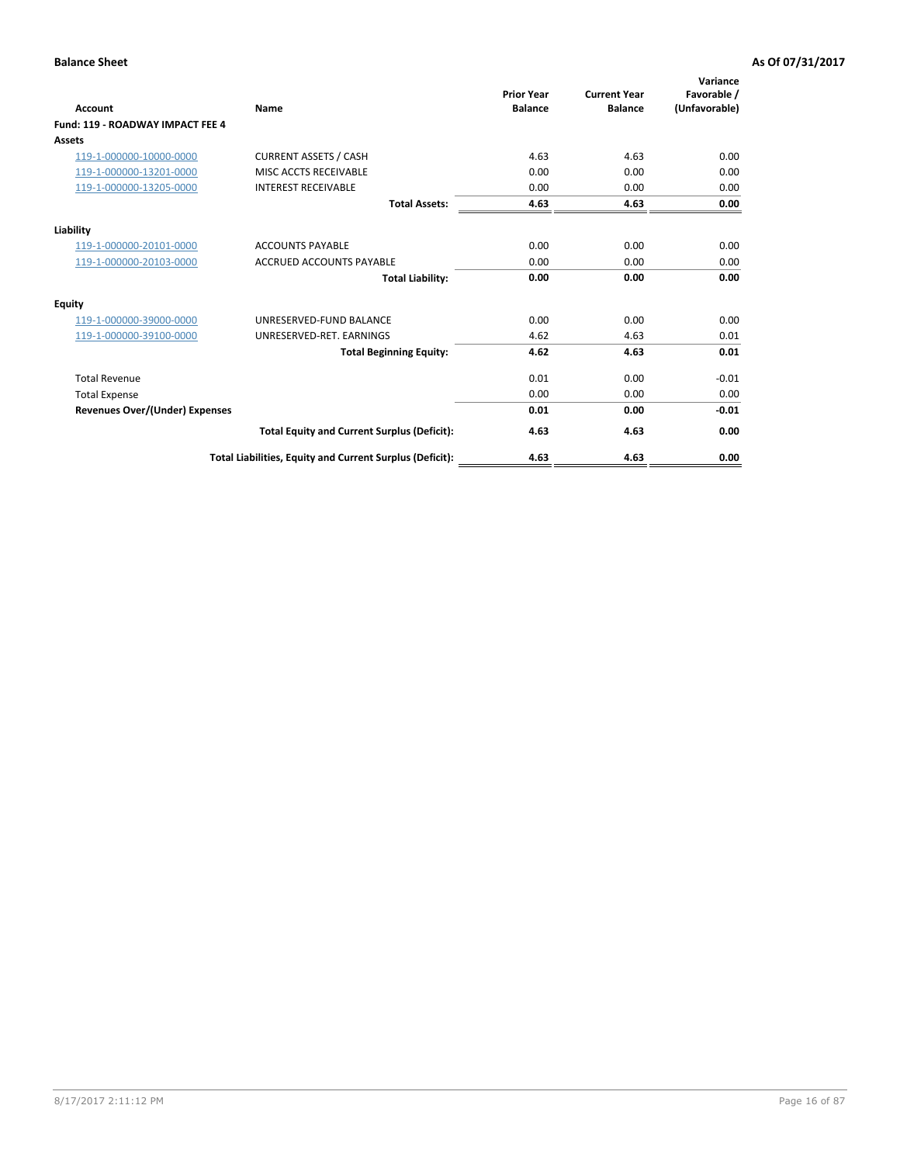| <b>Account</b>                        | <b>Name</b>                                              | <b>Prior Year</b><br><b>Balance</b> | <b>Current Year</b><br><b>Balance</b> | Variance<br>Favorable /<br>(Unfavorable) |
|---------------------------------------|----------------------------------------------------------|-------------------------------------|---------------------------------------|------------------------------------------|
| Fund: 119 - ROADWAY IMPACT FEE 4      |                                                          |                                     |                                       |                                          |
| Assets                                |                                                          |                                     |                                       |                                          |
| 119-1-000000-10000-0000               | <b>CURRENT ASSETS / CASH</b>                             | 4.63                                | 4.63                                  | 0.00                                     |
| 119-1-000000-13201-0000               | MISC ACCTS RECEIVABLE                                    | 0.00                                | 0.00                                  | 0.00                                     |
| 119-1-000000-13205-0000               | <b>INTEREST RECEIVABLE</b>                               | 0.00                                | 0.00                                  | 0.00                                     |
|                                       | <b>Total Assets:</b>                                     | 4.63                                | 4.63                                  | 0.00                                     |
| Liability                             |                                                          |                                     |                                       |                                          |
| 119-1-000000-20101-0000               | <b>ACCOUNTS PAYABLE</b>                                  | 0.00                                | 0.00                                  | 0.00                                     |
| 119-1-000000-20103-0000               | <b>ACCRUED ACCOUNTS PAYABLE</b>                          | 0.00                                | 0.00                                  | 0.00                                     |
|                                       | <b>Total Liability:</b>                                  | 0.00                                | 0.00                                  | 0.00                                     |
| Equity                                |                                                          |                                     |                                       |                                          |
| 119-1-000000-39000-0000               | UNRESERVED-FUND BALANCE                                  | 0.00                                | 0.00                                  | 0.00                                     |
| 119-1-000000-39100-0000               | UNRESERVED-RET. EARNINGS                                 | 4.62                                | 4.63                                  | 0.01                                     |
|                                       | <b>Total Beginning Equity:</b>                           | 4.62                                | 4.63                                  | 0.01                                     |
| <b>Total Revenue</b>                  |                                                          | 0.01                                | 0.00                                  | $-0.01$                                  |
| <b>Total Expense</b>                  |                                                          | 0.00                                | 0.00                                  | 0.00                                     |
| <b>Revenues Over/(Under) Expenses</b> |                                                          | 0.01                                | 0.00                                  | $-0.01$                                  |
|                                       | <b>Total Equity and Current Surplus (Deficit):</b>       | 4.63                                | 4.63                                  | 0.00                                     |
|                                       | Total Liabilities, Equity and Current Surplus (Deficit): | 4.63                                | 4.63                                  | 0.00                                     |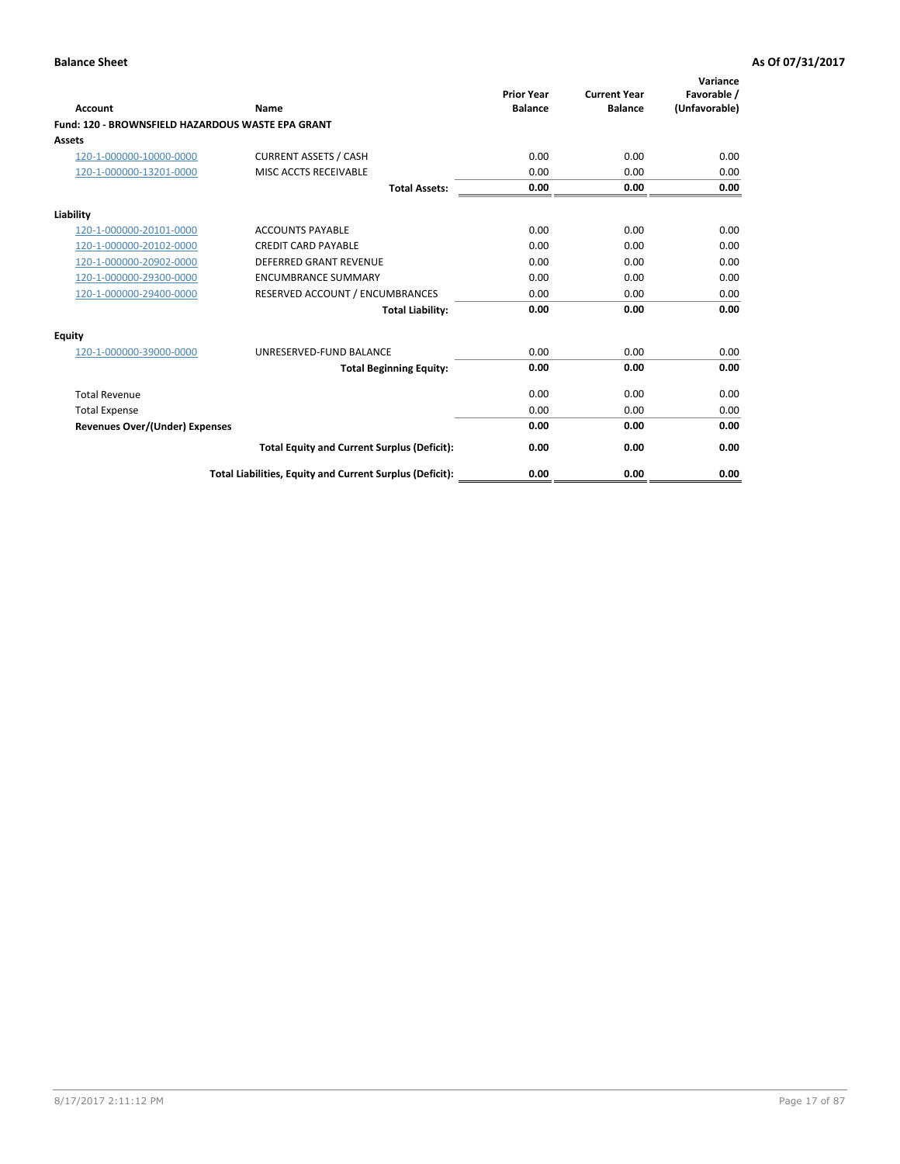|                                                   |                                                          | <b>Prior Year</b> | <b>Current Year</b> | Variance<br>Favorable / |
|---------------------------------------------------|----------------------------------------------------------|-------------------|---------------------|-------------------------|
| <b>Account</b>                                    | <b>Name</b>                                              | <b>Balance</b>    | <b>Balance</b>      | (Unfavorable)           |
| Fund: 120 - BROWNSFIELD HAZARDOUS WASTE EPA GRANT |                                                          |                   |                     |                         |
| <b>Assets</b>                                     |                                                          |                   |                     |                         |
| 120-1-000000-10000-0000                           | <b>CURRENT ASSETS / CASH</b>                             | 0.00              | 0.00                | 0.00                    |
| 120-1-000000-13201-0000                           | MISC ACCTS RECEIVABLE                                    | 0.00              | 0.00                | 0.00                    |
|                                                   | <b>Total Assets:</b>                                     | 0.00              | 0.00                | 0.00                    |
| Liability                                         |                                                          |                   |                     |                         |
| 120-1-000000-20101-0000                           | <b>ACCOUNTS PAYABLE</b>                                  | 0.00              | 0.00                | 0.00                    |
| 120-1-000000-20102-0000                           | <b>CREDIT CARD PAYABLE</b>                               | 0.00              | 0.00                | 0.00                    |
| 120-1-000000-20902-0000                           | <b>DEFERRED GRANT REVENUE</b>                            | 0.00              | 0.00                | 0.00                    |
| 120-1-000000-29300-0000                           | <b>ENCUMBRANCE SUMMARY</b>                               | 0.00              | 0.00                | 0.00                    |
| 120-1-000000-29400-0000                           | RESERVED ACCOUNT / ENCUMBRANCES                          | 0.00              | 0.00                | 0.00                    |
|                                                   | <b>Total Liability:</b>                                  | 0.00              | 0.00                | 0.00                    |
| Equity                                            |                                                          |                   |                     |                         |
| 120-1-000000-39000-0000                           | UNRESERVED-FUND BALANCE                                  | 0.00              | 0.00                | 0.00                    |
|                                                   | <b>Total Beginning Equity:</b>                           | 0.00              | 0.00                | 0.00                    |
| <b>Total Revenue</b>                              |                                                          | 0.00              | 0.00                | 0.00                    |
| <b>Total Expense</b>                              |                                                          | 0.00              | 0.00                | 0.00                    |
| <b>Revenues Over/(Under) Expenses</b>             |                                                          | 0.00              | 0.00                | 0.00                    |
|                                                   | <b>Total Equity and Current Surplus (Deficit):</b>       | 0.00              | 0.00                | 0.00                    |
|                                                   | Total Liabilities, Equity and Current Surplus (Deficit): | 0.00              | 0.00                | 0.00                    |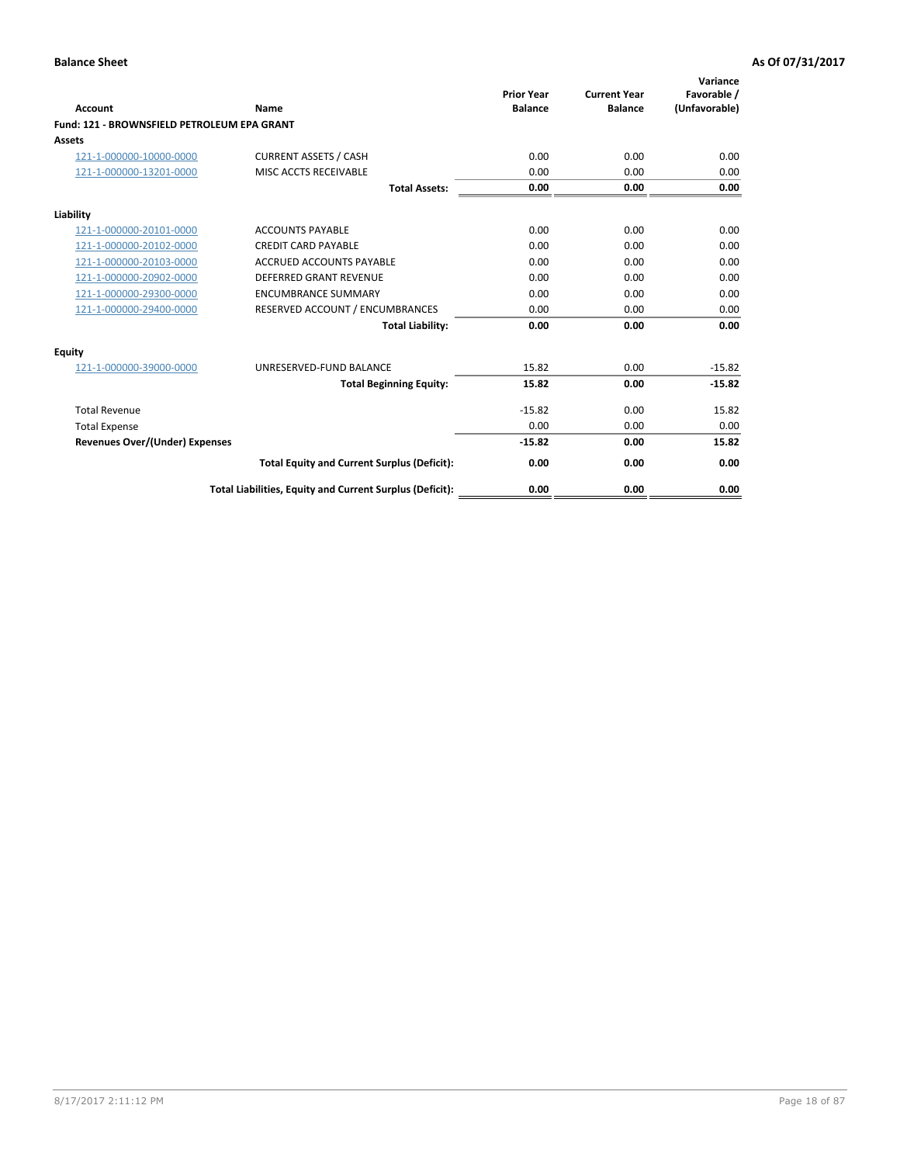| Account                                     | Name                                                     | <b>Prior Year</b><br><b>Balance</b> | <b>Current Year</b><br><b>Balance</b> | Variance<br>Favorable /<br>(Unfavorable) |
|---------------------------------------------|----------------------------------------------------------|-------------------------------------|---------------------------------------|------------------------------------------|
| Fund: 121 - BROWNSFIELD PETROLEUM EPA GRANT |                                                          |                                     |                                       |                                          |
| <b>Assets</b>                               |                                                          |                                     |                                       |                                          |
| 121-1-000000-10000-0000                     | <b>CURRENT ASSETS / CASH</b>                             | 0.00                                | 0.00                                  | 0.00                                     |
| 121-1-000000-13201-0000                     | <b>MISC ACCTS RECEIVABLE</b>                             | 0.00                                | 0.00                                  | 0.00                                     |
|                                             | <b>Total Assets:</b>                                     | 0.00                                | 0.00                                  | 0.00                                     |
| Liability                                   |                                                          |                                     |                                       |                                          |
| 121-1-000000-20101-0000                     | <b>ACCOUNTS PAYABLE</b>                                  | 0.00                                | 0.00                                  | 0.00                                     |
| 121-1-000000-20102-0000                     | <b>CREDIT CARD PAYABLE</b>                               | 0.00                                | 0.00                                  | 0.00                                     |
| 121-1-000000-20103-0000                     | <b>ACCRUED ACCOUNTS PAYABLE</b>                          | 0.00                                | 0.00                                  | 0.00                                     |
| 121-1-000000-20902-0000                     | <b>DEFERRED GRANT REVENUE</b>                            | 0.00                                | 0.00                                  | 0.00                                     |
| 121-1-000000-29300-0000                     | <b>ENCUMBRANCE SUMMARY</b>                               | 0.00                                | 0.00                                  | 0.00                                     |
| 121-1-000000-29400-0000                     | RESERVED ACCOUNT / ENCUMBRANCES                          | 0.00                                | 0.00                                  | 0.00                                     |
|                                             | <b>Total Liability:</b>                                  | 0.00                                | 0.00                                  | 0.00                                     |
| <b>Equity</b>                               |                                                          |                                     |                                       |                                          |
| 121-1-000000-39000-0000                     | UNRESERVED-FUND BALANCE                                  | 15.82                               | 0.00                                  | $-15.82$                                 |
|                                             | <b>Total Beginning Equity:</b>                           | 15.82                               | 0.00                                  | $-15.82$                                 |
| <b>Total Revenue</b>                        |                                                          | $-15.82$                            | 0.00                                  | 15.82                                    |
| <b>Total Expense</b>                        |                                                          | 0.00                                | 0.00                                  | 0.00                                     |
| <b>Revenues Over/(Under) Expenses</b>       |                                                          | $-15.82$                            | 0.00                                  | 15.82                                    |
|                                             | <b>Total Equity and Current Surplus (Deficit):</b>       | 0.00                                | 0.00                                  | 0.00                                     |
|                                             | Total Liabilities, Equity and Current Surplus (Deficit): | 0.00                                | 0.00                                  | 0.00                                     |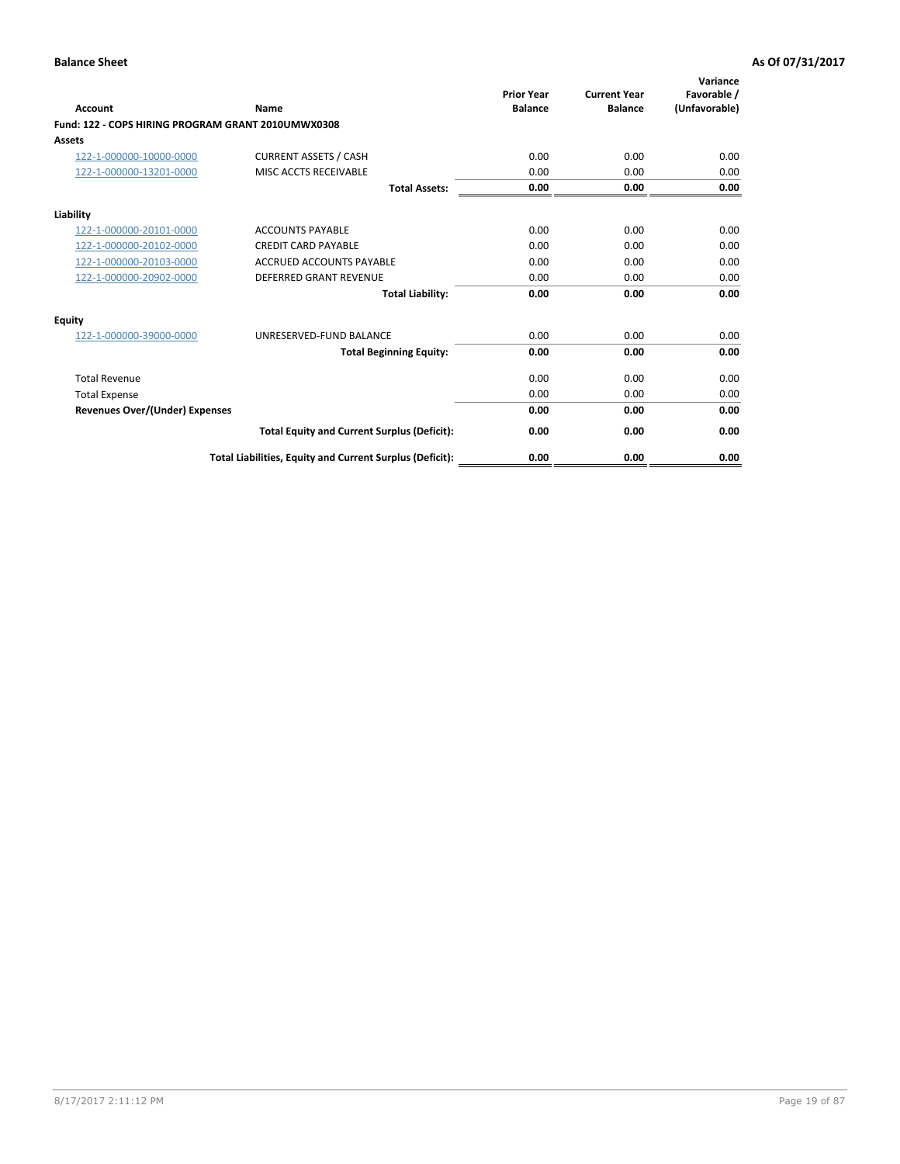| <b>Account</b>                                     | Name                                                     | <b>Prior Year</b><br><b>Balance</b> | <b>Current Year</b><br><b>Balance</b> | Variance<br>Favorable /<br>(Unfavorable) |
|----------------------------------------------------|----------------------------------------------------------|-------------------------------------|---------------------------------------|------------------------------------------|
| Fund: 122 - COPS HIRING PROGRAM GRANT 2010UMWX0308 |                                                          |                                     |                                       |                                          |
| Assets                                             |                                                          |                                     |                                       |                                          |
| 122-1-000000-10000-0000                            | <b>CURRENT ASSETS / CASH</b>                             | 0.00                                | 0.00                                  | 0.00                                     |
| 122-1-000000-13201-0000                            | MISC ACCTS RECEIVABLE                                    | 0.00                                | 0.00                                  | 0.00                                     |
|                                                    | <b>Total Assets:</b>                                     | 0.00                                | 0.00                                  | 0.00                                     |
| Liability                                          |                                                          |                                     |                                       |                                          |
| 122-1-000000-20101-0000                            | <b>ACCOUNTS PAYABLE</b>                                  | 0.00                                | 0.00                                  | 0.00                                     |
| 122-1-000000-20102-0000                            | <b>CREDIT CARD PAYABLE</b>                               | 0.00                                | 0.00                                  | 0.00                                     |
| 122-1-000000-20103-0000                            | <b>ACCRUED ACCOUNTS PAYABLE</b>                          | 0.00                                | 0.00                                  | 0.00                                     |
| 122-1-000000-20902-0000                            | <b>DEFERRED GRANT REVENUE</b>                            | 0.00                                | 0.00                                  | 0.00                                     |
|                                                    | <b>Total Liability:</b>                                  | 0.00                                | 0.00                                  | 0.00                                     |
| Equity                                             |                                                          |                                     |                                       |                                          |
| 122-1-000000-39000-0000                            | UNRESERVED-FUND BALANCE                                  | 0.00                                | 0.00                                  | 0.00                                     |
|                                                    | <b>Total Beginning Equity:</b>                           | 0.00                                | 0.00                                  | 0.00                                     |
| <b>Total Revenue</b>                               |                                                          | 0.00                                | 0.00                                  | 0.00                                     |
| <b>Total Expense</b>                               |                                                          | 0.00                                | 0.00                                  | 0.00                                     |
| <b>Revenues Over/(Under) Expenses</b>              |                                                          | 0.00                                | 0.00                                  | 0.00                                     |
|                                                    | <b>Total Equity and Current Surplus (Deficit):</b>       | 0.00                                | 0.00                                  | 0.00                                     |
|                                                    | Total Liabilities, Equity and Current Surplus (Deficit): | 0.00                                | 0.00                                  | 0.00                                     |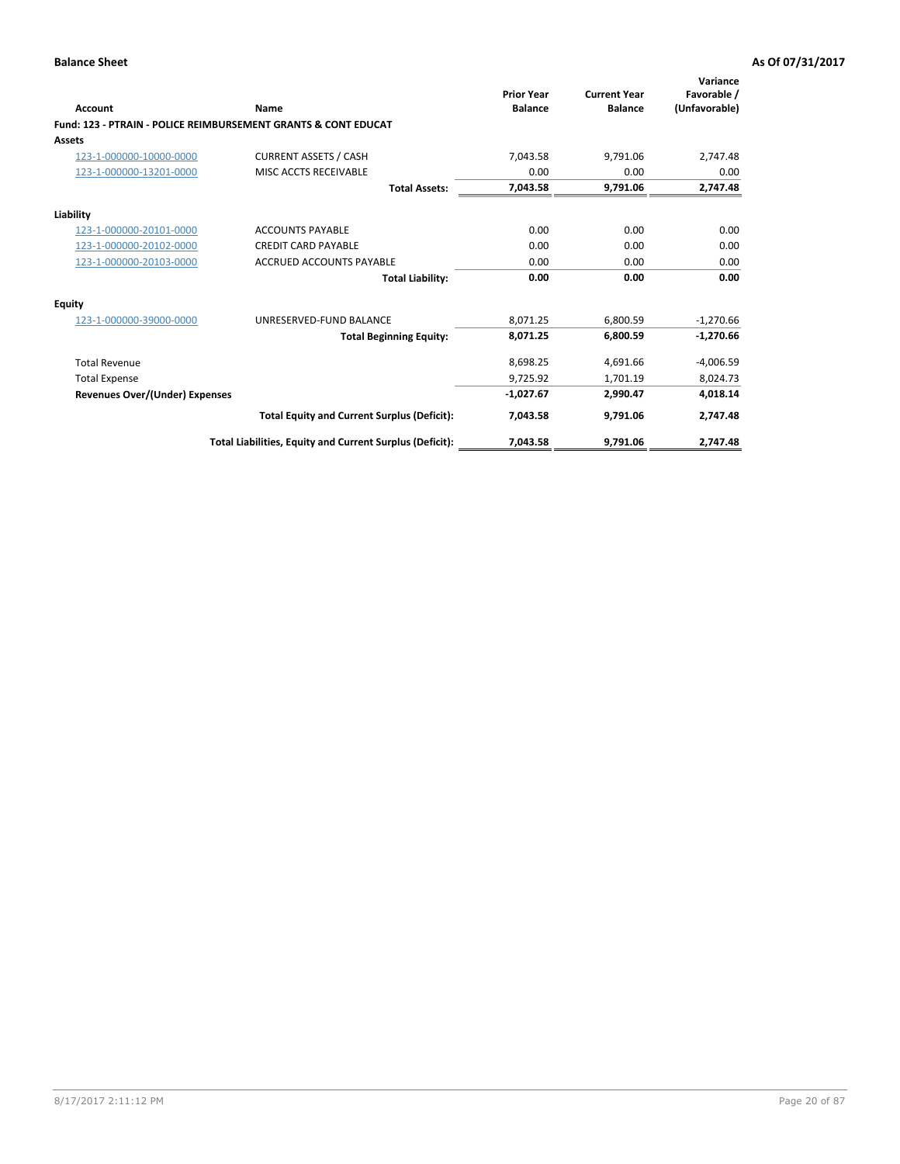| Account                        | Name                                                           | <b>Prior Year</b><br><b>Balance</b> | <b>Current Year</b><br><b>Balance</b> | Variance<br>Favorable /<br>(Unfavorable) |
|--------------------------------|----------------------------------------------------------------|-------------------------------------|---------------------------------------|------------------------------------------|
|                                | Fund: 123 - PTRAIN - POLICE REIMBURSEMENT GRANTS & CONT EDUCAT |                                     |                                       |                                          |
| Assets                         |                                                                |                                     |                                       |                                          |
| 123-1-000000-10000-0000        | <b>CURRENT ASSETS / CASH</b>                                   | 7.043.58                            | 9,791.06                              | 2,747.48                                 |
| 123-1-000000-13201-0000        | MISC ACCTS RECEIVABLE                                          | 0.00                                | 0.00                                  | 0.00                                     |
|                                | <b>Total Assets:</b>                                           | 7,043.58                            | 9,791.06                              | 2,747.48                                 |
| Liability                      |                                                                |                                     |                                       |                                          |
| 123-1-000000-20101-0000        | <b>ACCOUNTS PAYABLE</b>                                        | 0.00                                | 0.00                                  | 0.00                                     |
| 123-1-000000-20102-0000        | <b>CREDIT CARD PAYABLE</b>                                     | 0.00                                | 0.00                                  | 0.00                                     |
| 123-1-000000-20103-0000        | <b>ACCRUED ACCOUNTS PAYABLE</b>                                | 0.00                                | 0.00                                  | 0.00                                     |
|                                | <b>Total Liability:</b>                                        | 0.00                                | 0.00                                  | 0.00                                     |
| Equity                         |                                                                |                                     |                                       |                                          |
| 123-1-000000-39000-0000        | UNRESERVED-FUND BALANCE                                        | 8,071.25                            | 6,800.59                              | $-1,270.66$                              |
|                                | <b>Total Beginning Equity:</b>                                 | 8,071.25                            | 6,800.59                              | $-1,270.66$                              |
| <b>Total Revenue</b>           |                                                                | 8,698.25                            | 4,691.66                              | $-4,006.59$                              |
| <b>Total Expense</b>           |                                                                | 9,725.92                            | 1,701.19                              | 8,024.73                                 |
| Revenues Over/(Under) Expenses |                                                                | $-1,027.67$                         | 2,990.47                              | 4,018.14                                 |
|                                | <b>Total Equity and Current Surplus (Deficit):</b>             | 7,043.58                            | 9.791.06                              | 2,747.48                                 |
|                                | Total Liabilities, Equity and Current Surplus (Deficit):       | 7,043.58                            | 9,791.06                              | 2,747.48                                 |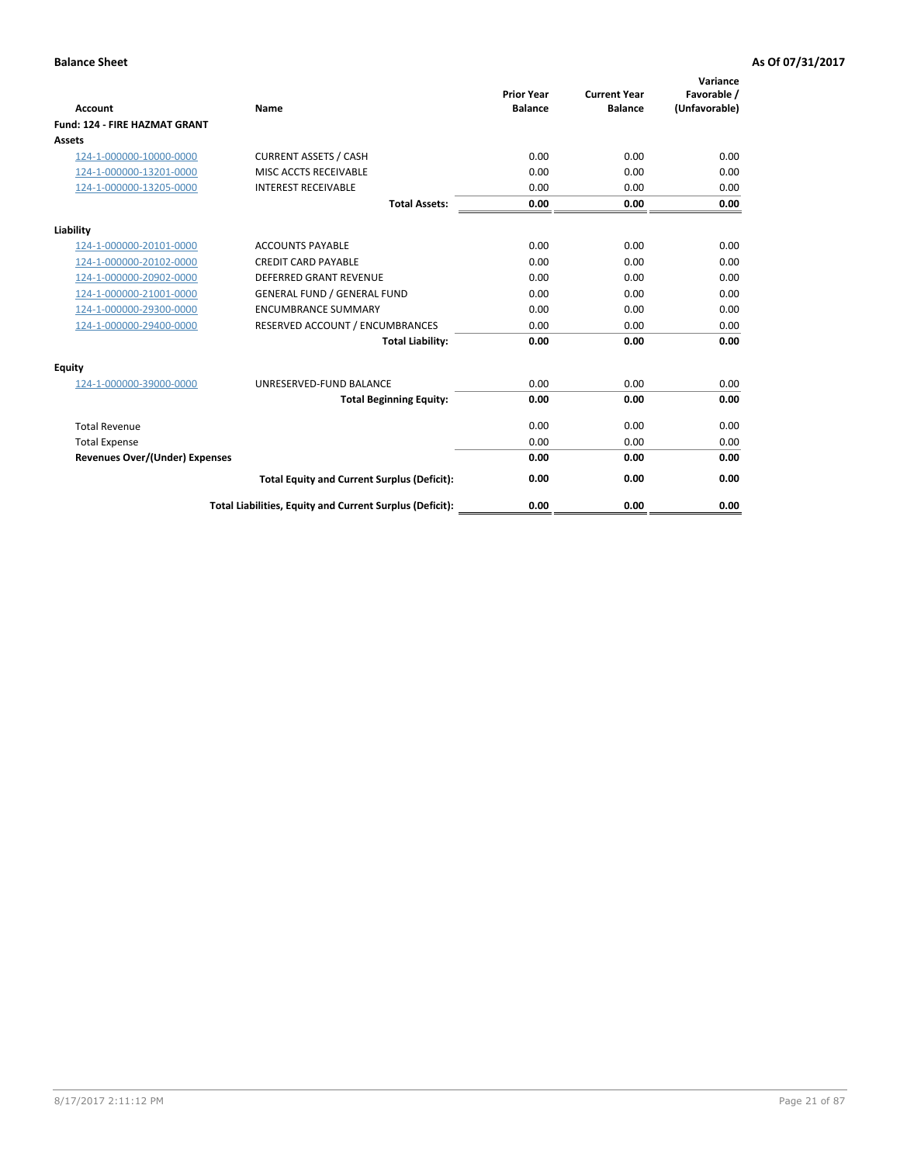| Account                               | Name                                                     | <b>Prior Year</b><br><b>Balance</b> | <b>Current Year</b><br><b>Balance</b> | Variance<br>Favorable /<br>(Unfavorable) |
|---------------------------------------|----------------------------------------------------------|-------------------------------------|---------------------------------------|------------------------------------------|
| Fund: 124 - FIRE HAZMAT GRANT         |                                                          |                                     |                                       |                                          |
| Assets                                |                                                          |                                     |                                       |                                          |
| 124-1-000000-10000-0000               | <b>CURRENT ASSETS / CASH</b>                             | 0.00                                | 0.00                                  | 0.00                                     |
| 124-1-000000-13201-0000               | MISC ACCTS RECEIVABLE                                    | 0.00                                | 0.00                                  | 0.00                                     |
| 124-1-000000-13205-0000               | <b>INTEREST RECEIVABLE</b>                               | 0.00                                | 0.00                                  | 0.00                                     |
|                                       | <b>Total Assets:</b>                                     | 0.00                                | 0.00                                  | 0.00                                     |
| Liability                             |                                                          |                                     |                                       |                                          |
| 124-1-000000-20101-0000               | <b>ACCOUNTS PAYABLE</b>                                  | 0.00                                | 0.00                                  | 0.00                                     |
| 124-1-000000-20102-0000               | <b>CREDIT CARD PAYABLE</b>                               | 0.00                                | 0.00                                  | 0.00                                     |
| 124-1-000000-20902-0000               | <b>DEFERRED GRANT REVENUE</b>                            | 0.00                                | 0.00                                  | 0.00                                     |
| 124-1-000000-21001-0000               | <b>GENERAL FUND / GENERAL FUND</b>                       | 0.00                                | 0.00                                  | 0.00                                     |
| 124-1-000000-29300-0000               | <b>ENCUMBRANCE SUMMARY</b>                               | 0.00                                | 0.00                                  | 0.00                                     |
| 124-1-000000-29400-0000               | RESERVED ACCOUNT / ENCUMBRANCES                          | 0.00                                | 0.00                                  | 0.00                                     |
|                                       | <b>Total Liability:</b>                                  | 0.00                                | 0.00                                  | 0.00                                     |
| Equity                                |                                                          |                                     |                                       |                                          |
| 124-1-000000-39000-0000               | UNRESERVED-FUND BALANCE                                  | 0.00                                | 0.00                                  | 0.00                                     |
|                                       | <b>Total Beginning Equity:</b>                           | 0.00                                | 0.00                                  | 0.00                                     |
| <b>Total Revenue</b>                  |                                                          | 0.00                                | 0.00                                  | 0.00                                     |
| <b>Total Expense</b>                  |                                                          | 0.00                                | 0.00                                  | 0.00                                     |
| <b>Revenues Over/(Under) Expenses</b> |                                                          | 0.00                                | 0.00                                  | 0.00                                     |
|                                       | <b>Total Equity and Current Surplus (Deficit):</b>       | 0.00                                | 0.00                                  | 0.00                                     |
|                                       | Total Liabilities, Equity and Current Surplus (Deficit): | 0.00                                | 0.00                                  | 0.00                                     |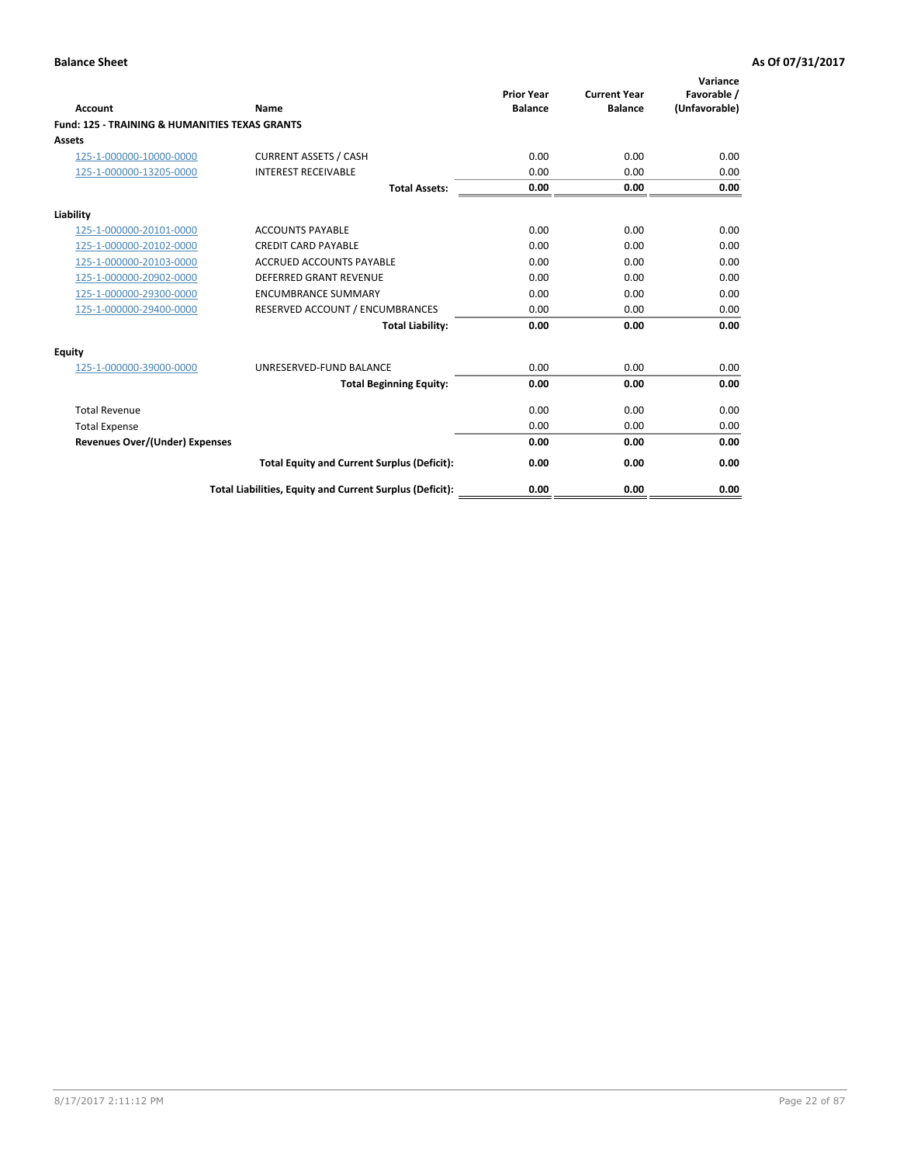| Account                                                   | Name                                                     | <b>Prior Year</b><br><b>Balance</b> | <b>Current Year</b><br><b>Balance</b> | Variance<br>Favorable /<br>(Unfavorable) |
|-----------------------------------------------------------|----------------------------------------------------------|-------------------------------------|---------------------------------------|------------------------------------------|
| <b>Fund: 125 - TRAINING &amp; HUMANITIES TEXAS GRANTS</b> |                                                          |                                     |                                       |                                          |
| <b>Assets</b>                                             |                                                          |                                     |                                       |                                          |
| 125-1-000000-10000-0000                                   | <b>CURRENT ASSETS / CASH</b>                             | 0.00                                | 0.00                                  | 0.00                                     |
| 125-1-000000-13205-0000                                   | <b>INTEREST RECEIVABLE</b>                               | 0.00                                | 0.00                                  | 0.00                                     |
|                                                           | <b>Total Assets:</b>                                     | 0.00                                | 0.00                                  | 0.00                                     |
| Liability                                                 |                                                          |                                     |                                       |                                          |
| 125-1-000000-20101-0000                                   | <b>ACCOUNTS PAYABLE</b>                                  | 0.00                                | 0.00                                  | 0.00                                     |
| 125-1-000000-20102-0000                                   | <b>CREDIT CARD PAYABLE</b>                               | 0.00                                | 0.00                                  | 0.00                                     |
| 125-1-000000-20103-0000                                   | <b>ACCRUED ACCOUNTS PAYABLE</b>                          | 0.00                                | 0.00                                  | 0.00                                     |
| 125-1-000000-20902-0000                                   | <b>DEFERRED GRANT REVENUE</b>                            | 0.00                                | 0.00                                  | 0.00                                     |
| 125-1-000000-29300-0000                                   | <b>ENCUMBRANCE SUMMARY</b>                               | 0.00                                | 0.00                                  | 0.00                                     |
| 125-1-000000-29400-0000                                   | RESERVED ACCOUNT / ENCUMBRANCES                          | 0.00                                | 0.00                                  | 0.00                                     |
|                                                           | <b>Total Liability:</b>                                  | 0.00                                | 0.00                                  | 0.00                                     |
| <b>Equity</b>                                             |                                                          |                                     |                                       |                                          |
| 125-1-000000-39000-0000                                   | UNRESERVED-FUND BALANCE                                  | 0.00                                | 0.00                                  | 0.00                                     |
|                                                           | <b>Total Beginning Equity:</b>                           | 0.00                                | 0.00                                  | 0.00                                     |
| <b>Total Revenue</b>                                      |                                                          | 0.00                                | 0.00                                  | 0.00                                     |
| <b>Total Expense</b>                                      |                                                          | 0.00                                | 0.00                                  | 0.00                                     |
| <b>Revenues Over/(Under) Expenses</b>                     |                                                          | 0.00                                | 0.00                                  | 0.00                                     |
|                                                           | <b>Total Equity and Current Surplus (Deficit):</b>       | 0.00                                | 0.00                                  | 0.00                                     |
|                                                           | Total Liabilities, Equity and Current Surplus (Deficit): | 0.00                                | 0.00                                  | 0.00                                     |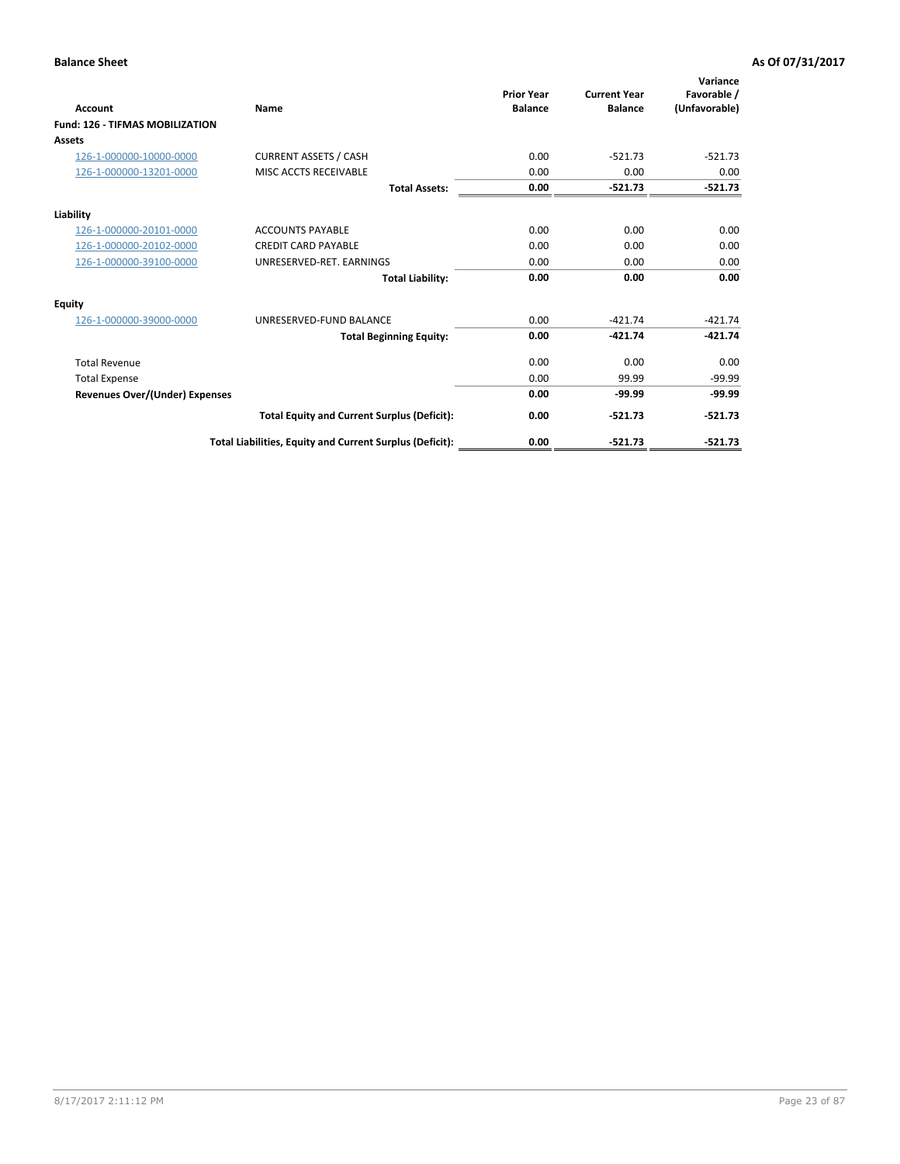| Account                                | Name                                                     | <b>Prior Year</b><br><b>Balance</b> | <b>Current Year</b><br><b>Balance</b> | Variance<br>Favorable /<br>(Unfavorable) |
|----------------------------------------|----------------------------------------------------------|-------------------------------------|---------------------------------------|------------------------------------------|
| <b>Fund: 126 - TIFMAS MOBILIZATION</b> |                                                          |                                     |                                       |                                          |
| Assets                                 |                                                          |                                     |                                       |                                          |
| 126-1-000000-10000-0000                | <b>CURRENT ASSETS / CASH</b>                             | 0.00                                | $-521.73$                             | $-521.73$                                |
| 126-1-000000-13201-0000                | MISC ACCTS RECEIVABLE                                    | 0.00                                | 0.00                                  | 0.00                                     |
|                                        | <b>Total Assets:</b>                                     | 0.00                                | $-521.73$                             | $-521.73$                                |
| Liability                              |                                                          |                                     |                                       |                                          |
| 126-1-000000-20101-0000                | <b>ACCOUNTS PAYABLE</b>                                  | 0.00                                | 0.00                                  | 0.00                                     |
| 126-1-000000-20102-0000                | <b>CREDIT CARD PAYABLE</b>                               | 0.00                                | 0.00                                  | 0.00                                     |
| 126-1-000000-39100-0000                | UNRESERVED-RET. EARNINGS                                 | 0.00                                | 0.00                                  | 0.00                                     |
|                                        | <b>Total Liability:</b>                                  | 0.00                                | 0.00                                  | 0.00                                     |
| Equity                                 |                                                          |                                     |                                       |                                          |
| 126-1-000000-39000-0000                | UNRESERVED-FUND BALANCE                                  | 0.00                                | $-421.74$                             | $-421.74$                                |
|                                        | <b>Total Beginning Equity:</b>                           | 0.00                                | $-421.74$                             | $-421.74$                                |
| <b>Total Revenue</b>                   |                                                          | 0.00                                | 0.00                                  | 0.00                                     |
| <b>Total Expense</b>                   |                                                          | 0.00                                | 99.99                                 | $-99.99$                                 |
| Revenues Over/(Under) Expenses         |                                                          | 0.00                                | $-99.99$                              | $-99.99$                                 |
|                                        | <b>Total Equity and Current Surplus (Deficit):</b>       | 0.00                                | $-521.73$                             | $-521.73$                                |
|                                        | Total Liabilities, Equity and Current Surplus (Deficit): | 0.00                                | $-521.73$                             | $-521.73$                                |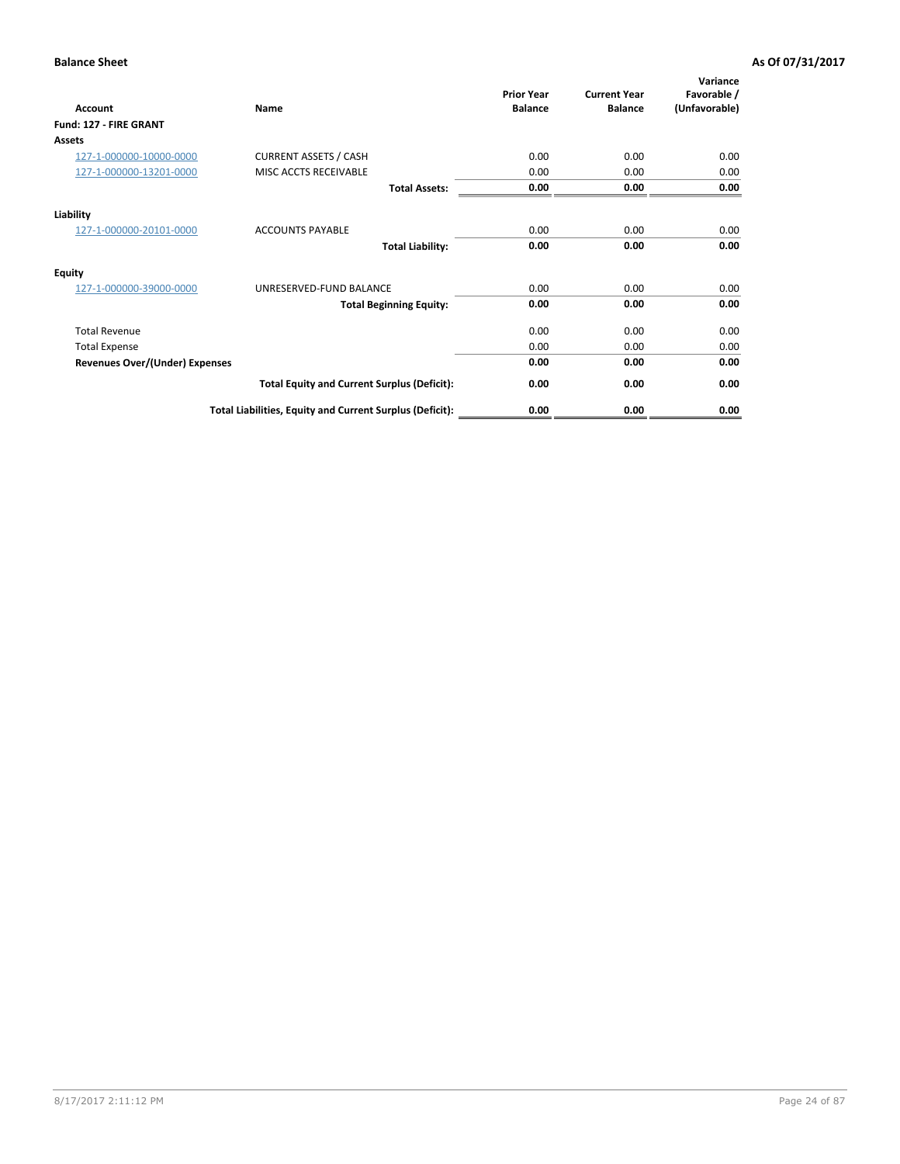| <b>Account</b>                        | Name                                                     | <b>Prior Year</b><br><b>Balance</b> | <b>Current Year</b><br><b>Balance</b> | Variance<br>Favorable /<br>(Unfavorable) |
|---------------------------------------|----------------------------------------------------------|-------------------------------------|---------------------------------------|------------------------------------------|
| Fund: 127 - FIRE GRANT                |                                                          |                                     |                                       |                                          |
| <b>Assets</b>                         |                                                          |                                     |                                       |                                          |
| 127-1-000000-10000-0000               | <b>CURRENT ASSETS / CASH</b>                             | 0.00                                | 0.00                                  | 0.00                                     |
| 127-1-000000-13201-0000               | MISC ACCTS RECEIVABLE                                    | 0.00                                | 0.00                                  | 0.00                                     |
|                                       | <b>Total Assets:</b>                                     | 0.00                                | 0.00                                  | 0.00                                     |
| Liability                             |                                                          |                                     |                                       |                                          |
| 127-1-000000-20101-0000               | <b>ACCOUNTS PAYABLE</b>                                  | 0.00                                | 0.00                                  | 0.00                                     |
|                                       | <b>Total Liability:</b>                                  | 0.00                                | 0.00                                  | 0.00                                     |
| <b>Equity</b>                         |                                                          |                                     |                                       |                                          |
| 127-1-000000-39000-0000               | UNRESERVED-FUND BALANCE                                  | 0.00                                | 0.00                                  | 0.00                                     |
|                                       | <b>Total Beginning Equity:</b>                           | 0.00                                | 0.00                                  | 0.00                                     |
| <b>Total Revenue</b>                  |                                                          | 0.00                                | 0.00                                  | 0.00                                     |
| <b>Total Expense</b>                  |                                                          | 0.00                                | 0.00                                  | 0.00                                     |
| <b>Revenues Over/(Under) Expenses</b> |                                                          | 0.00                                | 0.00                                  | 0.00                                     |
|                                       | <b>Total Equity and Current Surplus (Deficit):</b>       | 0.00                                | 0.00                                  | 0.00                                     |
|                                       | Total Liabilities, Equity and Current Surplus (Deficit): | 0.00                                | 0.00                                  | 0.00                                     |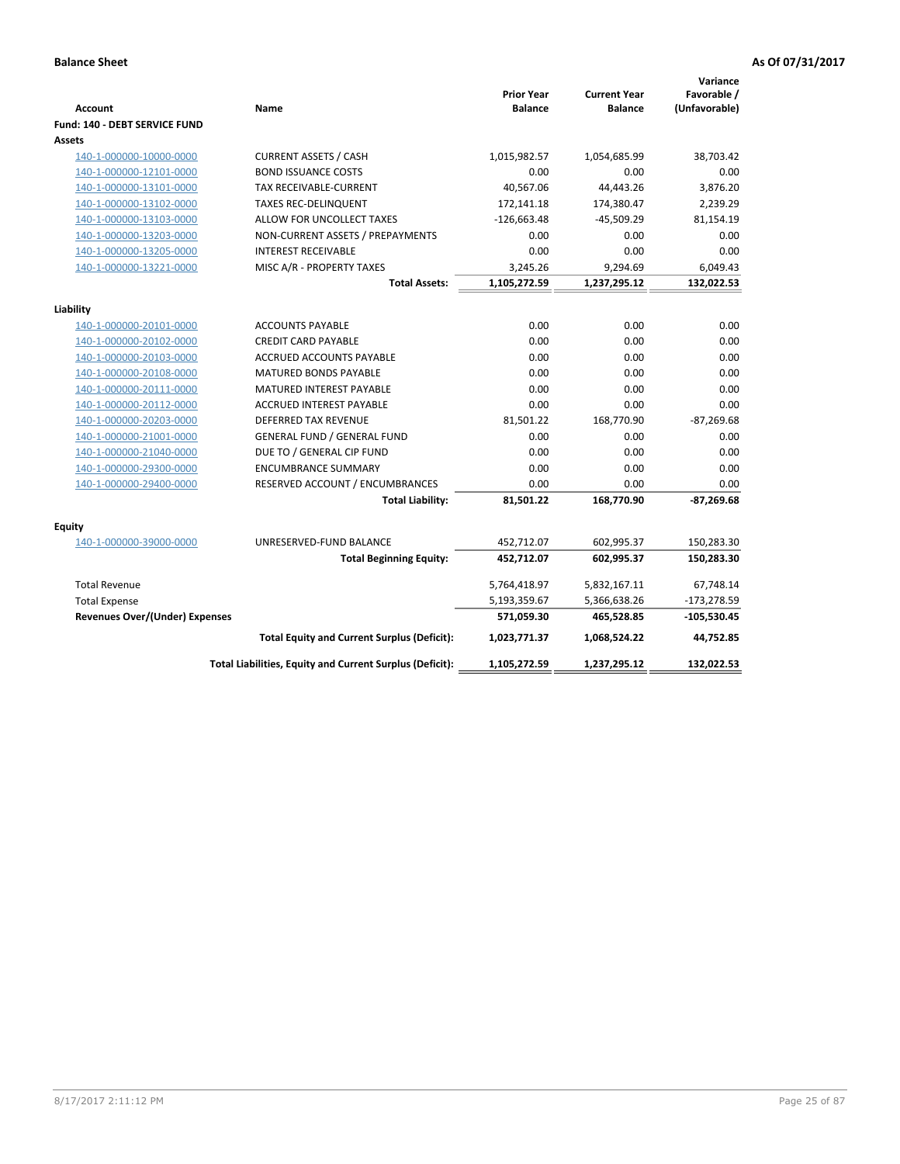| <b>Account</b>                        | Name                                                     | <b>Prior Year</b><br><b>Balance</b> | <b>Current Year</b><br><b>Balance</b> | Variance<br>Favorable /<br>(Unfavorable) |
|---------------------------------------|----------------------------------------------------------|-------------------------------------|---------------------------------------|------------------------------------------|
| Fund: 140 - DEBT SERVICE FUND         |                                                          |                                     |                                       |                                          |
| <b>Assets</b>                         |                                                          |                                     |                                       |                                          |
| 140-1-000000-10000-0000               | <b>CURRENT ASSETS / CASH</b>                             | 1,015,982.57                        | 1,054,685.99                          | 38,703.42                                |
| 140-1-000000-12101-0000               | <b>BOND ISSUANCE COSTS</b>                               | 0.00                                | 0.00                                  | 0.00                                     |
| 140-1-000000-13101-0000               | <b>TAX RECEIVABLE-CURRENT</b>                            | 40,567.06                           | 44,443.26                             | 3,876.20                                 |
| 140-1-000000-13102-0000               | <b>TAXES REC-DELINQUENT</b>                              | 172,141.18                          | 174,380.47                            | 2,239.29                                 |
| 140-1-000000-13103-0000               | ALLOW FOR UNCOLLECT TAXES                                | $-126,663.48$                       | $-45,509.29$                          | 81,154.19                                |
| 140-1-000000-13203-0000               | NON-CURRENT ASSETS / PREPAYMENTS                         | 0.00                                | 0.00                                  | 0.00                                     |
| 140-1-000000-13205-0000               | <b>INTEREST RECEIVABLE</b>                               | 0.00                                | 0.00                                  | 0.00                                     |
| 140-1-000000-13221-0000               | MISC A/R - PROPERTY TAXES                                | 3,245.26                            | 9,294.69                              | 6,049.43                                 |
|                                       | <b>Total Assets:</b>                                     | 1,105,272.59                        | 1,237,295.12                          | 132,022.53                               |
| Liability                             |                                                          |                                     |                                       |                                          |
| 140-1-000000-20101-0000               | <b>ACCOUNTS PAYABLE</b>                                  | 0.00                                | 0.00                                  | 0.00                                     |
| 140-1-000000-20102-0000               | <b>CREDIT CARD PAYABLE</b>                               | 0.00                                | 0.00                                  | 0.00                                     |
| 140-1-000000-20103-0000               | ACCRUED ACCOUNTS PAYABLE                                 | 0.00                                | 0.00                                  | 0.00                                     |
| 140-1-000000-20108-0000               | <b>MATURED BONDS PAYABLE</b>                             | 0.00                                | 0.00                                  | 0.00                                     |
| 140-1-000000-20111-0000               | MATURED INTEREST PAYABLE                                 | 0.00                                | 0.00                                  | 0.00                                     |
| 140-1-000000-20112-0000               | ACCRUED INTEREST PAYABLE                                 | 0.00                                | 0.00                                  | 0.00                                     |
| 140-1-000000-20203-0000               | <b>DEFERRED TAX REVENUE</b>                              | 81,501.22                           | 168,770.90                            | $-87,269.68$                             |
| 140-1-000000-21001-0000               | <b>GENERAL FUND / GENERAL FUND</b>                       | 0.00                                | 0.00                                  | 0.00                                     |
| 140-1-000000-21040-0000               | DUE TO / GENERAL CIP FUND                                | 0.00                                | 0.00                                  | 0.00                                     |
| 140-1-000000-29300-0000               | <b>ENCUMBRANCE SUMMARY</b>                               | 0.00                                | 0.00                                  | 0.00                                     |
| 140-1-000000-29400-0000               | RESERVED ACCOUNT / ENCUMBRANCES                          | 0.00                                | 0.00                                  | 0.00                                     |
|                                       | <b>Total Liability:</b>                                  | 81,501.22                           | 168,770.90                            | $-87,269.68$                             |
| Equity                                |                                                          |                                     |                                       |                                          |
| 140-1-000000-39000-0000               | UNRESERVED-FUND BALANCE                                  | 452,712.07                          | 602,995.37                            | 150,283.30                               |
|                                       | <b>Total Beginning Equity:</b>                           | 452,712.07                          | 602,995.37                            | 150,283.30                               |
|                                       |                                                          |                                     |                                       |                                          |
| <b>Total Revenue</b>                  |                                                          | 5,764,418.97                        | 5,832,167.11                          | 67,748.14                                |
| <b>Total Expense</b>                  |                                                          | 5,193,359.67                        | 5,366,638.26                          | $-173,278.59$                            |
| <b>Revenues Over/(Under) Expenses</b> |                                                          | 571,059.30                          | 465,528.85                            | $-105,530.45$                            |
|                                       | <b>Total Equity and Current Surplus (Deficit):</b>       | 1,023,771.37                        | 1,068,524.22                          | 44,752.85                                |
|                                       | Total Liabilities, Equity and Current Surplus (Deficit): | 1,105,272.59                        | 1,237,295.12                          | 132,022.53                               |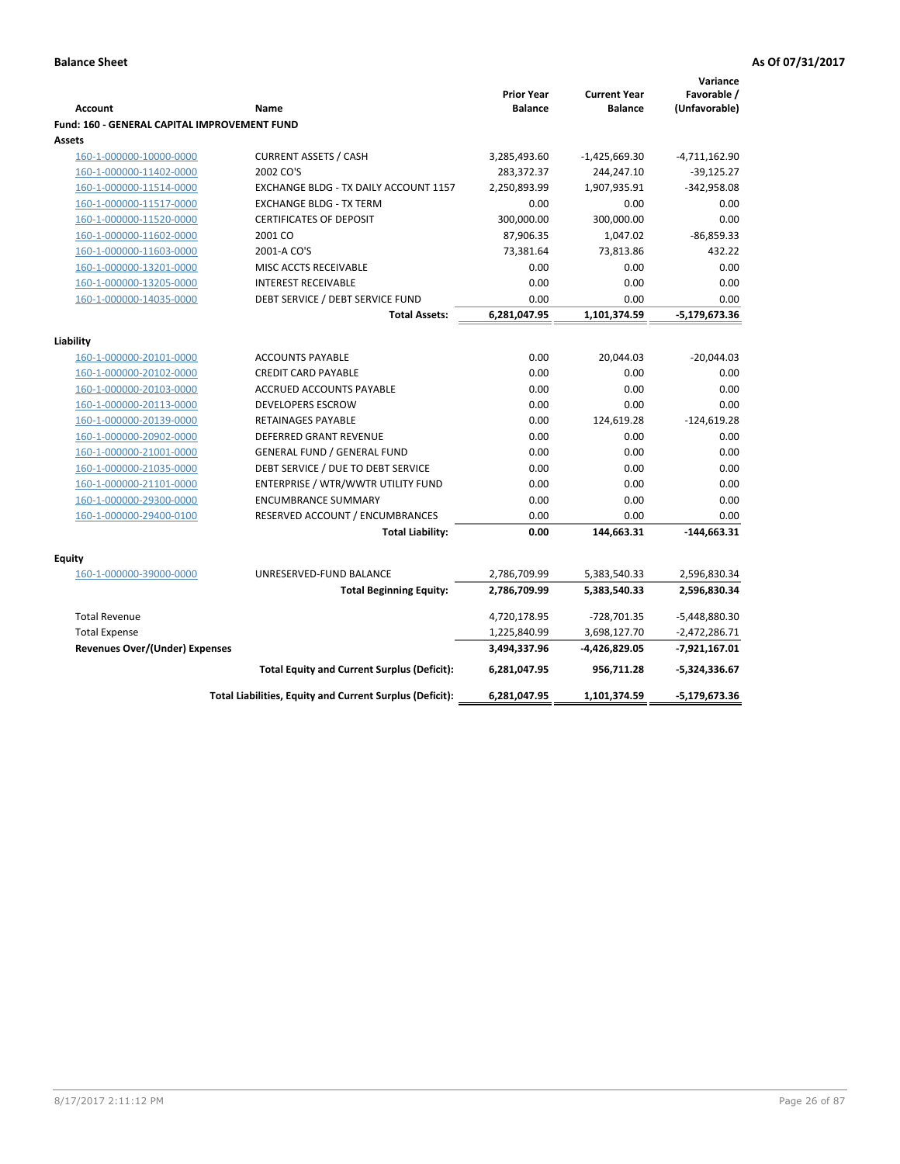|                                                     |                                                                  |                   |                     | Variance               |
|-----------------------------------------------------|------------------------------------------------------------------|-------------------|---------------------|------------------------|
|                                                     |                                                                  | <b>Prior Year</b> | <b>Current Year</b> | Favorable /            |
| <b>Account</b>                                      | Name                                                             | <b>Balance</b>    | <b>Balance</b>      | (Unfavorable)          |
| <b>Fund: 160 - GENERAL CAPITAL IMPROVEMENT FUND</b> |                                                                  |                   |                     |                        |
| Assets                                              |                                                                  |                   |                     |                        |
| 160-1-000000-10000-0000                             | <b>CURRENT ASSETS / CASH</b>                                     | 3,285,493.60      | $-1,425,669.30$     | $-4,711,162.90$        |
| 160-1-000000-11402-0000                             | 2002 CO'S                                                        | 283,372.37        | 244,247.10          | $-39,125.27$           |
| 160-1-000000-11514-0000                             | EXCHANGE BLDG - TX DAILY ACCOUNT 1157                            | 2,250,893.99      | 1,907,935.91        | $-342,958.08$          |
| 160-1-000000-11517-0000                             | <b>EXCHANGE BLDG - TX TERM</b><br><b>CERTIFICATES OF DEPOSIT</b> | 0.00              | 0.00<br>300,000.00  | 0.00<br>0.00           |
| 160-1-000000-11520-0000                             |                                                                  | 300,000.00        |                     |                        |
| 160-1-000000-11602-0000                             | 2001 CO                                                          | 87,906.35         | 1,047.02            | $-86,859.33$<br>432.22 |
| 160-1-000000-11603-0000                             | 2001-A CO'S                                                      | 73,381.64         | 73,813.86           |                        |
| 160-1-000000-13201-0000                             | MISC ACCTS RECEIVABLE                                            | 0.00              | 0.00                | 0.00                   |
| 160-1-000000-13205-0000                             | <b>INTEREST RECEIVABLE</b>                                       | 0.00<br>0.00      | 0.00<br>0.00        | 0.00<br>0.00           |
| 160-1-000000-14035-0000                             | DEBT SERVICE / DEBT SERVICE FUND<br><b>Total Assets:</b>         | 6,281,047.95      | 1,101,374.59        | $-5,179,673.36$        |
|                                                     |                                                                  |                   |                     |                        |
| Liability                                           |                                                                  |                   |                     |                        |
| 160-1-000000-20101-0000                             | <b>ACCOUNTS PAYABLE</b>                                          | 0.00              | 20,044.03           | $-20,044.03$           |
| 160-1-000000-20102-0000                             | <b>CREDIT CARD PAYABLE</b>                                       | 0.00              | 0.00                | 0.00                   |
| 160-1-000000-20103-0000                             | ACCRUED ACCOUNTS PAYABLE                                         | 0.00              | 0.00                | 0.00                   |
| 160-1-000000-20113-0000                             | <b>DEVELOPERS ESCROW</b>                                         | 0.00              | 0.00                | 0.00                   |
| 160-1-000000-20139-0000                             | <b>RETAINAGES PAYABLE</b>                                        | 0.00              | 124,619.28          | $-124,619.28$          |
| 160-1-000000-20902-0000                             | <b>DEFERRED GRANT REVENUE</b>                                    | 0.00              | 0.00                | 0.00                   |
| 160-1-000000-21001-0000                             | <b>GENERAL FUND / GENERAL FUND</b>                               | 0.00              | 0.00                | 0.00                   |
| 160-1-000000-21035-0000                             | DEBT SERVICE / DUE TO DEBT SERVICE                               | 0.00              | 0.00                | 0.00                   |
| 160-1-000000-21101-0000                             | ENTERPRISE / WTR/WWTR UTILITY FUND                               | 0.00              | 0.00                | 0.00                   |
| 160-1-000000-29300-0000                             | <b>ENCUMBRANCE SUMMARY</b>                                       | 0.00              | 0.00                | 0.00                   |
| 160-1-000000-29400-0100                             | RESERVED ACCOUNT / ENCUMBRANCES                                  | 0.00              | 0.00                | 0.00                   |
|                                                     | <b>Total Liability:</b>                                          | 0.00              | 144,663.31          | $-144,663.31$          |
|                                                     |                                                                  |                   |                     |                        |
| <b>Equity</b>                                       |                                                                  |                   |                     |                        |
| 160-1-000000-39000-0000                             | UNRESERVED-FUND BALANCE                                          | 2,786,709.99      | 5,383,540.33        | 2,596,830.34           |
|                                                     | <b>Total Beginning Equity:</b>                                   | 2,786,709.99      | 5,383,540.33        | 2,596,830.34           |
| <b>Total Revenue</b>                                |                                                                  | 4,720,178.95      | -728,701.35         | $-5,448,880.30$        |
| <b>Total Expense</b>                                |                                                                  | 1,225,840.99      | 3,698,127.70        | $-2,472,286.71$        |
| Revenues Over/(Under) Expenses                      |                                                                  | 3,494,337.96      | -4,426,829.05       | -7,921,167.01          |
|                                                     | <b>Total Equity and Current Surplus (Deficit):</b>               | 6,281,047.95      | 956,711.28          | $-5,324,336.67$        |
|                                                     | Total Liabilities, Equity and Current Surplus (Deficit):         | 6,281,047.95      | 1,101,374.59        | -5,179,673.36          |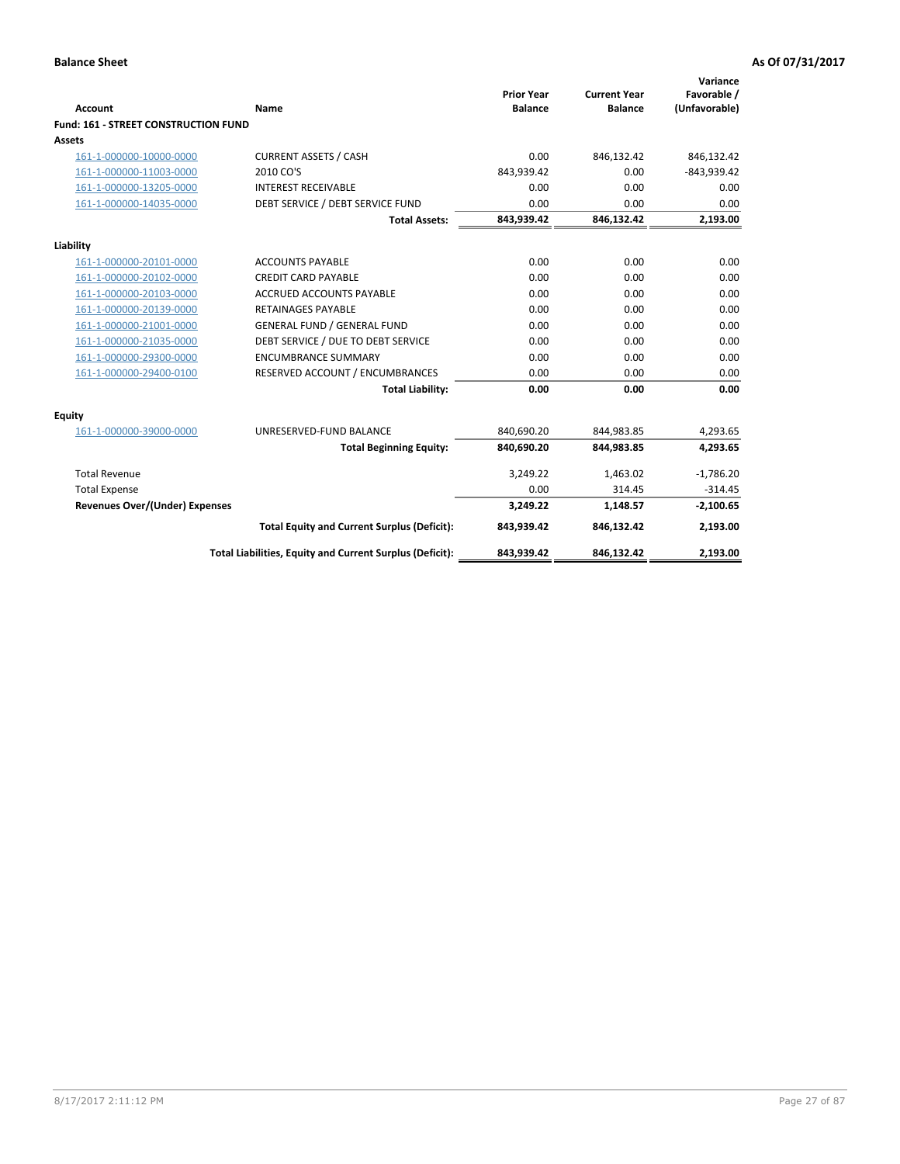| <b>Account</b>                        | <b>Name</b>                                              | <b>Prior Year</b><br><b>Balance</b> | <b>Current Year</b><br><b>Balance</b> | Variance<br>Favorable /<br>(Unfavorable) |
|---------------------------------------|----------------------------------------------------------|-------------------------------------|---------------------------------------|------------------------------------------|
| Fund: 161 - STREET CONSTRUCTION FUND  |                                                          |                                     |                                       |                                          |
| <b>Assets</b>                         |                                                          |                                     |                                       |                                          |
| 161-1-000000-10000-0000               | <b>CURRENT ASSETS / CASH</b>                             | 0.00                                | 846,132.42                            | 846,132.42                               |
| 161-1-000000-11003-0000               | 2010 CO'S                                                | 843,939.42                          | 0.00                                  | $-843,939.42$                            |
| 161-1-000000-13205-0000               | <b>INTEREST RECEIVABLE</b>                               | 0.00                                | 0.00                                  | 0.00                                     |
| 161-1-000000-14035-0000               | DEBT SERVICE / DEBT SERVICE FUND                         | 0.00                                | 0.00                                  | 0.00                                     |
|                                       | <b>Total Assets:</b>                                     | 843,939.42                          | 846,132.42                            | 2,193.00                                 |
| Liability                             |                                                          |                                     |                                       |                                          |
| 161-1-000000-20101-0000               | <b>ACCOUNTS PAYABLE</b>                                  | 0.00                                | 0.00                                  | 0.00                                     |
| 161-1-000000-20102-0000               | <b>CREDIT CARD PAYABLE</b>                               | 0.00                                | 0.00                                  | 0.00                                     |
| 161-1-000000-20103-0000               | <b>ACCRUED ACCOUNTS PAYABLE</b>                          | 0.00                                | 0.00                                  | 0.00                                     |
| 161-1-000000-20139-0000               | <b>RETAINAGES PAYABLE</b>                                | 0.00                                | 0.00                                  | 0.00                                     |
| 161-1-000000-21001-0000               | <b>GENERAL FUND / GENERAL FUND</b>                       | 0.00                                | 0.00                                  | 0.00                                     |
| 161-1-000000-21035-0000               | DEBT SERVICE / DUE TO DEBT SERVICE                       | 0.00                                | 0.00                                  | 0.00                                     |
| 161-1-000000-29300-0000               | <b>ENCUMBRANCE SUMMARY</b>                               | 0.00                                | 0.00                                  | 0.00                                     |
| 161-1-000000-29400-0100               | RESERVED ACCOUNT / ENCUMBRANCES                          | 0.00                                | 0.00                                  | 0.00                                     |
|                                       | <b>Total Liability:</b>                                  | 0.00                                | 0.00                                  | 0.00                                     |
| <b>Equity</b>                         |                                                          |                                     |                                       |                                          |
| 161-1-000000-39000-0000               | UNRESERVED-FUND BALANCE                                  | 840,690.20                          | 844,983.85                            | 4,293.65                                 |
|                                       | <b>Total Beginning Equity:</b>                           | 840,690.20                          | 844,983.85                            | 4,293.65                                 |
| <b>Total Revenue</b>                  |                                                          | 3,249.22                            | 1,463.02                              | $-1,786.20$                              |
| <b>Total Expense</b>                  |                                                          | 0.00                                | 314.45                                | $-314.45$                                |
| <b>Revenues Over/(Under) Expenses</b> |                                                          | 3,249.22                            | 1,148.57                              | $-2,100.65$                              |
|                                       | <b>Total Equity and Current Surplus (Deficit):</b>       | 843,939.42                          | 846,132.42                            | 2,193.00                                 |
|                                       | Total Liabilities, Equity and Current Surplus (Deficit): | 843,939.42                          | 846,132.42                            | 2,193.00                                 |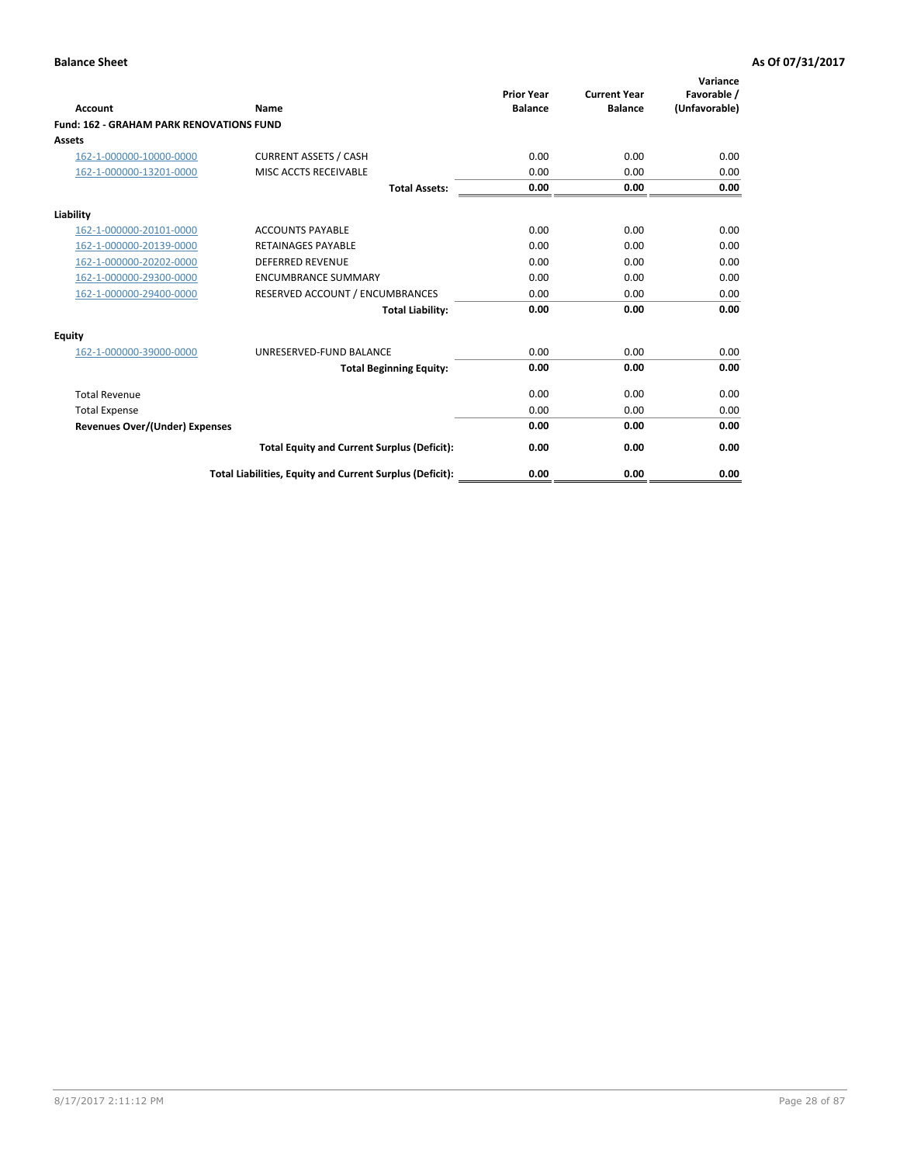| Account                                         | Name                                                     | <b>Prior Year</b><br><b>Balance</b> | <b>Current Year</b><br><b>Balance</b> | Variance<br>Favorable /<br>(Unfavorable) |
|-------------------------------------------------|----------------------------------------------------------|-------------------------------------|---------------------------------------|------------------------------------------|
| <b>Fund: 162 - GRAHAM PARK RENOVATIONS FUND</b> |                                                          |                                     |                                       |                                          |
| <b>Assets</b>                                   |                                                          |                                     |                                       |                                          |
| 162-1-000000-10000-0000                         | <b>CURRENT ASSETS / CASH</b>                             | 0.00                                | 0.00                                  | 0.00                                     |
| 162-1-000000-13201-0000                         | MISC ACCTS RECEIVABLE                                    | 0.00                                | 0.00                                  | 0.00                                     |
|                                                 | <b>Total Assets:</b>                                     | 0.00                                | 0.00                                  | 0.00                                     |
| Liability                                       |                                                          |                                     |                                       |                                          |
| 162-1-000000-20101-0000                         | <b>ACCOUNTS PAYABLE</b>                                  | 0.00                                | 0.00                                  | 0.00                                     |
| 162-1-000000-20139-0000                         | <b>RETAINAGES PAYABLE</b>                                | 0.00                                | 0.00                                  | 0.00                                     |
| 162-1-000000-20202-0000                         | <b>DEFERRED REVENUE</b>                                  | 0.00                                | 0.00                                  | 0.00                                     |
| 162-1-000000-29300-0000                         | <b>ENCUMBRANCE SUMMARY</b>                               | 0.00                                | 0.00                                  | 0.00                                     |
| 162-1-000000-29400-0000                         | RESERVED ACCOUNT / ENCUMBRANCES                          | 0.00                                | 0.00                                  | 0.00                                     |
|                                                 | <b>Total Liability:</b>                                  | 0.00                                | 0.00                                  | 0.00                                     |
| Equity                                          |                                                          |                                     |                                       |                                          |
| 162-1-000000-39000-0000                         | UNRESERVED-FUND BALANCE                                  | 0.00                                | 0.00                                  | 0.00                                     |
|                                                 | <b>Total Beginning Equity:</b>                           | 0.00                                | 0.00                                  | 0.00                                     |
| <b>Total Revenue</b>                            |                                                          | 0.00                                | 0.00                                  | 0.00                                     |
| <b>Total Expense</b>                            |                                                          | 0.00                                | 0.00                                  | 0.00                                     |
| <b>Revenues Over/(Under) Expenses</b>           |                                                          | 0.00                                | 0.00                                  | 0.00                                     |
|                                                 | <b>Total Equity and Current Surplus (Deficit):</b>       | 0.00                                | 0.00                                  | 0.00                                     |
|                                                 | Total Liabilities, Equity and Current Surplus (Deficit): | 0.00                                | 0.00                                  | 0.00                                     |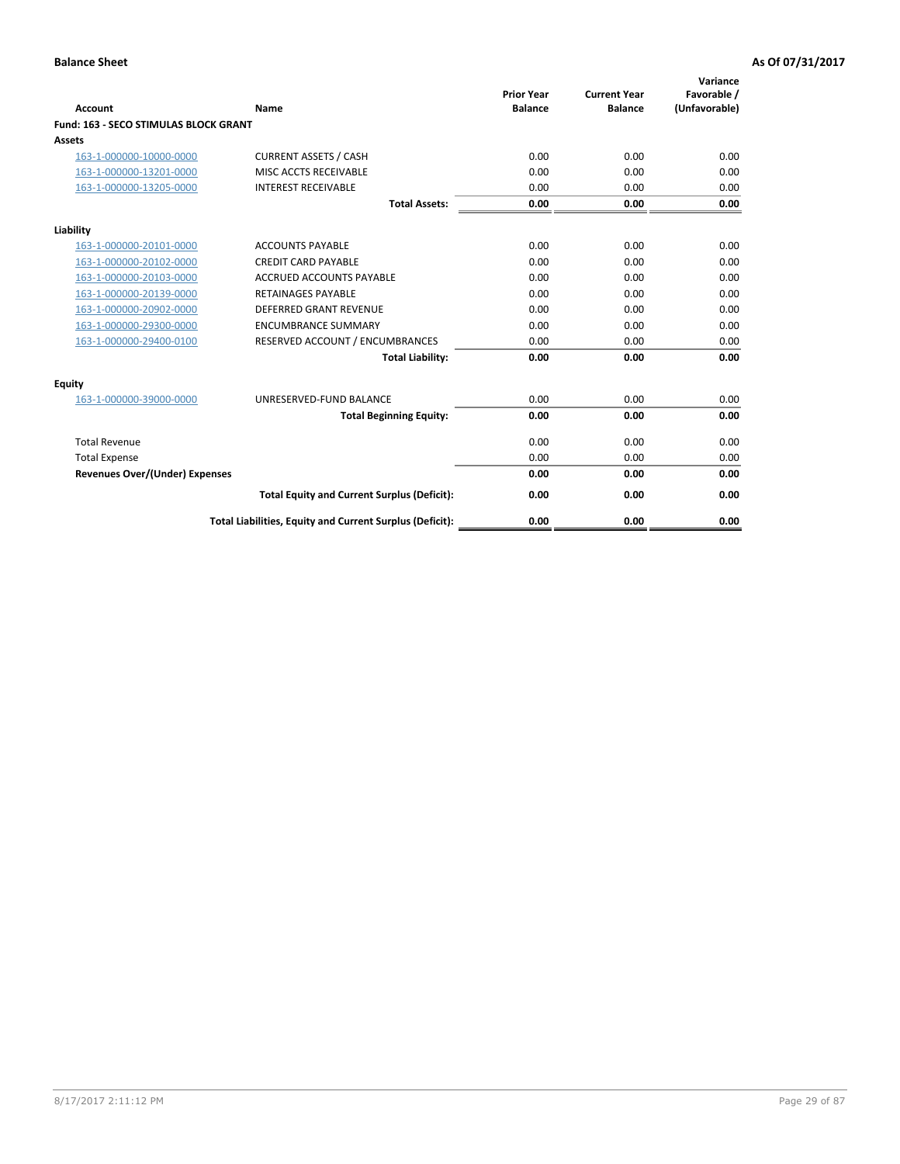| Account                               | Name                                                     | <b>Prior Year</b><br><b>Balance</b> | <b>Current Year</b><br><b>Balance</b> | Variance<br>Favorable /<br>(Unfavorable) |
|---------------------------------------|----------------------------------------------------------|-------------------------------------|---------------------------------------|------------------------------------------|
| Fund: 163 - SECO STIMULAS BLOCK GRANT |                                                          |                                     |                                       |                                          |
| <b>Assets</b>                         |                                                          |                                     |                                       |                                          |
| 163-1-000000-10000-0000               | <b>CURRENT ASSETS / CASH</b>                             | 0.00                                | 0.00                                  | 0.00                                     |
| 163-1-000000-13201-0000               | MISC ACCTS RECEIVABLE                                    | 0.00                                | 0.00                                  | 0.00                                     |
| 163-1-000000-13205-0000               | <b>INTEREST RECEIVABLE</b>                               | 0.00                                | 0.00                                  | 0.00                                     |
|                                       | <b>Total Assets:</b>                                     | 0.00                                | 0.00                                  | 0.00                                     |
| Liability                             |                                                          |                                     |                                       |                                          |
| 163-1-000000-20101-0000               | <b>ACCOUNTS PAYABLE</b>                                  | 0.00                                | 0.00                                  | 0.00                                     |
| 163-1-000000-20102-0000               | <b>CREDIT CARD PAYABLE</b>                               | 0.00                                | 0.00                                  | 0.00                                     |
| 163-1-000000-20103-0000               | <b>ACCRUED ACCOUNTS PAYABLE</b>                          | 0.00                                | 0.00                                  | 0.00                                     |
| 163-1-000000-20139-0000               | <b>RETAINAGES PAYABLE</b>                                | 0.00                                | 0.00                                  | 0.00                                     |
| 163-1-000000-20902-0000               | DEFERRED GRANT REVENUE                                   | 0.00                                | 0.00                                  | 0.00                                     |
| 163-1-000000-29300-0000               | <b>ENCUMBRANCE SUMMARY</b>                               | 0.00                                | 0.00                                  | 0.00                                     |
| 163-1-000000-29400-0100               | RESERVED ACCOUNT / ENCUMBRANCES                          | 0.00                                | 0.00                                  | 0.00                                     |
|                                       | <b>Total Liability:</b>                                  | 0.00                                | 0.00                                  | 0.00                                     |
| <b>Equity</b>                         |                                                          |                                     |                                       |                                          |
| 163-1-000000-39000-0000               | UNRESERVED-FUND BALANCE                                  | 0.00                                | 0.00                                  | 0.00                                     |
|                                       | <b>Total Beginning Equity:</b>                           | 0.00                                | 0.00                                  | 0.00                                     |
| <b>Total Revenue</b>                  |                                                          | 0.00                                | 0.00                                  | 0.00                                     |
| <b>Total Expense</b>                  |                                                          | 0.00                                | 0.00                                  | 0.00                                     |
| <b>Revenues Over/(Under) Expenses</b> |                                                          | 0.00                                | 0.00                                  | 0.00                                     |
|                                       | <b>Total Equity and Current Surplus (Deficit):</b>       | 0.00                                | 0.00                                  | 0.00                                     |
|                                       | Total Liabilities, Equity and Current Surplus (Deficit): | 0.00                                | 0.00                                  | 0.00                                     |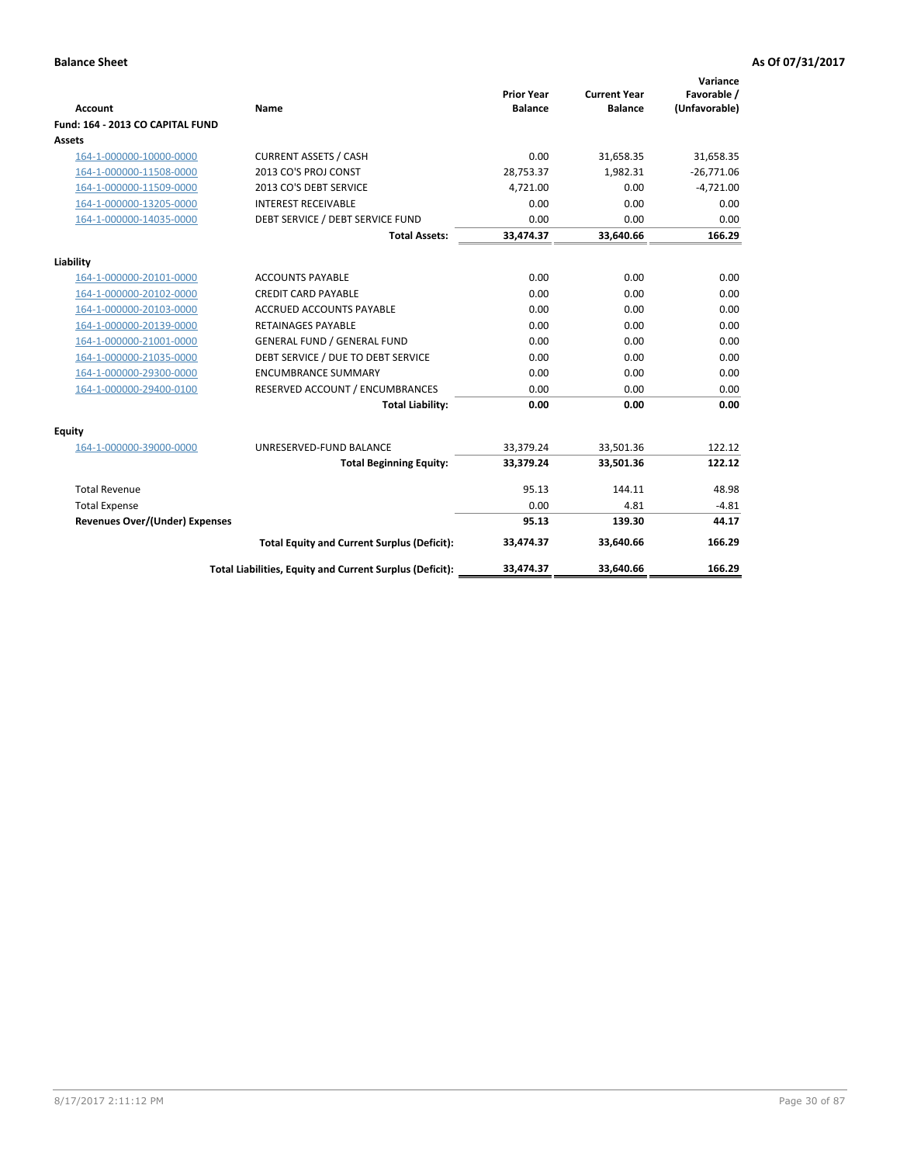| <b>Account</b>                        | Name                                                     | <b>Prior Year</b><br><b>Balance</b> | <b>Current Year</b><br><b>Balance</b> | Variance<br>Favorable /<br>(Unfavorable) |
|---------------------------------------|----------------------------------------------------------|-------------------------------------|---------------------------------------|------------------------------------------|
| Fund: 164 - 2013 CO CAPITAL FUND      |                                                          |                                     |                                       |                                          |
| Assets                                |                                                          |                                     |                                       |                                          |
| 164-1-000000-10000-0000               | <b>CURRENT ASSETS / CASH</b>                             | 0.00                                | 31,658.35                             | 31,658.35                                |
| 164-1-000000-11508-0000               | 2013 CO'S PROJ CONST                                     | 28,753.37                           | 1.982.31                              | $-26,771.06$                             |
| 164-1-000000-11509-0000               | 2013 CO'S DEBT SERVICE                                   | 4,721.00                            | 0.00                                  | $-4,721.00$                              |
| 164-1-000000-13205-0000               | <b>INTEREST RECEIVABLE</b>                               | 0.00                                | 0.00                                  | 0.00                                     |
| 164-1-000000-14035-0000               | DEBT SERVICE / DEBT SERVICE FUND                         | 0.00                                | 0.00                                  | 0.00                                     |
|                                       | <b>Total Assets:</b>                                     | 33,474.37                           | 33,640.66                             | 166.29                                   |
|                                       |                                                          |                                     |                                       |                                          |
| Liability                             |                                                          |                                     |                                       |                                          |
| 164-1-000000-20101-0000               | <b>ACCOUNTS PAYABLE</b>                                  | 0.00                                | 0.00                                  | 0.00                                     |
| 164-1-000000-20102-0000               | <b>CREDIT CARD PAYABLE</b>                               | 0.00                                | 0.00                                  | 0.00                                     |
| 164-1-000000-20103-0000               | <b>ACCRUED ACCOUNTS PAYABLE</b>                          | 0.00                                | 0.00                                  | 0.00                                     |
| 164-1-000000-20139-0000               | <b>RETAINAGES PAYABLE</b>                                | 0.00                                | 0.00                                  | 0.00                                     |
| 164-1-000000-21001-0000               | <b>GENERAL FUND / GENERAL FUND</b>                       | 0.00                                | 0.00                                  | 0.00                                     |
| 164-1-000000-21035-0000               | DEBT SERVICE / DUE TO DEBT SERVICE                       | 0.00                                | 0.00                                  | 0.00                                     |
| 164-1-000000-29300-0000               | <b>ENCUMBRANCE SUMMARY</b>                               | 0.00                                | 0.00                                  | 0.00                                     |
| 164-1-000000-29400-0100               | RESERVED ACCOUNT / ENCUMBRANCES                          | 0.00                                | 0.00                                  | 0.00                                     |
|                                       | <b>Total Liability:</b>                                  | 0.00                                | 0.00                                  | 0.00                                     |
| Equity                                |                                                          |                                     |                                       |                                          |
| 164-1-000000-39000-0000               | UNRESERVED-FUND BALANCE                                  | 33,379.24                           | 33,501.36                             | 122.12                                   |
|                                       | <b>Total Beginning Equity:</b>                           | 33,379.24                           | 33,501.36                             | 122.12                                   |
| <b>Total Revenue</b>                  |                                                          | 95.13                               | 144.11                                | 48.98                                    |
| <b>Total Expense</b>                  |                                                          | 0.00                                | 4.81                                  | $-4.81$                                  |
| <b>Revenues Over/(Under) Expenses</b> |                                                          | 95.13                               | 139.30                                | 44.17                                    |
|                                       | <b>Total Equity and Current Surplus (Deficit):</b>       | 33,474.37                           | 33.640.66                             | 166.29                                   |
|                                       | Total Liabilities, Equity and Current Surplus (Deficit): | 33,474.37                           | 33,640.66                             | 166.29                                   |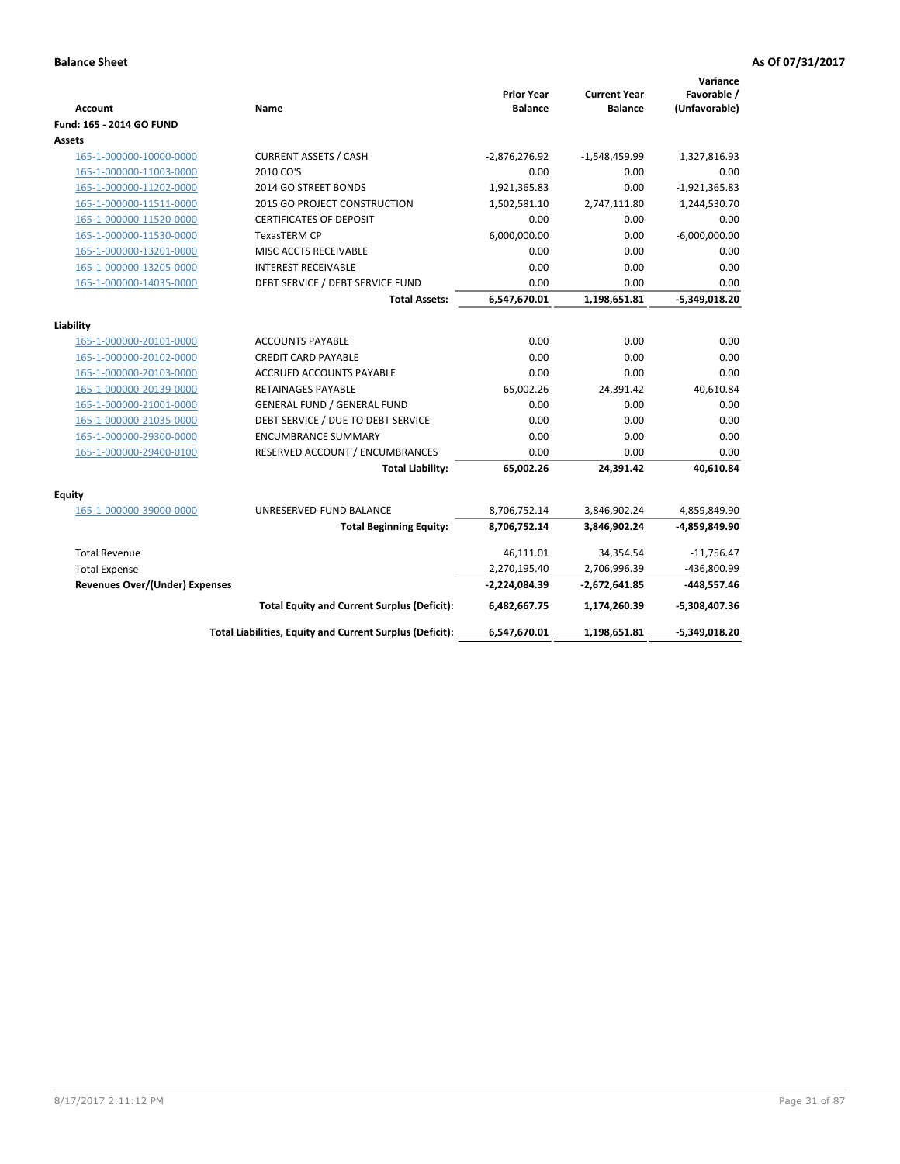| <b>Account</b>                        | Name                                                     | <b>Prior Year</b><br><b>Balance</b> | <b>Current Year</b><br><b>Balance</b> | Variance<br>Favorable /<br>(Unfavorable) |
|---------------------------------------|----------------------------------------------------------|-------------------------------------|---------------------------------------|------------------------------------------|
| Fund: 165 - 2014 GO FUND              |                                                          |                                     |                                       |                                          |
| Assets                                |                                                          |                                     |                                       |                                          |
| 165-1-000000-10000-0000               | <b>CURRENT ASSETS / CASH</b>                             | $-2,876,276.92$                     | -1,548,459.99                         | 1,327,816.93                             |
| 165-1-000000-11003-0000               | 2010 CO'S                                                | 0.00                                | 0.00                                  | 0.00                                     |
| 165-1-000000-11202-0000               | 2014 GO STREET BONDS                                     | 1,921,365.83                        | 0.00                                  | $-1,921,365.83$                          |
| 165-1-000000-11511-0000               | 2015 GO PROJECT CONSTRUCTION                             | 1,502,581.10                        | 2,747,111.80                          | 1,244,530.70                             |
| 165-1-000000-11520-0000               | <b>CERTIFICATES OF DEPOSIT</b>                           | 0.00                                | 0.00                                  | 0.00                                     |
| 165-1-000000-11530-0000               | <b>TexasTERM CP</b>                                      | 6,000,000.00                        | 0.00                                  | $-6,000,000.00$                          |
| 165-1-000000-13201-0000               | MISC ACCTS RECEIVABLE                                    | 0.00                                | 0.00                                  | 0.00                                     |
| 165-1-000000-13205-0000               | <b>INTEREST RECEIVABLE</b>                               | 0.00                                | 0.00                                  | 0.00                                     |
| 165-1-000000-14035-0000               | DEBT SERVICE / DEBT SERVICE FUND                         | 0.00                                | 0.00                                  | 0.00                                     |
|                                       | <b>Total Assets:</b>                                     | 6,547,670.01                        | 1,198,651.81                          | $-5,349,018.20$                          |
| Liability                             |                                                          |                                     |                                       |                                          |
| 165-1-000000-20101-0000               | <b>ACCOUNTS PAYABLE</b>                                  | 0.00                                | 0.00                                  | 0.00                                     |
| 165-1-000000-20102-0000               | <b>CREDIT CARD PAYABLE</b>                               | 0.00                                | 0.00                                  | 0.00                                     |
| 165-1-000000-20103-0000               | <b>ACCRUED ACCOUNTS PAYABLE</b>                          | 0.00                                | 0.00                                  | 0.00                                     |
| 165-1-000000-20139-0000               | RETAINAGES PAYABLE                                       | 65,002.26                           | 24,391.42                             | 40,610.84                                |
| 165-1-000000-21001-0000               | <b>GENERAL FUND / GENERAL FUND</b>                       | 0.00                                | 0.00                                  | 0.00                                     |
| 165-1-000000-21035-0000               | DEBT SERVICE / DUE TO DEBT SERVICE                       | 0.00                                | 0.00                                  | 0.00                                     |
| 165-1-000000-29300-0000               | <b>ENCUMBRANCE SUMMARY</b>                               | 0.00                                | 0.00                                  | 0.00                                     |
| 165-1-000000-29400-0100               | RESERVED ACCOUNT / ENCUMBRANCES                          | 0.00                                | 0.00                                  | 0.00                                     |
|                                       | <b>Total Liability:</b>                                  | 65,002.26                           | 24,391.42                             | 40,610.84                                |
| <b>Equity</b>                         |                                                          |                                     |                                       |                                          |
| 165-1-000000-39000-0000               | UNRESERVED-FUND BALANCE                                  | 8,706,752.14                        | 3,846,902.24                          | -4,859,849.90                            |
|                                       | <b>Total Beginning Equity:</b>                           | 8,706,752.14                        | 3,846,902.24                          | -4,859,849.90                            |
| <b>Total Revenue</b>                  |                                                          | 46,111.01                           | 34,354.54                             | $-11,756.47$                             |
| <b>Total Expense</b>                  |                                                          | 2,270,195.40                        | 2,706,996.39                          | -436,800.99                              |
| <b>Revenues Over/(Under) Expenses</b> |                                                          | -2,224,084.39                       | -2,672,641.85                         | $-448,557.46$                            |
|                                       | <b>Total Equity and Current Surplus (Deficit):</b>       | 6,482,667.75                        | 1,174,260.39                          | $-5,308,407.36$                          |
|                                       | Total Liabilities, Equity and Current Surplus (Deficit): | 6,547,670.01                        | 1,198,651.81                          | $-5,349,018.20$                          |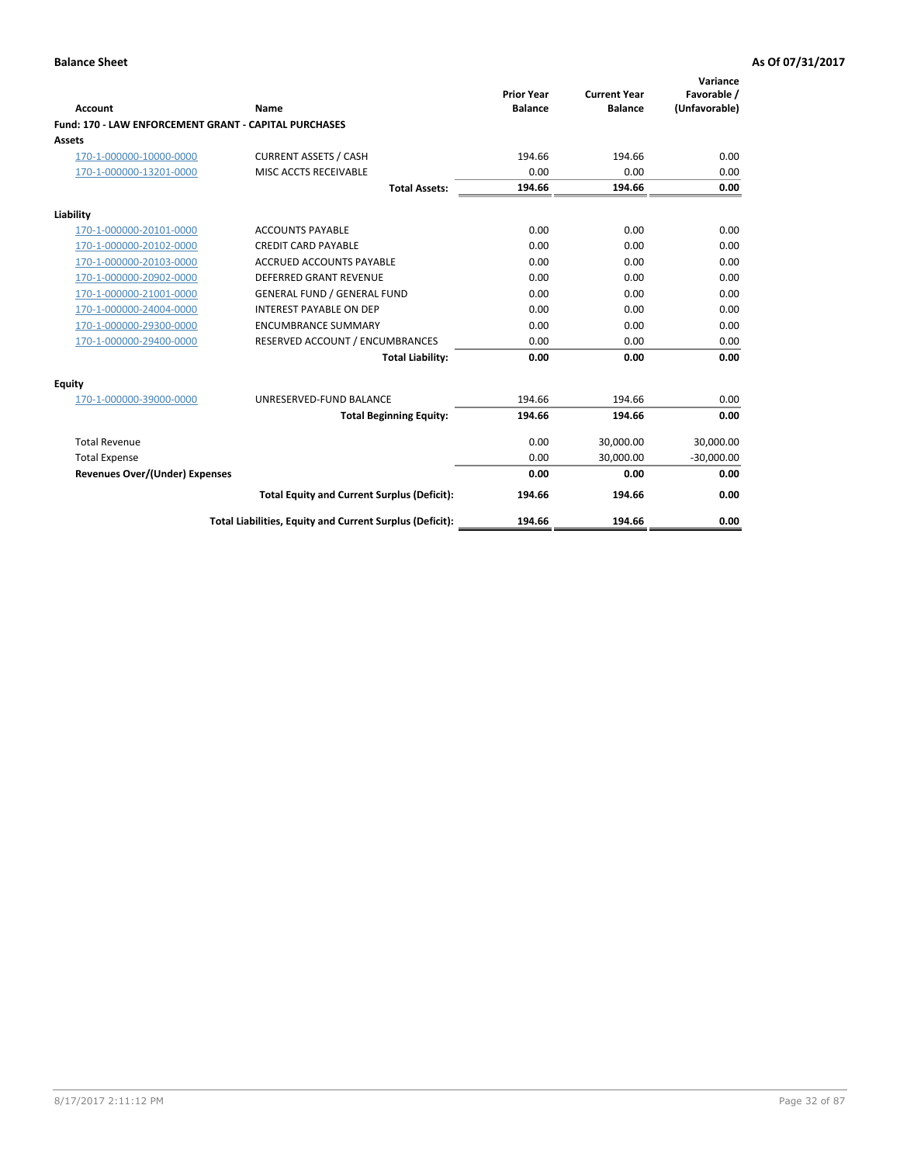|                                                       |                                                          |                                     |                                       | Variance                     |
|-------------------------------------------------------|----------------------------------------------------------|-------------------------------------|---------------------------------------|------------------------------|
| <b>Account</b>                                        | Name                                                     | <b>Prior Year</b><br><b>Balance</b> | <b>Current Year</b><br><b>Balance</b> | Favorable /<br>(Unfavorable) |
| Fund: 170 - LAW ENFORCEMENT GRANT - CAPITAL PURCHASES |                                                          |                                     |                                       |                              |
| Assets                                                |                                                          |                                     |                                       |                              |
| 170-1-000000-10000-0000                               | <b>CURRENT ASSETS / CASH</b>                             | 194.66                              | 194.66                                | 0.00                         |
| 170-1-000000-13201-0000                               | MISC ACCTS RECEIVABLE                                    | 0.00                                | 0.00                                  | 0.00                         |
|                                                       | <b>Total Assets:</b>                                     | 194.66                              | 194.66                                | 0.00                         |
| Liability                                             |                                                          |                                     |                                       |                              |
| 170-1-000000-20101-0000                               | <b>ACCOUNTS PAYABLE</b>                                  | 0.00                                | 0.00                                  | 0.00                         |
| 170-1-000000-20102-0000                               | <b>CREDIT CARD PAYABLE</b>                               | 0.00                                | 0.00                                  | 0.00                         |
| 170-1-000000-20103-0000                               | <b>ACCRUED ACCOUNTS PAYABLE</b>                          | 0.00                                | 0.00                                  | 0.00                         |
| 170-1-000000-20902-0000                               | <b>DEFERRED GRANT REVENUE</b>                            | 0.00                                | 0.00                                  | 0.00                         |
| 170-1-000000-21001-0000                               | <b>GENERAL FUND / GENERAL FUND</b>                       | 0.00                                | 0.00                                  | 0.00                         |
| 170-1-000000-24004-0000                               | <b>INTEREST PAYABLE ON DEP</b>                           | 0.00                                | 0.00                                  | 0.00                         |
| 170-1-000000-29300-0000                               | <b>ENCUMBRANCE SUMMARY</b>                               | 0.00                                | 0.00                                  | 0.00                         |
| 170-1-000000-29400-0000                               | RESERVED ACCOUNT / ENCUMBRANCES                          | 0.00                                | 0.00                                  | 0.00                         |
|                                                       | <b>Total Liability:</b>                                  | 0.00                                | 0.00                                  | 0.00                         |
| <b>Equity</b>                                         |                                                          |                                     |                                       |                              |
| 170-1-000000-39000-0000                               | UNRESERVED-FUND BALANCE                                  | 194.66                              | 194.66                                | 0.00                         |
|                                                       | <b>Total Beginning Equity:</b>                           | 194.66                              | 194.66                                | 0.00                         |
| <b>Total Revenue</b>                                  |                                                          | 0.00                                | 30.000.00                             | 30,000.00                    |
| <b>Total Expense</b>                                  |                                                          | 0.00                                | 30,000.00                             | $-30,000.00$                 |
| <b>Revenues Over/(Under) Expenses</b>                 |                                                          | 0.00                                | 0.00                                  | 0.00                         |
|                                                       | <b>Total Equity and Current Surplus (Deficit):</b>       | 194.66                              | 194.66                                | 0.00                         |
|                                                       | Total Liabilities, Equity and Current Surplus (Deficit): | 194.66                              | 194.66                                | 0.00                         |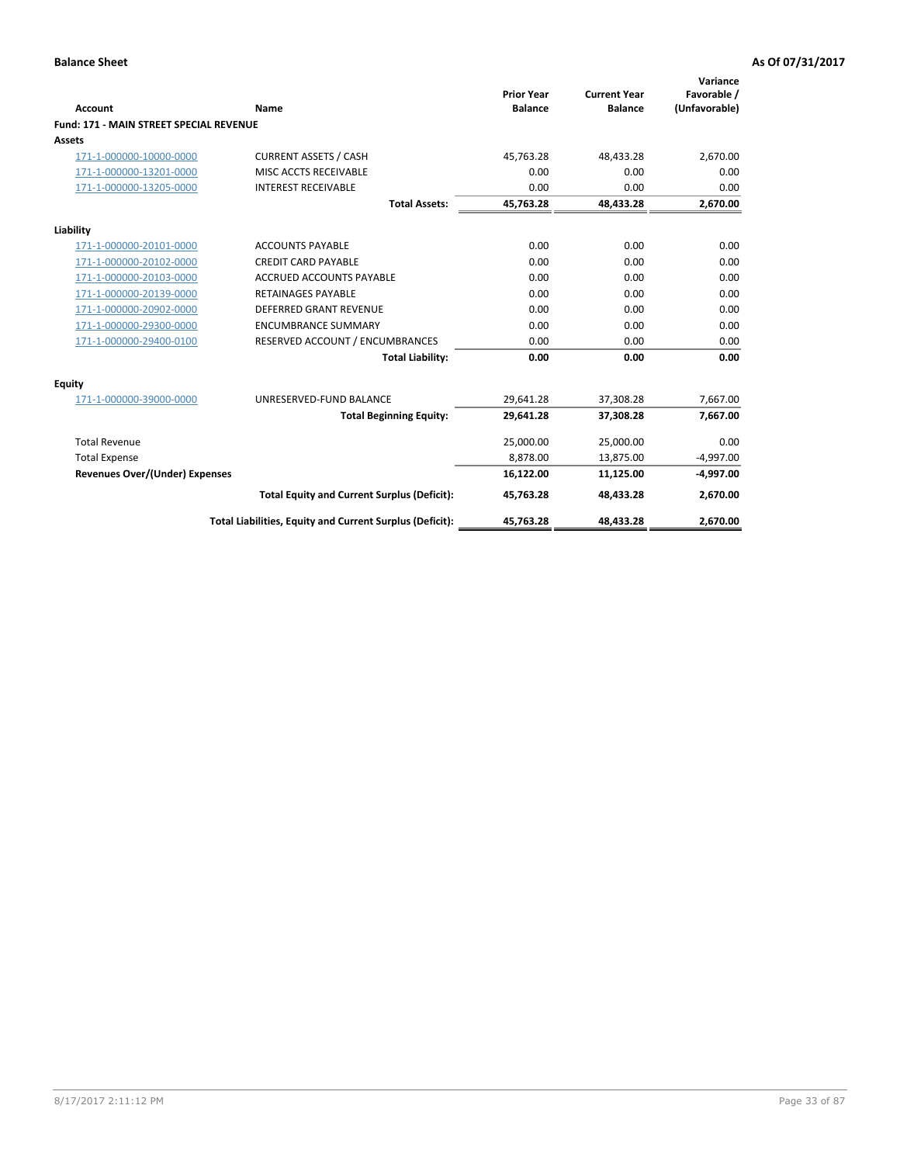|                                                |                                                          | <b>Prior Year</b> | <b>Current Year</b> | Variance<br>Favorable / |
|------------------------------------------------|----------------------------------------------------------|-------------------|---------------------|-------------------------|
| <b>Account</b>                                 | Name                                                     | <b>Balance</b>    | <b>Balance</b>      | (Unfavorable)           |
| <b>Fund: 171 - MAIN STREET SPECIAL REVENUE</b> |                                                          |                   |                     |                         |
| <b>Assets</b>                                  |                                                          |                   |                     |                         |
| 171-1-000000-10000-0000                        | <b>CURRENT ASSETS / CASH</b>                             | 45,763.28         | 48,433.28           | 2,670.00                |
| 171-1-000000-13201-0000                        | MISC ACCTS RECEIVABLE                                    | 0.00              | 0.00                | 0.00                    |
| 171-1-000000-13205-0000                        | <b>INTEREST RECEIVABLE</b>                               | 0.00              | 0.00                | 0.00                    |
|                                                | <b>Total Assets:</b>                                     | 45.763.28         | 48.433.28           | 2,670.00                |
| Liability                                      |                                                          |                   |                     |                         |
| 171-1-000000-20101-0000                        | <b>ACCOUNTS PAYABLE</b>                                  | 0.00              | 0.00                | 0.00                    |
| 171-1-000000-20102-0000                        | <b>CREDIT CARD PAYABLE</b>                               | 0.00              | 0.00                | 0.00                    |
| 171-1-000000-20103-0000                        | <b>ACCRUED ACCOUNTS PAYABLE</b>                          | 0.00              | 0.00                | 0.00                    |
| 171-1-000000-20139-0000                        | <b>RETAINAGES PAYABLE</b>                                | 0.00              | 0.00                | 0.00                    |
| 171-1-000000-20902-0000                        | DEFERRED GRANT REVENUE                                   | 0.00              | 0.00                | 0.00                    |
| 171-1-000000-29300-0000                        | <b>ENCUMBRANCE SUMMARY</b>                               | 0.00              | 0.00                | 0.00                    |
| 171-1-000000-29400-0100                        | RESERVED ACCOUNT / ENCUMBRANCES                          | 0.00              | 0.00                | 0.00                    |
|                                                | <b>Total Liability:</b>                                  | 0.00              | 0.00                | 0.00                    |
| <b>Equity</b>                                  |                                                          |                   |                     |                         |
| 171-1-000000-39000-0000                        | UNRESERVED-FUND BALANCE                                  | 29,641.28         | 37,308.28           | 7,667.00                |
|                                                | <b>Total Beginning Equity:</b>                           | 29.641.28         | 37.308.28           | 7,667.00                |
| <b>Total Revenue</b>                           |                                                          | 25,000.00         | 25,000.00           | 0.00                    |
| <b>Total Expense</b>                           |                                                          | 8,878.00          | 13,875.00           | $-4,997.00$             |
| <b>Revenues Over/(Under) Expenses</b>          |                                                          | 16,122.00         | 11,125.00           | $-4,997.00$             |
|                                                | <b>Total Equity and Current Surplus (Deficit):</b>       | 45,763.28         | 48,433.28           | 2,670.00                |
|                                                | Total Liabilities, Equity and Current Surplus (Deficit): | 45,763.28         | 48,433.28           | 2,670.00                |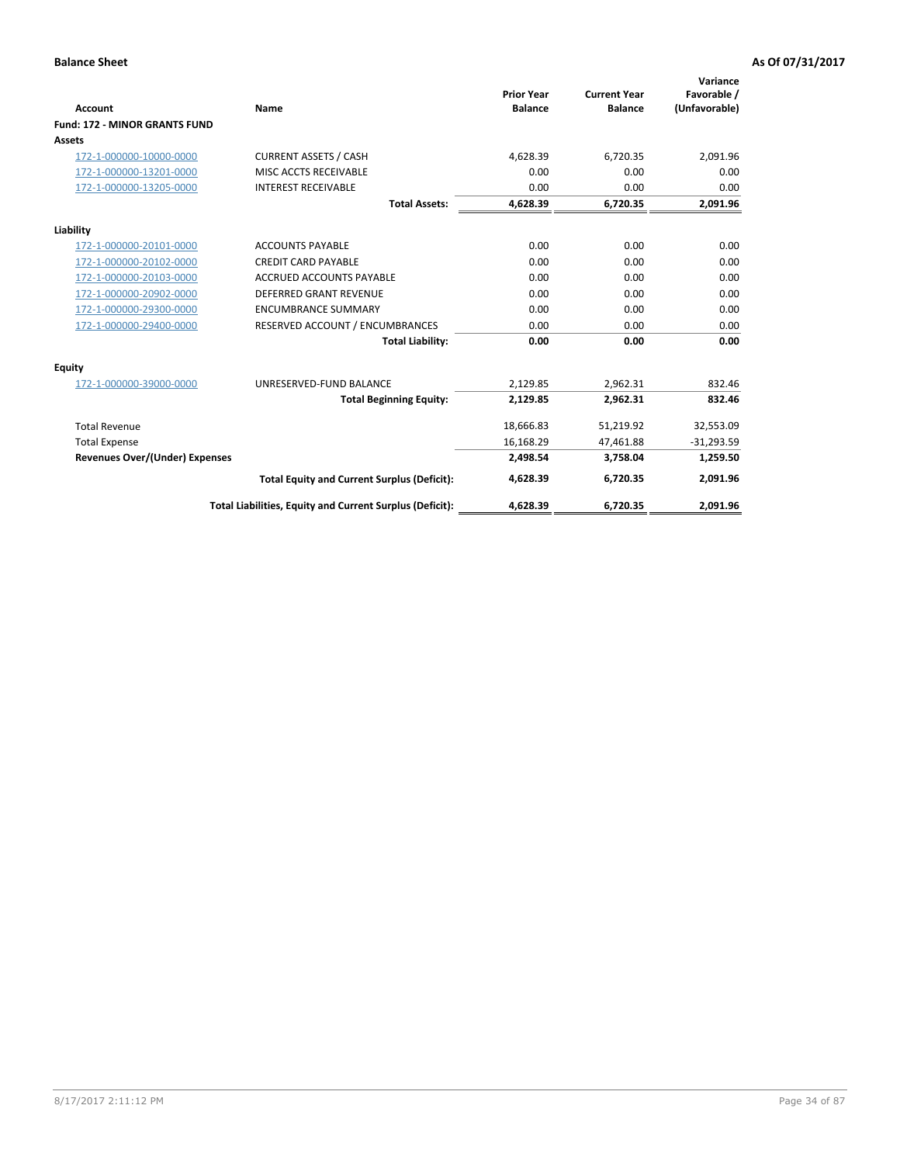| <b>Account</b>                        | <b>Name</b>                                              | <b>Prior Year</b><br><b>Balance</b> | <b>Current Year</b><br><b>Balance</b> | Variance<br>Favorable /<br>(Unfavorable) |
|---------------------------------------|----------------------------------------------------------|-------------------------------------|---------------------------------------|------------------------------------------|
| <b>Fund: 172 - MINOR GRANTS FUND</b>  |                                                          |                                     |                                       |                                          |
| Assets                                |                                                          |                                     |                                       |                                          |
| 172-1-000000-10000-0000               | <b>CURRENT ASSETS / CASH</b>                             | 4,628.39                            | 6,720.35                              | 2,091.96                                 |
| 172-1-000000-13201-0000               | MISC ACCTS RECEIVABLE                                    | 0.00                                | 0.00                                  | 0.00                                     |
| 172-1-000000-13205-0000               | <b>INTEREST RECEIVABLE</b>                               | 0.00                                | 0.00                                  | 0.00                                     |
|                                       | <b>Total Assets:</b>                                     | 4,628.39                            | 6,720.35                              | 2,091.96                                 |
| Liability                             |                                                          |                                     |                                       |                                          |
| 172-1-000000-20101-0000               | <b>ACCOUNTS PAYABLE</b>                                  | 0.00                                | 0.00                                  | 0.00                                     |
| 172-1-000000-20102-0000               | <b>CREDIT CARD PAYABLE</b>                               | 0.00                                | 0.00                                  | 0.00                                     |
| 172-1-000000-20103-0000               | ACCRUED ACCOUNTS PAYABLE                                 | 0.00                                | 0.00                                  | 0.00                                     |
| 172-1-000000-20902-0000               | <b>DEFERRED GRANT REVENUE</b>                            | 0.00                                | 0.00                                  | 0.00                                     |
| 172-1-000000-29300-0000               | <b>ENCUMBRANCE SUMMARY</b>                               | 0.00                                | 0.00                                  | 0.00                                     |
| 172-1-000000-29400-0000               | RESERVED ACCOUNT / ENCUMBRANCES                          | 0.00                                | 0.00                                  | 0.00                                     |
|                                       | <b>Total Liability:</b>                                  | 0.00                                | 0.00                                  | 0.00                                     |
| Equity                                |                                                          |                                     |                                       |                                          |
| 172-1-000000-39000-0000               | UNRESERVED-FUND BALANCE                                  | 2,129.85                            | 2,962.31                              | 832.46                                   |
|                                       | <b>Total Beginning Equity:</b>                           | 2,129.85                            | 2,962.31                              | 832.46                                   |
| <b>Total Revenue</b>                  |                                                          | 18,666.83                           | 51,219.92                             | 32,553.09                                |
| <b>Total Expense</b>                  |                                                          | 16,168.29                           | 47,461.88                             | $-31,293.59$                             |
| <b>Revenues Over/(Under) Expenses</b> |                                                          | 2,498.54                            | 3,758.04                              | 1,259.50                                 |
|                                       | <b>Total Equity and Current Surplus (Deficit):</b>       | 4,628.39                            | 6.720.35                              | 2,091.96                                 |
|                                       | Total Liabilities, Equity and Current Surplus (Deficit): | 4,628.39                            | 6,720.35                              | 2,091.96                                 |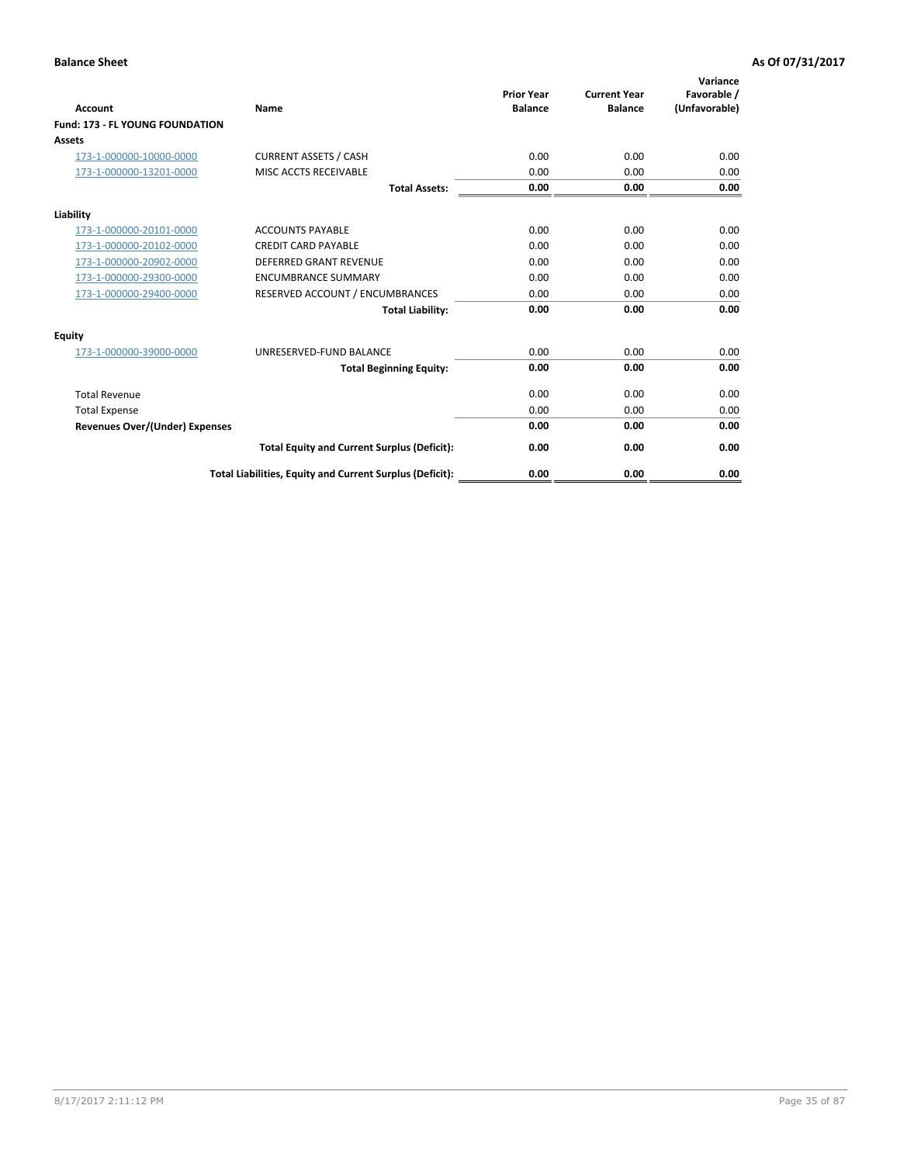| <b>Account</b>                         | <b>Name</b>                                              | <b>Prior Year</b><br><b>Balance</b> | <b>Current Year</b><br><b>Balance</b> | Variance<br>Favorable /<br>(Unfavorable) |
|----------------------------------------|----------------------------------------------------------|-------------------------------------|---------------------------------------|------------------------------------------|
| <b>Fund: 173 - FL YOUNG FOUNDATION</b> |                                                          |                                     |                                       |                                          |
| Assets                                 |                                                          |                                     |                                       |                                          |
| 173-1-000000-10000-0000                | <b>CURRENT ASSETS / CASH</b>                             | 0.00                                | 0.00                                  | 0.00                                     |
| 173-1-000000-13201-0000                | MISC ACCTS RECEIVABLE                                    | 0.00                                | 0.00                                  | 0.00                                     |
|                                        | <b>Total Assets:</b>                                     | 0.00                                | 0.00                                  | 0.00                                     |
| Liability                              |                                                          |                                     |                                       |                                          |
| 173-1-000000-20101-0000                | <b>ACCOUNTS PAYABLE</b>                                  | 0.00                                | 0.00                                  | 0.00                                     |
| 173-1-000000-20102-0000                | <b>CREDIT CARD PAYABLE</b>                               | 0.00                                | 0.00                                  | 0.00                                     |
| 173-1-000000-20902-0000                | <b>DEFERRED GRANT REVENUE</b>                            | 0.00                                | 0.00                                  | 0.00                                     |
| 173-1-000000-29300-0000                | <b>ENCUMBRANCE SUMMARY</b>                               | 0.00                                | 0.00                                  | 0.00                                     |
| 173-1-000000-29400-0000                | RESERVED ACCOUNT / ENCUMBRANCES                          | 0.00                                | 0.00                                  | 0.00                                     |
|                                        | <b>Total Liability:</b>                                  | 0.00                                | 0.00                                  | 0.00                                     |
| Equity                                 |                                                          |                                     |                                       |                                          |
| 173-1-000000-39000-0000                | UNRESERVED-FUND BALANCE                                  | 0.00                                | 0.00                                  | 0.00                                     |
|                                        | <b>Total Beginning Equity:</b>                           | 0.00                                | 0.00                                  | 0.00                                     |
| <b>Total Revenue</b>                   |                                                          | 0.00                                | 0.00                                  | 0.00                                     |
| <b>Total Expense</b>                   |                                                          | 0.00                                | 0.00                                  | 0.00                                     |
| <b>Revenues Over/(Under) Expenses</b>  |                                                          | 0.00                                | 0.00                                  | 0.00                                     |
|                                        | <b>Total Equity and Current Surplus (Deficit):</b>       | 0.00                                | 0.00                                  | 0.00                                     |
|                                        | Total Liabilities, Equity and Current Surplus (Deficit): | 0.00                                | 0.00                                  | 0.00                                     |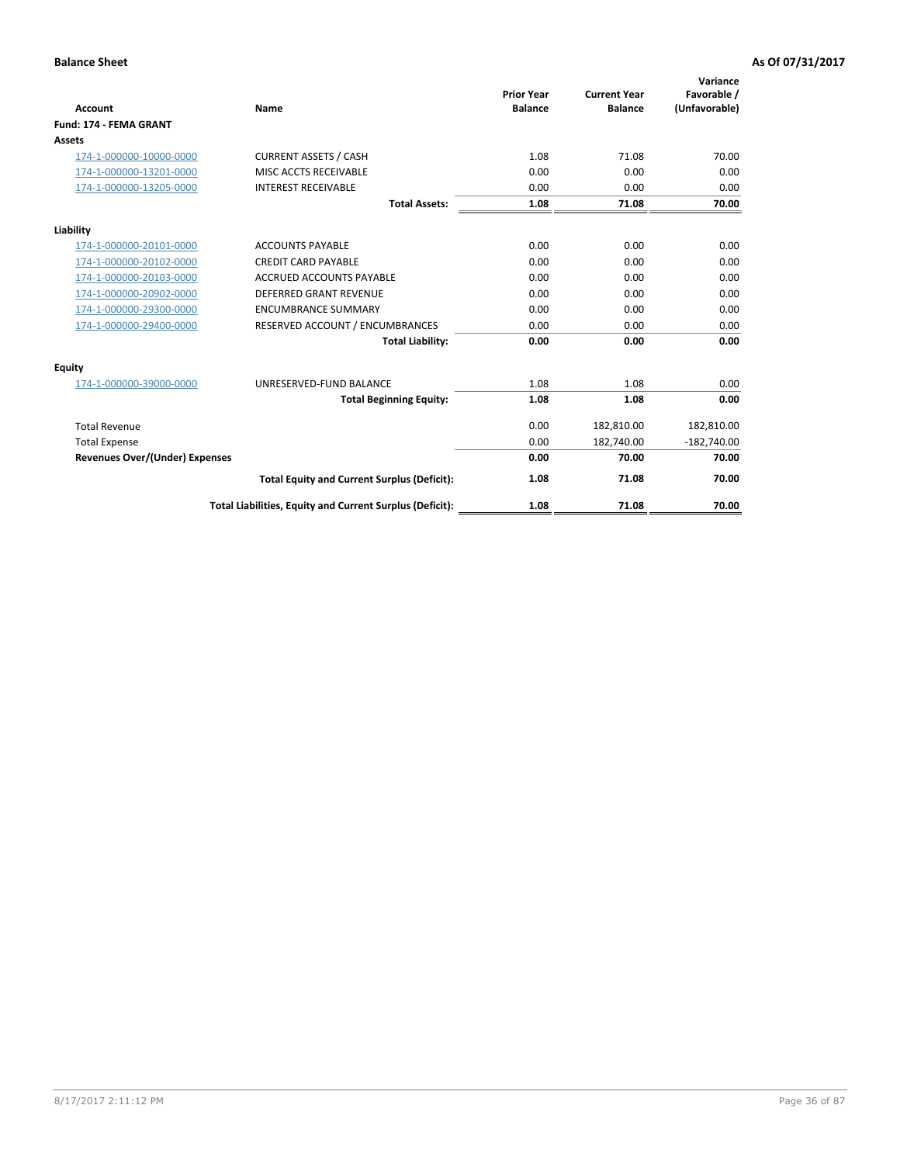| Account                               | Name                                                     | <b>Prior Year</b><br><b>Balance</b> | <b>Current Year</b><br><b>Balance</b> | Variance<br>Favorable /<br>(Unfavorable) |
|---------------------------------------|----------------------------------------------------------|-------------------------------------|---------------------------------------|------------------------------------------|
| Fund: 174 - FEMA GRANT                |                                                          |                                     |                                       |                                          |
| Assets                                |                                                          |                                     |                                       |                                          |
| 174-1-000000-10000-0000               | <b>CURRENT ASSETS / CASH</b>                             | 1.08                                | 71.08                                 | 70.00                                    |
| 174-1-000000-13201-0000               | MISC ACCTS RECEIVABLE                                    | 0.00                                | 0.00                                  | 0.00                                     |
| 174-1-000000-13205-0000               | <b>INTEREST RECEIVABLE</b>                               | 0.00                                | 0.00                                  | 0.00                                     |
|                                       | <b>Total Assets:</b>                                     | 1.08                                | 71.08                                 | 70.00                                    |
| Liability                             |                                                          |                                     |                                       |                                          |
| 174-1-000000-20101-0000               | <b>ACCOUNTS PAYABLE</b>                                  | 0.00                                | 0.00                                  | 0.00                                     |
| 174-1-000000-20102-0000               | <b>CREDIT CARD PAYABLE</b>                               | 0.00                                | 0.00                                  | 0.00                                     |
| 174-1-000000-20103-0000               | <b>ACCRUED ACCOUNTS PAYABLE</b>                          | 0.00                                | 0.00                                  | 0.00                                     |
| 174-1-000000-20902-0000               | <b>DEFERRED GRANT REVENUE</b>                            | 0.00                                | 0.00                                  | 0.00                                     |
| 174-1-000000-29300-0000               | <b>ENCUMBRANCE SUMMARY</b>                               | 0.00                                | 0.00                                  | 0.00                                     |
| 174-1-000000-29400-0000               | RESERVED ACCOUNT / ENCUMBRANCES                          | 0.00                                | 0.00                                  | 0.00                                     |
|                                       | <b>Total Liability:</b>                                  | 0.00                                | 0.00                                  | 0.00                                     |
| Equity                                |                                                          |                                     |                                       |                                          |
| 174-1-000000-39000-0000               | UNRESERVED-FUND BALANCE                                  | 1.08                                | 1.08                                  | 0.00                                     |
|                                       | <b>Total Beginning Equity:</b>                           | 1.08                                | 1.08                                  | 0.00                                     |
| <b>Total Revenue</b>                  |                                                          | 0.00                                | 182,810.00                            | 182,810.00                               |
| <b>Total Expense</b>                  |                                                          | 0.00                                | 182,740.00                            | $-182,740.00$                            |
| <b>Revenues Over/(Under) Expenses</b> |                                                          | 0.00                                | 70.00                                 | 70.00                                    |
|                                       | <b>Total Equity and Current Surplus (Deficit):</b>       | 1.08                                | 71.08                                 | 70.00                                    |
|                                       | Total Liabilities, Equity and Current Surplus (Deficit): | 1.08                                | 71.08                                 | 70.00                                    |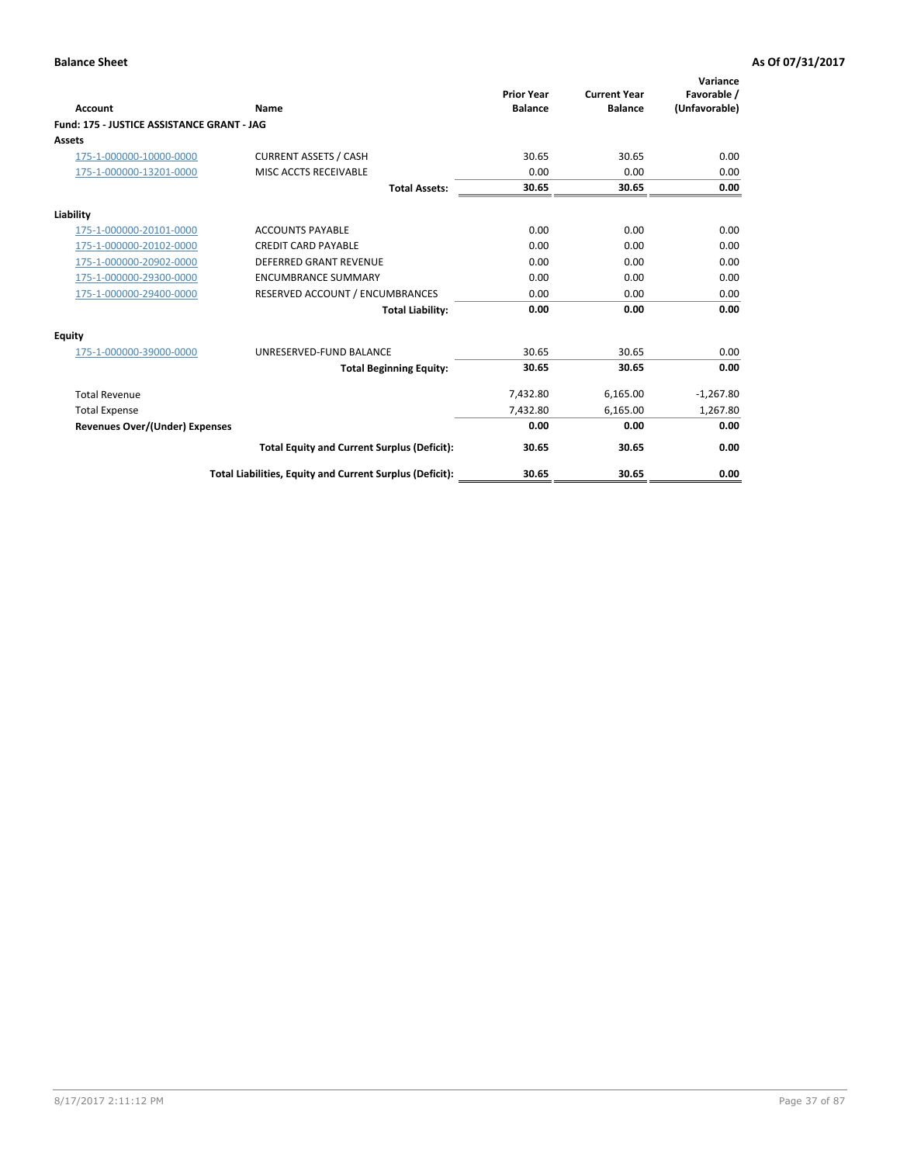| Account                                    | Name                                                     | <b>Prior Year</b><br><b>Balance</b> | <b>Current Year</b><br><b>Balance</b> | Variance<br>Favorable /<br>(Unfavorable) |
|--------------------------------------------|----------------------------------------------------------|-------------------------------------|---------------------------------------|------------------------------------------|
| Fund: 175 - JUSTICE ASSISTANCE GRANT - JAG |                                                          |                                     |                                       |                                          |
| <b>Assets</b>                              |                                                          |                                     |                                       |                                          |
| 175-1-000000-10000-0000                    | <b>CURRENT ASSETS / CASH</b>                             | 30.65                               | 30.65                                 | 0.00                                     |
| 175-1-000000-13201-0000                    | MISC ACCTS RECEIVABLE                                    | 0.00                                | 0.00                                  | 0.00                                     |
|                                            | <b>Total Assets:</b>                                     | 30.65                               | 30.65                                 | 0.00                                     |
| Liability                                  |                                                          |                                     |                                       |                                          |
| 175-1-000000-20101-0000                    | <b>ACCOUNTS PAYABLE</b>                                  | 0.00                                | 0.00                                  | 0.00                                     |
| 175-1-000000-20102-0000                    | <b>CREDIT CARD PAYABLE</b>                               | 0.00                                | 0.00                                  | 0.00                                     |
| 175-1-000000-20902-0000                    | <b>DEFERRED GRANT REVENUE</b>                            | 0.00                                | 0.00                                  | 0.00                                     |
| 175-1-000000-29300-0000                    | <b>ENCUMBRANCE SUMMARY</b>                               | 0.00                                | 0.00                                  | 0.00                                     |
| 175-1-000000-29400-0000                    | RESERVED ACCOUNT / ENCUMBRANCES                          | 0.00                                | 0.00                                  | 0.00                                     |
|                                            | <b>Total Liability:</b>                                  | 0.00                                | 0.00                                  | 0.00                                     |
| Equity                                     |                                                          |                                     |                                       |                                          |
| 175-1-000000-39000-0000                    | UNRESERVED-FUND BALANCE                                  | 30.65                               | 30.65                                 | 0.00                                     |
|                                            | <b>Total Beginning Equity:</b>                           | 30.65                               | 30.65                                 | 0.00                                     |
| <b>Total Revenue</b>                       |                                                          | 7,432.80                            | 6,165.00                              | $-1,267.80$                              |
| <b>Total Expense</b>                       |                                                          | 7,432.80                            | 6,165.00                              | 1,267.80                                 |
| <b>Revenues Over/(Under) Expenses</b>      |                                                          | 0.00                                | 0.00                                  | 0.00                                     |
|                                            | <b>Total Equity and Current Surplus (Deficit):</b>       | 30.65                               | 30.65                                 | 0.00                                     |
|                                            | Total Liabilities, Equity and Current Surplus (Deficit): | 30.65                               | 30.65                                 | 0.00                                     |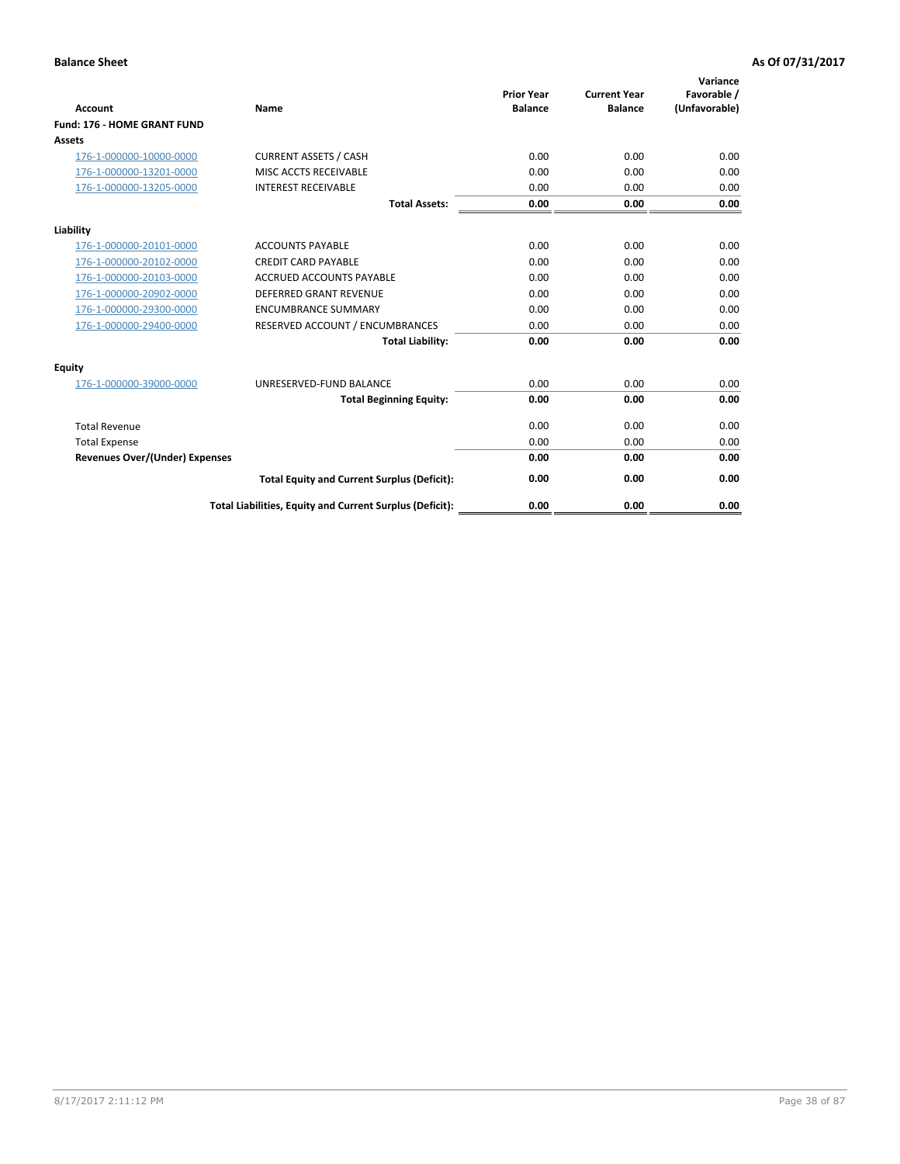| Account                               | Name                                                     | <b>Prior Year</b><br><b>Balance</b> | <b>Current Year</b><br><b>Balance</b> | Variance<br>Favorable /<br>(Unfavorable) |
|---------------------------------------|----------------------------------------------------------|-------------------------------------|---------------------------------------|------------------------------------------|
| Fund: 176 - HOME GRANT FUND           |                                                          |                                     |                                       |                                          |
| Assets                                |                                                          |                                     |                                       |                                          |
| 176-1-000000-10000-0000               | <b>CURRENT ASSETS / CASH</b>                             | 0.00                                | 0.00                                  | 0.00                                     |
| 176-1-000000-13201-0000               | MISC ACCTS RECEIVABLE                                    | 0.00                                | 0.00                                  | 0.00                                     |
| 176-1-000000-13205-0000               | <b>INTEREST RECEIVABLE</b>                               | 0.00                                | 0.00                                  | 0.00                                     |
|                                       | <b>Total Assets:</b>                                     | 0.00                                | 0.00                                  | 0.00                                     |
| Liability                             |                                                          |                                     |                                       |                                          |
| 176-1-000000-20101-0000               | <b>ACCOUNTS PAYABLE</b>                                  | 0.00                                | 0.00                                  | 0.00                                     |
| 176-1-000000-20102-0000               | <b>CREDIT CARD PAYABLE</b>                               | 0.00                                | 0.00                                  | 0.00                                     |
| 176-1-000000-20103-0000               | <b>ACCRUED ACCOUNTS PAYABLE</b>                          | 0.00                                | 0.00                                  | 0.00                                     |
| 176-1-000000-20902-0000               | <b>DEFERRED GRANT REVENUE</b>                            | 0.00                                | 0.00                                  | 0.00                                     |
| 176-1-000000-29300-0000               | <b>ENCUMBRANCE SUMMARY</b>                               | 0.00                                | 0.00                                  | 0.00                                     |
| 176-1-000000-29400-0000               | RESERVED ACCOUNT / ENCUMBRANCES                          | 0.00                                | 0.00                                  | 0.00                                     |
|                                       | <b>Total Liability:</b>                                  | 0.00                                | 0.00                                  | 0.00                                     |
| <b>Equity</b>                         |                                                          |                                     |                                       |                                          |
| 176-1-000000-39000-0000               | UNRESERVED-FUND BALANCE                                  | 0.00                                | 0.00                                  | 0.00                                     |
|                                       | <b>Total Beginning Equity:</b>                           | 0.00                                | 0.00                                  | 0.00                                     |
| <b>Total Revenue</b>                  |                                                          | 0.00                                | 0.00                                  | 0.00                                     |
| <b>Total Expense</b>                  |                                                          | 0.00                                | 0.00                                  | 0.00                                     |
| <b>Revenues Over/(Under) Expenses</b> |                                                          | 0.00                                | 0.00                                  | 0.00                                     |
|                                       | <b>Total Equity and Current Surplus (Deficit):</b>       | 0.00                                | 0.00                                  | 0.00                                     |
|                                       | Total Liabilities, Equity and Current Surplus (Deficit): | 0.00                                | 0.00                                  | 0.00                                     |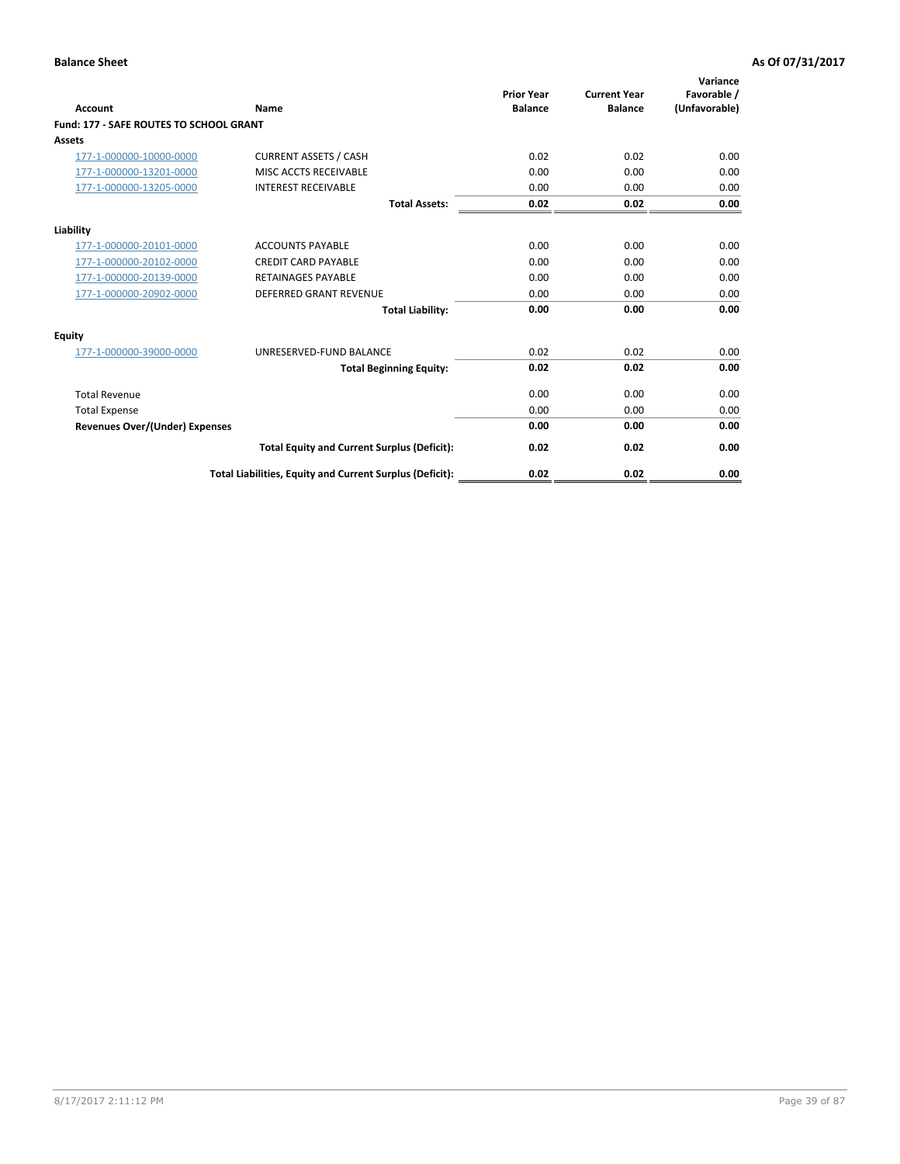| Account                                        | Name                                                     | <b>Prior Year</b><br><b>Balance</b> | <b>Current Year</b><br><b>Balance</b> | Variance<br>Favorable /<br>(Unfavorable) |
|------------------------------------------------|----------------------------------------------------------|-------------------------------------|---------------------------------------|------------------------------------------|
| <b>Fund: 177 - SAFE ROUTES TO SCHOOL GRANT</b> |                                                          |                                     |                                       |                                          |
| <b>Assets</b>                                  |                                                          |                                     |                                       |                                          |
| 177-1-000000-10000-0000                        | <b>CURRENT ASSETS / CASH</b>                             | 0.02                                | 0.02                                  | 0.00                                     |
| 177-1-000000-13201-0000                        | MISC ACCTS RECEIVABLE                                    | 0.00                                | 0.00                                  | 0.00                                     |
| 177-1-000000-13205-0000                        | <b>INTEREST RECEIVABLE</b>                               | 0.00                                | 0.00                                  | 0.00                                     |
|                                                | <b>Total Assets:</b>                                     | 0.02                                | 0.02                                  | 0.00                                     |
| Liability                                      |                                                          |                                     |                                       |                                          |
| 177-1-000000-20101-0000                        | <b>ACCOUNTS PAYABLE</b>                                  | 0.00                                | 0.00                                  | 0.00                                     |
| 177-1-000000-20102-0000                        | <b>CREDIT CARD PAYABLE</b>                               | 0.00                                | 0.00                                  | 0.00                                     |
| 177-1-000000-20139-0000                        | <b>RETAINAGES PAYABLE</b>                                | 0.00                                | 0.00                                  | 0.00                                     |
| 177-1-000000-20902-0000                        | <b>DEFERRED GRANT REVENUE</b>                            | 0.00                                | 0.00                                  | 0.00                                     |
|                                                | <b>Total Liability:</b>                                  | 0.00                                | 0.00                                  | 0.00                                     |
| Equity                                         |                                                          |                                     |                                       |                                          |
| 177-1-000000-39000-0000                        | UNRESERVED-FUND BALANCE                                  | 0.02                                | 0.02                                  | 0.00                                     |
|                                                | <b>Total Beginning Equity:</b>                           | 0.02                                | 0.02                                  | 0.00                                     |
| <b>Total Revenue</b>                           |                                                          | 0.00                                | 0.00                                  | 0.00                                     |
| <b>Total Expense</b>                           |                                                          | 0.00                                | 0.00                                  | 0.00                                     |
| <b>Revenues Over/(Under) Expenses</b>          |                                                          | 0.00                                | 0.00                                  | 0.00                                     |
|                                                | <b>Total Equity and Current Surplus (Deficit):</b>       | 0.02                                | 0.02                                  | 0.00                                     |
|                                                | Total Liabilities, Equity and Current Surplus (Deficit): | 0.02                                | 0.02                                  | 0.00                                     |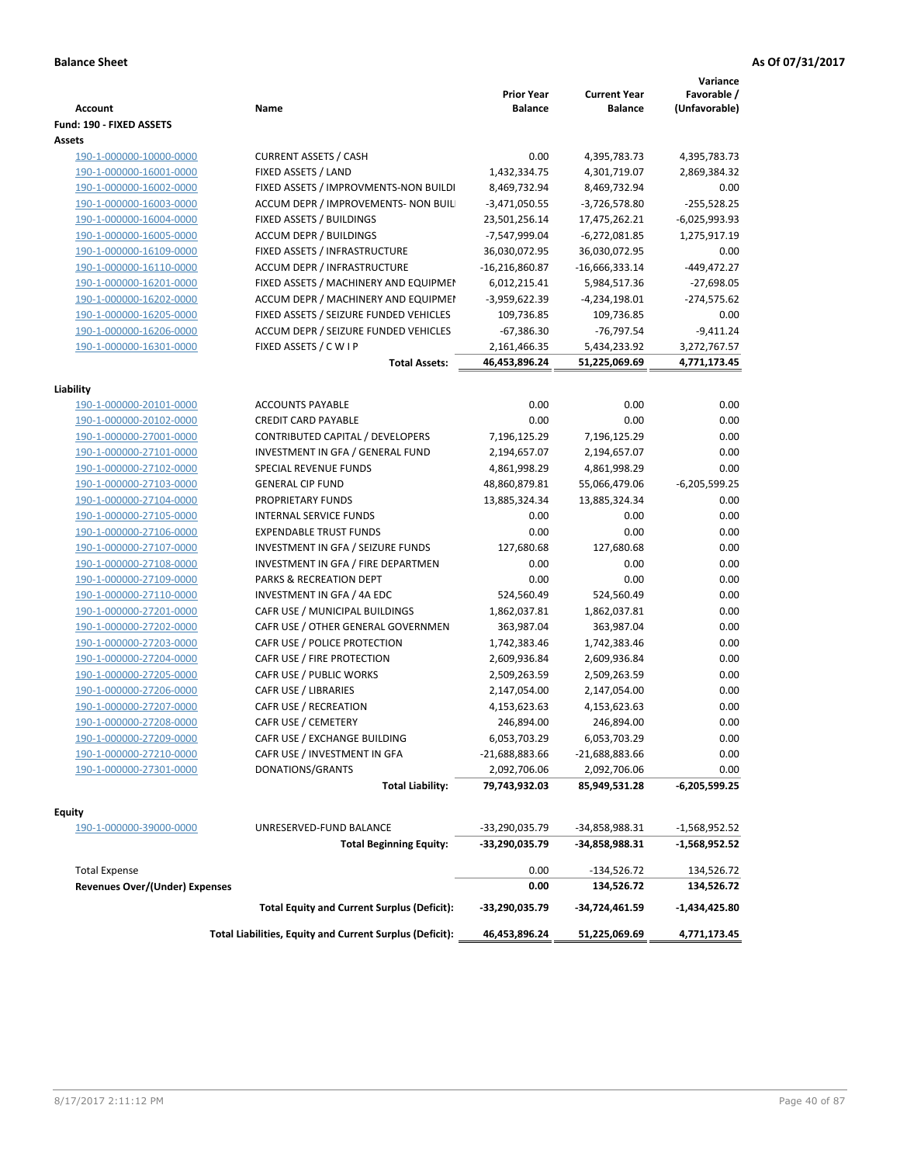|                                |                                                          | <b>Prior Year</b> | <b>Current Year</b> | Variance<br>Favorable / |
|--------------------------------|----------------------------------------------------------|-------------------|---------------------|-------------------------|
| Account                        | Name                                                     | <b>Balance</b>    | <b>Balance</b>      | (Unfavorable)           |
| Fund: 190 - FIXED ASSETS       |                                                          |                   |                     |                         |
| Assets                         |                                                          |                   |                     |                         |
| 190-1-000000-10000-0000        | <b>CURRENT ASSETS / CASH</b>                             | 0.00              | 4,395,783.73        | 4,395,783.73            |
| 190-1-000000-16001-0000        | FIXED ASSETS / LAND                                      | 1,432,334.75      | 4,301,719.07        | 2,869,384.32            |
| 190-1-000000-16002-0000        | FIXED ASSETS / IMPROVMENTS-NON BUILDI                    | 8,469,732.94      | 8,469,732.94        | 0.00                    |
| 190-1-000000-16003-0000        | ACCUM DEPR / IMPROVEMENTS- NON BUIL                      | $-3,471,050.55$   | $-3,726,578.80$     | $-255,528.25$           |
| 190-1-000000-16004-0000        | FIXED ASSETS / BUILDINGS                                 | 23,501,256.14     | 17,475,262.21       | $-6,025,993.93$         |
| 190-1-000000-16005-0000        | <b>ACCUM DEPR / BUILDINGS</b>                            | -7,547,999.04     | $-6,272,081.85$     | 1,275,917.19            |
| 190-1-000000-16109-0000        | FIXED ASSETS / INFRASTRUCTURE                            | 36,030,072.95     | 36,030,072.95       | 0.00                    |
| 190-1-000000-16110-0000        | ACCUM DEPR / INFRASTRUCTURE                              | $-16,216,860.87$  | $-16,666,333.14$    | -449,472.27             |
| 190-1-000000-16201-0000        | FIXED ASSETS / MACHINERY AND EQUIPMEN                    | 6,012,215.41      | 5,984,517.36        | $-27,698.05$            |
| 190-1-000000-16202-0000        | ACCUM DEPR / MACHINERY AND EQUIPMEI                      | -3,959,622.39     | $-4,234,198.01$     | $-274,575.62$           |
| 190-1-000000-16205-0000        | FIXED ASSETS / SEIZURE FUNDED VEHICLES                   | 109,736.85        | 109,736.85          | 0.00                    |
| 190-1-000000-16206-0000        | ACCUM DEPR / SEIZURE FUNDED VEHICLES                     | $-67,386.30$      | $-76,797.54$        | $-9,411.24$             |
| 190-1-000000-16301-0000        | FIXED ASSETS / C W I P                                   | 2,161,466.35      | 5,434,233.92        | 3,272,767.57            |
|                                | <b>Total Assets:</b>                                     | 46,453,896.24     | 51,225,069.69       | 4,771,173.45            |
|                                |                                                          |                   |                     |                         |
| Liability                      |                                                          |                   |                     |                         |
| 190-1-000000-20101-0000        | <b>ACCOUNTS PAYABLE</b>                                  | 0.00              | 0.00                | 0.00                    |
| 190-1-000000-20102-0000        | <b>CREDIT CARD PAYABLE</b>                               | 0.00              | 0.00                | 0.00                    |
| 190-1-000000-27001-0000        | CONTRIBUTED CAPITAL / DEVELOPERS                         | 7,196,125.29      | 7,196,125.29        | 0.00                    |
| 190-1-000000-27101-0000        | INVESTMENT IN GFA / GENERAL FUND                         | 2,194,657.07      | 2,194,657.07        | 0.00                    |
| 190-1-000000-27102-0000        | SPECIAL REVENUE FUNDS                                    | 4,861,998.29      | 4,861,998.29        | 0.00                    |
| 190-1-000000-27103-0000        | <b>GENERAL CIP FUND</b>                                  | 48,860,879.81     | 55,066,479.06       | $-6,205,599.25$         |
| 190-1-000000-27104-0000        | PROPRIETARY FUNDS                                        | 13,885,324.34     | 13,885,324.34       | 0.00                    |
| 190-1-000000-27105-0000        | <b>INTERNAL SERVICE FUNDS</b>                            | 0.00              | 0.00                | 0.00                    |
| 190-1-000000-27106-0000        | <b>EXPENDABLE TRUST FUNDS</b>                            | 0.00              | 0.00                | 0.00                    |
| 190-1-000000-27107-0000        | INVESTMENT IN GFA / SEIZURE FUNDS                        | 127,680.68        | 127,680.68          | 0.00                    |
| 190-1-000000-27108-0000        | INVESTMENT IN GFA / FIRE DEPARTMEN                       | 0.00              | 0.00                | 0.00                    |
| 190-1-000000-27109-0000        | PARKS & RECREATION DEPT                                  | 0.00              | 0.00                | 0.00                    |
| 190-1-000000-27110-0000        | INVESTMENT IN GFA / 4A EDC                               | 524,560.49        | 524,560.49          | 0.00                    |
| 190-1-000000-27201-0000        | CAFR USE / MUNICIPAL BUILDINGS                           | 1,862,037.81      | 1,862,037.81        | 0.00                    |
| 190-1-000000-27202-0000        | CAFR USE / OTHER GENERAL GOVERNMEN                       | 363,987.04        | 363,987.04          | 0.00                    |
| 190-1-000000-27203-0000        | CAFR USE / POLICE PROTECTION                             | 1,742,383.46      | 1,742,383.46        | 0.00                    |
| 190-1-000000-27204-0000        | CAFR USE / FIRE PROTECTION                               | 2,609,936.84      | 2,609,936.84        | 0.00                    |
| 190-1-000000-27205-0000        | CAFR USE / PUBLIC WORKS                                  | 2,509,263.59      | 2,509,263.59        | 0.00                    |
| 190-1-000000-27206-0000        | CAFR USE / LIBRARIES                                     | 2,147,054.00      | 2,147,054.00        | 0.00                    |
| 190-1-000000-27207-0000        | CAFR USE / RECREATION                                    | 4,153,623.63      | 4,153,623.63        | 0.00                    |
| 190-1-000000-27208-0000        | CAFR USE / CEMETERY                                      | 246,894.00        | 246,894.00          | 0.00                    |
| 190-1-000000-27209-0000        | CAFR USE / EXCHANGE BUILDING                             | 6,053,703.29      | 6,053,703.29        | 0.00                    |
| 190-1-000000-27210-0000        | CAFR USE / INVESTMENT IN GFA                             | $-21,688,883.66$  | $-21,688,883.66$    | 0.00                    |
| 190-1-000000-27301-0000        | DONATIONS/GRANTS                                         | 2,092,706.06      | 2,092,706.06        | 0.00                    |
|                                | <b>Total Liability:</b>                                  | 79,743,932.03     | 85,949,531.28       | -6,205,599.25           |
|                                |                                                          |                   |                     |                         |
| <b>Equity</b>                  |                                                          |                   |                     |                         |
| 190-1-000000-39000-0000        | UNRESERVED-FUND BALANCE                                  | -33,290,035.79    | -34,858,988.31      | $-1,568,952.52$         |
|                                | <b>Total Beginning Equity:</b>                           | -33,290,035.79    | -34,858,988.31      | -1,568,952.52           |
|                                |                                                          |                   |                     |                         |
| <b>Total Expense</b>           |                                                          | 0.00              | $-134,526.72$       | 134,526.72              |
| Revenues Over/(Under) Expenses |                                                          | 0.00              | 134,526.72          | 134,526.72              |
|                                | <b>Total Equity and Current Surplus (Deficit):</b>       | -33,290,035.79    | -34,724,461.59      | -1,434,425.80           |
|                                | Total Liabilities, Equity and Current Surplus (Deficit): | 46,453,896.24     | 51,225,069.69       | 4,771,173.45            |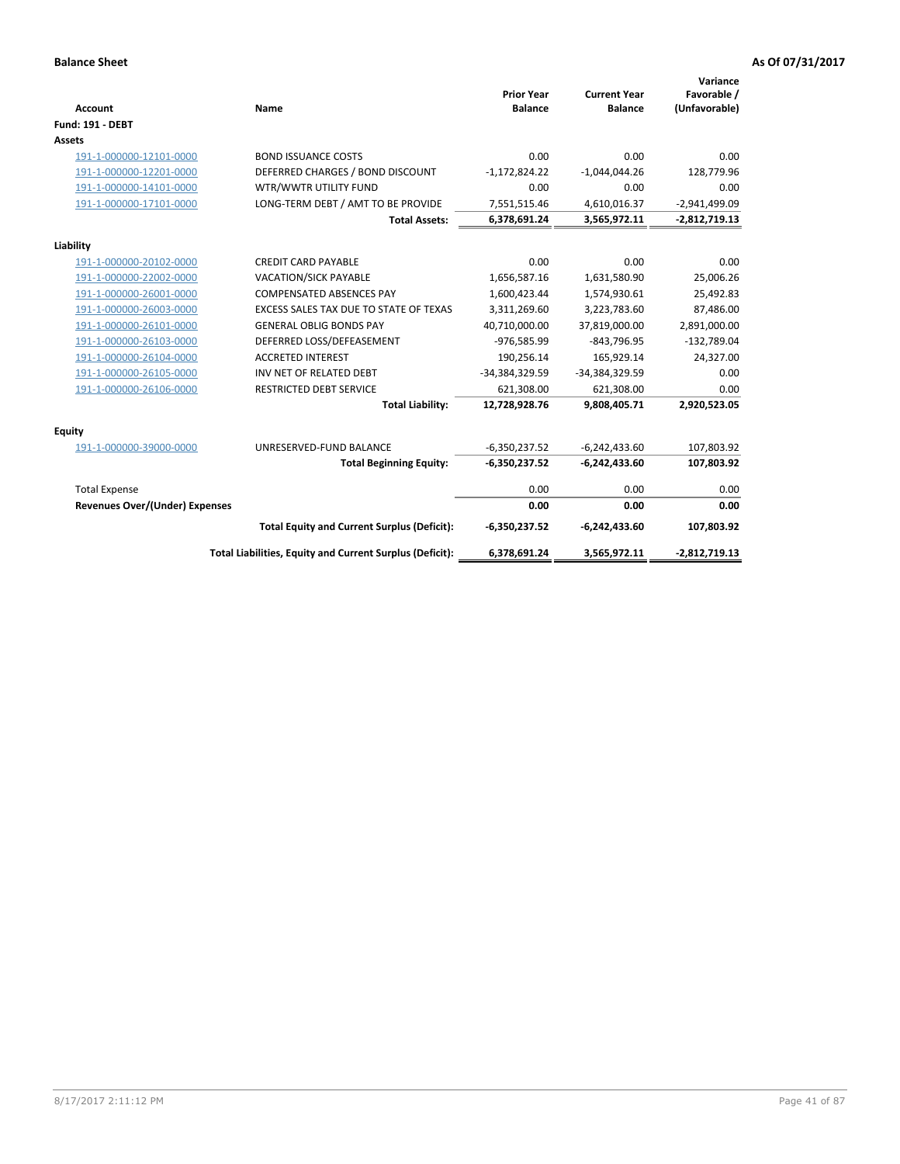| <b>Account</b>                        | Name                                                     | <b>Prior Year</b><br><b>Balance</b> | <b>Current Year</b><br><b>Balance</b> | Variance<br>Favorable /<br>(Unfavorable) |
|---------------------------------------|----------------------------------------------------------|-------------------------------------|---------------------------------------|------------------------------------------|
| <b>Fund: 191 - DEBT</b>               |                                                          |                                     |                                       |                                          |
| Assets                                |                                                          |                                     |                                       |                                          |
| 191-1-000000-12101-0000               | <b>BOND ISSUANCE COSTS</b>                               | 0.00                                | 0.00                                  | 0.00                                     |
| 191-1-000000-12201-0000               | DEFERRED CHARGES / BOND DISCOUNT                         | $-1,172,824.22$                     | $-1,044,044.26$                       | 128,779.96                               |
| 191-1-000000-14101-0000               | WTR/WWTR UTILITY FUND                                    | 0.00                                | 0.00                                  | 0.00                                     |
| 191-1-000000-17101-0000               | LONG-TERM DEBT / AMT TO BE PROVIDE                       | 7,551,515.46                        | 4,610,016.37                          | $-2,941,499.09$                          |
|                                       | <b>Total Assets:</b>                                     | 6,378,691.24                        | 3,565,972.11                          | $-2,812,719.13$                          |
| Liability                             |                                                          |                                     |                                       |                                          |
| 191-1-000000-20102-0000               | <b>CREDIT CARD PAYABLE</b>                               | 0.00                                | 0.00                                  | 0.00                                     |
| 191-1-000000-22002-0000               | VACATION/SICK PAYABLE                                    | 1,656,587.16                        | 1,631,580.90                          | 25,006.26                                |
| 191-1-000000-26001-0000               | <b>COMPENSATED ABSENCES PAY</b>                          | 1,600,423.44                        | 1,574,930.61                          | 25,492.83                                |
| 191-1-000000-26003-0000               | EXCESS SALES TAX DUE TO STATE OF TEXAS                   | 3,311,269.60                        | 3,223,783.60                          | 87,486.00                                |
| 191-1-000000-26101-0000               | <b>GENERAL OBLIG BONDS PAY</b>                           | 40,710,000.00                       | 37,819,000.00                         | 2,891,000.00                             |
| 191-1-000000-26103-0000               | DEFERRED LOSS/DEFEASEMENT                                | -976,585.99                         | $-843,796.95$                         | $-132,789.04$                            |
| 191-1-000000-26104-0000               | <b>ACCRETED INTEREST</b>                                 | 190,256.14                          | 165,929.14                            | 24,327.00                                |
| 191-1-000000-26105-0000               | INV NET OF RELATED DEBT                                  | -34,384,329.59                      | -34,384,329.59                        | 0.00                                     |
| 191-1-000000-26106-0000               | <b>RESTRICTED DEBT SERVICE</b>                           | 621,308.00                          | 621,308.00                            | 0.00                                     |
|                                       | <b>Total Liability:</b>                                  | 12,728,928.76                       | 9,808,405.71                          | 2,920,523.05                             |
| Equity                                |                                                          |                                     |                                       |                                          |
| 191-1-000000-39000-0000               | UNRESERVED-FUND BALANCE                                  | $-6,350,237.52$                     | $-6,242,433.60$                       | 107,803.92                               |
|                                       | <b>Total Beginning Equity:</b>                           | $-6,350,237.52$                     | $-6,242,433.60$                       | 107,803.92                               |
| <b>Total Expense</b>                  |                                                          | 0.00                                | 0.00                                  | 0.00                                     |
| <b>Revenues Over/(Under) Expenses</b> |                                                          | 0.00                                | 0.00                                  | 0.00                                     |
|                                       |                                                          |                                     |                                       |                                          |
|                                       | <b>Total Equity and Current Surplus (Deficit):</b>       | $-6,350,237.52$                     | $-6,242,433.60$                       | 107,803.92                               |
|                                       | Total Liabilities, Equity and Current Surplus (Deficit): | 6,378,691.24                        | 3,565,972.11                          | $-2,812,719.13$                          |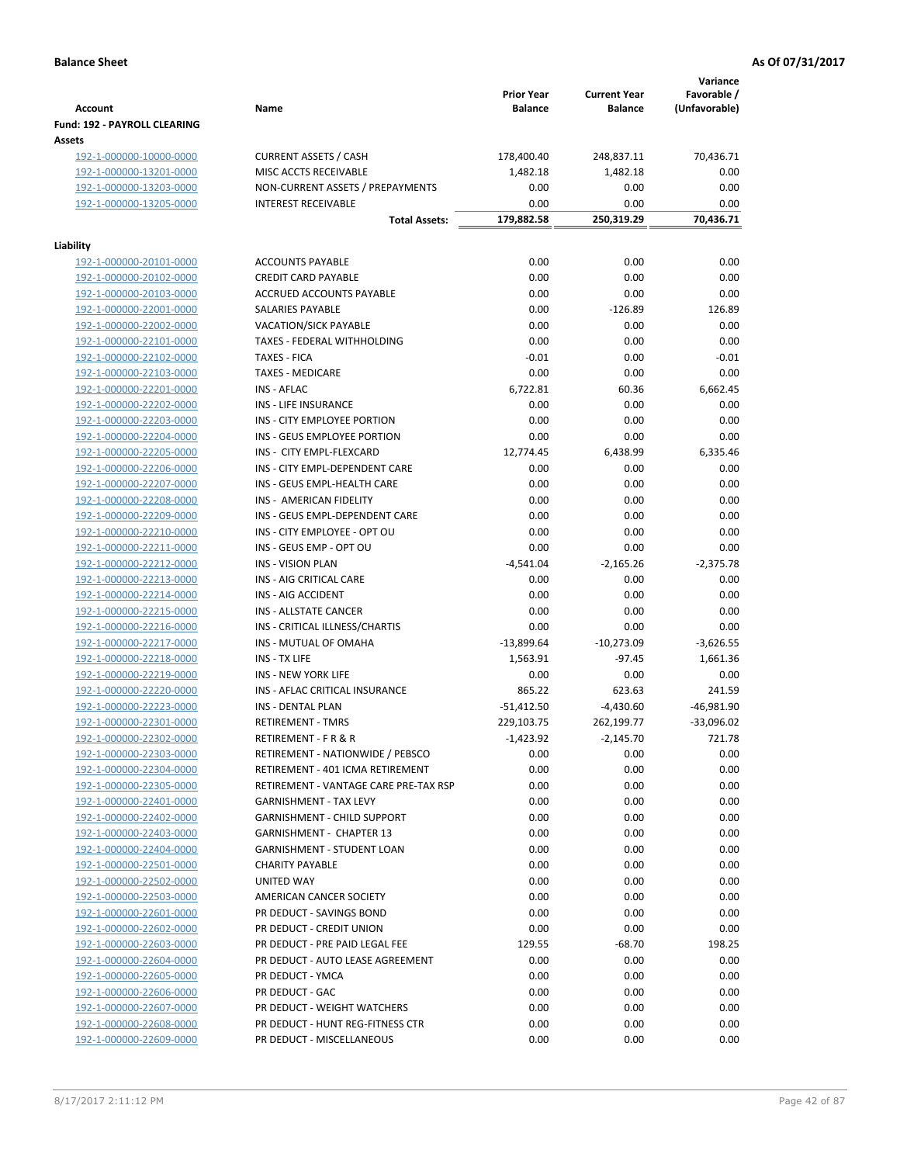|                                                    |                                                              | <b>Prior Year</b> | <b>Current Year</b>       | Variance<br>Favorable / |
|----------------------------------------------------|--------------------------------------------------------------|-------------------|---------------------------|-------------------------|
| <b>Account</b>                                     | Name                                                         | <b>Balance</b>    | <b>Balance</b>            | (Unfavorable)           |
| Fund: 192 - PAYROLL CLEARING                       |                                                              |                   |                           |                         |
| Assets<br>192-1-000000-10000-0000                  | <b>CURRENT ASSETS / CASH</b>                                 | 178,400.40        | 248,837.11                | 70,436.71               |
| 192-1-000000-13201-0000                            | MISC ACCTS RECEIVABLE                                        | 1,482.18          | 1,482.18                  | 0.00                    |
| 192-1-000000-13203-0000                            | NON-CURRENT ASSETS / PREPAYMENTS                             | 0.00              | 0.00                      | 0.00                    |
| 192-1-000000-13205-0000                            | <b>INTEREST RECEIVABLE</b>                                   | 0.00              | 0.00                      | 0.00                    |
|                                                    | <b>Total Assets:</b>                                         | 179,882.58        | 250,319.29                | 70,436.71               |
|                                                    |                                                              |                   |                           |                         |
| Liability<br>192-1-000000-20101-0000               | <b>ACCOUNTS PAYABLE</b>                                      | 0.00              | 0.00                      | 0.00                    |
| 192-1-000000-20102-0000                            | <b>CREDIT CARD PAYABLE</b>                                   | 0.00              | 0.00                      | 0.00                    |
| 192-1-000000-20103-0000                            | ACCRUED ACCOUNTS PAYABLE                                     | 0.00              | 0.00                      | 0.00                    |
| 192-1-000000-22001-0000                            | SALARIES PAYABLE                                             | 0.00              | $-126.89$                 | 126.89                  |
| 192-1-000000-22002-0000                            | VACATION/SICK PAYABLE                                        | 0.00              | 0.00                      | 0.00                    |
| 192-1-000000-22101-0000                            | TAXES - FEDERAL WITHHOLDING                                  | 0.00              | 0.00                      | 0.00                    |
| 192-1-000000-22102-0000                            | <b>TAXES - FICA</b>                                          | $-0.01$           | 0.00                      | $-0.01$                 |
| 192-1-000000-22103-0000                            | <b>TAXES - MEDICARE</b>                                      | 0.00              | 0.00                      | 0.00                    |
| 192-1-000000-22201-0000                            | <b>INS - AFLAC</b>                                           | 6,722.81          | 60.36                     | 6,662.45                |
| 192-1-000000-22202-0000                            | <b>INS - LIFE INSURANCE</b>                                  | 0.00              | 0.00                      | 0.00                    |
| 192-1-000000-22203-0000                            | INS - CITY EMPLOYEE PORTION                                  | 0.00              | 0.00                      | 0.00                    |
| 192-1-000000-22204-0000                            | INS - GEUS EMPLOYEE PORTION                                  | 0.00              | 0.00                      | 0.00                    |
| 192-1-000000-22205-0000                            | INS - CITY EMPL-FLEXCARD                                     | 12,774.45         | 6,438.99                  | 6,335.46                |
| 192-1-000000-22206-0000                            | INS - CITY EMPL-DEPENDENT CARE                               | 0.00              | 0.00                      | 0.00                    |
| 192-1-000000-22207-0000                            | INS - GEUS EMPL-HEALTH CARE                                  | 0.00              | 0.00                      | 0.00                    |
| 192-1-000000-22208-0000                            | INS - AMERICAN FIDELITY                                      | 0.00              | 0.00                      | 0.00                    |
| 192-1-000000-22209-0000                            | INS - GEUS EMPL-DEPENDENT CARE                               | 0.00              | 0.00                      | 0.00                    |
| 192-1-000000-22210-0000                            | INS - CITY EMPLOYEE - OPT OU                                 | 0.00              | 0.00                      | 0.00                    |
| 192-1-000000-22211-0000                            | INS - GEUS EMP - OPT OU                                      | 0.00              | 0.00                      | 0.00                    |
| 192-1-000000-22212-0000                            | <b>INS - VISION PLAN</b>                                     | -4,541.04         | $-2,165.26$               | $-2,375.78$             |
| 192-1-000000-22213-0000                            | INS - AIG CRITICAL CARE                                      | 0.00              | 0.00                      | 0.00                    |
| 192-1-000000-22214-0000                            | INS - AIG ACCIDENT                                           | 0.00              | 0.00                      | 0.00                    |
| 192-1-000000-22215-0000                            | INS - ALLSTATE CANCER                                        | 0.00              | 0.00                      | 0.00                    |
| 192-1-000000-22216-0000                            | INS - CRITICAL ILLNESS/CHARTIS                               | 0.00              | 0.00                      | 0.00                    |
| 192-1-000000-22217-0000                            | INS - MUTUAL OF OMAHA                                        | $-13,899.64$      | $-10,273.09$<br>$-97.45$  | $-3,626.55$             |
| 192-1-000000-22218-0000                            | INS - TX LIFE                                                | 1,563.91          |                           | 1,661.36<br>0.00        |
| 192-1-000000-22219-0000                            | <b>INS - NEW YORK LIFE</b><br>INS - AFLAC CRITICAL INSURANCE | 0.00<br>865.22    | 0.00                      | 241.59                  |
| 192-1-000000-22220-0000<br>192-1-000000-22223-0000 | <b>INS - DENTAL PLAN</b>                                     | $-51,412.50$      | 623.63                    | $-46,981.90$            |
| 192-1-000000-22301-0000                            | <b>RETIREMENT - TMRS</b>                                     | 229,103.75        | $-4,430.60$<br>262,199.77 | $-33,096.02$            |
| 192-1-000000-22302-0000                            | RETIREMENT - F R & R                                         | -1,423.92         | $-2,145.70$               | 721.78                  |
| 192-1-000000-22303-0000                            | RETIREMENT - NATIONWIDE / PEBSCO                             | 0.00              | 0.00                      | 0.00                    |
| 192-1-000000-22304-0000                            | RETIREMENT - 401 ICMA RETIREMENT                             | 0.00              | 0.00                      | 0.00                    |
| 192-1-000000-22305-0000                            | RETIREMENT - VANTAGE CARE PRE-TAX RSP                        | 0.00              | 0.00                      | 0.00                    |
| 192-1-000000-22401-0000                            | <b>GARNISHMENT - TAX LEVY</b>                                | 0.00              | 0.00                      | 0.00                    |
| 192-1-000000-22402-0000                            | GARNISHMENT - CHILD SUPPORT                                  | 0.00              | 0.00                      | 0.00                    |
| 192-1-000000-22403-0000                            | <b>GARNISHMENT - CHAPTER 13</b>                              | 0.00              | 0.00                      | 0.00                    |
| 192-1-000000-22404-0000                            | <b>GARNISHMENT - STUDENT LOAN</b>                            | 0.00              | 0.00                      | 0.00                    |
| 192-1-000000-22501-0000                            | <b>CHARITY PAYABLE</b>                                       | 0.00              | 0.00                      | 0.00                    |
| 192-1-000000-22502-0000                            | UNITED WAY                                                   | 0.00              | 0.00                      | 0.00                    |
| 192-1-000000-22503-0000                            | AMERICAN CANCER SOCIETY                                      | 0.00              | 0.00                      | 0.00                    |
| 192-1-000000-22601-0000                            | PR DEDUCT - SAVINGS BOND                                     | 0.00              | 0.00                      | 0.00                    |
| 192-1-000000-22602-0000                            | PR DEDUCT - CREDIT UNION                                     | 0.00              | 0.00                      | 0.00                    |
| 192-1-000000-22603-0000                            | PR DEDUCT - PRE PAID LEGAL FEE                               | 129.55            | $-68.70$                  | 198.25                  |
| 192-1-000000-22604-0000                            | PR DEDUCT - AUTO LEASE AGREEMENT                             | 0.00              | 0.00                      | 0.00                    |
| 192-1-000000-22605-0000                            | PR DEDUCT - YMCA                                             | 0.00              | 0.00                      | 0.00                    |
| 192-1-000000-22606-0000                            | PR DEDUCT - GAC                                              | 0.00              | 0.00                      | 0.00                    |
| 192-1-000000-22607-0000                            | PR DEDUCT - WEIGHT WATCHERS                                  | 0.00              | 0.00                      | 0.00                    |
| 192-1-000000-22608-0000                            | PR DEDUCT - HUNT REG-FITNESS CTR                             | 0.00              | 0.00                      | 0.00                    |
| 192-1-000000-22609-0000                            | PR DEDUCT - MISCELLANEOUS                                    | 0.00              | 0.00                      | 0.00                    |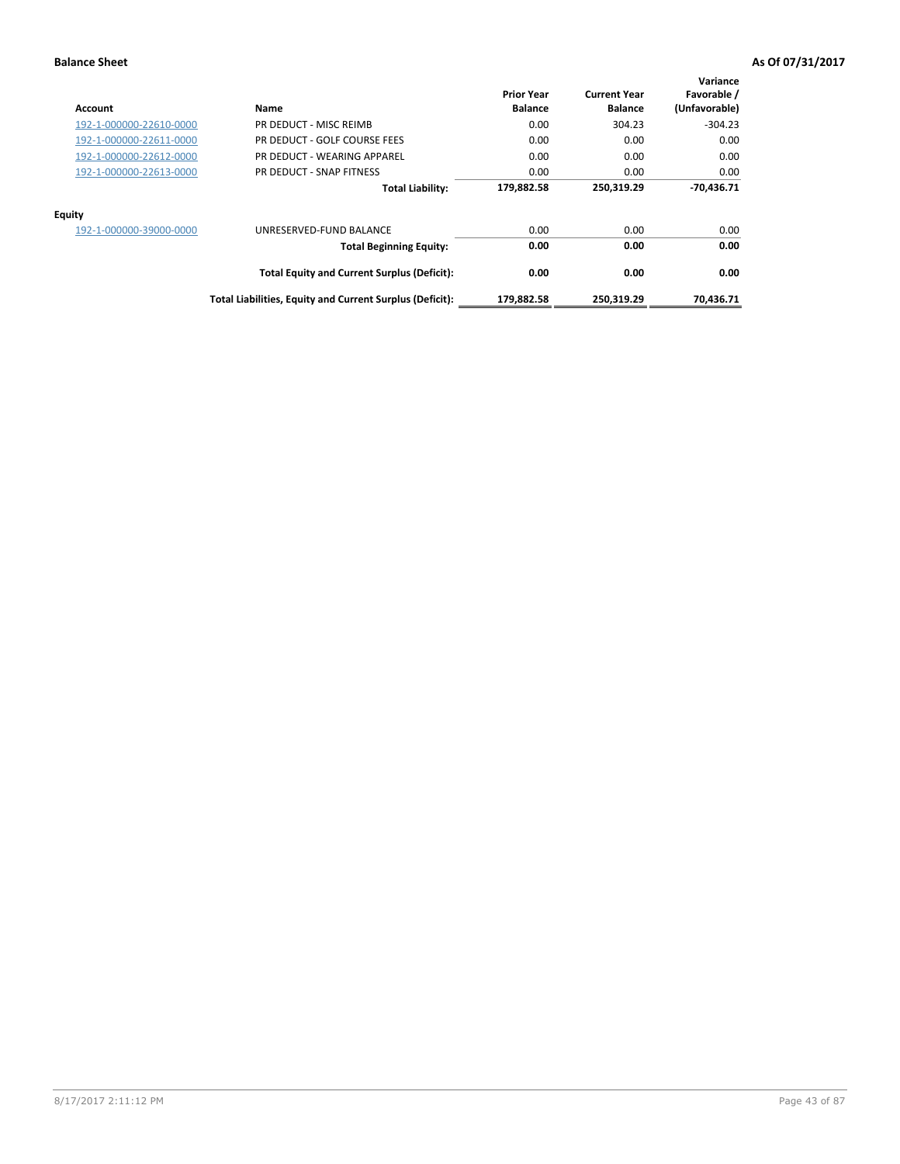| <b>Account</b>          | Name                                                     | <b>Prior Year</b><br><b>Balance</b> | <b>Current Year</b><br><b>Balance</b> | Variance<br>Favorable /<br>(Unfavorable) |
|-------------------------|----------------------------------------------------------|-------------------------------------|---------------------------------------|------------------------------------------|
| 192-1-000000-22610-0000 | PR DEDUCT - MISC REIMB                                   | 0.00                                | 304.23                                | $-304.23$                                |
| 192-1-000000-22611-0000 | PR DEDUCT - GOLF COURSE FEES                             | 0.00                                | 0.00                                  | 0.00                                     |
| 192-1-000000-22612-0000 | PR DEDUCT - WEARING APPAREL                              | 0.00                                | 0.00                                  | 0.00                                     |
| 192-1-000000-22613-0000 | PR DEDUCT - SNAP FITNESS                                 | 0.00                                | 0.00                                  | 0.00                                     |
|                         | <b>Total Liability:</b>                                  | 179,882.58                          | 250.319.29                            | $-70.436.71$                             |
| <b>Equity</b>           |                                                          |                                     |                                       |                                          |
| 192-1-000000-39000-0000 | UNRESERVED-FUND BALANCE                                  | 0.00                                | 0.00                                  | 0.00                                     |
|                         | <b>Total Beginning Equity:</b>                           | 0.00                                | 0.00                                  | 0.00                                     |
|                         | <b>Total Equity and Current Surplus (Deficit):</b>       | 0.00                                | 0.00                                  | 0.00                                     |
|                         | Total Liabilities, Equity and Current Surplus (Deficit): | 179,882.58                          | 250,319.29                            | 70.436.71                                |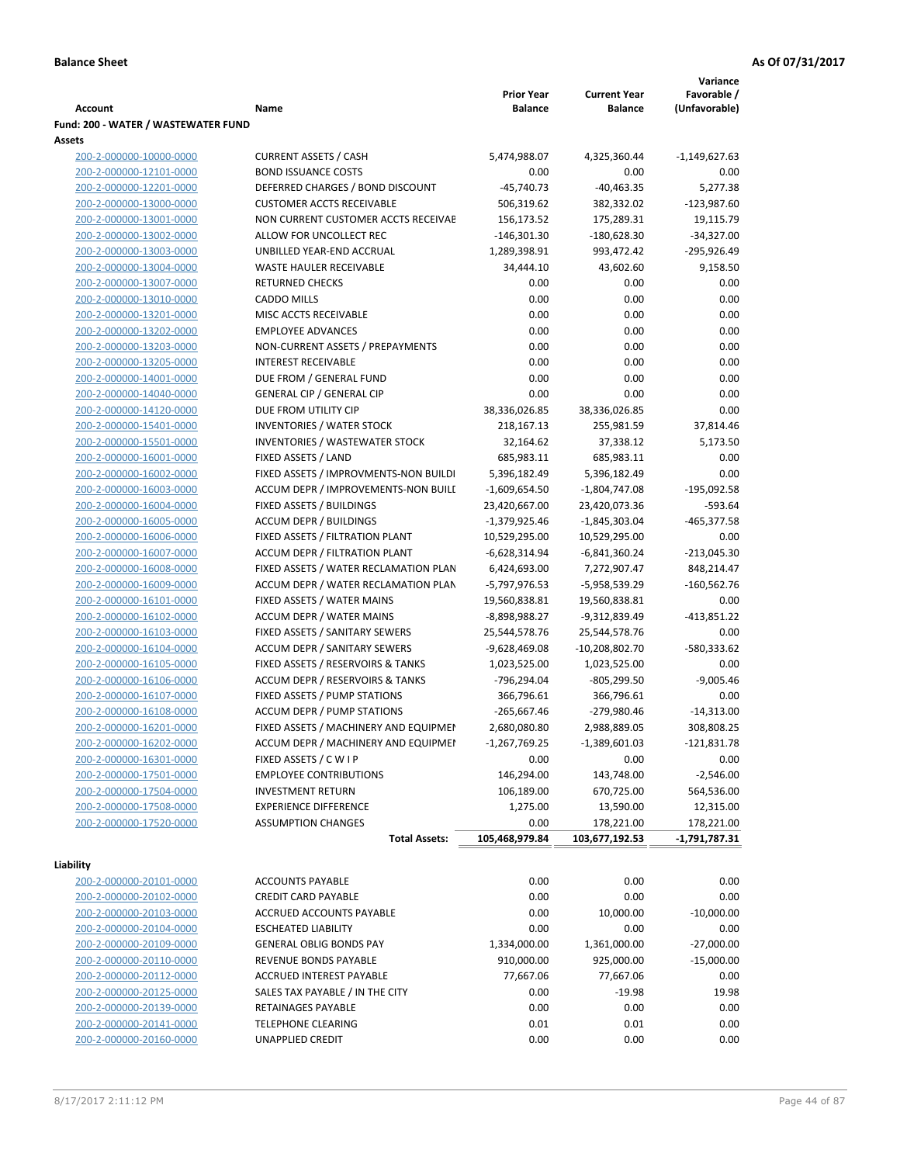**Variance**

|                                     |                                       | <b>Prior Year</b> | <b>Current Year</b> | Favorable /   |
|-------------------------------------|---------------------------------------|-------------------|---------------------|---------------|
| Account                             | Name                                  | <b>Balance</b>    | <b>Balance</b>      | (Unfavorable) |
| Fund: 200 - WATER / WASTEWATER FUND |                                       |                   |                     |               |
| Assets                              |                                       |                   |                     |               |
| 200-2-000000-10000-0000             | <b>CURRENT ASSETS / CASH</b>          | 5,474,988.07      | 4,325,360.44        | -1,149,627.63 |
| 200-2-000000-12101-0000             | <b>BOND ISSUANCE COSTS</b>            | 0.00              | 0.00                | 0.00          |
| 200-2-000000-12201-0000             | DEFERRED CHARGES / BOND DISCOUNT      | $-45,740.73$      | $-40,463.35$        | 5,277.38      |
| 200-2-000000-13000-0000             | <b>CUSTOMER ACCTS RECEIVABLE</b>      | 506,319.62        | 382,332.02          | $-123,987.60$ |
| 200-2-000000-13001-0000             | NON CURRENT CUSTOMER ACCTS RECEIVAE   | 156,173.52        | 175,289.31          | 19,115.79     |
| 200-2-000000-13002-0000             | ALLOW FOR UNCOLLECT REC               | $-146,301.30$     | $-180,628.30$       | $-34,327.00$  |
| 200-2-000000-13003-0000             | UNBILLED YEAR-END ACCRUAL             | 1,289,398.91      | 993,472.42          | $-295,926.49$ |
| 200-2-000000-13004-0000             | WASTE HAULER RECEIVABLE               | 34,444.10         | 43,602.60           | 9,158.50      |
| 200-2-000000-13007-0000             | <b>RETURNED CHECKS</b>                | 0.00              | 0.00                | 0.00          |
| 200-2-000000-13010-0000             | <b>CADDO MILLS</b>                    | 0.00              | 0.00                | 0.00          |
| 200-2-000000-13201-0000             | MISC ACCTS RECEIVABLE                 | 0.00              | 0.00                | 0.00          |
| 200-2-000000-13202-0000             | <b>EMPLOYEE ADVANCES</b>              | 0.00              | 0.00                | 0.00          |
| 200-2-000000-13203-0000             | NON-CURRENT ASSETS / PREPAYMENTS      | 0.00              | 0.00                | 0.00          |
| 200-2-000000-13205-0000             | <b>INTEREST RECEIVABLE</b>            | 0.00              | 0.00                | 0.00          |
| 200-2-000000-14001-0000             | DUE FROM / GENERAL FUND               | 0.00              | 0.00                | 0.00          |
| 200-2-000000-14040-0000             | <b>GENERAL CIP / GENERAL CIP</b>      | 0.00              | 0.00                | 0.00          |
| 200-2-000000-14120-0000             | DUE FROM UTILITY CIP                  | 38,336,026.85     | 38,336,026.85       | 0.00          |
| 200-2-000000-15401-0000             | <b>INVENTORIES / WATER STOCK</b>      | 218,167.13        | 255,981.59          | 37,814.46     |
| 200-2-000000-15501-0000             | INVENTORIES / WASTEWATER STOCK        | 32,164.62         | 37,338.12           | 5,173.50      |
| 200-2-000000-16001-0000             | FIXED ASSETS / LAND                   | 685,983.11        | 685,983.11          | 0.00          |
| 200-2-000000-16002-0000             | FIXED ASSETS / IMPROVMENTS-NON BUILDI | 5,396,182.49      | 5,396,182.49        | 0.00          |
| 200-2-000000-16003-0000             | ACCUM DEPR / IMPROVEMENTS-NON BUILI   | $-1,609,654.50$   | $-1,804,747.08$     | $-195,092.58$ |
| 200-2-000000-16004-0000             | FIXED ASSETS / BUILDINGS              | 23,420,667.00     | 23,420,073.36       | $-593.64$     |
| 200-2-000000-16005-0000             | <b>ACCUM DEPR / BUILDINGS</b>         | $-1,379,925.46$   | $-1,845,303.04$     | $-465,377.58$ |
| 200-2-000000-16006-0000             | FIXED ASSETS / FILTRATION PLANT       | 10,529,295.00     | 10,529,295.00       | 0.00          |
| 200-2-000000-16007-0000             | ACCUM DEPR / FILTRATION PLANT         | -6,628,314.94     | -6,841,360.24       | $-213,045.30$ |
| 200-2-000000-16008-0000             | FIXED ASSETS / WATER RECLAMATION PLAN | 6,424,693.00      | 7,272,907.47        | 848,214.47    |
| 200-2-000000-16009-0000             | ACCUM DEPR / WATER RECLAMATION PLAN   | -5,797,976.53     | -5,958,539.29       | $-160,562.76$ |
| 200-2-000000-16101-0000             | FIXED ASSETS / WATER MAINS            | 19,560,838.81     | 19,560,838.81       | 0.00          |
| 200-2-000000-16102-0000             | <b>ACCUM DEPR / WATER MAINS</b>       | -8,898,988.27     | -9,312,839.49       | $-413,851.22$ |
| 200-2-000000-16103-0000             | FIXED ASSETS / SANITARY SEWERS        | 25,544,578.76     | 25,544,578.76       | 0.00          |
| 200-2-000000-16104-0000             | <b>ACCUM DEPR / SANITARY SEWERS</b>   | $-9,628,469.08$   | $-10,208,802.70$    | -580,333.62   |
| 200-2-000000-16105-0000             | FIXED ASSETS / RESERVOIRS & TANKS     | 1,023,525.00      | 1,023,525.00        | 0.00          |
| 200-2-000000-16106-0000             | ACCUM DEPR / RESERVOIRS & TANKS       | -796,294.04       | $-805,299.50$       | $-9,005.46$   |
| 200-2-000000-16107-0000             | FIXED ASSETS / PUMP STATIONS          | 366,796.61        | 366,796.61          | 0.00          |
| 200-2-000000-16108-0000             | <b>ACCUM DEPR / PUMP STATIONS</b>     | $-265,667.46$     | -279,980.46         | $-14,313.00$  |
| 200-2-000000-16201-0000             | FIXED ASSETS / MACHINERY AND EQUIPMEN | 2,680,080.80      | 2,988,889.05        | 308,808.25    |
| 200-2-000000-16202-0000             | ACCUM DEPR / MACHINERY AND EQUIPMEI   | $-1,267,769.25$   | $-1,389,601.03$     | $-121,831.78$ |
| 200-2-000000-16301-0000             | FIXED ASSETS / C W I P                | 0.00              | 0.00                | 0.00          |
| 200-2-000000-17501-0000             | <b>EMPLOYEE CONTRIBUTIONS</b>         | 146,294.00        | 143,748.00          | $-2,546.00$   |
| 200-2-000000-17504-0000             | <b>INVESTMENT RETURN</b>              | 106,189.00        | 670,725.00          | 564,536.00    |
| 200-2-000000-17508-0000             | <b>EXPERIENCE DIFFERENCE</b>          | 1,275.00          | 13,590.00           | 12,315.00     |
| 200-2-000000-17520-0000             | <b>ASSUMPTION CHANGES</b>             | 0.00              | 178,221.00          | 178,221.00    |
|                                     | <b>Total Assets:</b>                  | 105,468,979.84    | 103,677,192.53      | -1,791,787.31 |
| Liability                           |                                       |                   |                     |               |
| 200-2-000000-20101-0000             | <b>ACCOUNTS PAYABLE</b>               | 0.00              | 0.00                | 0.00          |
| 200-2-000000-20102-0000             | <b>CREDIT CARD PAYABLE</b>            | 0.00              | 0.00                | 0.00          |
| 200-2-000000-20103-0000             | ACCRUED ACCOUNTS PAYABLE              | 0.00              | 10,000.00           | $-10,000.00$  |
| 200-2-000000-20104-0000             | <b>ESCHEATED LIABILITY</b>            | 0.00              | 0.00                | 0.00          |
| 200-2-000000-20109-0000             | <b>GENERAL OBLIG BONDS PAY</b>        | 1,334,000.00      | 1,361,000.00        | $-27,000.00$  |
| 200-2-000000-20110-0000             | REVENUE BONDS PAYABLE                 | 910,000.00        | 925,000.00          | $-15,000.00$  |
| 200-2-000000-20112-0000             | ACCRUED INTEREST PAYABLE              | 77,667.06         | 77,667.06           | 0.00          |
| 200-2-000000-20125-0000             | SALES TAX PAYABLE / IN THE CITY       | 0.00              | $-19.98$            | 19.98         |
| 200-2-000000-20139-0000             | RETAINAGES PAYABLE                    | 0.00              | 0.00                | 0.00          |
| 200-2-000000-20141-0000             | <b>TELEPHONE CLEARING</b>             | 0.01              | 0.01                | 0.00          |
| 200-2-000000-20160-0000             | <b>UNAPPLIED CREDIT</b>               | 0.00              | 0.00                | 0.00          |
|                                     |                                       |                   |                     |               |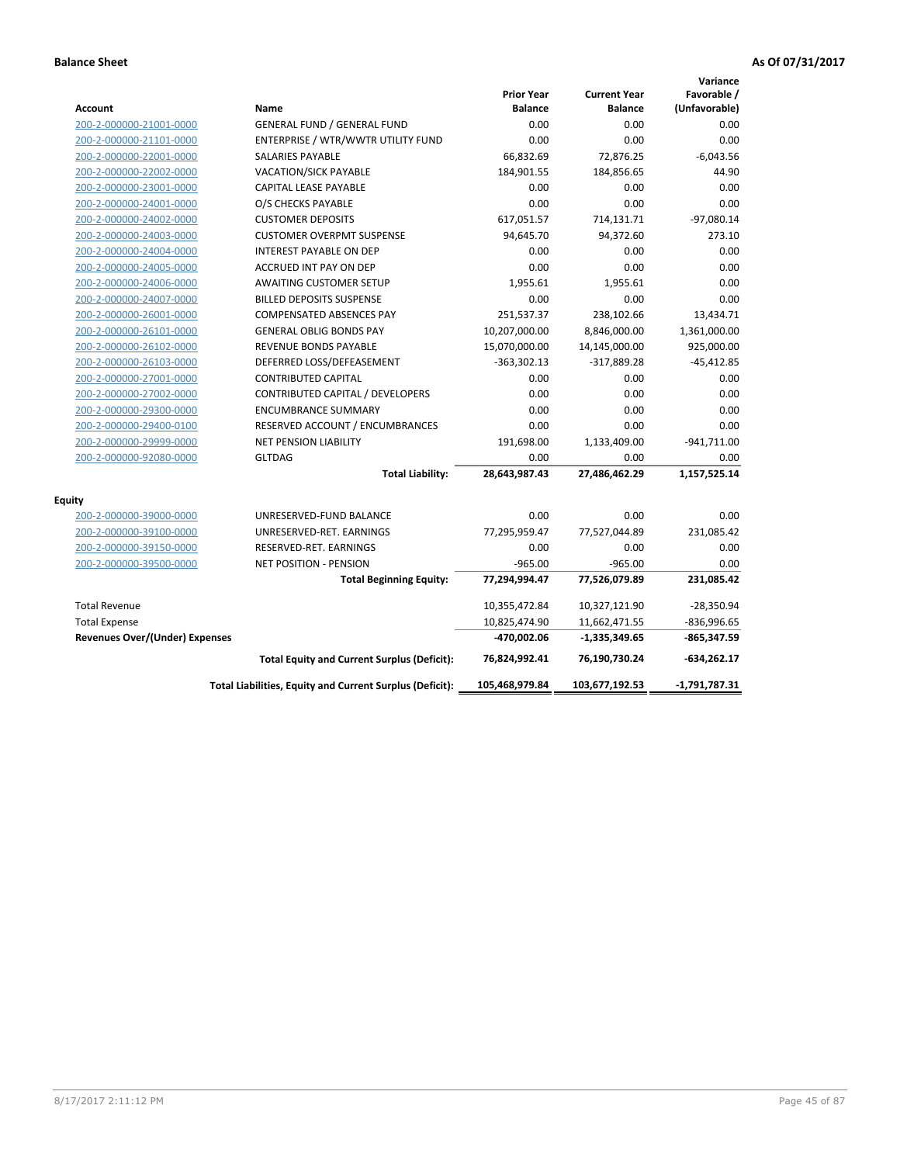|                                       |                                                          |                                     |                                       | Variance                     |
|---------------------------------------|----------------------------------------------------------|-------------------------------------|---------------------------------------|------------------------------|
| <b>Account</b>                        | Name                                                     | <b>Prior Year</b><br><b>Balance</b> | <b>Current Year</b><br><b>Balance</b> | Favorable /<br>(Unfavorable) |
| 200-2-000000-21001-0000               | <b>GENERAL FUND / GENERAL FUND</b>                       | 0.00                                | 0.00                                  | 0.00                         |
| 200-2-000000-21101-0000               | ENTERPRISE / WTR/WWTR UTILITY FUND                       | 0.00                                | 0.00                                  | 0.00                         |
| 200-2-000000-22001-0000               | <b>SALARIES PAYABLE</b>                                  | 66,832.69                           | 72,876.25                             | $-6,043.56$                  |
| 200-2-000000-22002-0000               | <b>VACATION/SICK PAYABLE</b>                             | 184,901.55                          | 184,856.65                            | 44.90                        |
| 200-2-000000-23001-0000               | CAPITAL LEASE PAYABLE                                    | 0.00                                | 0.00                                  | 0.00                         |
| 200-2-000000-24001-0000               | O/S CHECKS PAYABLE                                       | 0.00                                | 0.00                                  | 0.00                         |
| 200-2-000000-24002-0000               | <b>CUSTOMER DEPOSITS</b>                                 | 617,051.57                          | 714,131.71                            | $-97,080.14$                 |
| 200-2-000000-24003-0000               | <b>CUSTOMER OVERPMT SUSPENSE</b>                         | 94,645.70                           | 94,372.60                             | 273.10                       |
| 200-2-000000-24004-0000               | <b>INTEREST PAYABLE ON DEP</b>                           | 0.00                                | 0.00                                  | 0.00                         |
| 200-2-000000-24005-0000               | <b>ACCRUED INT PAY ON DEP</b>                            | 0.00                                | 0.00                                  | 0.00                         |
| 200-2-000000-24006-0000               | <b>AWAITING CUSTOMER SETUP</b>                           | 1,955.61                            | 1,955.61                              | 0.00                         |
| 200-2-000000-24007-0000               | <b>BILLED DEPOSITS SUSPENSE</b>                          | 0.00                                | 0.00                                  | 0.00                         |
| 200-2-000000-26001-0000               | <b>COMPENSATED ABSENCES PAY</b>                          | 251,537.37                          | 238,102.66                            | 13,434.71                    |
| 200-2-000000-26101-0000               | <b>GENERAL OBLIG BONDS PAY</b>                           | 10,207,000.00                       | 8,846,000.00                          | 1,361,000.00                 |
| 200-2-000000-26102-0000               | <b>REVENUE BONDS PAYABLE</b>                             | 15,070,000.00                       | 14,145,000.00                         | 925,000.00                   |
| 200-2-000000-26103-0000               | DEFERRED LOSS/DEFEASEMENT                                | $-363,302.13$                       | $-317,889.28$                         | $-45,412.85$                 |
| 200-2-000000-27001-0000               | <b>CONTRIBUTED CAPITAL</b>                               | 0.00                                | 0.00                                  | 0.00                         |
| 200-2-000000-27002-0000               | CONTRIBUTED CAPITAL / DEVELOPERS                         | 0.00                                | 0.00                                  | 0.00                         |
| 200-2-000000-29300-0000               | <b>ENCUMBRANCE SUMMARY</b>                               | 0.00                                | 0.00                                  | 0.00                         |
| 200-2-000000-29400-0100               | RESERVED ACCOUNT / ENCUMBRANCES                          | 0.00                                | 0.00                                  | 0.00                         |
| 200-2-000000-29999-0000               | <b>NET PENSION LIABILITY</b>                             | 191,698.00                          | 1,133,409.00                          | $-941,711.00$                |
| 200-2-000000-92080-0000               | <b>GLTDAG</b>                                            | 0.00                                | 0.00                                  | 0.00                         |
|                                       | <b>Total Liability:</b>                                  | 28,643,987.43                       | 27,486,462.29                         | 1,157,525.14                 |
| Equity                                |                                                          |                                     |                                       |                              |
| 200-2-000000-39000-0000               | UNRESERVED-FUND BALANCE                                  | 0.00                                | 0.00                                  | 0.00                         |
| 200-2-000000-39100-0000               | UNRESERVED-RET. EARNINGS                                 | 77,295,959.47                       | 77,527,044.89                         | 231,085.42                   |
| 200-2-000000-39150-0000               | RESERVED-RET. EARNINGS                                   | 0.00                                | 0.00                                  | 0.00                         |
| 200-2-000000-39500-0000               | <b>NET POSITION - PENSION</b>                            | $-965.00$                           | $-965.00$                             | 0.00                         |
|                                       | <b>Total Beginning Equity:</b>                           | 77,294,994.47                       | 77,526,079.89                         | 231,085.42                   |
| <b>Total Revenue</b>                  |                                                          | 10,355,472.84                       | 10,327,121.90                         | $-28,350.94$                 |
| <b>Total Expense</b>                  |                                                          | 10,825,474.90                       | 11,662,471.55                         | $-836,996.65$                |
| <b>Revenues Over/(Under) Expenses</b> |                                                          | -470,002.06                         | $-1,335,349.65$                       | -865,347.59                  |
|                                       | <b>Total Equity and Current Surplus (Deficit):</b>       | 76,824,992.41                       | 76,190,730.24                         | $-634,262.17$                |
|                                       | Total Liabilities, Equity and Current Surplus (Deficit): | 105,468,979.84                      | 103,677,192.53                        | $-1,791,787.31$              |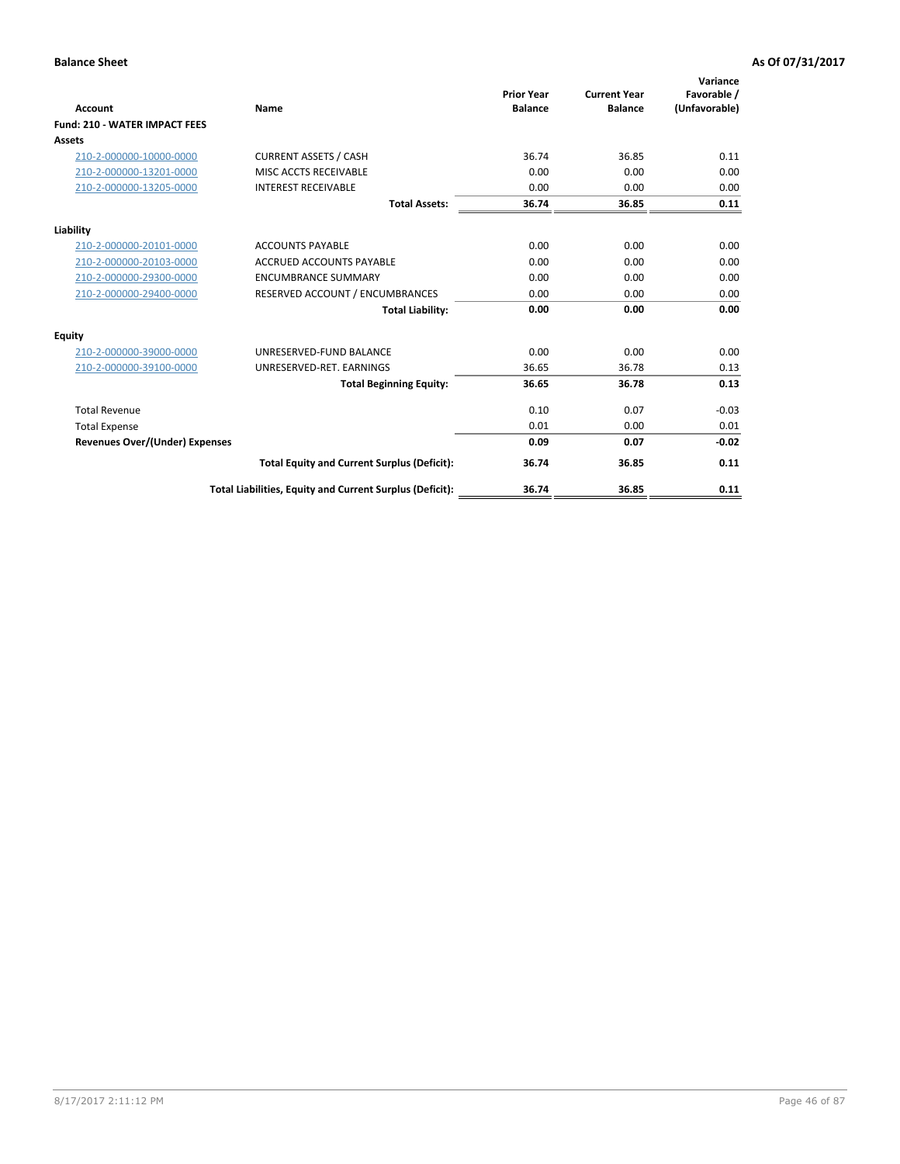| Account                               | Name                                                     | <b>Prior Year</b><br><b>Balance</b> | <b>Current Year</b><br><b>Balance</b> | Variance<br>Favorable /<br>(Unfavorable) |
|---------------------------------------|----------------------------------------------------------|-------------------------------------|---------------------------------------|------------------------------------------|
| <b>Fund: 210 - WATER IMPACT FEES</b>  |                                                          |                                     |                                       |                                          |
| <b>Assets</b>                         |                                                          |                                     |                                       |                                          |
|                                       |                                                          |                                     |                                       |                                          |
| 210-2-000000-10000-0000               | <b>CURRENT ASSETS / CASH</b>                             | 36.74                               | 36.85                                 | 0.11                                     |
| 210-2-000000-13201-0000               | MISC ACCTS RECEIVABLE                                    | 0.00                                | 0.00                                  | 0.00                                     |
| 210-2-000000-13205-0000               | <b>INTEREST RECEIVABLE</b>                               | 0.00                                | 0.00                                  | 0.00                                     |
|                                       | <b>Total Assets:</b>                                     | 36.74                               | 36.85                                 | 0.11                                     |
| Liability                             |                                                          |                                     |                                       |                                          |
| 210-2-000000-20101-0000               | <b>ACCOUNTS PAYABLE</b>                                  | 0.00                                | 0.00                                  | 0.00                                     |
| 210-2-000000-20103-0000               | <b>ACCRUED ACCOUNTS PAYABLE</b>                          | 0.00                                | 0.00                                  | 0.00                                     |
| 210-2-000000-29300-0000               | <b>ENCUMBRANCE SUMMARY</b>                               | 0.00                                | 0.00                                  | 0.00                                     |
| 210-2-000000-29400-0000               | RESERVED ACCOUNT / ENCUMBRANCES                          | 0.00                                | 0.00                                  | 0.00                                     |
|                                       | <b>Total Liability:</b>                                  | 0.00                                | 0.00                                  | 0.00                                     |
| <b>Equity</b>                         |                                                          |                                     |                                       |                                          |
| 210-2-000000-39000-0000               | UNRESERVED-FUND BALANCE                                  | 0.00                                | 0.00                                  | 0.00                                     |
| 210-2-000000-39100-0000               | UNRESERVED-RET. EARNINGS                                 | 36.65                               | 36.78                                 | 0.13                                     |
|                                       | <b>Total Beginning Equity:</b>                           | 36.65                               | 36.78                                 | 0.13                                     |
| <b>Total Revenue</b>                  |                                                          | 0.10                                | 0.07                                  | $-0.03$                                  |
| <b>Total Expense</b>                  |                                                          | 0.01                                | 0.00                                  | 0.01                                     |
| <b>Revenues Over/(Under) Expenses</b> |                                                          | 0.09                                | 0.07                                  | $-0.02$                                  |
|                                       | <b>Total Equity and Current Surplus (Deficit):</b>       | 36.74                               | 36.85                                 | 0.11                                     |
|                                       | Total Liabilities, Equity and Current Surplus (Deficit): | 36.74                               | 36.85                                 | 0.11                                     |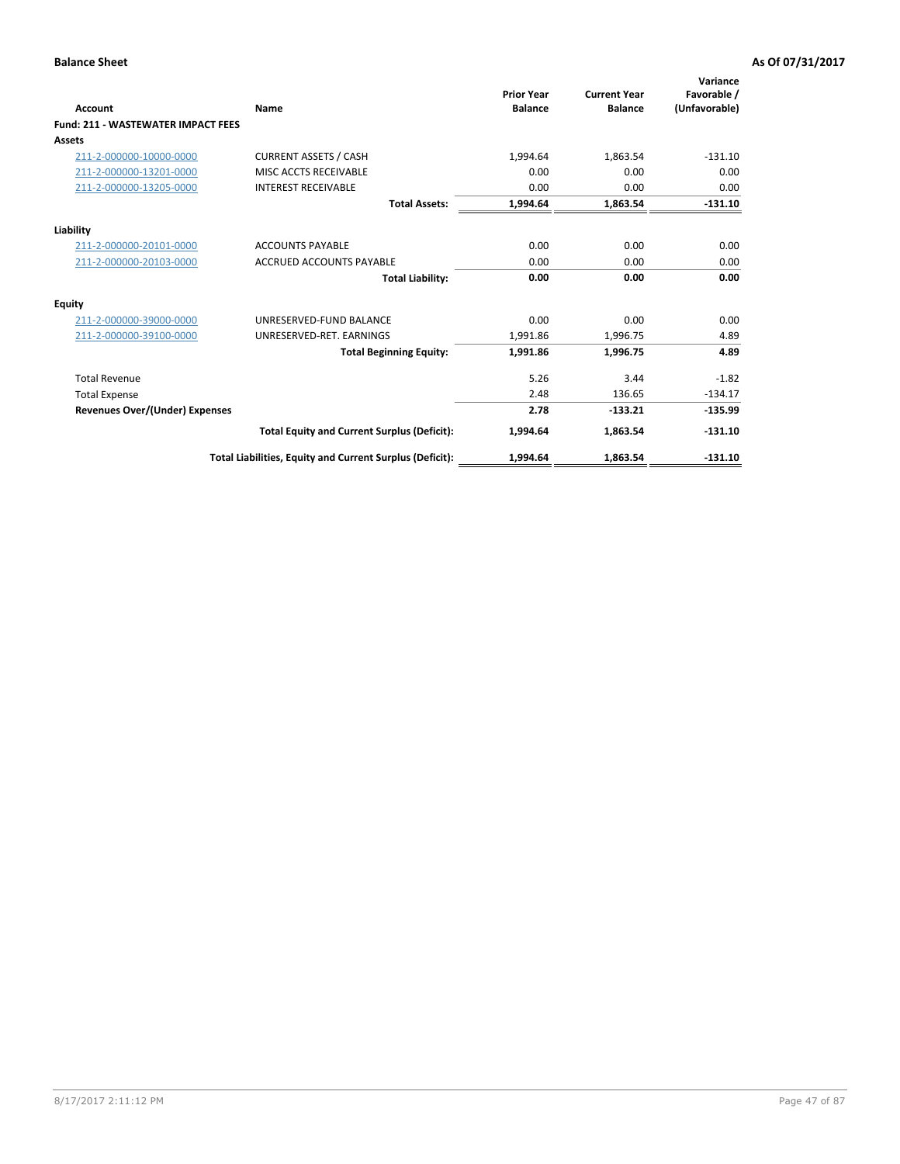| <b>Account</b>                            | Name                                                     | <b>Prior Year</b><br><b>Balance</b> | <b>Current Year</b><br><b>Balance</b> | Variance<br>Favorable /<br>(Unfavorable) |
|-------------------------------------------|----------------------------------------------------------|-------------------------------------|---------------------------------------|------------------------------------------|
| <b>Fund: 211 - WASTEWATER IMPACT FEES</b> |                                                          |                                     |                                       |                                          |
| <b>Assets</b>                             |                                                          |                                     |                                       |                                          |
| 211-2-000000-10000-0000                   | <b>CURRENT ASSETS / CASH</b>                             | 1,994.64                            | 1,863.54                              | $-131.10$                                |
| 211-2-000000-13201-0000                   | MISC ACCTS RECEIVABLE                                    | 0.00                                | 0.00                                  | 0.00                                     |
| 211-2-000000-13205-0000                   | <b>INTEREST RECEIVABLE</b>                               | 0.00                                | 0.00                                  | 0.00                                     |
|                                           | <b>Total Assets:</b>                                     | 1,994.64                            | 1,863.54                              | $-131.10$                                |
| Liability                                 |                                                          |                                     |                                       |                                          |
| 211-2-000000-20101-0000                   | <b>ACCOUNTS PAYABLE</b>                                  | 0.00                                | 0.00                                  | 0.00                                     |
| 211-2-000000-20103-0000                   | <b>ACCRUED ACCOUNTS PAYABLE</b>                          | 0.00                                | 0.00                                  | 0.00                                     |
|                                           | <b>Total Liability:</b>                                  | 0.00                                | 0.00                                  | 0.00                                     |
| <b>Equity</b>                             |                                                          |                                     |                                       |                                          |
| 211-2-000000-39000-0000                   | UNRESERVED-FUND BALANCE                                  | 0.00                                | 0.00                                  | 0.00                                     |
| 211-2-000000-39100-0000                   | UNRESERVED-RET. EARNINGS                                 | 1,991.86                            | 1,996.75                              | 4.89                                     |
|                                           | <b>Total Beginning Equity:</b>                           | 1,991.86                            | 1,996.75                              | 4.89                                     |
| <b>Total Revenue</b>                      |                                                          | 5.26                                | 3.44                                  | $-1.82$                                  |
| <b>Total Expense</b>                      |                                                          | 2.48                                | 136.65                                | $-134.17$                                |
| <b>Revenues Over/(Under) Expenses</b>     |                                                          | 2.78                                | $-133.21$                             | $-135.99$                                |
|                                           | <b>Total Equity and Current Surplus (Deficit):</b>       | 1,994.64                            | 1,863.54                              | $-131.10$                                |
|                                           | Total Liabilities, Equity and Current Surplus (Deficit): | 1,994.64                            | 1,863.54                              | $-131.10$                                |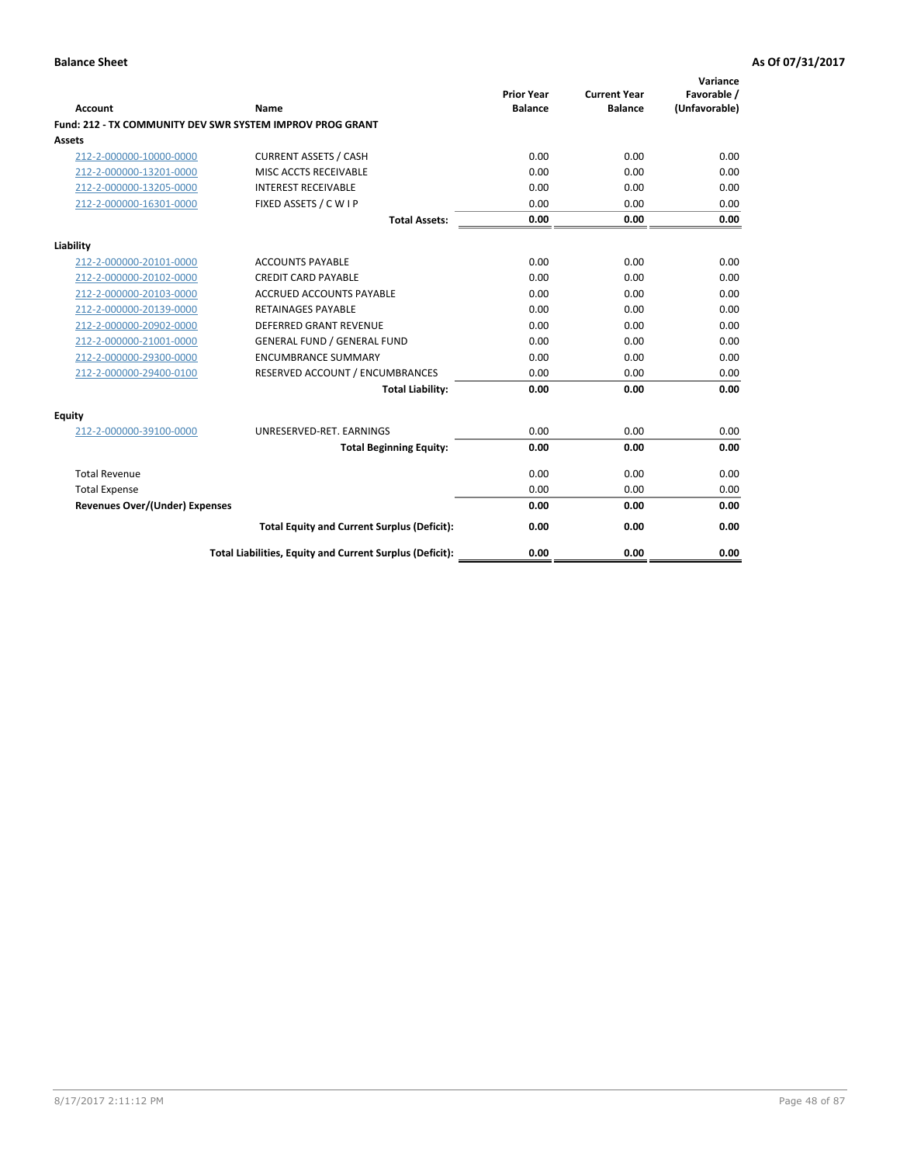| <b>Account</b>                        | Name                                                      | <b>Prior Year</b><br><b>Balance</b> | <b>Current Year</b><br><b>Balance</b> | Variance<br>Favorable /<br>(Unfavorable) |
|---------------------------------------|-----------------------------------------------------------|-------------------------------------|---------------------------------------|------------------------------------------|
|                                       | Fund: 212 - TX COMMUNITY DEV SWR SYSTEM IMPROV PROG GRANT |                                     |                                       |                                          |
| <b>Assets</b>                         |                                                           |                                     |                                       |                                          |
| 212-2-000000-10000-0000               | <b>CURRENT ASSETS / CASH</b>                              | 0.00                                | 0.00                                  | 0.00                                     |
| 212-2-000000-13201-0000               | MISC ACCTS RECEIVABLE                                     | 0.00                                | 0.00                                  | 0.00                                     |
| 212-2-000000-13205-0000               | <b>INTEREST RECEIVABLE</b>                                | 0.00                                | 0.00                                  | 0.00                                     |
| 212-2-000000-16301-0000               | FIXED ASSETS / C W I P                                    | 0.00                                | 0.00                                  | 0.00                                     |
|                                       | <b>Total Assets:</b>                                      | 0.00                                | 0.00                                  | 0.00                                     |
| Liability                             |                                                           |                                     |                                       |                                          |
| 212-2-000000-20101-0000               | <b>ACCOUNTS PAYABLE</b>                                   | 0.00                                | 0.00                                  | 0.00                                     |
| 212-2-000000-20102-0000               | <b>CREDIT CARD PAYABLE</b>                                | 0.00                                | 0.00                                  | 0.00                                     |
| 212-2-000000-20103-0000               | <b>ACCRUED ACCOUNTS PAYABLE</b>                           | 0.00                                | 0.00                                  | 0.00                                     |
| 212-2-000000-20139-0000               | <b>RETAINAGES PAYABLE</b>                                 | 0.00                                | 0.00                                  | 0.00                                     |
| 212-2-000000-20902-0000               | <b>DEFERRED GRANT REVENUE</b>                             | 0.00                                | 0.00                                  | 0.00                                     |
| 212-2-000000-21001-0000               | <b>GENERAL FUND / GENERAL FUND</b>                        | 0.00                                | 0.00                                  | 0.00                                     |
| 212-2-000000-29300-0000               | <b>ENCUMBRANCE SUMMARY</b>                                | 0.00                                | 0.00                                  | 0.00                                     |
| 212-2-000000-29400-0100               | RESERVED ACCOUNT / ENCUMBRANCES                           | 0.00                                | 0.00                                  | 0.00                                     |
|                                       | <b>Total Liability:</b>                                   | 0.00                                | 0.00                                  | 0.00                                     |
| Equity                                |                                                           |                                     |                                       |                                          |
| 212-2-000000-39100-0000               | UNRESERVED-RET. EARNINGS                                  | 0.00                                | 0.00                                  | 0.00                                     |
|                                       | <b>Total Beginning Equity:</b>                            | 0.00                                | 0.00                                  | 0.00                                     |
| <b>Total Revenue</b>                  |                                                           | 0.00                                | 0.00                                  | 0.00                                     |
| <b>Total Expense</b>                  |                                                           | 0.00                                | 0.00                                  | 0.00                                     |
| <b>Revenues Over/(Under) Expenses</b> |                                                           | 0.00                                | 0.00                                  | 0.00                                     |
|                                       | <b>Total Equity and Current Surplus (Deficit):</b>        | 0.00                                | 0.00                                  | 0.00                                     |
|                                       | Total Liabilities, Equity and Current Surplus (Deficit):  | 0.00                                | 0.00                                  | 0.00                                     |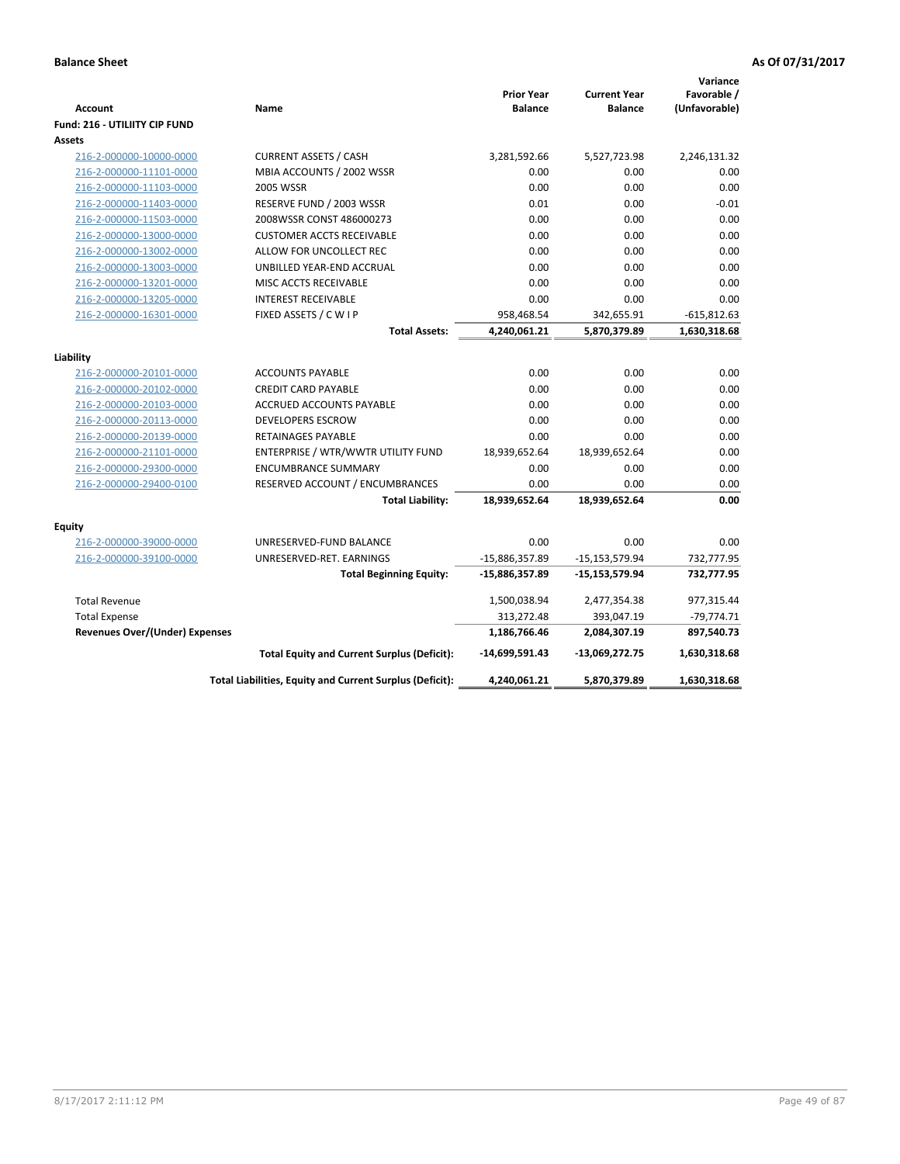|                                       |                                                          |                                     |                                       | Variance                     |
|---------------------------------------|----------------------------------------------------------|-------------------------------------|---------------------------------------|------------------------------|
| <b>Account</b>                        | Name                                                     | <b>Prior Year</b><br><b>Balance</b> | <b>Current Year</b><br><b>Balance</b> | Favorable /<br>(Unfavorable) |
| <b>Fund: 216 - UTILIITY CIP FUND</b>  |                                                          |                                     |                                       |                              |
| Assets                                |                                                          |                                     |                                       |                              |
| 216-2-000000-10000-0000               | <b>CURRENT ASSETS / CASH</b>                             | 3,281,592.66                        | 5,527,723.98                          | 2,246,131.32                 |
| 216-2-000000-11101-0000               | MBIA ACCOUNTS / 2002 WSSR                                | 0.00                                | 0.00                                  | 0.00                         |
| 216-2-000000-11103-0000               | <b>2005 WSSR</b>                                         | 0.00                                | 0.00                                  | 0.00                         |
| 216-2-000000-11403-0000               | RESERVE FUND / 2003 WSSR                                 | 0.01                                | 0.00                                  | $-0.01$                      |
| 216-2-000000-11503-0000               | 2008WSSR CONST 486000273                                 | 0.00                                | 0.00                                  | 0.00                         |
| 216-2-000000-13000-0000               | <b>CUSTOMER ACCTS RECEIVABLE</b>                         | 0.00                                | 0.00                                  | 0.00                         |
| 216-2-000000-13002-0000               | ALLOW FOR UNCOLLECT REC                                  | 0.00                                | 0.00                                  | 0.00                         |
| 216-2-000000-13003-0000               | UNBILLED YEAR-END ACCRUAL                                | 0.00                                | 0.00                                  | 0.00                         |
| 216-2-000000-13201-0000               | MISC ACCTS RECEIVABLE                                    | 0.00                                | 0.00                                  | 0.00                         |
| 216-2-000000-13205-0000               | <b>INTEREST RECEIVABLE</b>                               | 0.00                                | 0.00                                  | 0.00                         |
| 216-2-000000-16301-0000               | FIXED ASSETS / C W I P                                   | 958,468.54                          | 342,655.91                            | $-615,812.63$                |
|                                       | <b>Total Assets:</b>                                     | 4,240,061.21                        | 5,870,379.89                          | 1,630,318.68                 |
|                                       |                                                          |                                     |                                       |                              |
| Liability                             |                                                          |                                     |                                       |                              |
| 216-2-000000-20101-0000               | <b>ACCOUNTS PAYABLE</b>                                  | 0.00                                | 0.00                                  | 0.00                         |
| 216-2-000000-20102-0000               | <b>CREDIT CARD PAYABLE</b>                               | 0.00                                | 0.00                                  | 0.00                         |
| 216-2-000000-20103-0000               | ACCRUED ACCOUNTS PAYABLE                                 | 0.00                                | 0.00                                  | 0.00                         |
| 216-2-000000-20113-0000               | <b>DEVELOPERS ESCROW</b>                                 | 0.00                                | 0.00                                  | 0.00                         |
| 216-2-000000-20139-0000               | RETAINAGES PAYABLE                                       | 0.00                                | 0.00                                  | 0.00                         |
| 216-2-000000-21101-0000               | ENTERPRISE / WTR/WWTR UTILITY FUND                       | 18,939,652.64                       | 18,939,652.64                         | 0.00                         |
| 216-2-000000-29300-0000               | <b>ENCUMBRANCE SUMMARY</b>                               | 0.00                                | 0.00                                  | 0.00                         |
| 216-2-000000-29400-0100               | RESERVED ACCOUNT / ENCUMBRANCES                          | 0.00                                | 0.00                                  | 0.00                         |
|                                       | <b>Total Liability:</b>                                  | 18,939,652.64                       | 18,939,652.64                         | 0.00                         |
|                                       |                                                          |                                     |                                       |                              |
| <b>Equity</b>                         |                                                          |                                     |                                       |                              |
| 216-2-000000-39000-0000               | UNRESERVED-FUND BALANCE                                  | 0.00                                | 0.00                                  | 0.00                         |
| 216-2-000000-39100-0000               | UNRESERVED-RET. EARNINGS                                 | -15,886,357.89                      | $-15, 153, 579.94$                    | 732,777.95                   |
|                                       | <b>Total Beginning Equity:</b>                           | -15,886,357.89                      | $-15,153,579.94$                      | 732,777.95                   |
| <b>Total Revenue</b>                  |                                                          | 1,500,038.94                        | 2,477,354.38                          | 977,315.44                   |
| <b>Total Expense</b>                  |                                                          | 313,272.48                          | 393,047.19                            | $-79,774.71$                 |
| <b>Revenues Over/(Under) Expenses</b> |                                                          | 1,186,766.46                        | 2,084,307.19                          | 897,540.73                   |
|                                       | <b>Total Equity and Current Surplus (Deficit):</b>       | -14,699,591.43                      | -13,069,272.75                        | 1,630,318.68                 |
|                                       | Total Liabilities, Equity and Current Surplus (Deficit): | 4,240,061.21                        | 5,870,379.89                          | 1,630,318.68                 |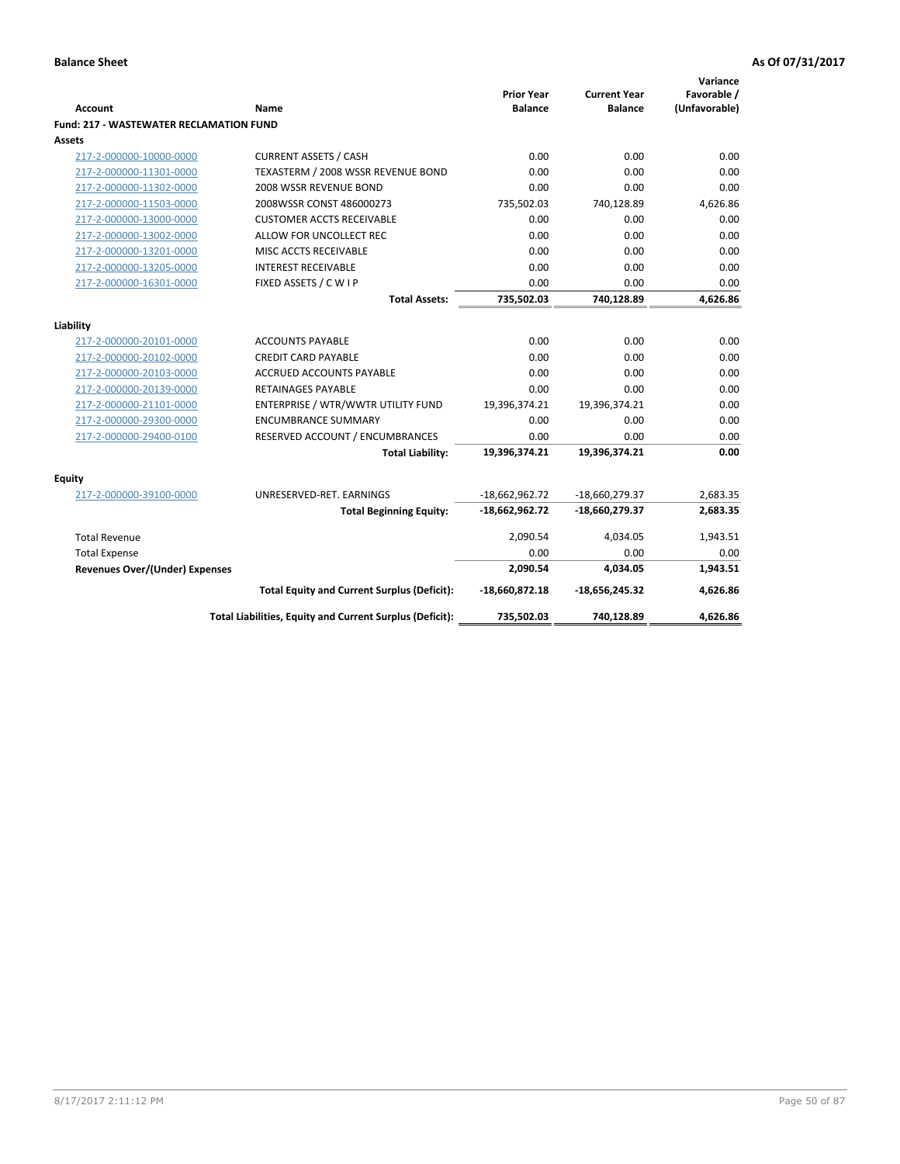| Account                                        | Name                                                     | <b>Prior Year</b><br><b>Balance</b> | <b>Current Year</b><br><b>Balance</b> | Variance<br>Favorable /<br>(Unfavorable) |
|------------------------------------------------|----------------------------------------------------------|-------------------------------------|---------------------------------------|------------------------------------------|
| <b>Fund: 217 - WASTEWATER RECLAMATION FUND</b> |                                                          |                                     |                                       |                                          |
| Assets                                         |                                                          |                                     |                                       |                                          |
| 217-2-000000-10000-0000                        | <b>CURRENT ASSETS / CASH</b>                             | 0.00                                | 0.00                                  | 0.00                                     |
| 217-2-000000-11301-0000                        | TEXASTERM / 2008 WSSR REVENUE BOND                       | 0.00                                | 0.00                                  | 0.00                                     |
| 217-2-000000-11302-0000                        | 2008 WSSR REVENUE BOND                                   | 0.00                                | 0.00                                  | 0.00                                     |
| 217-2-000000-11503-0000                        | 2008WSSR CONST 486000273                                 | 735,502.03                          | 740,128.89                            | 4,626.86                                 |
| 217-2-000000-13000-0000                        | <b>CUSTOMER ACCTS RECEIVABLE</b>                         | 0.00                                | 0.00                                  | 0.00                                     |
| 217-2-000000-13002-0000                        | ALLOW FOR UNCOLLECT REC                                  | 0.00                                | 0.00                                  | 0.00                                     |
| 217-2-000000-13201-0000                        | MISC ACCTS RECEIVABLE                                    | 0.00                                | 0.00                                  | 0.00                                     |
| 217-2-000000-13205-0000                        | <b>INTEREST RECEIVABLE</b>                               | 0.00                                | 0.00                                  | 0.00                                     |
| 217-2-000000-16301-0000                        | FIXED ASSETS / C W I P                                   | 0.00                                | 0.00                                  | 0.00                                     |
|                                                | <b>Total Assets:</b>                                     | 735,502.03                          | 740,128.89                            | 4,626.86                                 |
|                                                |                                                          |                                     |                                       |                                          |
| Liability                                      |                                                          |                                     |                                       |                                          |
| 217-2-000000-20101-0000                        | <b>ACCOUNTS PAYABLE</b>                                  | 0.00                                | 0.00                                  | 0.00                                     |
| 217-2-000000-20102-0000                        | <b>CREDIT CARD PAYABLE</b>                               | 0.00                                | 0.00                                  | 0.00                                     |
| 217-2-000000-20103-0000                        | <b>ACCRUED ACCOUNTS PAYABLE</b>                          | 0.00                                | 0.00                                  | 0.00                                     |
| 217-2-000000-20139-0000                        | <b>RETAINAGES PAYABLE</b>                                | 0.00                                | 0.00                                  | 0.00                                     |
| 217-2-000000-21101-0000                        | ENTERPRISE / WTR/WWTR UTILITY FUND                       | 19,396,374.21                       | 19,396,374.21                         | 0.00                                     |
| 217-2-000000-29300-0000                        | <b>ENCUMBRANCE SUMMARY</b>                               | 0.00                                | 0.00                                  | 0.00                                     |
| 217-2-000000-29400-0100                        | RESERVED ACCOUNT / ENCUMBRANCES                          | 0.00                                | 0.00                                  | 0.00                                     |
|                                                | <b>Total Liability:</b>                                  | 19,396,374.21                       | 19,396,374.21                         | 0.00                                     |
| <b>Equity</b>                                  |                                                          |                                     |                                       |                                          |
| 217-2-000000-39100-0000                        | UNRESERVED-RET. EARNINGS                                 | $-18,662,962.72$                    | -18,660,279.37                        | 2,683.35                                 |
|                                                | <b>Total Beginning Equity:</b>                           | $-18,662,962.72$                    | -18,660,279.37                        | 2,683.35                                 |
| <b>Total Revenue</b>                           |                                                          | 2,090.54                            | 4,034.05                              | 1,943.51                                 |
| <b>Total Expense</b>                           |                                                          | 0.00                                | 0.00                                  | 0.00                                     |
| <b>Revenues Over/(Under) Expenses</b>          |                                                          | 2,090.54                            | 4,034.05                              | 1,943.51                                 |
|                                                | <b>Total Equity and Current Surplus (Deficit):</b>       | -18,660,872.18                      | $-18,656,245.32$                      | 4,626.86                                 |
|                                                | Total Liabilities, Equity and Current Surplus (Deficit): | 735,502.03                          | 740,128.89                            | 4.626.86                                 |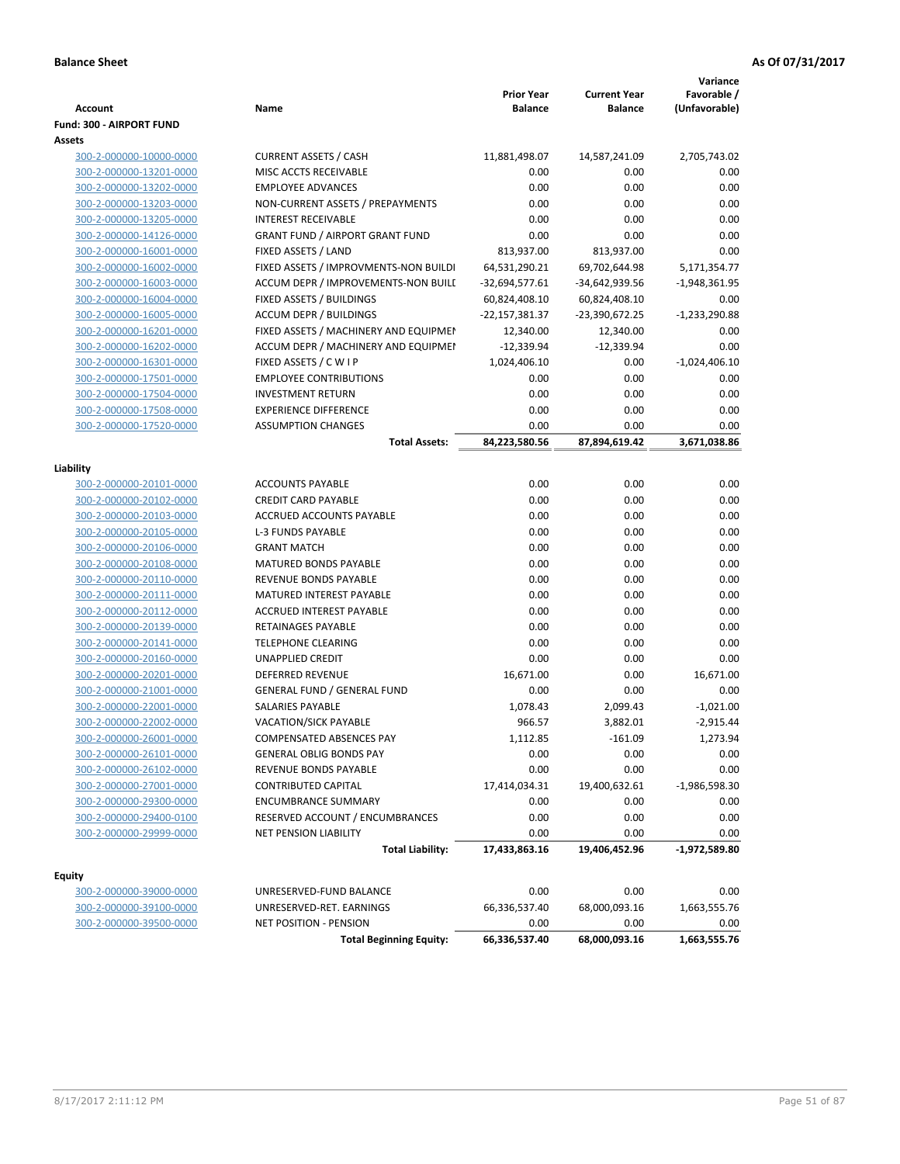| <b>Account</b>                  | Name                                   | <b>Prior Year</b><br><b>Balance</b> | <b>Current Year</b><br><b>Balance</b> | Variance<br>Favorable /<br>(Unfavorable) |
|---------------------------------|----------------------------------------|-------------------------------------|---------------------------------------|------------------------------------------|
| <b>Fund: 300 - AIRPORT FUND</b> |                                        |                                     |                                       |                                          |
| Assets                          |                                        |                                     |                                       |                                          |
| 300-2-000000-10000-0000         | <b>CURRENT ASSETS / CASH</b>           | 11,881,498.07                       | 14,587,241.09                         | 2,705,743.02                             |
| 300-2-000000-13201-0000         | MISC ACCTS RECEIVABLE                  | 0.00                                | 0.00                                  | 0.00                                     |
| 300-2-000000-13202-0000         | <b>EMPLOYEE ADVANCES</b>               | 0.00                                | 0.00                                  | 0.00                                     |
| 300-2-000000-13203-0000         | NON-CURRENT ASSETS / PREPAYMENTS       | 0.00                                | 0.00                                  | 0.00                                     |
| 300-2-000000-13205-0000         | <b>INTEREST RECEIVABLE</b>             | 0.00                                | 0.00                                  | 0.00                                     |
| 300-2-000000-14126-0000         | <b>GRANT FUND / AIRPORT GRANT FUND</b> | 0.00                                | 0.00                                  | 0.00                                     |
| 300-2-000000-16001-0000         | FIXED ASSETS / LAND                    | 813,937.00                          | 813,937.00                            | 0.00                                     |
| 300-2-000000-16002-0000         | FIXED ASSETS / IMPROVMENTS-NON BUILDI  | 64,531,290.21                       | 69,702,644.98                         | 5,171,354.77                             |
| 300-2-000000-16003-0000         | ACCUM DEPR / IMPROVEMENTS-NON BUILI    | $-32,694,577.61$                    | -34,642,939.56                        | $-1,948,361.95$                          |
| 300-2-000000-16004-0000         | FIXED ASSETS / BUILDINGS               | 60,824,408.10                       | 60,824,408.10                         | 0.00                                     |
| 300-2-000000-16005-0000         | <b>ACCUM DEPR / BUILDINGS</b>          | -22,157,381.37                      | -23,390,672.25                        | $-1,233,290.88$                          |
| 300-2-000000-16201-0000         | FIXED ASSETS / MACHINERY AND EQUIPMEN  | 12,340.00                           | 12,340.00                             | 0.00                                     |
| 300-2-000000-16202-0000         | ACCUM DEPR / MACHINERY AND EQUIPMEI    | $-12,339.94$                        | $-12,339.94$                          | 0.00                                     |
| 300-2-000000-16301-0000         | FIXED ASSETS / C W I P                 | 1,024,406.10                        | 0.00                                  | $-1,024,406.10$                          |
| 300-2-000000-17501-0000         | <b>EMPLOYEE CONTRIBUTIONS</b>          | 0.00                                | 0.00                                  | 0.00                                     |
| 300-2-000000-17504-0000         | <b>INVESTMENT RETURN</b>               | 0.00                                | 0.00                                  | 0.00                                     |
| 300-2-000000-17508-0000         | <b>EXPERIENCE DIFFERENCE</b>           | 0.00                                | 0.00                                  | 0.00                                     |
| 300-2-000000-17520-0000         | <b>ASSUMPTION CHANGES</b>              | 0.00                                | 0.00                                  | 0.00                                     |
|                                 | <b>Total Assets:</b>                   | 84,223,580.56                       | 87,894,619.42                         | 3,671,038.86                             |
| Liability                       |                                        |                                     |                                       |                                          |
| 300-2-000000-20101-0000         | <b>ACCOUNTS PAYABLE</b>                | 0.00                                | 0.00                                  | 0.00                                     |
| 300-2-000000-20102-0000         | <b>CREDIT CARD PAYABLE</b>             | 0.00                                | 0.00                                  | 0.00                                     |
| 300-2-000000-20103-0000         | ACCRUED ACCOUNTS PAYABLE               | 0.00                                | 0.00                                  | 0.00                                     |
| 300-2-000000-20105-0000         | <b>L-3 FUNDS PAYABLE</b>               | 0.00                                | 0.00                                  | 0.00                                     |
| 300-2-000000-20106-0000         | <b>GRANT MATCH</b>                     | 0.00                                | 0.00                                  | 0.00                                     |
| 300-2-000000-20108-0000         | <b>MATURED BONDS PAYABLE</b>           | 0.00                                | 0.00                                  | 0.00                                     |
| 300-2-000000-20110-0000         | REVENUE BONDS PAYABLE                  | 0.00                                | 0.00                                  | 0.00                                     |
| 300-2-000000-20111-0000         | MATURED INTEREST PAYABLE               | 0.00                                | 0.00                                  | 0.00                                     |
| 300-2-000000-20112-0000         | <b>ACCRUED INTEREST PAYABLE</b>        | 0.00                                | 0.00                                  | 0.00                                     |
| 300-2-000000-20139-0000         | RETAINAGES PAYABLE                     | 0.00                                | 0.00                                  | 0.00                                     |
| 300-2-000000-20141-0000         | <b>TELEPHONE CLEARING</b>              | 0.00                                | 0.00                                  | 0.00                                     |
| 300-2-000000-20160-0000         | UNAPPLIED CREDIT                       | 0.00                                | 0.00                                  | 0.00                                     |
| 300-2-000000-20201-0000         | <b>DEFERRED REVENUE</b>                | 16,671.00                           | 0.00                                  | 16,671.00                                |
| 300-2-000000-21001-0000         | <b>GENERAL FUND / GENERAL FUND</b>     | 0.00                                | 0.00                                  | 0.00                                     |
| 300-2-000000-22001-0000         | SALARIES PAYABLE                       | 1,078.43                            | 2,099.43                              | $-1,021.00$                              |
| 300-2-000000-22002-0000         | <b>VACATION/SICK PAYABLE</b>           | 966.57                              | 3,882.01                              | $-2,915.44$                              |
| 300-2-000000-26001-0000         | <b>COMPENSATED ABSENCES PAY</b>        | 1,112.85                            | $-161.09$                             | 1,273.94                                 |
| 300-2-000000-26101-0000         | <b>GENERAL OBLIG BONDS PAY</b>         | 0.00                                | 0.00                                  | 0.00                                     |
| 300-2-000000-26102-0000         | REVENUE BONDS PAYABLE                  | 0.00                                | 0.00                                  | 0.00                                     |
| 300-2-000000-27001-0000         | <b>CONTRIBUTED CAPITAL</b>             | 17,414,034.31                       | 19,400,632.61                         | $-1,986,598.30$                          |
| 300-2-000000-29300-0000         | <b>ENCUMBRANCE SUMMARY</b>             | 0.00                                | 0.00                                  | 0.00                                     |
| 300-2-000000-29400-0100         | RESERVED ACCOUNT / ENCUMBRANCES        | 0.00                                | 0.00                                  | 0.00                                     |
| 300-2-000000-29999-0000         | <b>NET PENSION LIABILITY</b>           | 0.00                                | 0.00                                  | 0.00                                     |
|                                 | <b>Total Liability:</b>                | 17,433,863.16                       | 19,406,452.96                         | $-1,972,589.80$                          |
|                                 |                                        |                                     |                                       |                                          |
| <b>Equity</b>                   |                                        |                                     |                                       |                                          |
| 300-2-000000-39000-0000         | UNRESERVED-FUND BALANCE                | 0.00                                | 0.00                                  | 0.00                                     |
| 300-2-000000-39100-0000         | UNRESERVED-RET. EARNINGS               | 66,336,537.40                       | 68,000,093.16                         | 1,663,555.76                             |
| 300-2-000000-39500-0000         | NET POSITION - PENSION                 | 0.00                                | 0.00                                  | 0.00                                     |
|                                 | <b>Total Beginning Equity:</b>         | 66,336,537.40                       | 68,000,093.16                         | 1,663,555.76                             |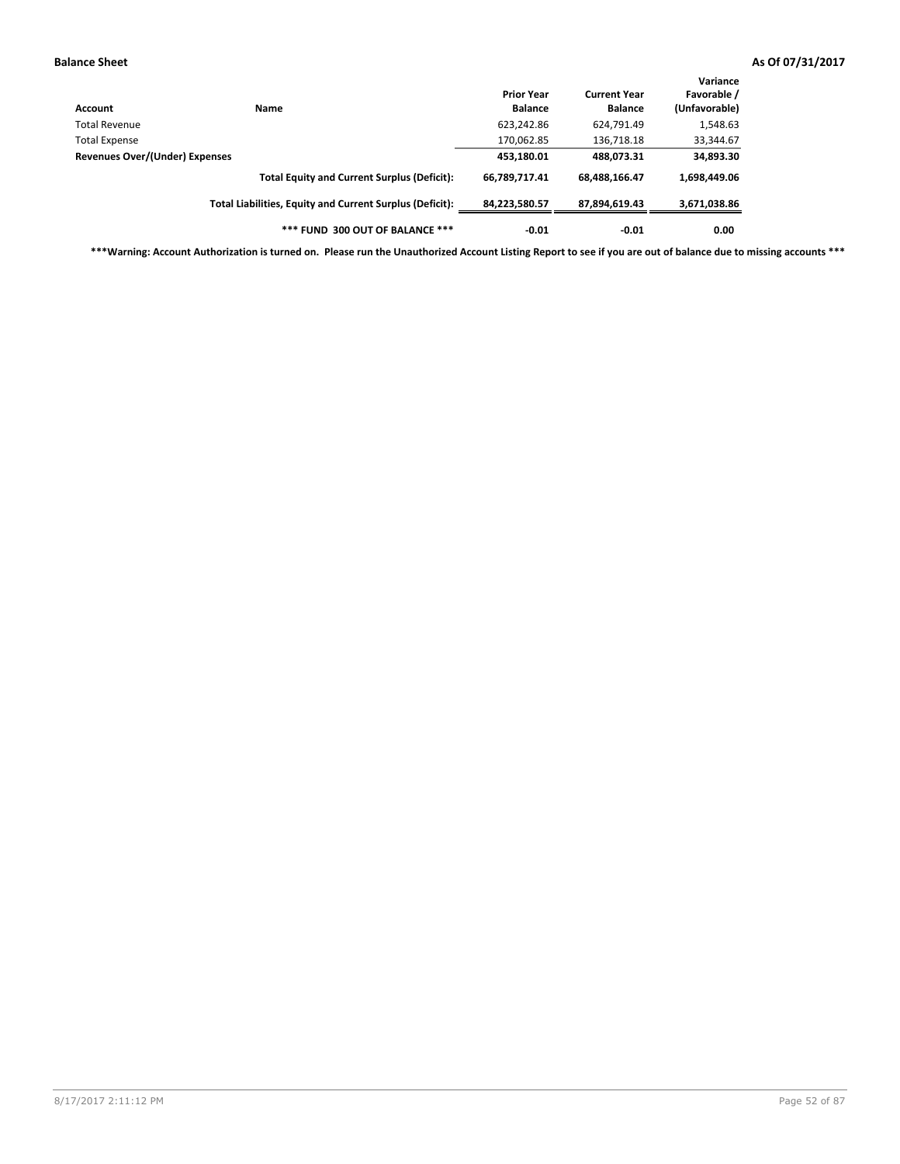| Account                               | Name                                                     | <b>Prior Year</b><br><b>Balance</b> | <b>Current Year</b><br><b>Balance</b> | Variance<br>Favorable /<br>(Unfavorable) |
|---------------------------------------|----------------------------------------------------------|-------------------------------------|---------------------------------------|------------------------------------------|
| Total Revenue                         |                                                          | 623,242.86                          | 624,791.49                            | 1,548.63                                 |
| <b>Total Expense</b>                  |                                                          | 170,062.85                          | 136,718.18                            | 33,344.67                                |
| <b>Revenues Over/(Under) Expenses</b> |                                                          | 453,180.01                          | 488,073.31                            | 34,893.30                                |
|                                       | <b>Total Equity and Current Surplus (Deficit):</b>       | 66,789,717.41                       | 68,488,166.47                         | 1,698,449.06                             |
|                                       | Total Liabilities, Equity and Current Surplus (Deficit): | 84,223,580.57                       | 87,894,619.43                         | 3,671,038.86                             |
|                                       | *** FUND 300 OUT OF BALANCE ***                          | $-0.01$                             | $-0.01$                               | 0.00                                     |

**\*\*\*Warning: Account Authorization is turned on. Please run the Unauthorized Account Listing Report to see if you are out of balance due to missing accounts \*\*\***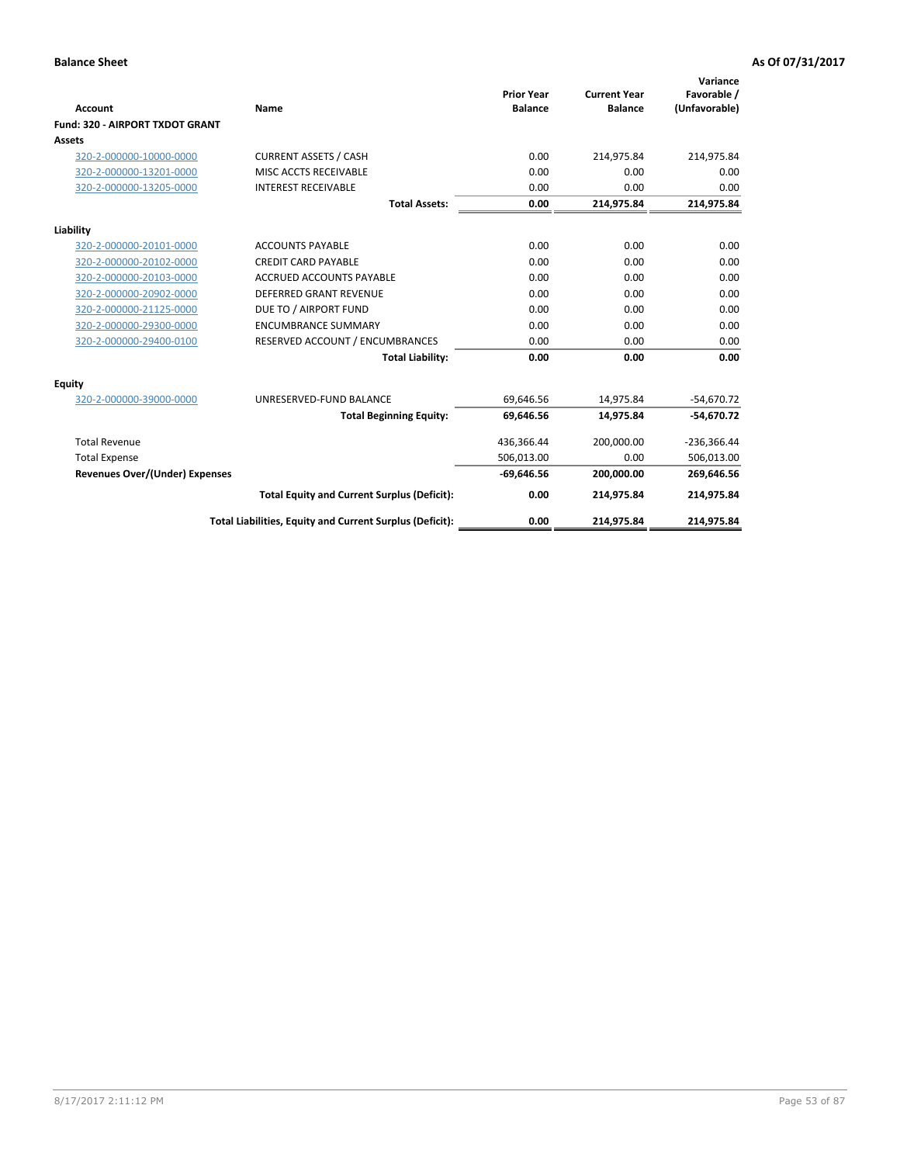|                                        |                                                          |                                     |                                       | Variance                     |
|----------------------------------------|----------------------------------------------------------|-------------------------------------|---------------------------------------|------------------------------|
| <b>Account</b>                         | <b>Name</b>                                              | <b>Prior Year</b><br><b>Balance</b> | <b>Current Year</b><br><b>Balance</b> | Favorable /<br>(Unfavorable) |
| <b>Fund: 320 - AIRPORT TXDOT GRANT</b> |                                                          |                                     |                                       |                              |
| Assets                                 |                                                          |                                     |                                       |                              |
| 320-2-000000-10000-0000                | <b>CURRENT ASSETS / CASH</b>                             | 0.00                                | 214,975.84                            | 214,975.84                   |
| 320-2-000000-13201-0000                | MISC ACCTS RECEIVABLE                                    | 0.00                                | 0.00                                  | 0.00                         |
| 320-2-000000-13205-0000                | <b>INTEREST RECEIVABLE</b>                               | 0.00                                | 0.00                                  | 0.00                         |
|                                        | <b>Total Assets:</b>                                     | 0.00                                | 214,975.84                            | 214,975.84                   |
| Liability                              |                                                          |                                     |                                       |                              |
| 320-2-000000-20101-0000                | <b>ACCOUNTS PAYABLE</b>                                  | 0.00                                | 0.00                                  | 0.00                         |
| 320-2-000000-20102-0000                | <b>CREDIT CARD PAYABLE</b>                               | 0.00                                | 0.00                                  | 0.00                         |
| 320-2-000000-20103-0000                | <b>ACCRUED ACCOUNTS PAYABLE</b>                          | 0.00                                | 0.00                                  | 0.00                         |
| 320-2-000000-20902-0000                | <b>DEFERRED GRANT REVENUE</b>                            | 0.00                                | 0.00                                  | 0.00                         |
| 320-2-000000-21125-0000                | DUE TO / AIRPORT FUND                                    | 0.00                                | 0.00                                  | 0.00                         |
| 320-2-000000-29300-0000                | <b>ENCUMBRANCE SUMMARY</b>                               | 0.00                                | 0.00                                  | 0.00                         |
| 320-2-000000-29400-0100                | RESERVED ACCOUNT / ENCUMBRANCES                          | 0.00                                | 0.00                                  | 0.00                         |
|                                        | <b>Total Liability:</b>                                  | 0.00                                | 0.00                                  | 0.00                         |
| Equity                                 |                                                          |                                     |                                       |                              |
| 320-2-000000-39000-0000                | UNRESERVED-FUND BALANCE                                  | 69,646.56                           | 14,975.84                             | $-54,670.72$                 |
|                                        | <b>Total Beginning Equity:</b>                           | 69,646.56                           | 14,975.84                             | $-54,670.72$                 |
| <b>Total Revenue</b>                   |                                                          | 436,366.44                          | 200,000.00                            | $-236,366.44$                |
| <b>Total Expense</b>                   |                                                          | 506,013.00                          | 0.00                                  | 506,013.00                   |
| <b>Revenues Over/(Under) Expenses</b>  |                                                          | $-69,646.56$                        | 200,000.00                            | 269,646.56                   |
|                                        | <b>Total Equity and Current Surplus (Deficit):</b>       | 0.00                                | 214,975.84                            | 214,975.84                   |
|                                        | Total Liabilities, Equity and Current Surplus (Deficit): | 0.00                                | 214,975.84                            | 214,975.84                   |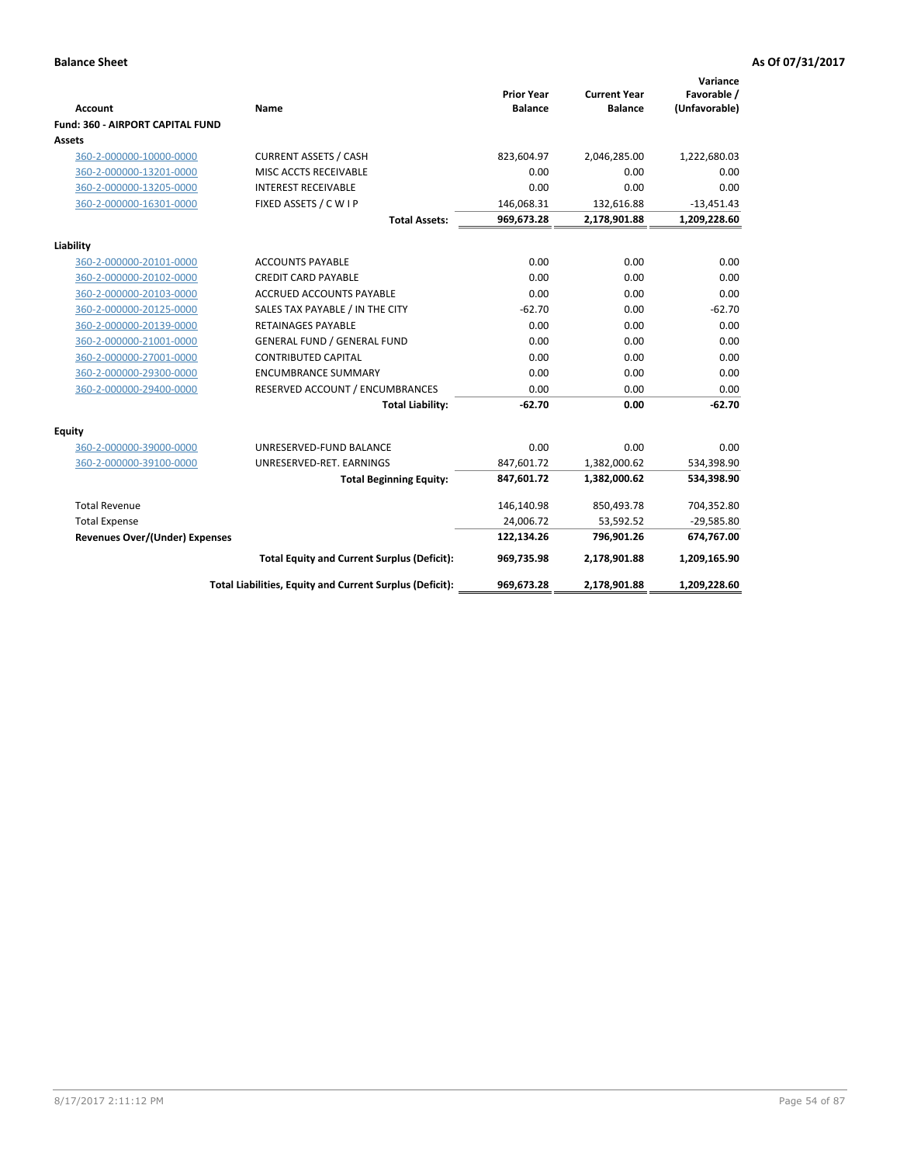| <b>Account</b>                        | Name                                                     | <b>Prior Year</b><br><b>Balance</b> | <b>Current Year</b><br><b>Balance</b> | Variance<br>Favorable /<br>(Unfavorable) |
|---------------------------------------|----------------------------------------------------------|-------------------------------------|---------------------------------------|------------------------------------------|
| Fund: 360 - AIRPORT CAPITAL FUND      |                                                          |                                     |                                       |                                          |
| Assets                                |                                                          |                                     |                                       |                                          |
| 360-2-000000-10000-0000               | <b>CURRENT ASSETS / CASH</b>                             | 823,604.97                          | 2,046,285.00                          | 1,222,680.03                             |
| 360-2-000000-13201-0000               | MISC ACCTS RECEIVABLE                                    | 0.00                                | 0.00                                  | 0.00                                     |
| 360-2-000000-13205-0000               | <b>INTEREST RECEIVABLE</b>                               | 0.00                                | 0.00                                  | 0.00                                     |
| 360-2-000000-16301-0000               | FIXED ASSETS / C W I P                                   | 146,068.31                          | 132,616.88                            | $-13,451.43$                             |
|                                       | <b>Total Assets:</b>                                     | 969,673.28                          | 2,178,901.88                          | 1,209,228.60                             |
| Liability                             |                                                          |                                     |                                       |                                          |
| 360-2-000000-20101-0000               | <b>ACCOUNTS PAYABLE</b>                                  | 0.00                                | 0.00                                  | 0.00                                     |
| 360-2-000000-20102-0000               | <b>CREDIT CARD PAYABLE</b>                               | 0.00                                | 0.00                                  | 0.00                                     |
| 360-2-000000-20103-0000               | <b>ACCRUED ACCOUNTS PAYABLE</b>                          | 0.00                                | 0.00                                  | 0.00                                     |
| 360-2-000000-20125-0000               | SALES TAX PAYABLE / IN THE CITY                          | $-62.70$                            | 0.00                                  | $-62.70$                                 |
| 360-2-000000-20139-0000               | <b>RETAINAGES PAYABLE</b>                                | 0.00                                | 0.00                                  | 0.00                                     |
| 360-2-000000-21001-0000               | <b>GENERAL FUND / GENERAL FUND</b>                       | 0.00                                | 0.00                                  | 0.00                                     |
| 360-2-000000-27001-0000               | <b>CONTRIBUTED CAPITAL</b>                               | 0.00                                | 0.00                                  | 0.00                                     |
| 360-2-000000-29300-0000               | <b>ENCUMBRANCE SUMMARY</b>                               | 0.00                                | 0.00                                  | 0.00                                     |
| 360-2-000000-29400-0000               | RESERVED ACCOUNT / ENCUMBRANCES                          | 0.00                                | 0.00                                  | 0.00                                     |
|                                       | <b>Total Liability:</b>                                  | $-62.70$                            | 0.00                                  | $-62.70$                                 |
| <b>Equity</b>                         |                                                          |                                     |                                       |                                          |
| 360-2-000000-39000-0000               | UNRESERVED-FUND BALANCE                                  | 0.00                                | 0.00                                  | 0.00                                     |
| 360-2-000000-39100-0000               | UNRESERVED-RET. EARNINGS                                 | 847,601.72                          | 1,382,000.62                          | 534,398.90                               |
|                                       | <b>Total Beginning Equity:</b>                           | 847,601.72                          | 1,382,000.62                          | 534,398.90                               |
| <b>Total Revenue</b>                  |                                                          | 146,140.98                          | 850,493.78                            | 704,352.80                               |
| <b>Total Expense</b>                  |                                                          | 24,006.72                           | 53,592.52                             | $-29,585.80$                             |
| <b>Revenues Over/(Under) Expenses</b> |                                                          | 122,134.26                          | 796,901.26                            | 674,767.00                               |
|                                       | <b>Total Equity and Current Surplus (Deficit):</b>       | 969,735.98                          | 2,178,901.88                          | 1,209,165.90                             |
|                                       | Total Liabilities, Equity and Current Surplus (Deficit): | 969,673.28                          | 2,178,901.88                          | 1,209,228.60                             |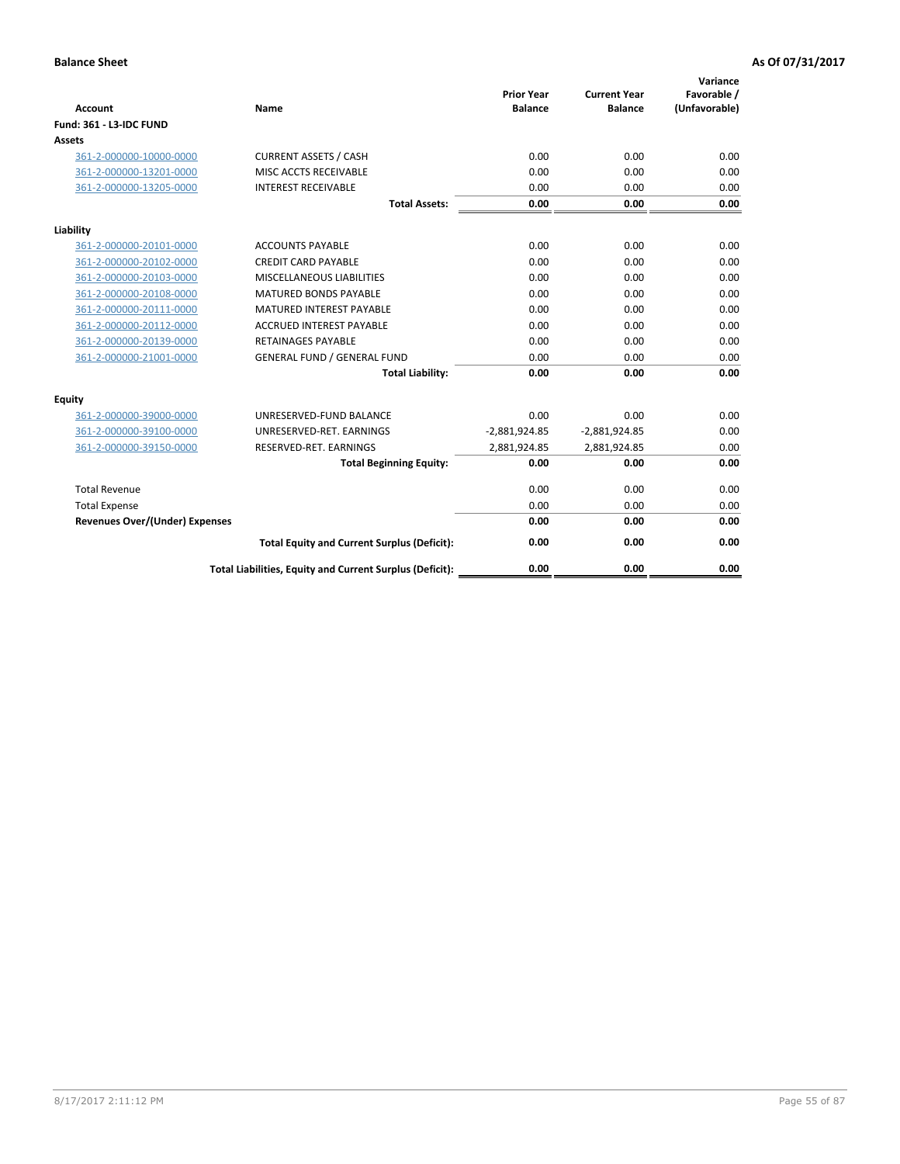| <b>Account</b>                        | Name                                                     | <b>Prior Year</b><br><b>Balance</b> | <b>Current Year</b><br><b>Balance</b> | Variance<br>Favorable /<br>(Unfavorable) |
|---------------------------------------|----------------------------------------------------------|-------------------------------------|---------------------------------------|------------------------------------------|
| <b>Fund: 361 - L3-IDC FUND</b>        |                                                          |                                     |                                       |                                          |
| Assets                                |                                                          |                                     |                                       |                                          |
| 361-2-000000-10000-0000               | <b>CURRENT ASSETS / CASH</b>                             | 0.00                                | 0.00                                  | 0.00                                     |
| 361-2-000000-13201-0000               | MISC ACCTS RECEIVABLE                                    | 0.00                                | 0.00                                  | 0.00                                     |
| 361-2-000000-13205-0000               | <b>INTEREST RECEIVABLE</b>                               | 0.00                                | 0.00                                  | 0.00                                     |
|                                       | <b>Total Assets:</b>                                     | 0.00                                | 0.00                                  | 0.00                                     |
| Liability                             |                                                          |                                     |                                       |                                          |
| 361-2-000000-20101-0000               | <b>ACCOUNTS PAYABLE</b>                                  | 0.00                                | 0.00                                  | 0.00                                     |
| 361-2-000000-20102-0000               | <b>CREDIT CARD PAYABLE</b>                               | 0.00                                | 0.00                                  | 0.00                                     |
| 361-2-000000-20103-0000               | <b>MISCELLANEOUS LIABILITIES</b>                         | 0.00                                | 0.00                                  | 0.00                                     |
| 361-2-000000-20108-0000               | <b>MATURED BONDS PAYABLE</b>                             | 0.00                                | 0.00                                  | 0.00                                     |
| 361-2-000000-20111-0000               | <b>MATURED INTEREST PAYABLE</b>                          | 0.00                                | 0.00                                  | 0.00                                     |
| 361-2-000000-20112-0000               | <b>ACCRUED INTEREST PAYABLE</b>                          | 0.00                                | 0.00                                  | 0.00                                     |
| 361-2-000000-20139-0000               | <b>RETAINAGES PAYABLE</b>                                | 0.00                                | 0.00                                  | 0.00                                     |
| 361-2-000000-21001-0000               | <b>GENERAL FUND / GENERAL FUND</b>                       | 0.00                                | 0.00                                  | 0.00                                     |
|                                       | <b>Total Liability:</b>                                  | 0.00                                | 0.00                                  | 0.00                                     |
| Equity                                |                                                          |                                     |                                       |                                          |
| 361-2-000000-39000-0000               | UNRESERVED-FUND BALANCE                                  | 0.00                                | 0.00                                  | 0.00                                     |
| 361-2-000000-39100-0000               | UNRESERVED-RET. EARNINGS                                 | $-2,881,924.85$                     | $-2,881,924.85$                       | 0.00                                     |
| 361-2-000000-39150-0000               | RESERVED-RET. EARNINGS                                   | 2,881,924.85                        | 2,881,924.85                          | 0.00                                     |
|                                       | <b>Total Beginning Equity:</b>                           | 0.00                                | 0.00                                  | 0.00                                     |
| <b>Total Revenue</b>                  |                                                          | 0.00                                | 0.00                                  | 0.00                                     |
| <b>Total Expense</b>                  |                                                          | 0.00                                | 0.00                                  | 0.00                                     |
| <b>Revenues Over/(Under) Expenses</b> |                                                          | 0.00                                | 0.00                                  | 0.00                                     |
|                                       | <b>Total Equity and Current Surplus (Deficit):</b>       | 0.00                                | 0.00                                  | 0.00                                     |
|                                       | Total Liabilities, Equity and Current Surplus (Deficit): | 0.00                                | 0.00                                  | 0.00                                     |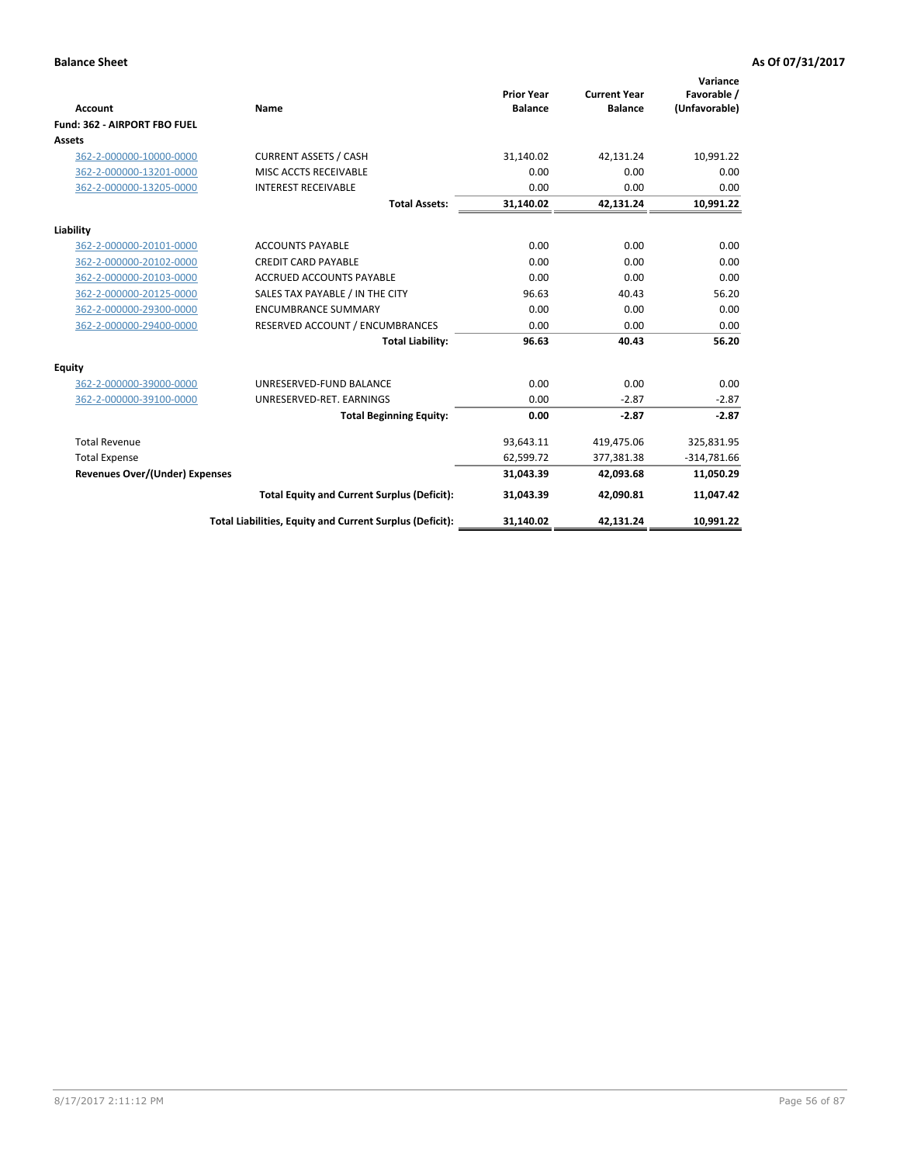|                                       |                                                          |                                     |                                       | Variance                     |
|---------------------------------------|----------------------------------------------------------|-------------------------------------|---------------------------------------|------------------------------|
| <b>Account</b>                        | <b>Name</b>                                              | <b>Prior Year</b><br><b>Balance</b> | <b>Current Year</b><br><b>Balance</b> | Favorable /<br>(Unfavorable) |
| Fund: 362 - AIRPORT FBO FUEL          |                                                          |                                     |                                       |                              |
| Assets                                |                                                          |                                     |                                       |                              |
| 362-2-000000-10000-0000               | <b>CURRENT ASSETS / CASH</b>                             | 31,140.02                           | 42,131.24                             | 10,991.22                    |
| 362-2-000000-13201-0000               | <b>MISC ACCTS RECEIVABLE</b>                             | 0.00                                | 0.00                                  | 0.00                         |
| 362-2-000000-13205-0000               | <b>INTEREST RECEIVABLE</b>                               | 0.00                                | 0.00                                  | 0.00                         |
|                                       | <b>Total Assets:</b>                                     | 31,140.02                           | 42,131.24                             | 10,991.22                    |
| Liability                             |                                                          |                                     |                                       |                              |
| 362-2-000000-20101-0000               | <b>ACCOUNTS PAYABLE</b>                                  | 0.00                                | 0.00                                  | 0.00                         |
| 362-2-000000-20102-0000               | <b>CREDIT CARD PAYABLE</b>                               | 0.00                                | 0.00                                  | 0.00                         |
| 362-2-000000-20103-0000               | <b>ACCRUED ACCOUNTS PAYABLE</b>                          | 0.00                                | 0.00                                  | 0.00                         |
| 362-2-000000-20125-0000               | SALES TAX PAYABLE / IN THE CITY                          | 96.63                               | 40.43                                 | 56.20                        |
| 362-2-000000-29300-0000               | <b>ENCUMBRANCE SUMMARY</b>                               | 0.00                                | 0.00                                  | 0.00                         |
| 362-2-000000-29400-0000               | RESERVED ACCOUNT / ENCUMBRANCES                          | 0.00                                | 0.00                                  | 0.00                         |
|                                       | <b>Total Liability:</b>                                  | 96.63                               | 40.43                                 | 56.20                        |
| Equity                                |                                                          |                                     |                                       |                              |
| 362-2-000000-39000-0000               | UNRESERVED-FUND BALANCE                                  | 0.00                                | 0.00                                  | 0.00                         |
| 362-2-000000-39100-0000               | UNRESERVED-RET. EARNINGS                                 | 0.00                                | $-2.87$                               | $-2.87$                      |
|                                       | <b>Total Beginning Equity:</b>                           | 0.00                                | $-2.87$                               | $-2.87$                      |
| <b>Total Revenue</b>                  |                                                          | 93,643.11                           | 419,475.06                            | 325,831.95                   |
| <b>Total Expense</b>                  |                                                          | 62,599.72                           | 377,381.38                            | $-314,781.66$                |
| <b>Revenues Over/(Under) Expenses</b> |                                                          | 31.043.39                           | 42,093.68                             | 11,050.29                    |
|                                       | <b>Total Equity and Current Surplus (Deficit):</b>       | 31,043.39                           | 42,090.81                             | 11,047.42                    |
|                                       | Total Liabilities, Equity and Current Surplus (Deficit): | 31,140.02                           | 42,131.24                             | 10,991.22                    |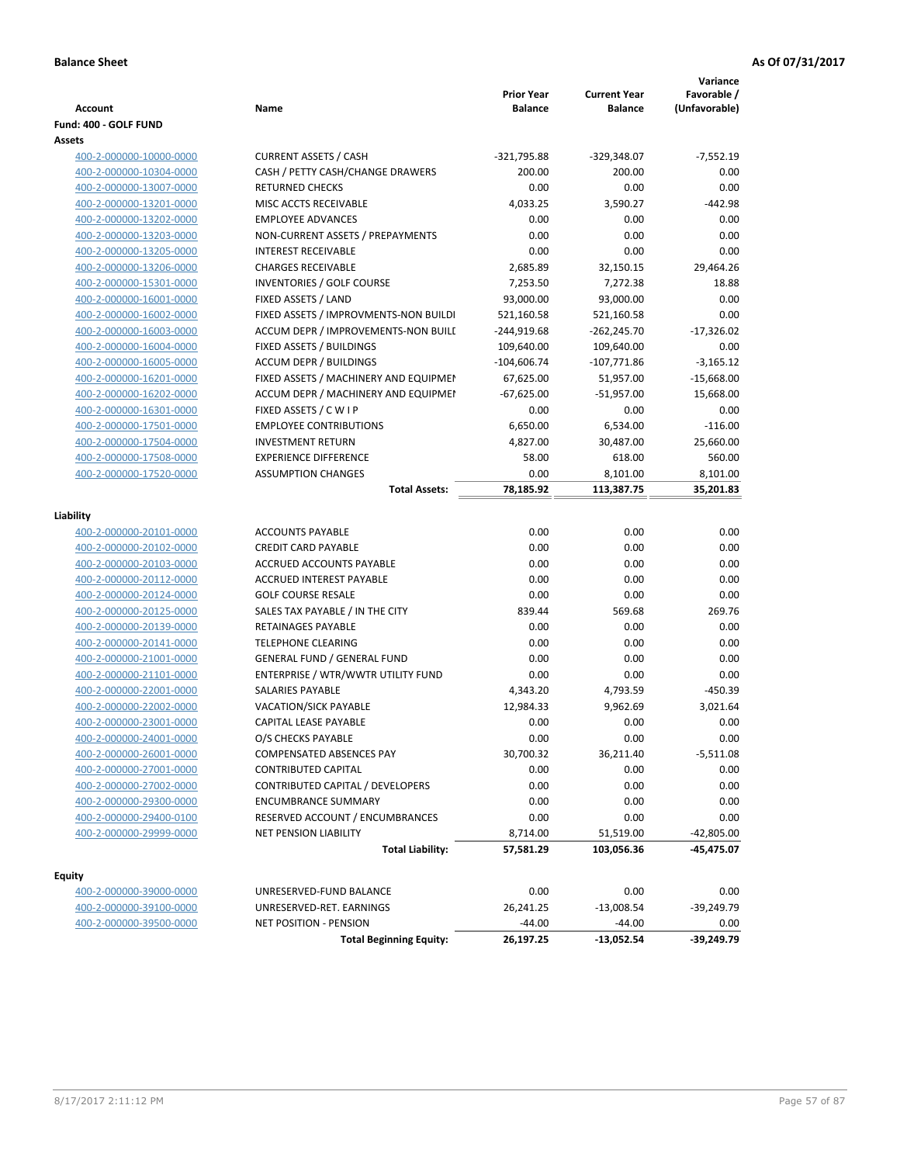| <b>Account</b>          | Name                                  | <b>Prior Year</b><br><b>Balance</b> | <b>Current Year</b><br><b>Balance</b> | Variance<br>Favorable /<br>(Unfavorable) |
|-------------------------|---------------------------------------|-------------------------------------|---------------------------------------|------------------------------------------|
| Fund: 400 - GOLF FUND   |                                       |                                     |                                       |                                          |
| Assets                  |                                       |                                     |                                       |                                          |
| 400-2-000000-10000-0000 | <b>CURRENT ASSETS / CASH</b>          | $-321,795.88$                       | $-329,348.07$                         | $-7,552.19$                              |
| 400-2-000000-10304-0000 | CASH / PETTY CASH/CHANGE DRAWERS      | 200.00                              | 200.00                                | 0.00                                     |
| 400-2-000000-13007-0000 | <b>RETURNED CHECKS</b>                | 0.00                                | 0.00                                  | 0.00                                     |
| 400-2-000000-13201-0000 | MISC ACCTS RECEIVABLE                 | 4,033.25                            | 3,590.27                              | $-442.98$                                |
| 400-2-000000-13202-0000 | <b>EMPLOYEE ADVANCES</b>              | 0.00                                | 0.00                                  | 0.00                                     |
| 400-2-000000-13203-0000 | NON-CURRENT ASSETS / PREPAYMENTS      | 0.00                                | 0.00                                  | 0.00                                     |
| 400-2-000000-13205-0000 | <b>INTEREST RECEIVABLE</b>            | 0.00                                | 0.00                                  | 0.00                                     |
| 400-2-000000-13206-0000 | <b>CHARGES RECEIVABLE</b>             | 2,685.89                            | 32,150.15                             | 29,464.26                                |
| 400-2-000000-15301-0000 | <b>INVENTORIES / GOLF COURSE</b>      | 7,253.50                            | 7,272.38                              | 18.88                                    |
| 400-2-000000-16001-0000 | FIXED ASSETS / LAND                   | 93,000.00                           | 93,000.00                             | 0.00                                     |
| 400-2-000000-16002-0000 | FIXED ASSETS / IMPROVMENTS-NON BUILDI | 521,160.58                          | 521,160.58                            | 0.00                                     |
| 400-2-000000-16003-0000 | ACCUM DEPR / IMPROVEMENTS-NON BUILI   | $-244,919.68$                       | $-262,245.70$                         | $-17,326.02$                             |
| 400-2-000000-16004-0000 | FIXED ASSETS / BUILDINGS              | 109,640.00                          | 109,640.00                            | 0.00                                     |
| 400-2-000000-16005-0000 | <b>ACCUM DEPR / BUILDINGS</b>         | $-104,606.74$                       | $-107,771.86$                         | $-3,165.12$                              |
| 400-2-000000-16201-0000 | FIXED ASSETS / MACHINERY AND EQUIPMEN | 67,625.00                           | 51,957.00                             | $-15,668.00$                             |
| 400-2-000000-16202-0000 | ACCUM DEPR / MACHINERY AND EQUIPMEI   | $-67,625.00$                        | $-51,957.00$                          | 15,668.00                                |
| 400-2-000000-16301-0000 | FIXED ASSETS / C W I P                | 0.00                                | 0.00                                  | 0.00                                     |
| 400-2-000000-17501-0000 | <b>EMPLOYEE CONTRIBUTIONS</b>         | 6,650.00                            | 6,534.00                              | $-116.00$                                |
| 400-2-000000-17504-0000 | <b>INVESTMENT RETURN</b>              | 4,827.00                            | 30,487.00                             | 25,660.00                                |
| 400-2-000000-17508-0000 | <b>EXPERIENCE DIFFERENCE</b>          | 58.00                               | 618.00                                | 560.00                                   |
| 400-2-000000-17520-0000 | <b>ASSUMPTION CHANGES</b>             | 0.00                                | 8,101.00                              | 8,101.00                                 |
|                         | <b>Total Assets:</b>                  | 78,185.92                           | 113,387.75                            | 35,201.83                                |
|                         |                                       |                                     |                                       |                                          |
| Liability               |                                       |                                     |                                       |                                          |
| 400-2-000000-20101-0000 | <b>ACCOUNTS PAYABLE</b>               | 0.00                                | 0.00                                  | 0.00                                     |
| 400-2-000000-20102-0000 | <b>CREDIT CARD PAYABLE</b>            | 0.00                                | 0.00                                  | 0.00                                     |
| 400-2-000000-20103-0000 | ACCRUED ACCOUNTS PAYABLE              | 0.00                                | 0.00                                  | 0.00                                     |
| 400-2-000000-20112-0000 | ACCRUED INTEREST PAYABLE              | 0.00                                | 0.00                                  | 0.00                                     |
| 400-2-000000-20124-0000 | <b>GOLF COURSE RESALE</b>             | 0.00                                | 0.00                                  | 0.00                                     |
| 400-2-000000-20125-0000 | SALES TAX PAYABLE / IN THE CITY       | 839.44                              | 569.68                                | 269.76                                   |
| 400-2-000000-20139-0000 | <b>RETAINAGES PAYABLE</b>             | 0.00                                | 0.00                                  | 0.00                                     |
| 400-2-000000-20141-0000 | <b>TELEPHONE CLEARING</b>             | 0.00                                | 0.00                                  | 0.00                                     |
| 400-2-000000-21001-0000 | <b>GENERAL FUND / GENERAL FUND</b>    | 0.00                                | 0.00                                  | 0.00                                     |
| 400-2-000000-21101-0000 | ENTERPRISE / WTR/WWTR UTILITY FUND    | 0.00                                | 0.00                                  | 0.00                                     |
| 400-2-000000-22001-0000 | <b>SALARIES PAYABLE</b>               | 4,343.20                            | 4,793.59                              | $-450.39$                                |
| 400-2-000000-22002-0000 | <b>VACATION/SICK PAYABLE</b>          | 12,984.33                           | 9,962.69                              | 3,021.64                                 |
| 400-2-000000-23001-0000 | CAPITAL LEASE PAYABLE                 | 0.00                                | 0.00                                  | 0.00                                     |
| 400-2-000000-24001-0000 | O/S CHECKS PAYABLE                    | 0.00                                | 0.00                                  | 0.00                                     |
| 400-2-000000-26001-0000 | COMPENSATED ABSENCES PAY              | 30,700.32                           | 36,211.40                             | -5,511.08                                |
| 400-2-000000-27001-0000 | <b>CONTRIBUTED CAPITAL</b>            | 0.00                                | 0.00                                  | 0.00                                     |
| 400-2-000000-27002-0000 | CONTRIBUTED CAPITAL / DEVELOPERS      | 0.00                                | 0.00                                  | 0.00                                     |
| 400-2-000000-29300-0000 | <b>ENCUMBRANCE SUMMARY</b>            | 0.00                                | 0.00                                  | 0.00                                     |
| 400-2-000000-29400-0100 | RESERVED ACCOUNT / ENCUMBRANCES       | 0.00                                | 0.00                                  | 0.00                                     |
| 400-2-000000-29999-0000 | <b>NET PENSION LIABILITY</b>          | 8,714.00                            | 51,519.00                             | $-42,805.00$                             |
|                         | <b>Total Liability:</b>               | 57,581.29                           | 103,056.36                            | -45,475.07                               |
|                         |                                       |                                     |                                       |                                          |
| <b>Equity</b>           |                                       |                                     |                                       |                                          |
| 400-2-000000-39000-0000 | UNRESERVED-FUND BALANCE               | 0.00                                | 0.00                                  | 0.00                                     |
| 400-2-000000-39100-0000 | UNRESERVED-RET. EARNINGS              | 26,241.25                           | $-13,008.54$                          | -39,249.79                               |
| 400-2-000000-39500-0000 | NET POSITION - PENSION                | $-44.00$                            | $-44.00$                              | 0.00                                     |

**Total Beginning Equity: 26,197.25 -13,052.54 -39,249.79**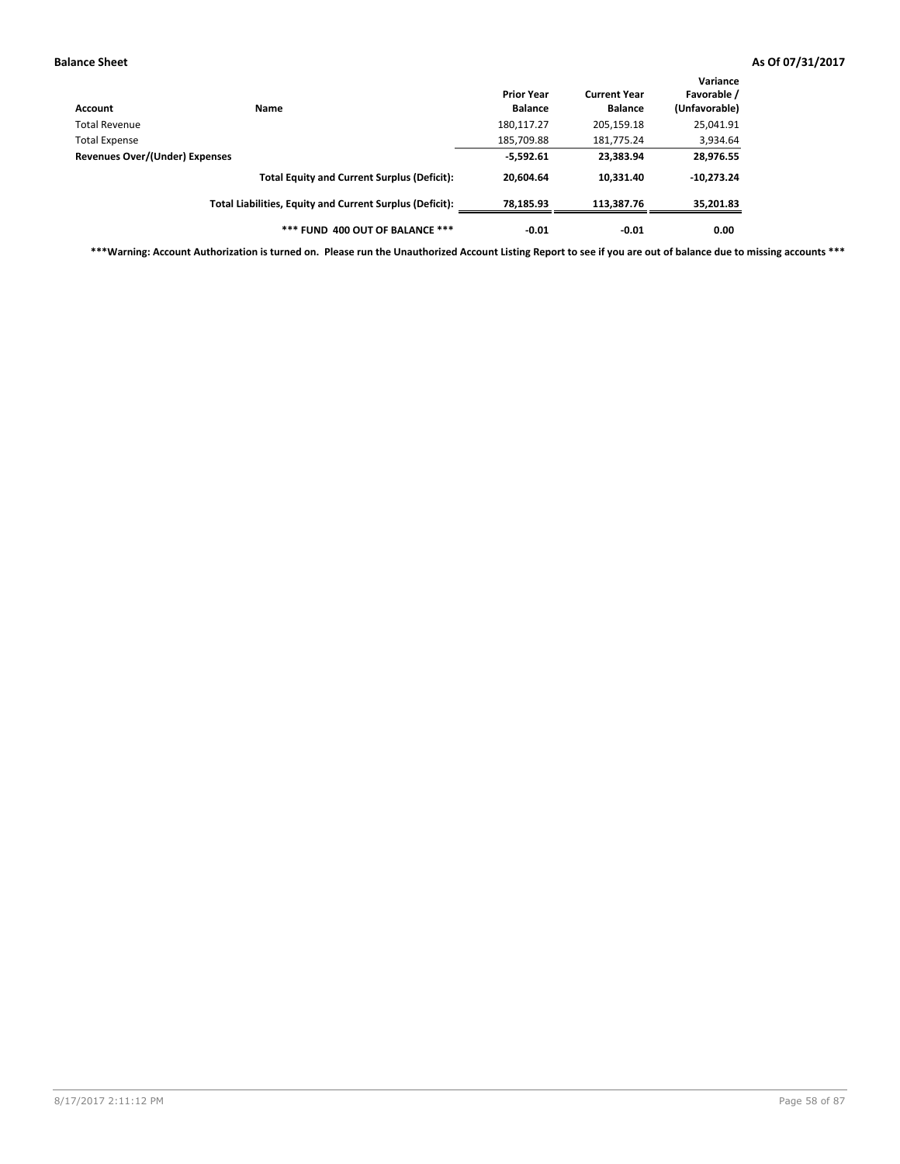| Account                        | Name                                                     | <b>Prior Year</b><br><b>Balance</b> | <b>Current Year</b><br><b>Balance</b> | Variance<br>Favorable /<br>(Unfavorable) |
|--------------------------------|----------------------------------------------------------|-------------------------------------|---------------------------------------|------------------------------------------|
| Total Revenue                  |                                                          | 180,117.27                          | 205,159.18                            | 25,041.91                                |
| <b>Total Expense</b>           |                                                          | 185,709.88                          | 181,775.24                            | 3,934.64                                 |
| Revenues Over/(Under) Expenses | $-5,592.61$                                              | 23,383.94                           | 28,976.55                             |                                          |
|                                | <b>Total Equity and Current Surplus (Deficit):</b>       | 20.604.64                           | 10.331.40                             | $-10,273.24$                             |
|                                | Total Liabilities, Equity and Current Surplus (Deficit): | 78,185.93                           | 113.387.76                            | 35,201.83                                |
|                                | *** FUND 400 OUT OF BALANCE ***                          | $-0.01$                             | $-0.01$                               | 0.00                                     |

**\*\*\*Warning: Account Authorization is turned on. Please run the Unauthorized Account Listing Report to see if you are out of balance due to missing accounts \*\*\***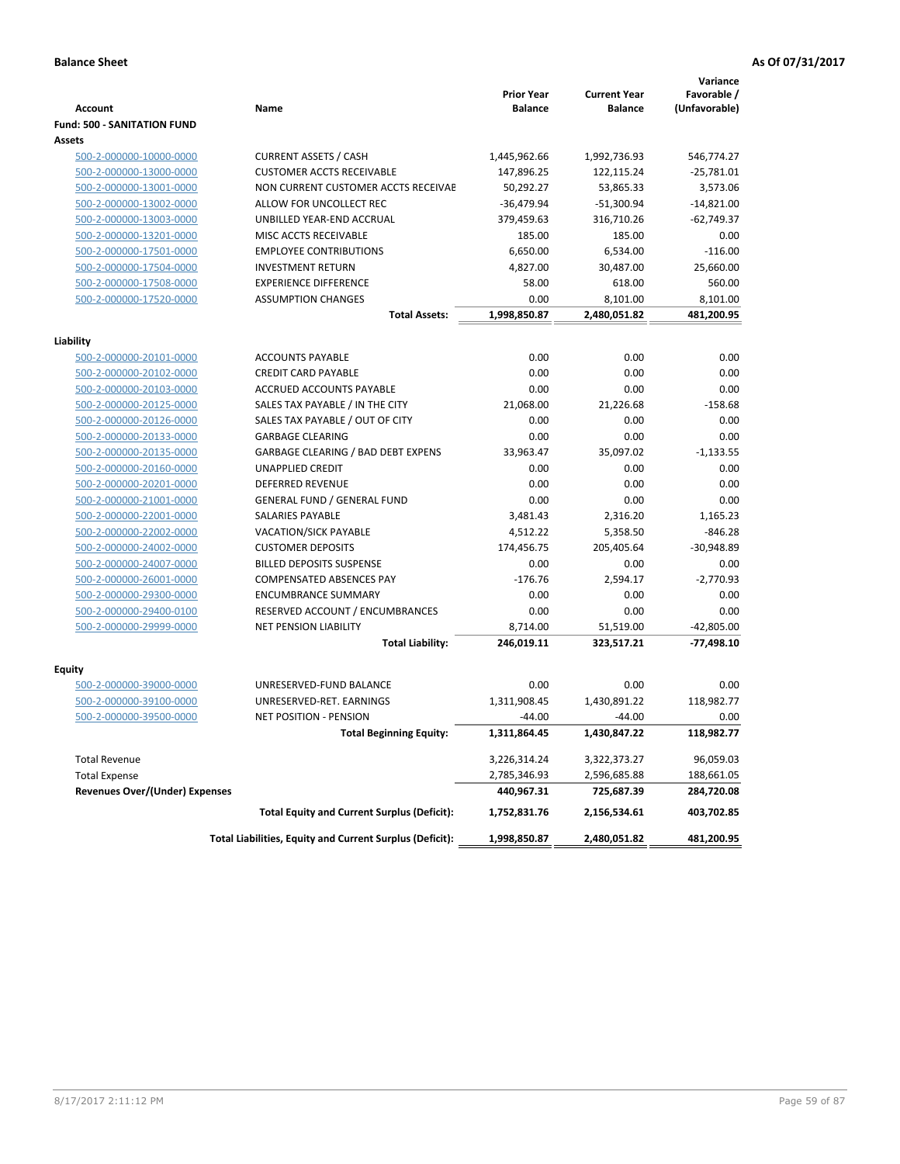|                                                    |                                                          | <b>Prior Year</b> | <b>Current Year</b> | Variance<br>Favorable / |
|----------------------------------------------------|----------------------------------------------------------|-------------------|---------------------|-------------------------|
| <b>Account</b>                                     | Name                                                     | <b>Balance</b>    | <b>Balance</b>      | (Unfavorable)           |
| <b>Fund: 500 - SANITATION FUND</b>                 |                                                          |                   |                     |                         |
| <b>Assets</b>                                      |                                                          |                   |                     |                         |
| 500-2-000000-10000-0000                            | <b>CURRENT ASSETS / CASH</b>                             | 1,445,962.66      | 1,992,736.93        | 546,774.27              |
| 500-2-000000-13000-0000                            | <b>CUSTOMER ACCTS RECEIVABLE</b>                         | 147,896.25        | 122,115.24          | $-25,781.01$            |
| 500-2-000000-13001-0000                            | NON CURRENT CUSTOMER ACCTS RECEIVAE                      | 50,292.27         | 53,865.33           | 3,573.06                |
| 500-2-000000-13002-0000                            | ALLOW FOR UNCOLLECT REC                                  | $-36,479.94$      | $-51,300.94$        | $-14,821.00$            |
| 500-2-000000-13003-0000                            | UNBILLED YEAR-END ACCRUAL                                | 379,459.63        | 316,710.26          | $-62,749.37$            |
| 500-2-000000-13201-0000                            | MISC ACCTS RECEIVABLE                                    | 185.00            | 185.00              | 0.00                    |
| 500-2-000000-17501-0000                            | <b>EMPLOYEE CONTRIBUTIONS</b>                            | 6,650.00          | 6,534.00            | $-116.00$               |
| 500-2-000000-17504-0000                            | <b>INVESTMENT RETURN</b>                                 | 4,827.00          | 30,487.00           | 25,660.00               |
| 500-2-000000-17508-0000                            | <b>EXPERIENCE DIFFERENCE</b>                             | 58.00             | 618.00              | 560.00                  |
| 500-2-000000-17520-0000                            | <b>ASSUMPTION CHANGES</b>                                | 0.00              | 8,101.00            | 8,101.00                |
|                                                    | <b>Total Assets:</b>                                     | 1,998,850.87      | 2,480,051.82        | 481,200.95              |
| Liability                                          |                                                          |                   |                     |                         |
| 500-2-000000-20101-0000                            | <b>ACCOUNTS PAYABLE</b>                                  | 0.00              | 0.00                | 0.00                    |
| 500-2-000000-20102-0000                            | <b>CREDIT CARD PAYABLE</b>                               | 0.00              | 0.00                | 0.00                    |
| 500-2-000000-20103-0000                            | ACCRUED ACCOUNTS PAYABLE                                 | 0.00              | 0.00                | 0.00                    |
| 500-2-000000-20125-0000                            | SALES TAX PAYABLE / IN THE CITY                          | 21,068.00         | 21,226.68           | $-158.68$               |
| 500-2-000000-20126-0000                            | SALES TAX PAYABLE / OUT OF CITY                          | 0.00              | 0.00                | 0.00                    |
| 500-2-000000-20133-0000                            | <b>GARBAGE CLEARING</b>                                  | 0.00              | 0.00                | 0.00                    |
| 500-2-000000-20135-0000                            | GARBAGE CLEARING / BAD DEBT EXPENS                       | 33,963.47         | 35,097.02           | $-1,133.55$             |
| 500-2-000000-20160-0000                            | UNAPPLIED CREDIT                                         | 0.00              | 0.00                | 0.00                    |
| 500-2-000000-20201-0000                            | <b>DEFERRED REVENUE</b>                                  | 0.00              | 0.00                | 0.00                    |
| 500-2-000000-21001-0000                            | <b>GENERAL FUND / GENERAL FUND</b>                       | 0.00              | 0.00                | 0.00                    |
| 500-2-000000-22001-0000                            | <b>SALARIES PAYABLE</b>                                  | 3,481.43          | 2,316.20            | 1,165.23                |
| 500-2-000000-22002-0000                            | VACATION/SICK PAYABLE                                    | 4,512.22          | 5,358.50            | $-846.28$               |
| 500-2-000000-24002-0000                            | <b>CUSTOMER DEPOSITS</b>                                 | 174,456.75        | 205,405.64          | $-30,948.89$            |
| 500-2-000000-24007-0000                            | <b>BILLED DEPOSITS SUSPENSE</b>                          | 0.00              | 0.00                | 0.00                    |
| 500-2-000000-26001-0000                            | COMPENSATED ABSENCES PAY                                 | $-176.76$         | 2,594.17            | $-2,770.93$             |
| 500-2-000000-29300-0000                            | <b>ENCUMBRANCE SUMMARY</b>                               | 0.00              | 0.00                | 0.00                    |
| 500-2-000000-29400-0100                            | RESERVED ACCOUNT / ENCUMBRANCES                          | 0.00              | 0.00                | 0.00                    |
| 500-2-000000-29999-0000                            | <b>NET PENSION LIABILITY</b>                             | 8,714.00          | 51,519.00           | $-42,805.00$            |
|                                                    | <b>Total Liability:</b>                                  | 246,019.11        | 323,517.21          | $-77,498.10$            |
|                                                    |                                                          |                   |                     |                         |
| <b>Equity</b>                                      | UNRESERVED-FUND BALANCE                                  | 0.00              | 0.00                | 0.00                    |
| 500-2-000000-39000-0000                            | UNRESERVED-RET. EARNINGS                                 | 1,311,908.45      | 1.430.891.22        |                         |
| 500-2-000000-39100-0000<br>500-2-000000-39500-0000 | <b>NET POSITION - PENSION</b>                            | $-44.00$          | $-44.00$            | 118,982.77<br>0.00      |
|                                                    |                                                          |                   |                     |                         |
|                                                    | Total Beginning Equity:                                  | 1,311,864.45      | 1,430,847.22        | 118,982.77              |
| <b>Total Revenue</b>                               |                                                          | 3,226,314.24      | 3,322,373.27        | 96,059.03               |
| <b>Total Expense</b>                               |                                                          | 2,785,346.93      | 2,596,685.88        | 188,661.05              |
| <b>Revenues Over/(Under) Expenses</b>              |                                                          | 440,967.31        | 725,687.39          | 284,720.08              |
|                                                    | <b>Total Equity and Current Surplus (Deficit):</b>       | 1,752,831.76      | 2,156,534.61        | 403,702.85              |
|                                                    | Total Liabilities, Equity and Current Surplus (Deficit): | 1,998,850.87      | 2,480,051.82        | 481,200.95              |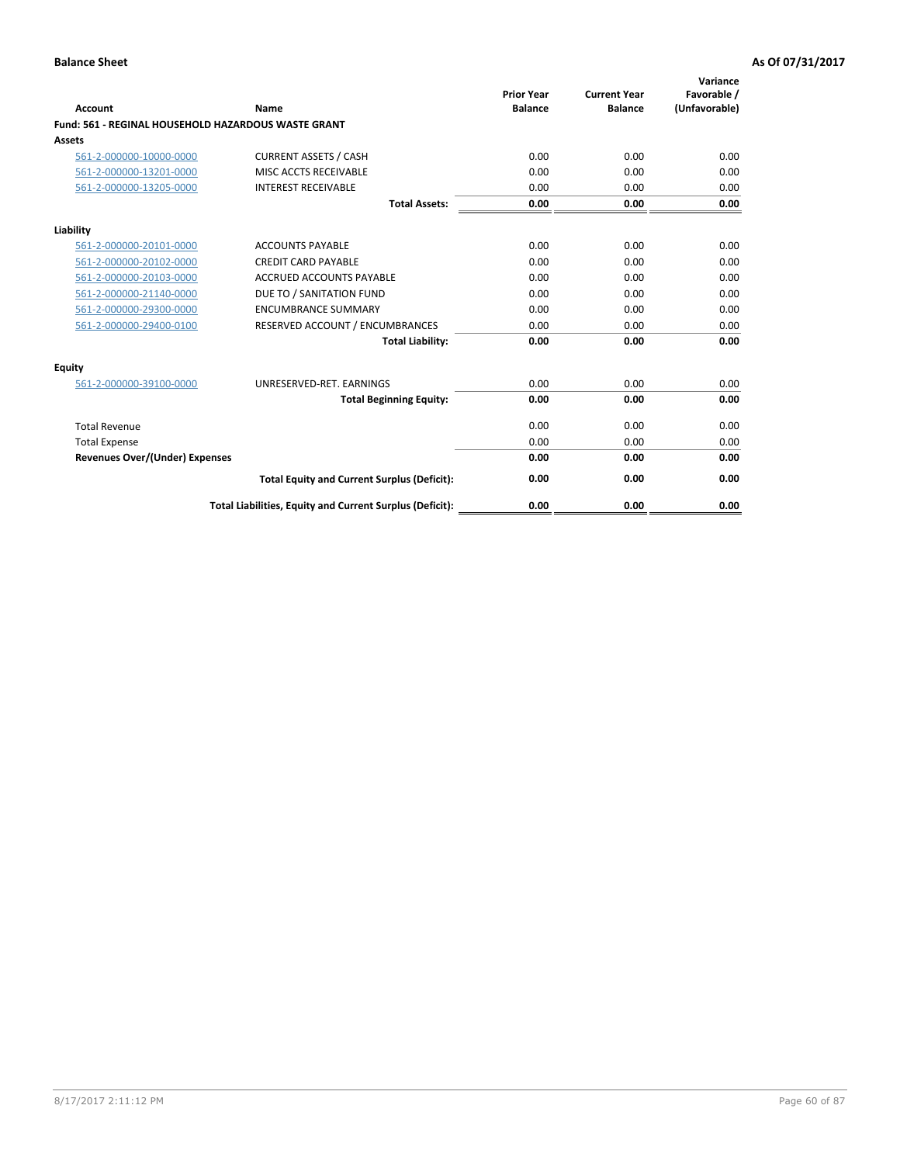| Account                               | Name                                                       | <b>Prior Year</b><br><b>Balance</b> | <b>Current Year</b><br><b>Balance</b> | Variance<br>Favorable /<br>(Unfavorable) |
|---------------------------------------|------------------------------------------------------------|-------------------------------------|---------------------------------------|------------------------------------------|
|                                       | <b>Fund: 561 - REGINAL HOUSEHOLD HAZARDOUS WASTE GRANT</b> |                                     |                                       |                                          |
| Assets                                |                                                            |                                     |                                       |                                          |
| 561-2-000000-10000-0000               | <b>CURRENT ASSETS / CASH</b>                               | 0.00                                | 0.00                                  | 0.00                                     |
| 561-2-000000-13201-0000               | MISC ACCTS RECEIVABLE                                      | 0.00                                | 0.00                                  | 0.00                                     |
| 561-2-000000-13205-0000               | <b>INTEREST RECEIVABLE</b>                                 | 0.00                                | 0.00                                  | 0.00                                     |
|                                       | <b>Total Assets:</b>                                       | 0.00                                | 0.00                                  | 0.00                                     |
| Liability                             |                                                            |                                     |                                       |                                          |
| 561-2-000000-20101-0000               | <b>ACCOUNTS PAYABLE</b>                                    | 0.00                                | 0.00                                  | 0.00                                     |
| 561-2-000000-20102-0000               | <b>CREDIT CARD PAYABLE</b>                                 | 0.00                                | 0.00                                  | 0.00                                     |
| 561-2-000000-20103-0000               | <b>ACCRUED ACCOUNTS PAYABLE</b>                            | 0.00                                | 0.00                                  | 0.00                                     |
| 561-2-000000-21140-0000               | DUE TO / SANITATION FUND                                   | 0.00                                | 0.00                                  | 0.00                                     |
| 561-2-000000-29300-0000               | <b>ENCUMBRANCE SUMMARY</b>                                 | 0.00                                | 0.00                                  | 0.00                                     |
| 561-2-000000-29400-0100               | RESERVED ACCOUNT / ENCUMBRANCES                            | 0.00                                | 0.00                                  | 0.00                                     |
|                                       | <b>Total Liability:</b>                                    | 0.00                                | 0.00                                  | 0.00                                     |
| <b>Equity</b>                         |                                                            |                                     |                                       |                                          |
| 561-2-000000-39100-0000               | UNRESERVED-RET. EARNINGS                                   | 0.00                                | 0.00                                  | 0.00                                     |
|                                       | <b>Total Beginning Equity:</b>                             | 0.00                                | 0.00                                  | 0.00                                     |
| <b>Total Revenue</b>                  |                                                            | 0.00                                | 0.00                                  | 0.00                                     |
| <b>Total Expense</b>                  |                                                            | 0.00                                | 0.00                                  | 0.00                                     |
| <b>Revenues Over/(Under) Expenses</b> |                                                            | 0.00                                | 0.00                                  | 0.00                                     |
|                                       | <b>Total Equity and Current Surplus (Deficit):</b>         | 0.00                                | 0.00                                  | 0.00                                     |
|                                       | Total Liabilities, Equity and Current Surplus (Deficit):   | 0.00                                | 0.00                                  | 0.00                                     |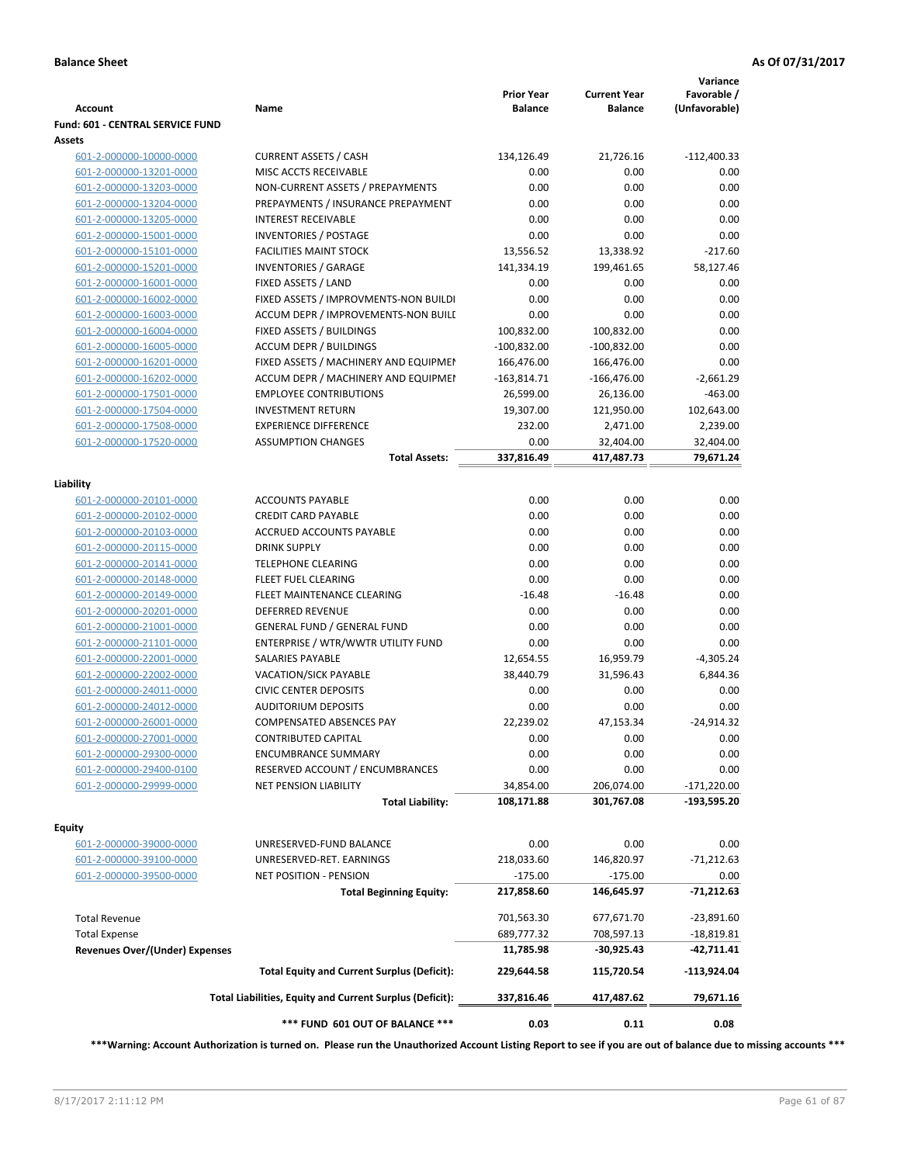| <b>Account</b>                        | Name                                                     | <b>Prior Year</b><br><b>Balance</b> | <b>Current Year</b><br><b>Balance</b> | Variance<br>Favorable /<br>(Unfavorable) |
|---------------------------------------|----------------------------------------------------------|-------------------------------------|---------------------------------------|------------------------------------------|
| Fund: 601 - CENTRAL SERVICE FUND      |                                                          |                                     |                                       |                                          |
| Assets                                |                                                          |                                     |                                       |                                          |
| 601-2-000000-10000-0000               | <b>CURRENT ASSETS / CASH</b>                             | 134,126.49                          | 21,726.16                             | $-112,400.33$                            |
| 601-2-000000-13201-0000               | MISC ACCTS RECEIVABLE                                    | 0.00                                | 0.00                                  | 0.00                                     |
| 601-2-000000-13203-0000               | NON-CURRENT ASSETS / PREPAYMENTS                         | 0.00                                | 0.00                                  | 0.00                                     |
| 601-2-000000-13204-0000               | PREPAYMENTS / INSURANCE PREPAYMENT                       | 0.00                                | 0.00                                  | 0.00                                     |
| 601-2-000000-13205-0000               | <b>INTEREST RECEIVABLE</b>                               | 0.00                                | 0.00                                  | 0.00                                     |
| 601-2-000000-15001-0000               | <b>INVENTORIES / POSTAGE</b>                             | 0.00                                | 0.00                                  | 0.00                                     |
| 601-2-000000-15101-0000               | <b>FACILITIES MAINT STOCK</b>                            | 13,556.52                           | 13,338.92                             | $-217.60$                                |
| 601-2-000000-15201-0000               | <b>INVENTORIES / GARAGE</b>                              | 141,334.19                          | 199,461.65                            | 58,127.46                                |
| 601-2-000000-16001-0000               | FIXED ASSETS / LAND                                      | 0.00                                | 0.00                                  | 0.00                                     |
| 601-2-000000-16002-0000               | FIXED ASSETS / IMPROVMENTS-NON BUILDI                    | 0.00                                | 0.00                                  | 0.00                                     |
| 601-2-000000-16003-0000               | ACCUM DEPR / IMPROVEMENTS-NON BUILI                      | 0.00                                | 0.00                                  | 0.00                                     |
| 601-2-000000-16004-0000               | FIXED ASSETS / BUILDINGS                                 | 100,832.00                          | 100,832.00                            | 0.00                                     |
| 601-2-000000-16005-0000               | <b>ACCUM DEPR / BUILDINGS</b>                            | $-100,832.00$                       | $-100,832.00$                         | 0.00                                     |
| 601-2-000000-16201-0000               | FIXED ASSETS / MACHINERY AND EQUIPMEN                    | 166,476.00                          | 166,476.00                            | 0.00                                     |
| 601-2-000000-16202-0000               | ACCUM DEPR / MACHINERY AND EQUIPMEI                      | $-163,814.71$                       | $-166,476.00$                         | $-2,661.29$                              |
| 601-2-000000-17501-0000               | <b>EMPLOYEE CONTRIBUTIONS</b>                            | 26,599.00                           | 26,136.00                             | $-463.00$                                |
| 601-2-000000-17504-0000               | <b>INVESTMENT RETURN</b>                                 | 19,307.00                           | 121,950.00                            | 102,643.00                               |
| 601-2-000000-17508-0000               | <b>EXPERIENCE DIFFERENCE</b>                             | 232.00                              | 2,471.00                              | 2,239.00                                 |
| 601-2-000000-17520-0000               | <b>ASSUMPTION CHANGES</b>                                | 0.00                                | 32,404.00                             | 32,404.00                                |
|                                       | <b>Total Assets:</b>                                     | 337,816.49                          | 417,487.73                            | 79,671.24                                |
| Liability                             |                                                          |                                     |                                       |                                          |
| 601-2-000000-20101-0000               | <b>ACCOUNTS PAYABLE</b>                                  | 0.00                                | 0.00                                  | 0.00                                     |
| 601-2-000000-20102-0000               | <b>CREDIT CARD PAYABLE</b>                               | 0.00                                | 0.00                                  | 0.00                                     |
| 601-2-000000-20103-0000               | ACCRUED ACCOUNTS PAYABLE                                 | 0.00                                | 0.00                                  | 0.00                                     |
| 601-2-000000-20115-0000               | <b>DRINK SUPPLY</b>                                      | 0.00                                | 0.00                                  | 0.00                                     |
| 601-2-000000-20141-0000               | TELEPHONE CLEARING                                       | 0.00                                | 0.00                                  | 0.00                                     |
| 601-2-000000-20148-0000               | FLEET FUEL CLEARING                                      | 0.00                                | 0.00                                  | 0.00                                     |
| 601-2-000000-20149-0000               | FLEET MAINTENANCE CLEARING                               | $-16.48$                            | $-16.48$                              | 0.00                                     |
| 601-2-000000-20201-0000               | <b>DEFERRED REVENUE</b>                                  | 0.00                                | 0.00                                  | 0.00                                     |
| 601-2-000000-21001-0000               | <b>GENERAL FUND / GENERAL FUND</b>                       | 0.00                                | 0.00                                  | 0.00                                     |
| 601-2-000000-21101-0000               | ENTERPRISE / WTR/WWTR UTILITY FUND                       | 0.00                                | 0.00                                  | 0.00                                     |
| 601-2-000000-22001-0000               | SALARIES PAYABLE                                         | 12,654.55                           | 16,959.79                             | $-4,305.24$                              |
| 601-2-000000-22002-0000               | VACATION/SICK PAYABLE                                    | 38,440.79                           | 31,596.43                             | 6,844.36                                 |
| 601-2-000000-24011-0000               | <b>CIVIC CENTER DEPOSITS</b>                             | 0.00                                | 0.00                                  | 0.00                                     |
| 601-2-000000-24012-0000               | <b>AUDITORIUM DEPOSITS</b>                               | 0.00                                | 0.00                                  | 0.00                                     |
| 601-2-000000-26001-0000               | <b>COMPENSATED ABSENCES PAY</b>                          | 22,239.02                           | 47,153.34                             | $-24,914.32$                             |
| 601-2-000000-27001-0000               | CONTRIBUTED CAPITAL                                      | 0.00                                | 0.00                                  | 0.00                                     |
| 601-2-000000-29300-0000               | <b>ENCUMBRANCE SUMMARY</b>                               | 0.00                                | 0.00                                  | 0.00                                     |
| 601-2-000000-29400-0100               | RESERVED ACCOUNT / ENCUMBRANCES                          | 0.00                                | 0.00                                  | 0.00                                     |
| 601-2-000000-29999-0000               | <b>NET PENSION LIABILITY</b>                             | 34,854.00                           | 206,074.00                            | $-171,220.00$                            |
|                                       | <b>Total Liability:</b>                                  | 108,171.88                          | 301,767.08                            | -193,595.20                              |
|                                       |                                                          |                                     |                                       |                                          |
| Equity<br>601-2-000000-39000-0000     | UNRESERVED-FUND BALANCE                                  | 0.00                                | 0.00                                  | 0.00                                     |
| 601-2-000000-39100-0000               | UNRESERVED-RET. EARNINGS                                 | 218,033.60                          | 146,820.97                            | $-71,212.63$                             |
| 601-2-000000-39500-0000               | <b>NET POSITION - PENSION</b>                            | $-175.00$                           | $-175.00$                             | 0.00                                     |
|                                       | <b>Total Beginning Equity:</b>                           | 217,858.60                          | 146,645.97                            | -71,212.63                               |
|                                       |                                                          |                                     |                                       |                                          |
| <b>Total Revenue</b>                  |                                                          | 701,563.30                          | 677,671.70                            | $-23,891.60$                             |
| <b>Total Expense</b>                  |                                                          | 689,777.32                          | 708,597.13                            | $-18,819.81$                             |
| <b>Revenues Over/(Under) Expenses</b> |                                                          | 11,785.98                           | -30,925.43                            | $-42,711.41$                             |
|                                       | <b>Total Equity and Current Surplus (Deficit):</b>       | 229,644.58                          | 115,720.54                            | $-113,924.04$                            |
|                                       | Total Liabilities, Equity and Current Surplus (Deficit): | 337,816.46                          | 417,487.62                            | 79,671.16                                |
|                                       | *** FUND 601 OUT OF BALANCE ***                          | 0.03                                | 0.11                                  | 0.08                                     |

**\*\*\*Warning: Account Authorization is turned on. Please run the Unauthorized Account Listing Report to see if you are out of balance due to missing accounts \*\*\***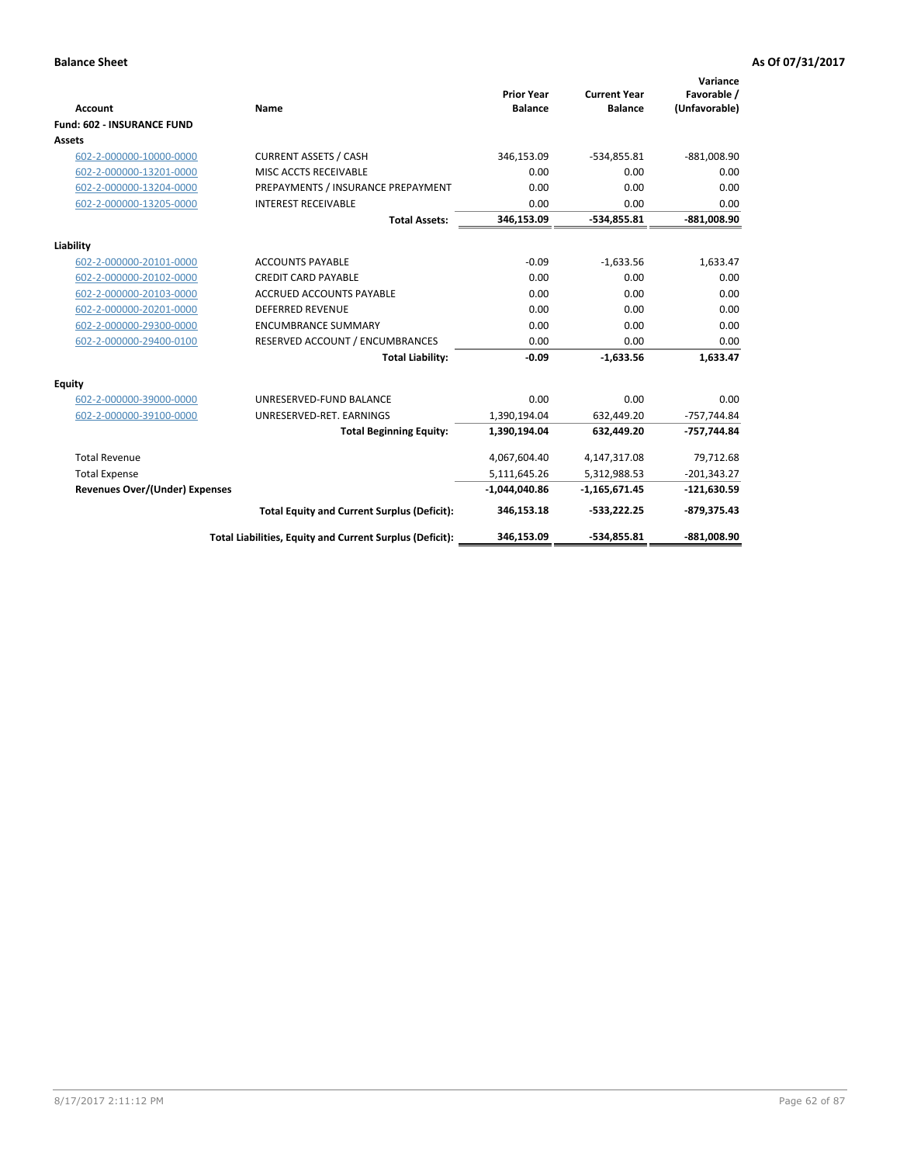| <b>Account</b>                        | Name                                                     | <b>Prior Year</b><br><b>Balance</b> | <b>Current Year</b><br><b>Balance</b> | Variance<br>Favorable /<br>(Unfavorable) |
|---------------------------------------|----------------------------------------------------------|-------------------------------------|---------------------------------------|------------------------------------------|
| <b>Fund: 602 - INSURANCE FUND</b>     |                                                          |                                     |                                       |                                          |
| <b>Assets</b>                         |                                                          |                                     |                                       |                                          |
| 602-2-000000-10000-0000               | <b>CURRENT ASSETS / CASH</b>                             | 346,153.09                          | $-534,855.81$                         | $-881,008.90$                            |
| 602-2-000000-13201-0000               | MISC ACCTS RECEIVABLE                                    | 0.00                                | 0.00                                  | 0.00                                     |
| 602-2-000000-13204-0000               | PREPAYMENTS / INSURANCE PREPAYMENT                       | 0.00                                | 0.00                                  | 0.00                                     |
| 602-2-000000-13205-0000               | <b>INTEREST RECEIVABLE</b>                               | 0.00                                | 0.00                                  | 0.00                                     |
|                                       | <b>Total Assets:</b>                                     | 346,153.09                          | -534,855.81                           | $-881,008.90$                            |
| Liability                             |                                                          |                                     |                                       |                                          |
| 602-2-000000-20101-0000               | <b>ACCOUNTS PAYABLE</b>                                  | $-0.09$                             | $-1,633.56$                           | 1,633.47                                 |
| 602-2-000000-20102-0000               | <b>CREDIT CARD PAYABLE</b>                               | 0.00                                | 0.00                                  | 0.00                                     |
| 602-2-000000-20103-0000               | <b>ACCRUED ACCOUNTS PAYABLE</b>                          | 0.00                                | 0.00                                  | 0.00                                     |
| 602-2-000000-20201-0000               | <b>DEFERRED REVENUE</b>                                  | 0.00                                | 0.00                                  | 0.00                                     |
| 602-2-000000-29300-0000               | <b>ENCUMBRANCE SUMMARY</b>                               | 0.00                                | 0.00                                  | 0.00                                     |
| 602-2-000000-29400-0100               | RESERVED ACCOUNT / ENCUMBRANCES                          | 0.00                                | 0.00                                  | 0.00                                     |
|                                       | <b>Total Liability:</b>                                  | $-0.09$                             | $-1,633.56$                           | 1,633.47                                 |
| <b>Equity</b>                         |                                                          |                                     |                                       |                                          |
| 602-2-000000-39000-0000               | UNRESERVED-FUND BALANCE                                  | 0.00                                | 0.00                                  | 0.00                                     |
| 602-2-000000-39100-0000               | UNRESERVED-RET. EARNINGS                                 | 1,390,194.04                        | 632,449.20                            | $-757,744.84$                            |
|                                       | <b>Total Beginning Equity:</b>                           | 1,390,194.04                        | 632,449.20                            | -757,744.84                              |
| <b>Total Revenue</b>                  |                                                          | 4,067,604.40                        | 4,147,317.08                          | 79,712.68                                |
| <b>Total Expense</b>                  |                                                          | 5,111,645.26                        | 5,312,988.53                          | $-201,343.27$                            |
| <b>Revenues Over/(Under) Expenses</b> |                                                          | $-1,044,040.86$                     | $-1,165,671.45$                       | $-121,630.59$                            |
|                                       | <b>Total Equity and Current Surplus (Deficit):</b>       | 346,153.18                          | $-533,222.25$                         | $-879,375.43$                            |
|                                       | Total Liabilities, Equity and Current Surplus (Deficit): | 346,153.09                          | $-534.855.81$                         | -881.008.90                              |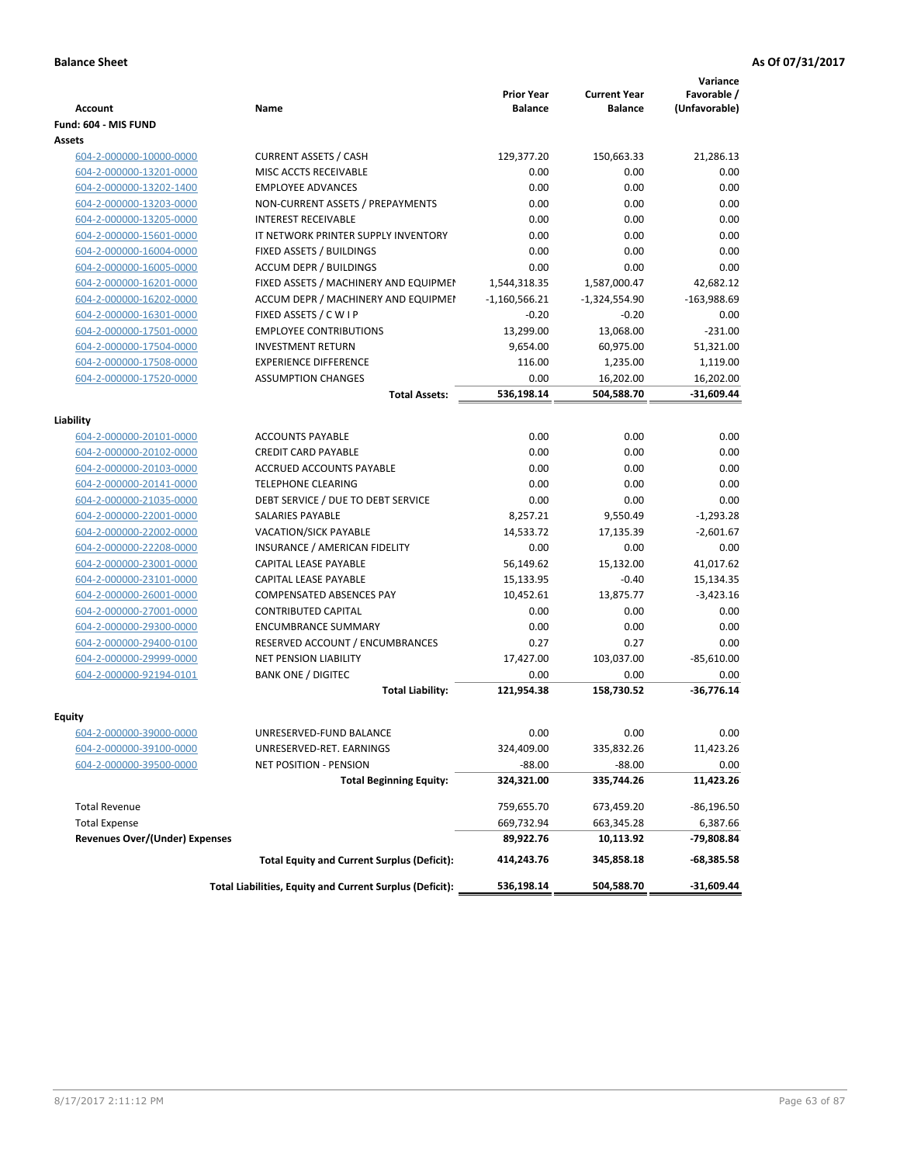| Fund: 604 - MIS FUND<br><b>Assets</b><br>604-2-000000-10000-0000<br><b>CURRENT ASSETS / CASH</b><br>129,377.20<br>150,663.33<br>604-2-000000-13201-0000<br>MISC ACCTS RECEIVABLE<br>0.00<br>0.00<br><b>EMPLOYEE ADVANCES</b><br>0.00<br>0.00<br>604-2-000000-13202-1400<br>604-2-000000-13203-0000<br>NON-CURRENT ASSETS / PREPAYMENTS<br>0.00<br>0.00<br><b>INTEREST RECEIVABLE</b><br>0.00<br>0.00<br>604-2-000000-13205-0000<br>604-2-000000-15601-0000<br>IT NETWORK PRINTER SUPPLY INVENTORY<br>0.00<br>0.00<br>0.00<br>604-2-000000-16004-0000<br>FIXED ASSETS / BUILDINGS<br>0.00<br><b>ACCUM DEPR / BUILDINGS</b><br>0.00<br>604-2-000000-16005-0000<br>0.00<br>604-2-000000-16201-0000<br>FIXED ASSETS / MACHINERY AND EQUIPMEN<br>1,544,318.35<br>1,587,000.47<br>ACCUM DEPR / MACHINERY AND EQUIPMEI<br>$-1,160,566.21$<br>$-1,324,554.90$<br>604-2-000000-16202-0000<br>FIXED ASSETS / C W I P<br>$-0.20$<br>$-0.20$<br>604-2-000000-16301-0000<br>13,299.00<br>604-2-000000-17501-0000<br><b>EMPLOYEE CONTRIBUTIONS</b><br>13,068.00<br><b>INVESTMENT RETURN</b><br>9,654.00<br>60,975.00<br>604-2-000000-17504-0000<br>604-2-000000-17508-0000<br><b>EXPERIENCE DIFFERENCE</b><br>116.00<br>1,235.00<br><b>ASSUMPTION CHANGES</b><br>0.00<br>604-2-000000-17520-0000<br>16,202.00<br><b>Total Assets:</b><br>536,198.14<br>504,588.70<br><b>ACCOUNTS PAYABLE</b><br>0.00<br>0.00<br>604-2-000000-20101-0000<br>0.00<br><b>CREDIT CARD PAYABLE</b><br>0.00<br>604-2-000000-20102-0000<br><b>ACCRUED ACCOUNTS PAYABLE</b><br>0.00<br>0.00<br>604-2-000000-20103-0000<br><b>TELEPHONE CLEARING</b><br>0.00<br>0.00<br>604-2-000000-20141-0000<br>0.00<br>604-2-000000-21035-0000<br>DEBT SERVICE / DUE TO DEBT SERVICE<br>0.00<br>604-2-000000-22001-0000<br><b>SALARIES PAYABLE</b><br>8,257.21<br>9,550.49<br>14,533.72<br>604-2-000000-22002-0000<br><b>VACATION/SICK PAYABLE</b><br>17,135.39<br>604-2-000000-22208-0000<br>INSURANCE / AMERICAN FIDELITY<br>0.00<br>0.00<br>CAPITAL LEASE PAYABLE<br>56,149.62<br>15,132.00<br>41,017.62<br>604-2-000000-23001-0000<br>604-2-000000-23101-0000<br>CAPITAL LEASE PAYABLE<br>15,133.95<br>$-0.40$<br>604-2-000000-26001-0000<br><b>COMPENSATED ABSENCES PAY</b><br>10,452.61<br>13,875.77<br><b>CONTRIBUTED CAPITAL</b><br>0.00<br>0.00<br>604-2-000000-27001-0000<br><b>ENCUMBRANCE SUMMARY</b><br>0.00<br>0.00<br>604-2-000000-29300-0000<br>RESERVED ACCOUNT / ENCUMBRANCES<br>0.27<br>0.27<br>604-2-000000-29400-0100<br>604-2-000000-29999-0000<br><b>NET PENSION LIABILITY</b><br>17,427.00<br>103,037.00<br>0.00<br>604-2-000000-92194-0101<br><b>BANK ONE / DIGITEC</b><br>0.00<br><b>Total Liability:</b><br>121,954.38<br>158,730.52<br>Equity<br><u>604-2-000000-39000-0000</u><br>UNRESERVED-FUND BALANCE<br>0.00<br>0.00<br>324,409.00<br>335,832.26<br>604-2-000000-39100-0000<br>UNRESERVED-RET. EARNINGS<br>604-2-000000-39500-0000<br>NET POSITION - PENSION<br>$-88.00$<br>$-88.00$<br><b>Total Beginning Equity:</b><br>324,321.00<br>335,744.26<br>11,423.26<br><b>Total Revenue</b><br>759,655.70<br>673,459.20<br><b>Total Expense</b><br>669,732.94<br>663,345.28<br><b>Revenues Over/(Under) Expenses</b><br>89,922.76<br>10,113.92<br><b>Total Equity and Current Surplus (Deficit):</b><br>414,243.76<br>345,858.18<br>Total Liabilities, Equity and Current Surplus (Deficit):<br>536,198.14<br>504,588.70 | <b>Account</b> | Name | <b>Prior Year</b><br><b>Balance</b> | <b>Current Year</b><br><b>Balance</b> | Variance<br>Favorable /<br>(Unfavorable) |
|-----------------------------------------------------------------------------------------------------------------------------------------------------------------------------------------------------------------------------------------------------------------------------------------------------------------------------------------------------------------------------------------------------------------------------------------------------------------------------------------------------------------------------------------------------------------------------------------------------------------------------------------------------------------------------------------------------------------------------------------------------------------------------------------------------------------------------------------------------------------------------------------------------------------------------------------------------------------------------------------------------------------------------------------------------------------------------------------------------------------------------------------------------------------------------------------------------------------------------------------------------------------------------------------------------------------------------------------------------------------------------------------------------------------------------------------------------------------------------------------------------------------------------------------------------------------------------------------------------------------------------------------------------------------------------------------------------------------------------------------------------------------------------------------------------------------------------------------------------------------------------------------------------------------------------------------------------------------------------------------------------------------------------------------------------------------------------------------------------------------------------------------------------------------------------------------------------------------------------------------------------------------------------------------------------------------------------------------------------------------------------------------------------------------------------------------------------------------------------------------------------------------------------------------------------------------------------------------------------------------------------------------------------------------------------------------------------------------------------------------------------------------------------------------------------------------------------------------------------------------------------------------------------------------------------------------------------------------------------------------------------------------------------------------------------------------------------------------------------------------------------------------------------------------------------------------------------------------------------------------------------------------------------------------------------------------------------------------------------------------------------------------------------|----------------|------|-------------------------------------|---------------------------------------|------------------------------------------|
|                                                                                                                                                                                                                                                                                                                                                                                                                                                                                                                                                                                                                                                                                                                                                                                                                                                                                                                                                                                                                                                                                                                                                                                                                                                                                                                                                                                                                                                                                                                                                                                                                                                                                                                                                                                                                                                                                                                                                                                                                                                                                                                                                                                                                                                                                                                                                                                                                                                                                                                                                                                                                                                                                                                                                                                                                                                                                                                                                                                                                                                                                                                                                                                                                                                                                                                                                                                                     |                |      |                                     |                                       |                                          |
|                                                                                                                                                                                                                                                                                                                                                                                                                                                                                                                                                                                                                                                                                                                                                                                                                                                                                                                                                                                                                                                                                                                                                                                                                                                                                                                                                                                                                                                                                                                                                                                                                                                                                                                                                                                                                                                                                                                                                                                                                                                                                                                                                                                                                                                                                                                                                                                                                                                                                                                                                                                                                                                                                                                                                                                                                                                                                                                                                                                                                                                                                                                                                                                                                                                                                                                                                                                                     |                |      |                                     |                                       |                                          |
|                                                                                                                                                                                                                                                                                                                                                                                                                                                                                                                                                                                                                                                                                                                                                                                                                                                                                                                                                                                                                                                                                                                                                                                                                                                                                                                                                                                                                                                                                                                                                                                                                                                                                                                                                                                                                                                                                                                                                                                                                                                                                                                                                                                                                                                                                                                                                                                                                                                                                                                                                                                                                                                                                                                                                                                                                                                                                                                                                                                                                                                                                                                                                                                                                                                                                                                                                                                                     |                |      |                                     |                                       | 21,286.13                                |
|                                                                                                                                                                                                                                                                                                                                                                                                                                                                                                                                                                                                                                                                                                                                                                                                                                                                                                                                                                                                                                                                                                                                                                                                                                                                                                                                                                                                                                                                                                                                                                                                                                                                                                                                                                                                                                                                                                                                                                                                                                                                                                                                                                                                                                                                                                                                                                                                                                                                                                                                                                                                                                                                                                                                                                                                                                                                                                                                                                                                                                                                                                                                                                                                                                                                                                                                                                                                     |                |      |                                     |                                       | 0.00                                     |
|                                                                                                                                                                                                                                                                                                                                                                                                                                                                                                                                                                                                                                                                                                                                                                                                                                                                                                                                                                                                                                                                                                                                                                                                                                                                                                                                                                                                                                                                                                                                                                                                                                                                                                                                                                                                                                                                                                                                                                                                                                                                                                                                                                                                                                                                                                                                                                                                                                                                                                                                                                                                                                                                                                                                                                                                                                                                                                                                                                                                                                                                                                                                                                                                                                                                                                                                                                                                     |                |      |                                     |                                       | 0.00                                     |
|                                                                                                                                                                                                                                                                                                                                                                                                                                                                                                                                                                                                                                                                                                                                                                                                                                                                                                                                                                                                                                                                                                                                                                                                                                                                                                                                                                                                                                                                                                                                                                                                                                                                                                                                                                                                                                                                                                                                                                                                                                                                                                                                                                                                                                                                                                                                                                                                                                                                                                                                                                                                                                                                                                                                                                                                                                                                                                                                                                                                                                                                                                                                                                                                                                                                                                                                                                                                     |                |      |                                     |                                       | 0.00                                     |
|                                                                                                                                                                                                                                                                                                                                                                                                                                                                                                                                                                                                                                                                                                                                                                                                                                                                                                                                                                                                                                                                                                                                                                                                                                                                                                                                                                                                                                                                                                                                                                                                                                                                                                                                                                                                                                                                                                                                                                                                                                                                                                                                                                                                                                                                                                                                                                                                                                                                                                                                                                                                                                                                                                                                                                                                                                                                                                                                                                                                                                                                                                                                                                                                                                                                                                                                                                                                     |                |      |                                     |                                       | 0.00                                     |
|                                                                                                                                                                                                                                                                                                                                                                                                                                                                                                                                                                                                                                                                                                                                                                                                                                                                                                                                                                                                                                                                                                                                                                                                                                                                                                                                                                                                                                                                                                                                                                                                                                                                                                                                                                                                                                                                                                                                                                                                                                                                                                                                                                                                                                                                                                                                                                                                                                                                                                                                                                                                                                                                                                                                                                                                                                                                                                                                                                                                                                                                                                                                                                                                                                                                                                                                                                                                     |                |      |                                     |                                       | 0.00                                     |
|                                                                                                                                                                                                                                                                                                                                                                                                                                                                                                                                                                                                                                                                                                                                                                                                                                                                                                                                                                                                                                                                                                                                                                                                                                                                                                                                                                                                                                                                                                                                                                                                                                                                                                                                                                                                                                                                                                                                                                                                                                                                                                                                                                                                                                                                                                                                                                                                                                                                                                                                                                                                                                                                                                                                                                                                                                                                                                                                                                                                                                                                                                                                                                                                                                                                                                                                                                                                     |                |      |                                     |                                       | 0.00                                     |
| Liability                                                                                                                                                                                                                                                                                                                                                                                                                                                                                                                                                                                                                                                                                                                                                                                                                                                                                                                                                                                                                                                                                                                                                                                                                                                                                                                                                                                                                                                                                                                                                                                                                                                                                                                                                                                                                                                                                                                                                                                                                                                                                                                                                                                                                                                                                                                                                                                                                                                                                                                                                                                                                                                                                                                                                                                                                                                                                                                                                                                                                                                                                                                                                                                                                                                                                                                                                                                           |                |      |                                     |                                       | 0.00                                     |
|                                                                                                                                                                                                                                                                                                                                                                                                                                                                                                                                                                                                                                                                                                                                                                                                                                                                                                                                                                                                                                                                                                                                                                                                                                                                                                                                                                                                                                                                                                                                                                                                                                                                                                                                                                                                                                                                                                                                                                                                                                                                                                                                                                                                                                                                                                                                                                                                                                                                                                                                                                                                                                                                                                                                                                                                                                                                                                                                                                                                                                                                                                                                                                                                                                                                                                                                                                                                     |                |      |                                     |                                       | 42,682.12                                |
|                                                                                                                                                                                                                                                                                                                                                                                                                                                                                                                                                                                                                                                                                                                                                                                                                                                                                                                                                                                                                                                                                                                                                                                                                                                                                                                                                                                                                                                                                                                                                                                                                                                                                                                                                                                                                                                                                                                                                                                                                                                                                                                                                                                                                                                                                                                                                                                                                                                                                                                                                                                                                                                                                                                                                                                                                                                                                                                                                                                                                                                                                                                                                                                                                                                                                                                                                                                                     |                |      |                                     |                                       | $-163,988.69$                            |
|                                                                                                                                                                                                                                                                                                                                                                                                                                                                                                                                                                                                                                                                                                                                                                                                                                                                                                                                                                                                                                                                                                                                                                                                                                                                                                                                                                                                                                                                                                                                                                                                                                                                                                                                                                                                                                                                                                                                                                                                                                                                                                                                                                                                                                                                                                                                                                                                                                                                                                                                                                                                                                                                                                                                                                                                                                                                                                                                                                                                                                                                                                                                                                                                                                                                                                                                                                                                     |                |      |                                     |                                       | 0.00                                     |
|                                                                                                                                                                                                                                                                                                                                                                                                                                                                                                                                                                                                                                                                                                                                                                                                                                                                                                                                                                                                                                                                                                                                                                                                                                                                                                                                                                                                                                                                                                                                                                                                                                                                                                                                                                                                                                                                                                                                                                                                                                                                                                                                                                                                                                                                                                                                                                                                                                                                                                                                                                                                                                                                                                                                                                                                                                                                                                                                                                                                                                                                                                                                                                                                                                                                                                                                                                                                     |                |      |                                     |                                       | $-231.00$                                |
|                                                                                                                                                                                                                                                                                                                                                                                                                                                                                                                                                                                                                                                                                                                                                                                                                                                                                                                                                                                                                                                                                                                                                                                                                                                                                                                                                                                                                                                                                                                                                                                                                                                                                                                                                                                                                                                                                                                                                                                                                                                                                                                                                                                                                                                                                                                                                                                                                                                                                                                                                                                                                                                                                                                                                                                                                                                                                                                                                                                                                                                                                                                                                                                                                                                                                                                                                                                                     |                |      |                                     |                                       | 51,321.00                                |
|                                                                                                                                                                                                                                                                                                                                                                                                                                                                                                                                                                                                                                                                                                                                                                                                                                                                                                                                                                                                                                                                                                                                                                                                                                                                                                                                                                                                                                                                                                                                                                                                                                                                                                                                                                                                                                                                                                                                                                                                                                                                                                                                                                                                                                                                                                                                                                                                                                                                                                                                                                                                                                                                                                                                                                                                                                                                                                                                                                                                                                                                                                                                                                                                                                                                                                                                                                                                     |                |      |                                     |                                       | 1,119.00                                 |
|                                                                                                                                                                                                                                                                                                                                                                                                                                                                                                                                                                                                                                                                                                                                                                                                                                                                                                                                                                                                                                                                                                                                                                                                                                                                                                                                                                                                                                                                                                                                                                                                                                                                                                                                                                                                                                                                                                                                                                                                                                                                                                                                                                                                                                                                                                                                                                                                                                                                                                                                                                                                                                                                                                                                                                                                                                                                                                                                                                                                                                                                                                                                                                                                                                                                                                                                                                                                     |                |      |                                     |                                       | 16,202.00                                |
|                                                                                                                                                                                                                                                                                                                                                                                                                                                                                                                                                                                                                                                                                                                                                                                                                                                                                                                                                                                                                                                                                                                                                                                                                                                                                                                                                                                                                                                                                                                                                                                                                                                                                                                                                                                                                                                                                                                                                                                                                                                                                                                                                                                                                                                                                                                                                                                                                                                                                                                                                                                                                                                                                                                                                                                                                                                                                                                                                                                                                                                                                                                                                                                                                                                                                                                                                                                                     |                |      |                                     |                                       | $-31,609.44$                             |
|                                                                                                                                                                                                                                                                                                                                                                                                                                                                                                                                                                                                                                                                                                                                                                                                                                                                                                                                                                                                                                                                                                                                                                                                                                                                                                                                                                                                                                                                                                                                                                                                                                                                                                                                                                                                                                                                                                                                                                                                                                                                                                                                                                                                                                                                                                                                                                                                                                                                                                                                                                                                                                                                                                                                                                                                                                                                                                                                                                                                                                                                                                                                                                                                                                                                                                                                                                                                     |                |      |                                     |                                       |                                          |
|                                                                                                                                                                                                                                                                                                                                                                                                                                                                                                                                                                                                                                                                                                                                                                                                                                                                                                                                                                                                                                                                                                                                                                                                                                                                                                                                                                                                                                                                                                                                                                                                                                                                                                                                                                                                                                                                                                                                                                                                                                                                                                                                                                                                                                                                                                                                                                                                                                                                                                                                                                                                                                                                                                                                                                                                                                                                                                                                                                                                                                                                                                                                                                                                                                                                                                                                                                                                     |                |      |                                     |                                       |                                          |
|                                                                                                                                                                                                                                                                                                                                                                                                                                                                                                                                                                                                                                                                                                                                                                                                                                                                                                                                                                                                                                                                                                                                                                                                                                                                                                                                                                                                                                                                                                                                                                                                                                                                                                                                                                                                                                                                                                                                                                                                                                                                                                                                                                                                                                                                                                                                                                                                                                                                                                                                                                                                                                                                                                                                                                                                                                                                                                                                                                                                                                                                                                                                                                                                                                                                                                                                                                                                     |                |      |                                     |                                       | 0.00                                     |
|                                                                                                                                                                                                                                                                                                                                                                                                                                                                                                                                                                                                                                                                                                                                                                                                                                                                                                                                                                                                                                                                                                                                                                                                                                                                                                                                                                                                                                                                                                                                                                                                                                                                                                                                                                                                                                                                                                                                                                                                                                                                                                                                                                                                                                                                                                                                                                                                                                                                                                                                                                                                                                                                                                                                                                                                                                                                                                                                                                                                                                                                                                                                                                                                                                                                                                                                                                                                     |                |      |                                     |                                       | 0.00                                     |
|                                                                                                                                                                                                                                                                                                                                                                                                                                                                                                                                                                                                                                                                                                                                                                                                                                                                                                                                                                                                                                                                                                                                                                                                                                                                                                                                                                                                                                                                                                                                                                                                                                                                                                                                                                                                                                                                                                                                                                                                                                                                                                                                                                                                                                                                                                                                                                                                                                                                                                                                                                                                                                                                                                                                                                                                                                                                                                                                                                                                                                                                                                                                                                                                                                                                                                                                                                                                     |                |      |                                     |                                       | 0.00                                     |
|                                                                                                                                                                                                                                                                                                                                                                                                                                                                                                                                                                                                                                                                                                                                                                                                                                                                                                                                                                                                                                                                                                                                                                                                                                                                                                                                                                                                                                                                                                                                                                                                                                                                                                                                                                                                                                                                                                                                                                                                                                                                                                                                                                                                                                                                                                                                                                                                                                                                                                                                                                                                                                                                                                                                                                                                                                                                                                                                                                                                                                                                                                                                                                                                                                                                                                                                                                                                     |                |      |                                     |                                       | 0.00                                     |
|                                                                                                                                                                                                                                                                                                                                                                                                                                                                                                                                                                                                                                                                                                                                                                                                                                                                                                                                                                                                                                                                                                                                                                                                                                                                                                                                                                                                                                                                                                                                                                                                                                                                                                                                                                                                                                                                                                                                                                                                                                                                                                                                                                                                                                                                                                                                                                                                                                                                                                                                                                                                                                                                                                                                                                                                                                                                                                                                                                                                                                                                                                                                                                                                                                                                                                                                                                                                     |                |      |                                     |                                       | 0.00                                     |
|                                                                                                                                                                                                                                                                                                                                                                                                                                                                                                                                                                                                                                                                                                                                                                                                                                                                                                                                                                                                                                                                                                                                                                                                                                                                                                                                                                                                                                                                                                                                                                                                                                                                                                                                                                                                                                                                                                                                                                                                                                                                                                                                                                                                                                                                                                                                                                                                                                                                                                                                                                                                                                                                                                                                                                                                                                                                                                                                                                                                                                                                                                                                                                                                                                                                                                                                                                                                     |                |      |                                     |                                       | $-1,293.28$                              |
|                                                                                                                                                                                                                                                                                                                                                                                                                                                                                                                                                                                                                                                                                                                                                                                                                                                                                                                                                                                                                                                                                                                                                                                                                                                                                                                                                                                                                                                                                                                                                                                                                                                                                                                                                                                                                                                                                                                                                                                                                                                                                                                                                                                                                                                                                                                                                                                                                                                                                                                                                                                                                                                                                                                                                                                                                                                                                                                                                                                                                                                                                                                                                                                                                                                                                                                                                                                                     |                |      |                                     |                                       | $-2,601.67$                              |
|                                                                                                                                                                                                                                                                                                                                                                                                                                                                                                                                                                                                                                                                                                                                                                                                                                                                                                                                                                                                                                                                                                                                                                                                                                                                                                                                                                                                                                                                                                                                                                                                                                                                                                                                                                                                                                                                                                                                                                                                                                                                                                                                                                                                                                                                                                                                                                                                                                                                                                                                                                                                                                                                                                                                                                                                                                                                                                                                                                                                                                                                                                                                                                                                                                                                                                                                                                                                     |                |      |                                     |                                       | 0.00                                     |
|                                                                                                                                                                                                                                                                                                                                                                                                                                                                                                                                                                                                                                                                                                                                                                                                                                                                                                                                                                                                                                                                                                                                                                                                                                                                                                                                                                                                                                                                                                                                                                                                                                                                                                                                                                                                                                                                                                                                                                                                                                                                                                                                                                                                                                                                                                                                                                                                                                                                                                                                                                                                                                                                                                                                                                                                                                                                                                                                                                                                                                                                                                                                                                                                                                                                                                                                                                                                     |                |      |                                     |                                       |                                          |
|                                                                                                                                                                                                                                                                                                                                                                                                                                                                                                                                                                                                                                                                                                                                                                                                                                                                                                                                                                                                                                                                                                                                                                                                                                                                                                                                                                                                                                                                                                                                                                                                                                                                                                                                                                                                                                                                                                                                                                                                                                                                                                                                                                                                                                                                                                                                                                                                                                                                                                                                                                                                                                                                                                                                                                                                                                                                                                                                                                                                                                                                                                                                                                                                                                                                                                                                                                                                     |                |      |                                     |                                       | 15,134.35                                |
|                                                                                                                                                                                                                                                                                                                                                                                                                                                                                                                                                                                                                                                                                                                                                                                                                                                                                                                                                                                                                                                                                                                                                                                                                                                                                                                                                                                                                                                                                                                                                                                                                                                                                                                                                                                                                                                                                                                                                                                                                                                                                                                                                                                                                                                                                                                                                                                                                                                                                                                                                                                                                                                                                                                                                                                                                                                                                                                                                                                                                                                                                                                                                                                                                                                                                                                                                                                                     |                |      |                                     |                                       | $-3,423.16$                              |
|                                                                                                                                                                                                                                                                                                                                                                                                                                                                                                                                                                                                                                                                                                                                                                                                                                                                                                                                                                                                                                                                                                                                                                                                                                                                                                                                                                                                                                                                                                                                                                                                                                                                                                                                                                                                                                                                                                                                                                                                                                                                                                                                                                                                                                                                                                                                                                                                                                                                                                                                                                                                                                                                                                                                                                                                                                                                                                                                                                                                                                                                                                                                                                                                                                                                                                                                                                                                     |                |      |                                     |                                       | 0.00                                     |
|                                                                                                                                                                                                                                                                                                                                                                                                                                                                                                                                                                                                                                                                                                                                                                                                                                                                                                                                                                                                                                                                                                                                                                                                                                                                                                                                                                                                                                                                                                                                                                                                                                                                                                                                                                                                                                                                                                                                                                                                                                                                                                                                                                                                                                                                                                                                                                                                                                                                                                                                                                                                                                                                                                                                                                                                                                                                                                                                                                                                                                                                                                                                                                                                                                                                                                                                                                                                     |                |      |                                     |                                       | 0.00                                     |
|                                                                                                                                                                                                                                                                                                                                                                                                                                                                                                                                                                                                                                                                                                                                                                                                                                                                                                                                                                                                                                                                                                                                                                                                                                                                                                                                                                                                                                                                                                                                                                                                                                                                                                                                                                                                                                                                                                                                                                                                                                                                                                                                                                                                                                                                                                                                                                                                                                                                                                                                                                                                                                                                                                                                                                                                                                                                                                                                                                                                                                                                                                                                                                                                                                                                                                                                                                                                     |                |      |                                     |                                       | 0.00                                     |
|                                                                                                                                                                                                                                                                                                                                                                                                                                                                                                                                                                                                                                                                                                                                                                                                                                                                                                                                                                                                                                                                                                                                                                                                                                                                                                                                                                                                                                                                                                                                                                                                                                                                                                                                                                                                                                                                                                                                                                                                                                                                                                                                                                                                                                                                                                                                                                                                                                                                                                                                                                                                                                                                                                                                                                                                                                                                                                                                                                                                                                                                                                                                                                                                                                                                                                                                                                                                     |                |      |                                     |                                       | $-85,610.00$                             |
|                                                                                                                                                                                                                                                                                                                                                                                                                                                                                                                                                                                                                                                                                                                                                                                                                                                                                                                                                                                                                                                                                                                                                                                                                                                                                                                                                                                                                                                                                                                                                                                                                                                                                                                                                                                                                                                                                                                                                                                                                                                                                                                                                                                                                                                                                                                                                                                                                                                                                                                                                                                                                                                                                                                                                                                                                                                                                                                                                                                                                                                                                                                                                                                                                                                                                                                                                                                                     |                |      |                                     |                                       | 0.00                                     |
|                                                                                                                                                                                                                                                                                                                                                                                                                                                                                                                                                                                                                                                                                                                                                                                                                                                                                                                                                                                                                                                                                                                                                                                                                                                                                                                                                                                                                                                                                                                                                                                                                                                                                                                                                                                                                                                                                                                                                                                                                                                                                                                                                                                                                                                                                                                                                                                                                                                                                                                                                                                                                                                                                                                                                                                                                                                                                                                                                                                                                                                                                                                                                                                                                                                                                                                                                                                                     |                |      |                                     |                                       | $-36,776.14$                             |
|                                                                                                                                                                                                                                                                                                                                                                                                                                                                                                                                                                                                                                                                                                                                                                                                                                                                                                                                                                                                                                                                                                                                                                                                                                                                                                                                                                                                                                                                                                                                                                                                                                                                                                                                                                                                                                                                                                                                                                                                                                                                                                                                                                                                                                                                                                                                                                                                                                                                                                                                                                                                                                                                                                                                                                                                                                                                                                                                                                                                                                                                                                                                                                                                                                                                                                                                                                                                     |                |      |                                     |                                       |                                          |
|                                                                                                                                                                                                                                                                                                                                                                                                                                                                                                                                                                                                                                                                                                                                                                                                                                                                                                                                                                                                                                                                                                                                                                                                                                                                                                                                                                                                                                                                                                                                                                                                                                                                                                                                                                                                                                                                                                                                                                                                                                                                                                                                                                                                                                                                                                                                                                                                                                                                                                                                                                                                                                                                                                                                                                                                                                                                                                                                                                                                                                                                                                                                                                                                                                                                                                                                                                                                     |                |      |                                     |                                       | 0.00                                     |
|                                                                                                                                                                                                                                                                                                                                                                                                                                                                                                                                                                                                                                                                                                                                                                                                                                                                                                                                                                                                                                                                                                                                                                                                                                                                                                                                                                                                                                                                                                                                                                                                                                                                                                                                                                                                                                                                                                                                                                                                                                                                                                                                                                                                                                                                                                                                                                                                                                                                                                                                                                                                                                                                                                                                                                                                                                                                                                                                                                                                                                                                                                                                                                                                                                                                                                                                                                                                     |                |      |                                     |                                       | 11,423.26                                |
|                                                                                                                                                                                                                                                                                                                                                                                                                                                                                                                                                                                                                                                                                                                                                                                                                                                                                                                                                                                                                                                                                                                                                                                                                                                                                                                                                                                                                                                                                                                                                                                                                                                                                                                                                                                                                                                                                                                                                                                                                                                                                                                                                                                                                                                                                                                                                                                                                                                                                                                                                                                                                                                                                                                                                                                                                                                                                                                                                                                                                                                                                                                                                                                                                                                                                                                                                                                                     |                |      |                                     |                                       | 0.00                                     |
|                                                                                                                                                                                                                                                                                                                                                                                                                                                                                                                                                                                                                                                                                                                                                                                                                                                                                                                                                                                                                                                                                                                                                                                                                                                                                                                                                                                                                                                                                                                                                                                                                                                                                                                                                                                                                                                                                                                                                                                                                                                                                                                                                                                                                                                                                                                                                                                                                                                                                                                                                                                                                                                                                                                                                                                                                                                                                                                                                                                                                                                                                                                                                                                                                                                                                                                                                                                                     |                |      |                                     |                                       |                                          |
|                                                                                                                                                                                                                                                                                                                                                                                                                                                                                                                                                                                                                                                                                                                                                                                                                                                                                                                                                                                                                                                                                                                                                                                                                                                                                                                                                                                                                                                                                                                                                                                                                                                                                                                                                                                                                                                                                                                                                                                                                                                                                                                                                                                                                                                                                                                                                                                                                                                                                                                                                                                                                                                                                                                                                                                                                                                                                                                                                                                                                                                                                                                                                                                                                                                                                                                                                                                                     |                |      |                                     |                                       |                                          |
|                                                                                                                                                                                                                                                                                                                                                                                                                                                                                                                                                                                                                                                                                                                                                                                                                                                                                                                                                                                                                                                                                                                                                                                                                                                                                                                                                                                                                                                                                                                                                                                                                                                                                                                                                                                                                                                                                                                                                                                                                                                                                                                                                                                                                                                                                                                                                                                                                                                                                                                                                                                                                                                                                                                                                                                                                                                                                                                                                                                                                                                                                                                                                                                                                                                                                                                                                                                                     |                |      |                                     |                                       | $-86, 196.50$                            |
|                                                                                                                                                                                                                                                                                                                                                                                                                                                                                                                                                                                                                                                                                                                                                                                                                                                                                                                                                                                                                                                                                                                                                                                                                                                                                                                                                                                                                                                                                                                                                                                                                                                                                                                                                                                                                                                                                                                                                                                                                                                                                                                                                                                                                                                                                                                                                                                                                                                                                                                                                                                                                                                                                                                                                                                                                                                                                                                                                                                                                                                                                                                                                                                                                                                                                                                                                                                                     |                |      |                                     |                                       | 6,387.66                                 |
|                                                                                                                                                                                                                                                                                                                                                                                                                                                                                                                                                                                                                                                                                                                                                                                                                                                                                                                                                                                                                                                                                                                                                                                                                                                                                                                                                                                                                                                                                                                                                                                                                                                                                                                                                                                                                                                                                                                                                                                                                                                                                                                                                                                                                                                                                                                                                                                                                                                                                                                                                                                                                                                                                                                                                                                                                                                                                                                                                                                                                                                                                                                                                                                                                                                                                                                                                                                                     |                |      |                                     |                                       | -79,808.84                               |
|                                                                                                                                                                                                                                                                                                                                                                                                                                                                                                                                                                                                                                                                                                                                                                                                                                                                                                                                                                                                                                                                                                                                                                                                                                                                                                                                                                                                                                                                                                                                                                                                                                                                                                                                                                                                                                                                                                                                                                                                                                                                                                                                                                                                                                                                                                                                                                                                                                                                                                                                                                                                                                                                                                                                                                                                                                                                                                                                                                                                                                                                                                                                                                                                                                                                                                                                                                                                     |                |      |                                     |                                       | $-68,385.58$                             |
|                                                                                                                                                                                                                                                                                                                                                                                                                                                                                                                                                                                                                                                                                                                                                                                                                                                                                                                                                                                                                                                                                                                                                                                                                                                                                                                                                                                                                                                                                                                                                                                                                                                                                                                                                                                                                                                                                                                                                                                                                                                                                                                                                                                                                                                                                                                                                                                                                                                                                                                                                                                                                                                                                                                                                                                                                                                                                                                                                                                                                                                                                                                                                                                                                                                                                                                                                                                                     |                |      |                                     |                                       | $-31,609.44$                             |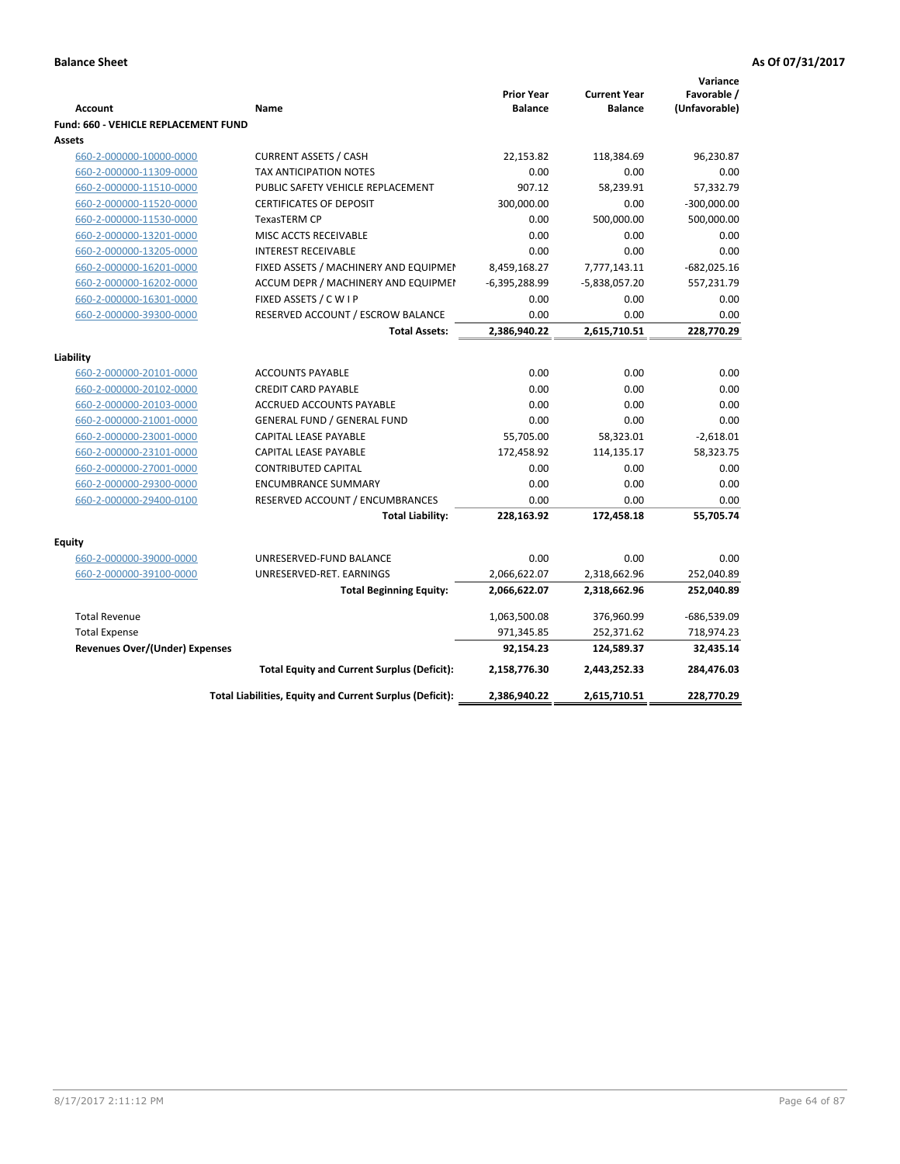| <b>Account</b>                        | Name                                                     | <b>Prior Year</b><br><b>Balance</b> | <b>Current Year</b><br><b>Balance</b> | Variance<br>Favorable /<br>(Unfavorable) |
|---------------------------------------|----------------------------------------------------------|-------------------------------------|---------------------------------------|------------------------------------------|
| Fund: 660 - VEHICLE REPLACEMENT FUND  |                                                          |                                     |                                       |                                          |
| Assets<br>660-2-000000-10000-0000     | <b>CURRENT ASSETS / CASH</b>                             | 22,153.82                           | 118,384.69                            | 96,230.87                                |
| 660-2-000000-11309-0000               | <b>TAX ANTICIPATION NOTES</b>                            | 0.00                                | 0.00                                  | 0.00                                     |
| 660-2-000000-11510-0000               | PUBLIC SAFETY VEHICLE REPLACEMENT                        | 907.12                              | 58,239.91                             | 57,332.79                                |
| 660-2-000000-11520-0000               | <b>CERTIFICATES OF DEPOSIT</b>                           | 300,000.00                          | 0.00                                  | $-300,000.00$                            |
| 660-2-000000-11530-0000               | <b>TexasTERM CP</b>                                      | 0.00                                | 500,000.00                            | 500,000.00                               |
| 660-2-000000-13201-0000               | MISC ACCTS RECEIVABLE                                    | 0.00                                | 0.00                                  | 0.00                                     |
| 660-2-000000-13205-0000               | <b>INTEREST RECEIVABLE</b>                               | 0.00                                | 0.00                                  | 0.00                                     |
| 660-2-000000-16201-0000               | FIXED ASSETS / MACHINERY AND EQUIPMEN                    | 8,459,168.27                        | 7,777,143.11                          | $-682,025.16$                            |
| 660-2-000000-16202-0000               | ACCUM DEPR / MACHINERY AND EQUIPMEI                      | $-6,395,288.99$                     | $-5,838,057.20$                       | 557,231.79                               |
| 660-2-000000-16301-0000               | FIXED ASSETS / C W I P                                   | 0.00                                | 0.00                                  | 0.00                                     |
| 660-2-000000-39300-0000               | RESERVED ACCOUNT / ESCROW BALANCE                        | 0.00                                | 0.00                                  | 0.00                                     |
|                                       | <b>Total Assets:</b>                                     | 2,386,940.22                        | 2,615,710.51                          | 228,770.29                               |
|                                       |                                                          |                                     |                                       |                                          |
| Liability                             |                                                          |                                     |                                       |                                          |
| 660-2-000000-20101-0000               | <b>ACCOUNTS PAYABLE</b>                                  | 0.00                                | 0.00                                  | 0.00                                     |
| 660-2-000000-20102-0000               | <b>CREDIT CARD PAYABLE</b>                               | 0.00                                | 0.00                                  | 0.00                                     |
| 660-2-000000-20103-0000               | ACCRUED ACCOUNTS PAYABLE                                 | 0.00                                | 0.00                                  | 0.00                                     |
| 660-2-000000-21001-0000               | <b>GENERAL FUND / GENERAL FUND</b>                       | 0.00                                | 0.00                                  | 0.00                                     |
| 660-2-000000-23001-0000               | <b>CAPITAL LEASE PAYABLE</b>                             | 55,705.00                           | 58,323.01                             | $-2,618.01$                              |
| 660-2-000000-23101-0000               | <b>CAPITAL LEASE PAYABLE</b>                             | 172,458.92                          | 114,135.17                            | 58,323.75                                |
| 660-2-000000-27001-0000               | <b>CONTRIBUTED CAPITAL</b>                               | 0.00                                | 0.00                                  | 0.00                                     |
| 660-2-000000-29300-0000               | <b>ENCUMBRANCE SUMMARY</b>                               | 0.00                                | 0.00                                  | 0.00                                     |
| 660-2-000000-29400-0100               | RESERVED ACCOUNT / ENCUMBRANCES                          | 0.00                                | 0.00                                  | 0.00                                     |
|                                       | <b>Total Liability:</b>                                  | 228,163.92                          | 172,458.18                            | 55,705.74                                |
| <b>Equity</b>                         |                                                          |                                     |                                       |                                          |
| 660-2-000000-39000-0000               | UNRESERVED-FUND BALANCE                                  | 0.00                                | 0.00                                  | 0.00                                     |
| 660-2-000000-39100-0000               | UNRESERVED-RET. EARNINGS                                 | 2,066,622.07                        | 2,318,662.96                          | 252,040.89                               |
|                                       | <b>Total Beginning Equity:</b>                           | 2,066,622.07                        | 2,318,662.96                          | 252,040.89                               |
|                                       |                                                          |                                     |                                       |                                          |
| <b>Total Revenue</b>                  |                                                          | 1,063,500.08                        | 376,960.99                            | $-686,539.09$                            |
| <b>Total Expense</b>                  |                                                          | 971,345.85                          | 252,371.62                            | 718,974.23                               |
| <b>Revenues Over/(Under) Expenses</b> |                                                          | 92,154.23                           | 124,589.37                            | 32,435.14                                |
|                                       | <b>Total Equity and Current Surplus (Deficit):</b>       | 2,158,776.30                        | 2,443,252.33                          | 284,476.03                               |
|                                       | Total Liabilities, Equity and Current Surplus (Deficit): | 2,386,940.22                        | 2,615,710.51                          | 228,770.29                               |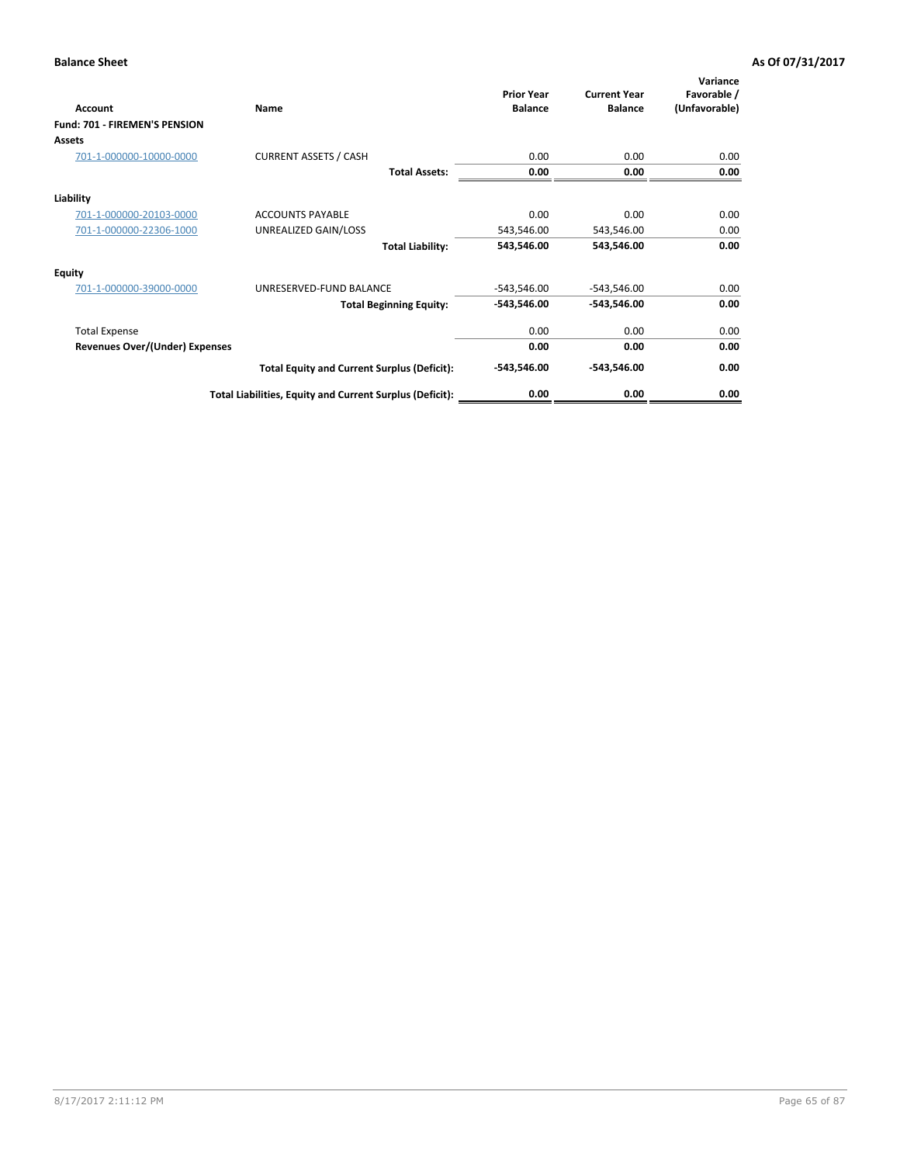| <b>Account</b>                 | Name                                                     | <b>Prior Year</b><br><b>Balance</b> | <b>Current Year</b><br><b>Balance</b> | Variance<br>Favorable /<br>(Unfavorable) |
|--------------------------------|----------------------------------------------------------|-------------------------------------|---------------------------------------|------------------------------------------|
| Fund: 701 - FIREMEN'S PENSION  |                                                          |                                     |                                       |                                          |
| Assets                         |                                                          |                                     |                                       |                                          |
| 701-1-000000-10000-0000        | <b>CURRENT ASSETS / CASH</b>                             | 0.00                                | 0.00                                  | 0.00                                     |
|                                | <b>Total Assets:</b>                                     | 0.00                                | 0.00                                  | 0.00                                     |
| Liability                      |                                                          |                                     |                                       |                                          |
| 701-1-000000-20103-0000        | <b>ACCOUNTS PAYABLE</b>                                  | 0.00                                | 0.00                                  | 0.00                                     |
| 701-1-000000-22306-1000        | UNREALIZED GAIN/LOSS                                     | 543,546.00                          | 543,546.00                            | 0.00                                     |
|                                | <b>Total Liability:</b>                                  | 543,546.00                          | 543,546.00                            | 0.00                                     |
| <b>Equity</b>                  |                                                          |                                     |                                       |                                          |
| 701-1-000000-39000-0000        | UNRESERVED-FUND BALANCE                                  | $-543,546.00$                       | $-543,546.00$                         | 0.00                                     |
|                                | <b>Total Beginning Equity:</b>                           | -543,546.00                         | $-543,546.00$                         | 0.00                                     |
| <b>Total Expense</b>           |                                                          | 0.00                                | 0.00                                  | 0.00                                     |
| Revenues Over/(Under) Expenses |                                                          | 0.00                                | 0.00                                  | 0.00                                     |
|                                | <b>Total Equity and Current Surplus (Deficit):</b>       | $-543,546.00$                       | $-543,546.00$                         | 0.00                                     |
|                                | Total Liabilities, Equity and Current Surplus (Deficit): | 0.00                                | 0.00                                  | 0.00                                     |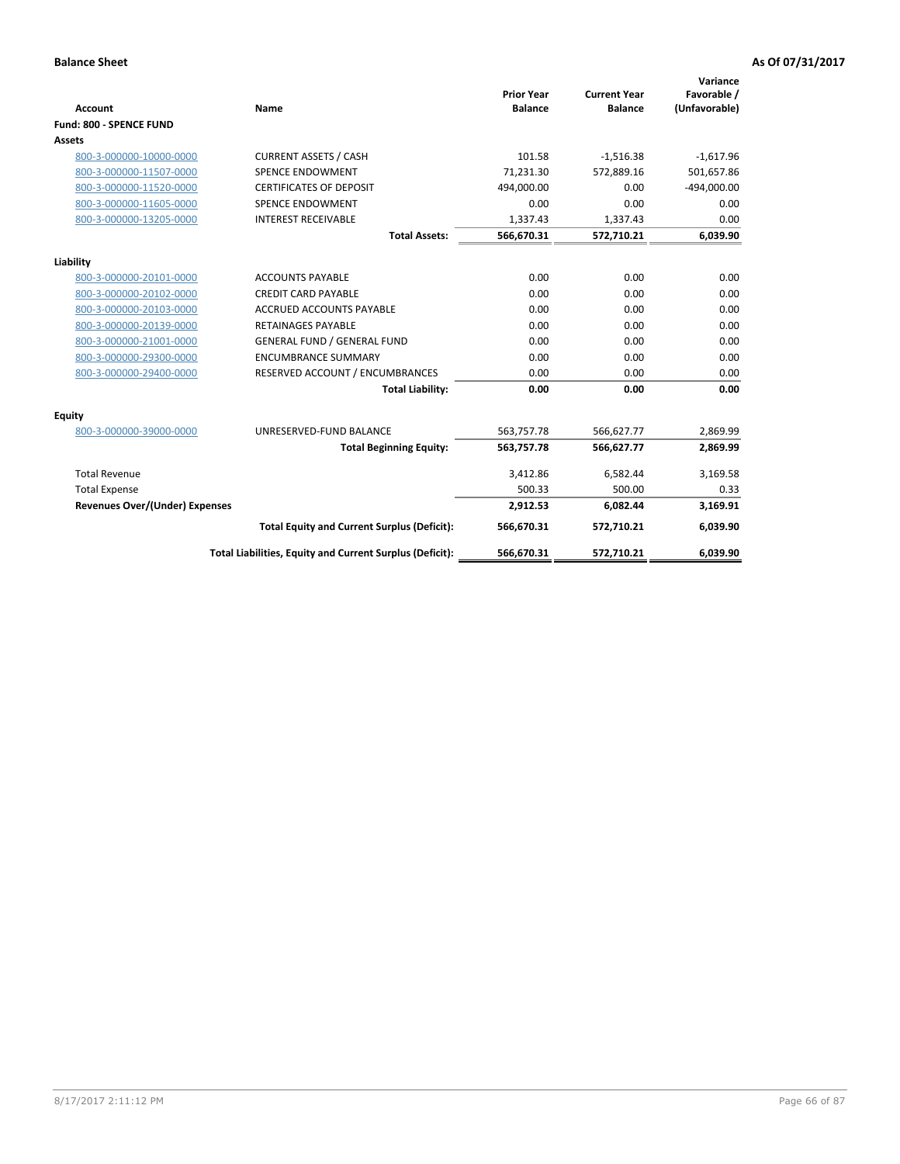|                                       |                                                          |                                     |                                       | Variance                     |
|---------------------------------------|----------------------------------------------------------|-------------------------------------|---------------------------------------|------------------------------|
| <b>Account</b>                        | <b>Name</b>                                              | <b>Prior Year</b><br><b>Balance</b> | <b>Current Year</b><br><b>Balance</b> | Favorable /<br>(Unfavorable) |
| Fund: 800 - SPENCE FUND               |                                                          |                                     |                                       |                              |
| Assets                                |                                                          |                                     |                                       |                              |
|                                       |                                                          |                                     |                                       |                              |
| 800-3-000000-10000-0000               | <b>CURRENT ASSETS / CASH</b>                             | 101.58                              | $-1,516.38$                           | $-1,617.96$                  |
| 800-3-000000-11507-0000               | <b>SPENCE ENDOWMENT</b>                                  | 71.231.30                           | 572.889.16                            | 501,657.86                   |
| 800-3-000000-11520-0000               | <b>CERTIFICATES OF DEPOSIT</b>                           | 494,000.00                          | 0.00                                  | $-494,000.00$                |
| 800-3-000000-11605-0000               | SPENCE ENDOWMENT                                         | 0.00                                | 0.00                                  | 0.00                         |
| 800-3-000000-13205-0000               | <b>INTEREST RECEIVABLE</b>                               | 1,337.43                            | 1,337.43                              | 0.00                         |
|                                       | <b>Total Assets:</b>                                     | 566,670.31                          | 572,710.21                            | 6,039.90                     |
| Liability                             |                                                          |                                     |                                       |                              |
| 800-3-000000-20101-0000               | <b>ACCOUNTS PAYABLE</b>                                  | 0.00                                | 0.00                                  | 0.00                         |
| 800-3-000000-20102-0000               | <b>CREDIT CARD PAYABLE</b>                               | 0.00                                | 0.00                                  | 0.00                         |
| 800-3-000000-20103-0000               | <b>ACCRUED ACCOUNTS PAYABLE</b>                          | 0.00                                | 0.00                                  | 0.00                         |
| 800-3-000000-20139-0000               | <b>RETAINAGES PAYABLE</b>                                | 0.00                                | 0.00                                  | 0.00                         |
| 800-3-000000-21001-0000               | <b>GENERAL FUND / GENERAL FUND</b>                       | 0.00                                | 0.00                                  | 0.00                         |
| 800-3-000000-29300-0000               | <b>ENCUMBRANCE SUMMARY</b>                               | 0.00                                | 0.00                                  | 0.00                         |
| 800-3-000000-29400-0000               | RESERVED ACCOUNT / ENCUMBRANCES                          | 0.00                                | 0.00                                  | 0.00                         |
|                                       | <b>Total Liability:</b>                                  | 0.00                                | 0.00                                  | 0.00                         |
| Equity                                |                                                          |                                     |                                       |                              |
| 800-3-000000-39000-0000               | UNRESERVED-FUND BALANCE                                  | 563,757.78                          | 566,627.77                            | 2,869.99                     |
|                                       | <b>Total Beginning Equity:</b>                           | 563,757.78                          | 566,627.77                            | 2,869.99                     |
| <b>Total Revenue</b>                  |                                                          | 3,412.86                            | 6,582.44                              | 3,169.58                     |
| <b>Total Expense</b>                  |                                                          | 500.33                              | 500.00                                | 0.33                         |
| <b>Revenues Over/(Under) Expenses</b> |                                                          | 2,912.53                            | 6,082.44                              | 3,169.91                     |
|                                       | <b>Total Equity and Current Surplus (Deficit):</b>       | 566,670.31                          | 572,710.21                            | 6,039.90                     |
|                                       | Total Liabilities, Equity and Current Surplus (Deficit): | 566,670.31                          | 572,710.21                            | 6,039.90                     |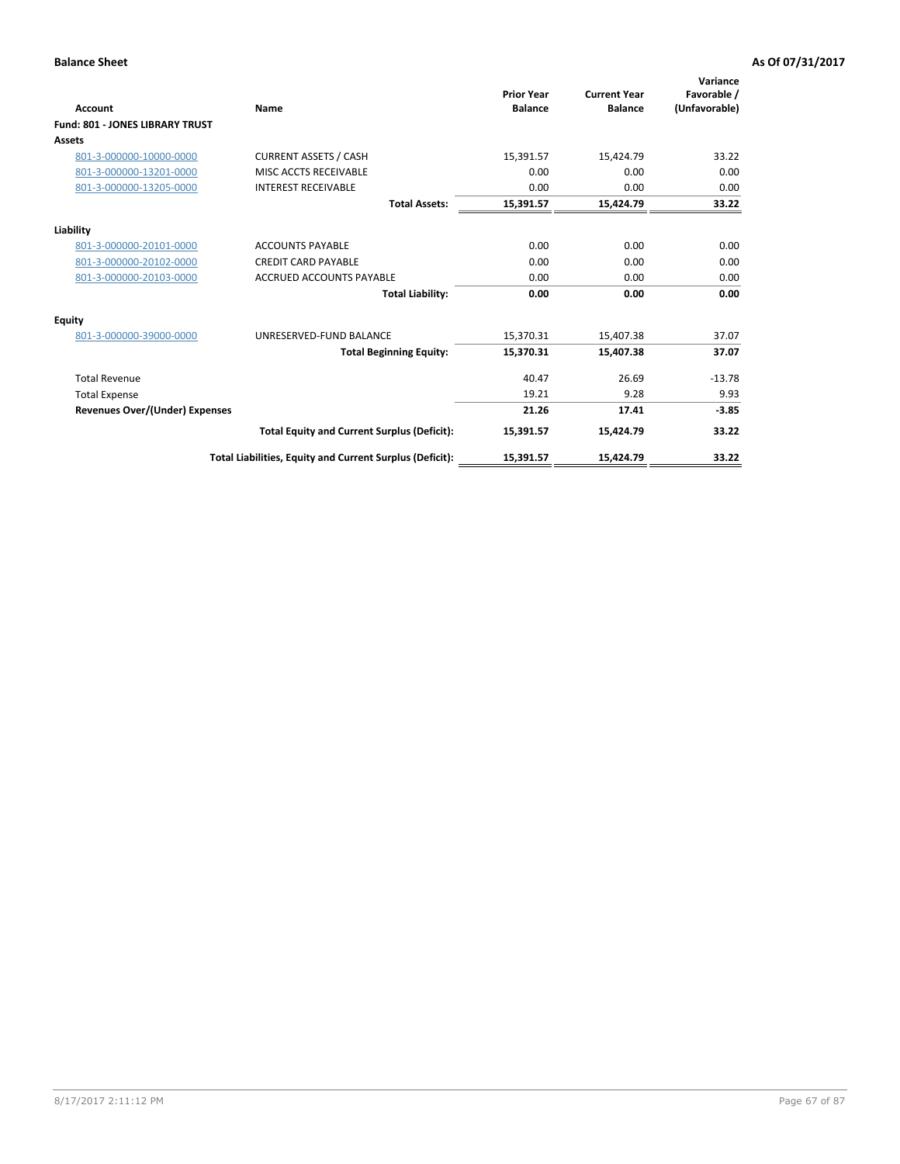|                                        |                                                          | <b>Prior Year</b> | <b>Current Year</b> | Variance<br>Favorable / |
|----------------------------------------|----------------------------------------------------------|-------------------|---------------------|-------------------------|
| Account                                | Name                                                     | <b>Balance</b>    | <b>Balance</b>      | (Unfavorable)           |
| <b>Fund: 801 - JONES LIBRARY TRUST</b> |                                                          |                   |                     |                         |
| Assets                                 |                                                          |                   |                     |                         |
| 801-3-000000-10000-0000                | <b>CURRENT ASSETS / CASH</b>                             | 15,391.57         | 15,424.79           | 33.22                   |
| 801-3-000000-13201-0000                | MISC ACCTS RECEIVABLE                                    | 0.00              | 0.00                | 0.00                    |
| 801-3-000000-13205-0000                | <b>INTEREST RECEIVABLE</b>                               | 0.00              | 0.00                | 0.00                    |
|                                        | <b>Total Assets:</b>                                     | 15,391.57         | 15,424.79           | 33.22                   |
| Liability                              |                                                          |                   |                     |                         |
| 801-3-000000-20101-0000                | <b>ACCOUNTS PAYABLE</b>                                  | 0.00              | 0.00                | 0.00                    |
| 801-3-000000-20102-0000                | <b>CREDIT CARD PAYABLE</b>                               | 0.00              | 0.00                | 0.00                    |
| 801-3-000000-20103-0000                | <b>ACCRUED ACCOUNTS PAYABLE</b>                          | 0.00              | 0.00                | 0.00                    |
|                                        | <b>Total Liability:</b>                                  | 0.00              | 0.00                | 0.00                    |
| Equity                                 |                                                          |                   |                     |                         |
| 801-3-000000-39000-0000                | UNRESERVED-FUND BALANCE                                  | 15,370.31         | 15,407.38           | 37.07                   |
|                                        | <b>Total Beginning Equity:</b>                           | 15,370.31         | 15.407.38           | 37.07                   |
| <b>Total Revenue</b>                   |                                                          | 40.47             | 26.69               | $-13.78$                |
| <b>Total Expense</b>                   |                                                          | 19.21             | 9.28                | 9.93                    |
| Revenues Over/(Under) Expenses         |                                                          | 21.26             | 17.41               | $-3.85$                 |
|                                        | <b>Total Equity and Current Surplus (Deficit):</b>       | 15,391.57         | 15,424.79           | 33.22                   |
|                                        | Total Liabilities, Equity and Current Surplus (Deficit): | 15,391.57         | 15,424.79           | 33.22                   |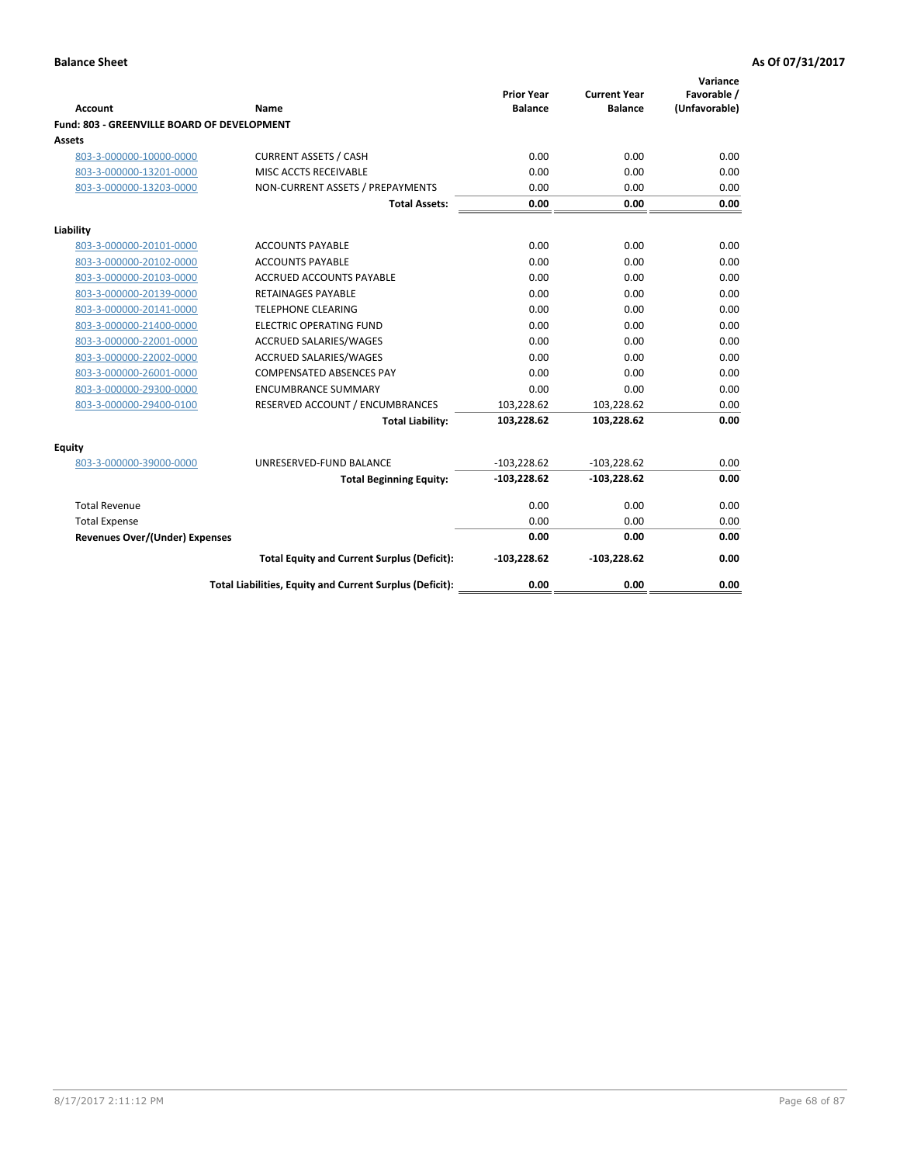| <b>Account</b>                              | Name                                                     | <b>Prior Year</b><br><b>Balance</b> | <b>Current Year</b><br><b>Balance</b> | Variance<br>Favorable /<br>(Unfavorable) |
|---------------------------------------------|----------------------------------------------------------|-------------------------------------|---------------------------------------|------------------------------------------|
| Fund: 803 - GREENVILLE BOARD OF DEVELOPMENT |                                                          |                                     |                                       |                                          |
| Assets                                      |                                                          |                                     |                                       |                                          |
| 803-3-000000-10000-0000                     | <b>CURRENT ASSETS / CASH</b>                             | 0.00                                | 0.00                                  | 0.00                                     |
| 803-3-000000-13201-0000                     | MISC ACCTS RECEIVABLE                                    | 0.00                                | 0.00                                  | 0.00                                     |
| 803-3-000000-13203-0000                     | NON-CURRENT ASSETS / PREPAYMENTS                         | 0.00                                | 0.00                                  | 0.00                                     |
|                                             | <b>Total Assets:</b>                                     | 0.00                                | 0.00                                  | 0.00                                     |
| Liability                                   |                                                          |                                     |                                       |                                          |
| 803-3-000000-20101-0000                     | <b>ACCOUNTS PAYABLE</b>                                  | 0.00                                | 0.00                                  | 0.00                                     |
| 803-3-000000-20102-0000                     | <b>ACCOUNTS PAYABLE</b>                                  | 0.00                                | 0.00                                  | 0.00                                     |
| 803-3-000000-20103-0000                     | <b>ACCRUED ACCOUNTS PAYABLE</b>                          | 0.00                                | 0.00                                  | 0.00                                     |
| 803-3-000000-20139-0000                     | <b>RETAINAGES PAYABLE</b>                                | 0.00                                | 0.00                                  | 0.00                                     |
| 803-3-000000-20141-0000                     | <b>TELEPHONE CLEARING</b>                                | 0.00                                | 0.00                                  | 0.00                                     |
| 803-3-000000-21400-0000                     | <b>ELECTRIC OPERATING FUND</b>                           | 0.00                                | 0.00                                  | 0.00                                     |
| 803-3-000000-22001-0000                     | <b>ACCRUED SALARIES/WAGES</b>                            | 0.00                                | 0.00                                  | 0.00                                     |
| 803-3-000000-22002-0000                     | <b>ACCRUED SALARIES/WAGES</b>                            | 0.00                                | 0.00                                  | 0.00                                     |
| 803-3-000000-26001-0000                     | <b>COMPENSATED ABSENCES PAY</b>                          | 0.00                                | 0.00                                  | 0.00                                     |
| 803-3-000000-29300-0000                     | <b>ENCUMBRANCE SUMMARY</b>                               | 0.00                                | 0.00                                  | 0.00                                     |
| 803-3-000000-29400-0100                     | RESERVED ACCOUNT / ENCUMBRANCES                          | 103,228.62                          | 103,228.62                            | 0.00                                     |
|                                             | <b>Total Liability:</b>                                  | 103,228.62                          | 103,228.62                            | 0.00                                     |
| <b>Equity</b>                               |                                                          |                                     |                                       |                                          |
| 803-3-000000-39000-0000                     | UNRESERVED-FUND BALANCE                                  | $-103,228.62$                       | $-103,228.62$                         | 0.00                                     |
|                                             | <b>Total Beginning Equity:</b>                           | $-103,228.62$                       | $-103,228.62$                         | 0.00                                     |
| <b>Total Revenue</b>                        |                                                          | 0.00                                | 0.00                                  | 0.00                                     |
| <b>Total Expense</b>                        |                                                          | 0.00                                | 0.00                                  | 0.00                                     |
| <b>Revenues Over/(Under) Expenses</b>       |                                                          | 0.00                                | 0.00                                  | 0.00                                     |
|                                             | <b>Total Equity and Current Surplus (Deficit):</b>       | $-103,228.62$                       | $-103,228.62$                         | 0.00                                     |
|                                             | Total Liabilities, Equity and Current Surplus (Deficit): | 0.00                                | 0.00                                  | 0.00                                     |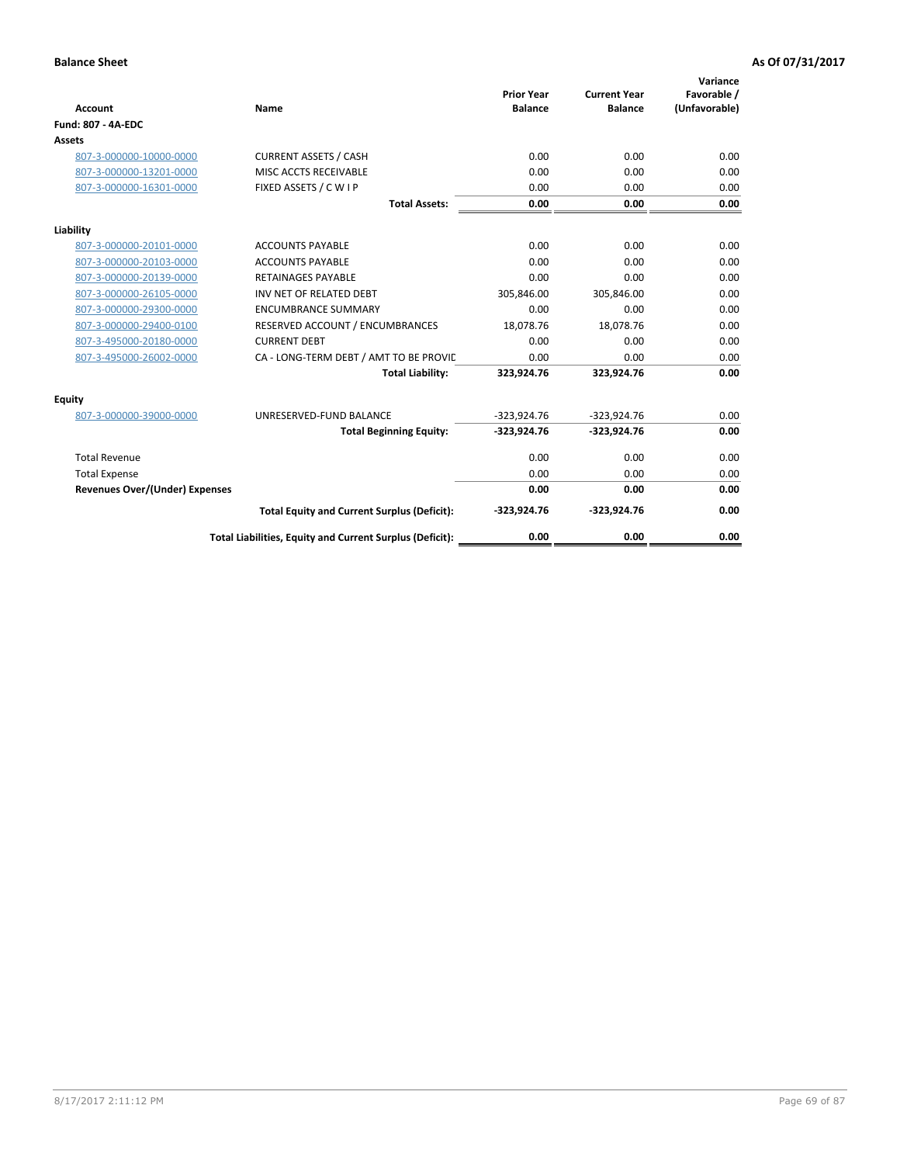| <b>Account</b>                        | Name                                                     | <b>Prior Year</b><br><b>Balance</b> | <b>Current Year</b><br><b>Balance</b> | Variance<br>Favorable /<br>(Unfavorable) |
|---------------------------------------|----------------------------------------------------------|-------------------------------------|---------------------------------------|------------------------------------------|
| <b>Fund: 807 - 4A-EDC</b>             |                                                          |                                     |                                       |                                          |
| <b>Assets</b>                         |                                                          |                                     |                                       |                                          |
| 807-3-000000-10000-0000               | <b>CURRENT ASSETS / CASH</b>                             | 0.00                                | 0.00                                  | 0.00                                     |
| 807-3-000000-13201-0000               | MISC ACCTS RECEIVABLE                                    | 0.00                                | 0.00                                  | 0.00                                     |
| 807-3-000000-16301-0000               | FIXED ASSETS / C W I P                                   | 0.00                                | 0.00                                  | 0.00                                     |
|                                       | <b>Total Assets:</b>                                     | 0.00                                | 0.00                                  | 0.00                                     |
| Liability                             |                                                          |                                     |                                       |                                          |
| 807-3-000000-20101-0000               | <b>ACCOUNTS PAYABLE</b>                                  | 0.00                                | 0.00                                  | 0.00                                     |
| 807-3-000000-20103-0000               | <b>ACCOUNTS PAYABLE</b>                                  | 0.00                                | 0.00                                  | 0.00                                     |
| 807-3-000000-20139-0000               | <b>RETAINAGES PAYABLE</b>                                | 0.00                                | 0.00                                  | 0.00                                     |
| 807-3-000000-26105-0000               | INV NET OF RELATED DEBT                                  | 305,846.00                          | 305,846.00                            | 0.00                                     |
| 807-3-000000-29300-0000               | <b>ENCUMBRANCE SUMMARY</b>                               | 0.00                                | 0.00                                  | 0.00                                     |
| 807-3-000000-29400-0100               | RESERVED ACCOUNT / ENCUMBRANCES                          | 18,078.76                           | 18,078.76                             | 0.00                                     |
| 807-3-495000-20180-0000               | <b>CURRENT DEBT</b>                                      | 0.00                                | 0.00                                  | 0.00                                     |
| 807-3-495000-26002-0000               | CA - LONG-TERM DEBT / AMT TO BE PROVIL                   | 0.00                                | 0.00                                  | 0.00                                     |
|                                       | <b>Total Liability:</b>                                  | 323,924.76                          | 323,924.76                            | 0.00                                     |
| <b>Equity</b>                         |                                                          |                                     |                                       |                                          |
| 807-3-000000-39000-0000               | UNRESERVED-FUND BALANCE                                  | $-323,924.76$                       | $-323,924.76$                         | 0.00                                     |
|                                       | <b>Total Beginning Equity:</b>                           | $-323,924.76$                       | $-323,924.76$                         | 0.00                                     |
| <b>Total Revenue</b>                  |                                                          | 0.00                                | 0.00                                  | 0.00                                     |
| <b>Total Expense</b>                  |                                                          | 0.00                                | 0.00                                  | 0.00                                     |
| <b>Revenues Over/(Under) Expenses</b> |                                                          | 0.00                                | 0.00                                  | 0.00                                     |
|                                       | <b>Total Equity and Current Surplus (Deficit):</b>       | $-323,924.76$                       | $-323,924.76$                         | 0.00                                     |
|                                       | Total Liabilities, Equity and Current Surplus (Deficit): | 0.00                                | 0.00                                  | 0.00                                     |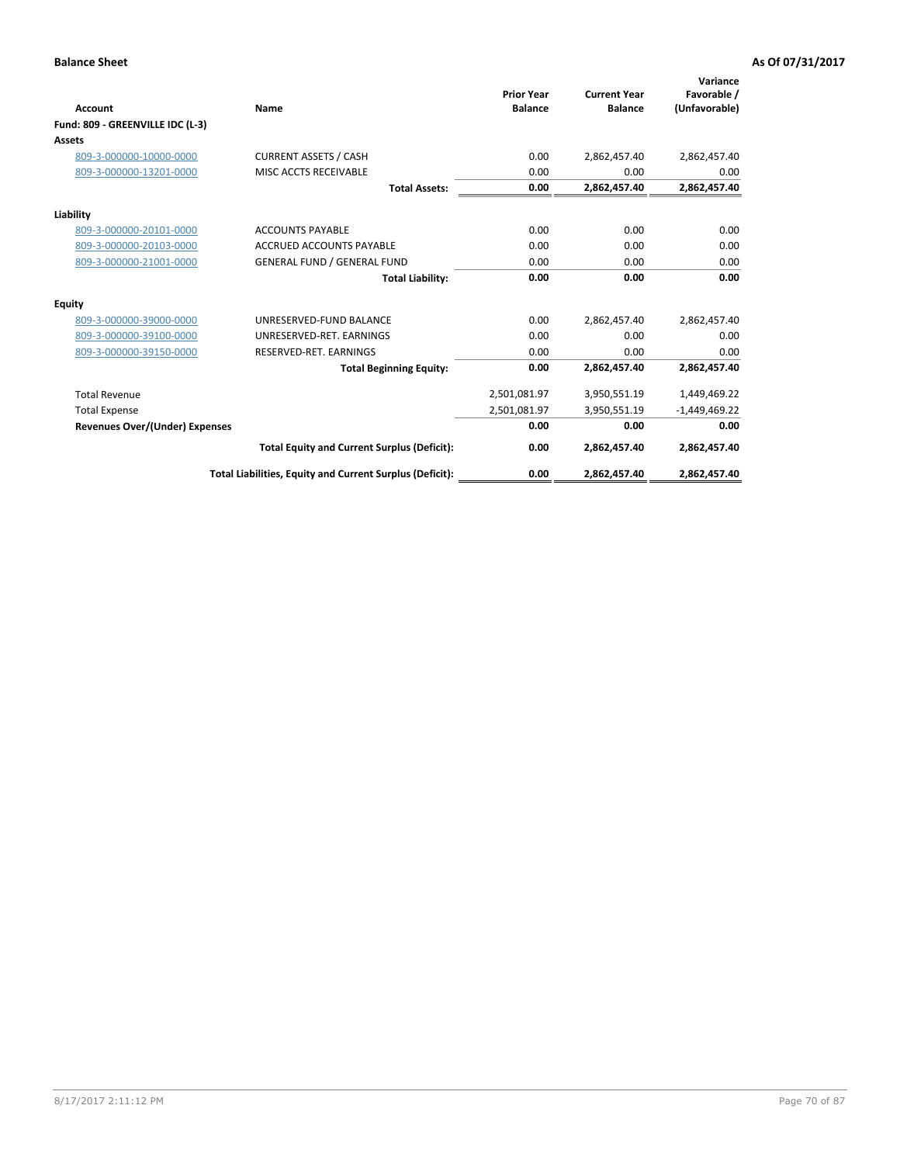| <b>Account</b>                   | Name                                                     | <b>Prior Year</b><br><b>Balance</b> | <b>Current Year</b><br><b>Balance</b> | Variance<br>Favorable /<br>(Unfavorable) |
|----------------------------------|----------------------------------------------------------|-------------------------------------|---------------------------------------|------------------------------------------|
| Fund: 809 - GREENVILLE IDC (L-3) |                                                          |                                     |                                       |                                          |
| Assets                           |                                                          |                                     |                                       |                                          |
| 809-3-000000-10000-0000          | <b>CURRENT ASSETS / CASH</b>                             | 0.00                                | 2,862,457.40                          | 2,862,457.40                             |
| 809-3-000000-13201-0000          | MISC ACCTS RECEIVABLE                                    | 0.00                                | 0.00                                  | 0.00                                     |
|                                  | <b>Total Assets:</b>                                     | 0.00                                | 2,862,457.40                          | 2,862,457.40                             |
| Liability                        |                                                          |                                     |                                       |                                          |
| 809-3-000000-20101-0000          | <b>ACCOUNTS PAYABLE</b>                                  | 0.00                                | 0.00                                  | 0.00                                     |
| 809-3-000000-20103-0000          | <b>ACCRUED ACCOUNTS PAYABLE</b>                          | 0.00                                | 0.00                                  | 0.00                                     |
| 809-3-000000-21001-0000          | <b>GENERAL FUND / GENERAL FUND</b>                       | 0.00                                | 0.00                                  | 0.00                                     |
|                                  | <b>Total Liability:</b>                                  | 0.00                                | 0.00                                  | 0.00                                     |
| Equity                           |                                                          |                                     |                                       |                                          |
| 809-3-000000-39000-0000          | UNRESERVED-FUND BALANCE                                  | 0.00                                | 2,862,457.40                          | 2,862,457.40                             |
| 809-3-000000-39100-0000          | UNRESERVED-RET, EARNINGS                                 | 0.00                                | 0.00                                  | 0.00                                     |
| 809-3-000000-39150-0000          | RESERVED-RET. EARNINGS                                   | 0.00                                | 0.00                                  | 0.00                                     |
|                                  | <b>Total Beginning Equity:</b>                           | 0.00                                | 2,862,457.40                          | 2,862,457.40                             |
| <b>Total Revenue</b>             |                                                          | 2,501,081.97                        | 3,950,551.19                          | 1,449,469.22                             |
| <b>Total Expense</b>             |                                                          | 2,501,081.97                        | 3,950,551.19                          | $-1,449,469.22$                          |
| Revenues Over/(Under) Expenses   |                                                          | 0.00                                | 0.00                                  | 0.00                                     |
|                                  | <b>Total Equity and Current Surplus (Deficit):</b>       | 0.00                                | 2,862,457.40                          | 2,862,457.40                             |
|                                  | Total Liabilities, Equity and Current Surplus (Deficit): | 0.00                                | 2,862,457.40                          | 2,862,457.40                             |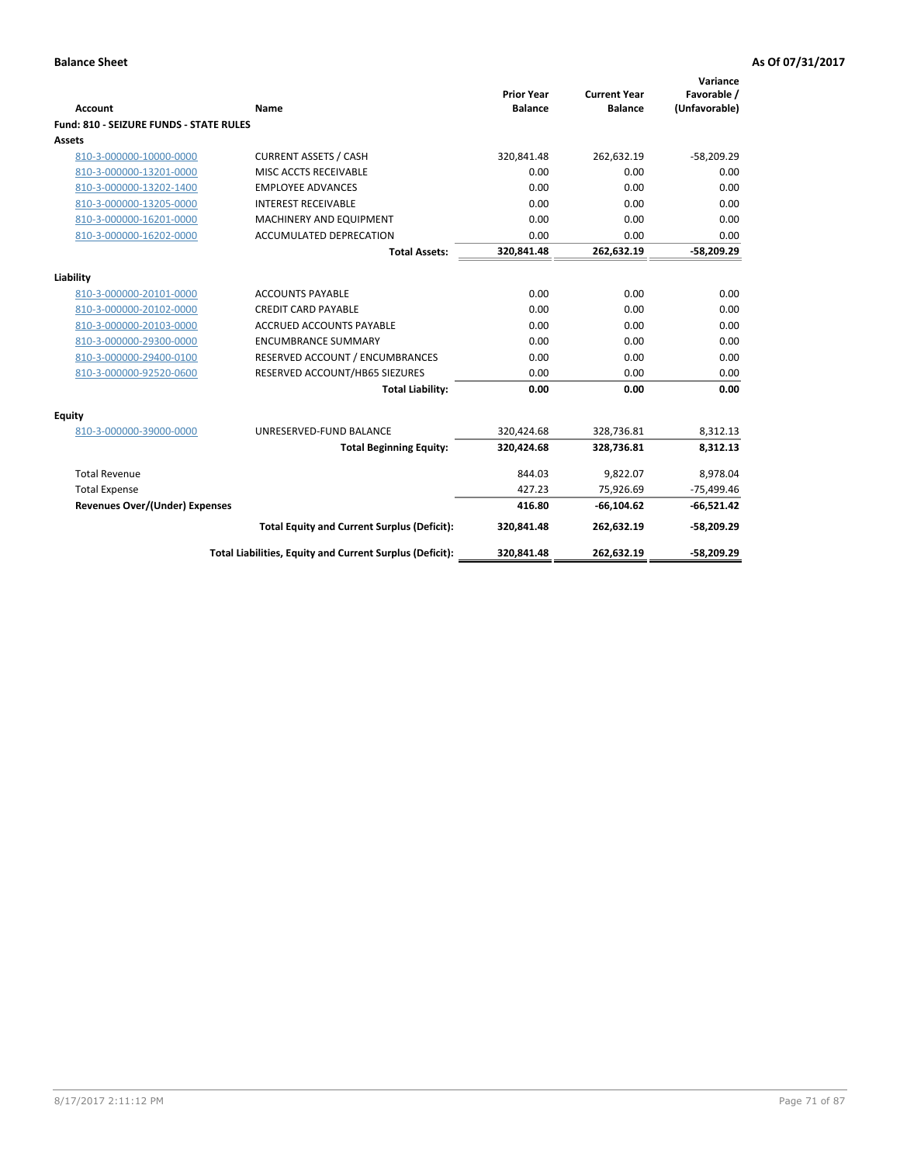| <b>Account</b>                                 | Name                                                     | <b>Prior Year</b><br><b>Balance</b> | <b>Current Year</b><br><b>Balance</b> | Variance<br>Favorable /<br>(Unfavorable) |
|------------------------------------------------|----------------------------------------------------------|-------------------------------------|---------------------------------------|------------------------------------------|
| <b>Fund: 810 - SEIZURE FUNDS - STATE RULES</b> |                                                          |                                     |                                       |                                          |
| <b>Assets</b>                                  |                                                          |                                     |                                       |                                          |
| 810-3-000000-10000-0000                        | <b>CURRENT ASSETS / CASH</b>                             | 320,841.48                          | 262,632.19                            | $-58,209.29$                             |
| 810-3-000000-13201-0000                        | MISC ACCTS RECEIVABLE                                    | 0.00                                | 0.00                                  | 0.00                                     |
| 810-3-000000-13202-1400                        | <b>EMPLOYEE ADVANCES</b>                                 | 0.00                                | 0.00                                  | 0.00                                     |
| 810-3-000000-13205-0000                        | <b>INTEREST RECEIVABLE</b>                               | 0.00                                | 0.00                                  | 0.00                                     |
| 810-3-000000-16201-0000                        | <b>MACHINERY AND EQUIPMENT</b>                           | 0.00                                | 0.00                                  | 0.00                                     |
| 810-3-000000-16202-0000                        | ACCUMULATED DEPRECATION                                  | 0.00                                | 0.00                                  | 0.00                                     |
|                                                | <b>Total Assets:</b>                                     | 320,841.48                          | 262,632.19                            | $-58,209.29$                             |
| Liability                                      |                                                          |                                     |                                       |                                          |
| 810-3-000000-20101-0000                        | <b>ACCOUNTS PAYABLE</b>                                  | 0.00                                | 0.00                                  | 0.00                                     |
| 810-3-000000-20102-0000                        | <b>CREDIT CARD PAYABLE</b>                               | 0.00                                | 0.00                                  | 0.00                                     |
| 810-3-000000-20103-0000                        | <b>ACCRUED ACCOUNTS PAYABLE</b>                          | 0.00                                | 0.00                                  | 0.00                                     |
| 810-3-000000-29300-0000                        | <b>ENCUMBRANCE SUMMARY</b>                               | 0.00                                | 0.00                                  | 0.00                                     |
| 810-3-000000-29400-0100                        | RESERVED ACCOUNT / ENCUMBRANCES                          | 0.00                                | 0.00                                  | 0.00                                     |
| 810-3-000000-92520-0600                        | RESERVED ACCOUNT/HB65 SIEZURES                           | 0.00                                | 0.00                                  | 0.00                                     |
|                                                | <b>Total Liability:</b>                                  | 0.00                                | 0.00                                  | 0.00                                     |
| <b>Equity</b>                                  |                                                          |                                     |                                       |                                          |
| 810-3-000000-39000-0000                        | UNRESERVED-FUND BALANCE                                  | 320,424.68                          | 328,736.81                            | 8,312.13                                 |
|                                                | <b>Total Beginning Equity:</b>                           | 320,424.68                          | 328,736.81                            | 8,312.13                                 |
| <b>Total Revenue</b>                           |                                                          | 844.03                              | 9,822.07                              | 8,978.04                                 |
| <b>Total Expense</b>                           |                                                          | 427.23                              | 75,926.69                             | $-75,499.46$                             |
| Revenues Over/(Under) Expenses                 |                                                          | 416.80                              | $-66, 104.62$                         | $-66,521.42$                             |
|                                                | <b>Total Equity and Current Surplus (Deficit):</b>       | 320,841.48                          | 262,632.19                            | $-58,209.29$                             |
|                                                | Total Liabilities, Equity and Current Surplus (Deficit): | 320,841.48                          | 262,632.19                            | $-58,209.29$                             |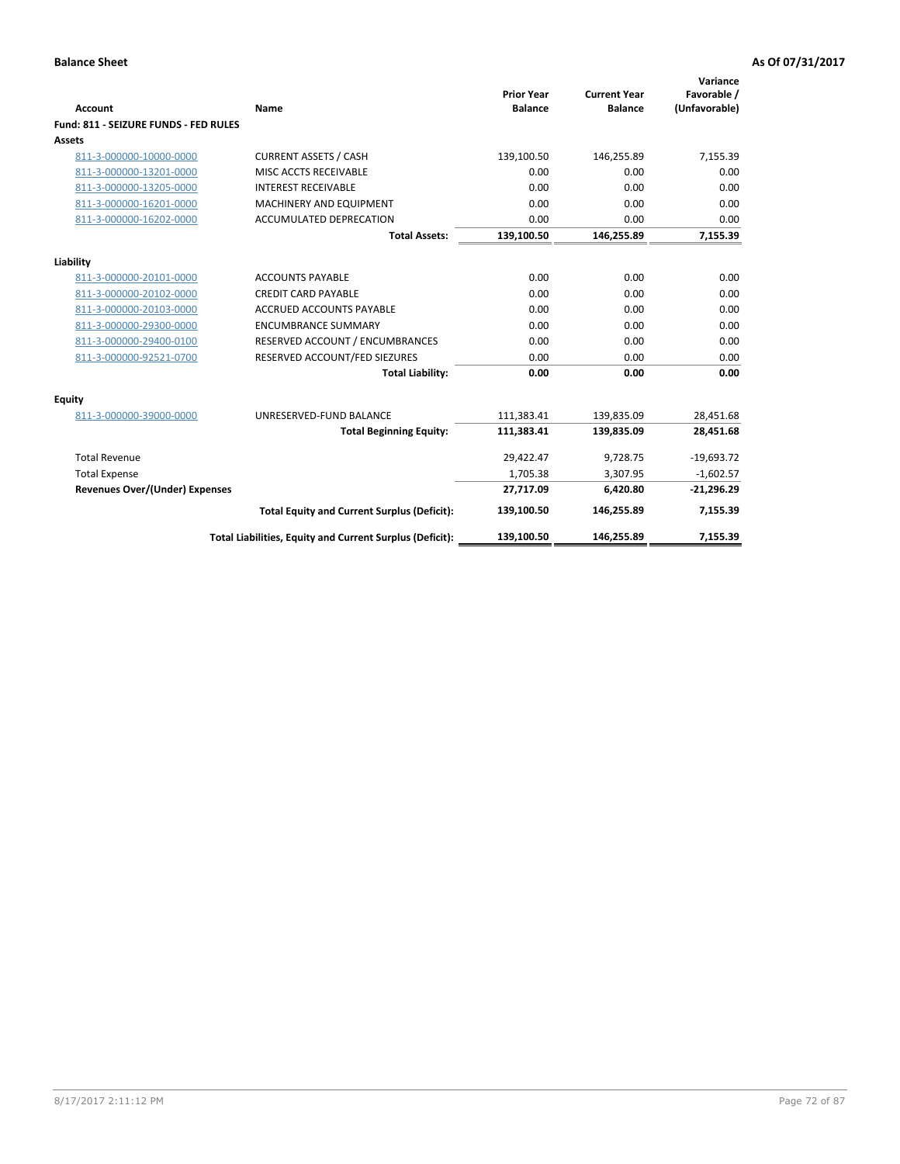| <b>Account</b>                        | Name                                                     | <b>Prior Year</b><br><b>Balance</b> | <b>Current Year</b><br><b>Balance</b> | Variance<br>Favorable /<br>(Unfavorable) |
|---------------------------------------|----------------------------------------------------------|-------------------------------------|---------------------------------------|------------------------------------------|
| Fund: 811 - SEIZURE FUNDS - FED RULES |                                                          |                                     |                                       |                                          |
| <b>Assets</b>                         |                                                          |                                     |                                       |                                          |
| 811-3-000000-10000-0000               | <b>CURRENT ASSETS / CASH</b>                             | 139,100.50                          | 146,255.89                            | 7,155.39                                 |
| 811-3-000000-13201-0000               | MISC ACCTS RECEIVABLE                                    | 0.00                                | 0.00                                  | 0.00                                     |
| 811-3-000000-13205-0000               | <b>INTEREST RECEIVABLE</b>                               | 0.00                                | 0.00                                  | 0.00                                     |
| 811-3-000000-16201-0000               | MACHINERY AND EQUIPMENT                                  | 0.00                                | 0.00                                  | 0.00                                     |
| 811-3-000000-16202-0000               | ACCUMULATED DEPRECATION                                  | 0.00                                | 0.00                                  | 0.00                                     |
|                                       | <b>Total Assets:</b>                                     | 139,100.50                          | 146,255.89                            | 7,155.39                                 |
| Liability                             |                                                          |                                     |                                       |                                          |
| 811-3-000000-20101-0000               | <b>ACCOUNTS PAYABLE</b>                                  | 0.00                                | 0.00                                  | 0.00                                     |
| 811-3-000000-20102-0000               | <b>CREDIT CARD PAYABLE</b>                               | 0.00                                | 0.00                                  | 0.00                                     |
| 811-3-000000-20103-0000               | <b>ACCRUED ACCOUNTS PAYABLE</b>                          | 0.00                                | 0.00                                  | 0.00                                     |
| 811-3-000000-29300-0000               | <b>ENCUMBRANCE SUMMARY</b>                               | 0.00                                | 0.00                                  | 0.00                                     |
|                                       |                                                          |                                     |                                       |                                          |
| 811-3-000000-29400-0100               | RESERVED ACCOUNT / ENCUMBRANCES                          | 0.00                                | 0.00                                  | 0.00                                     |
| 811-3-000000-92521-0700               | RESERVED ACCOUNT/FED SIEZURES                            | 0.00                                | 0.00                                  | 0.00                                     |
|                                       | <b>Total Liability:</b>                                  | 0.00                                | 0.00                                  | 0.00                                     |
| Equity                                |                                                          |                                     |                                       |                                          |
| 811-3-000000-39000-0000               | UNRESERVED-FUND BALANCE                                  | 111,383.41                          | 139,835.09                            | 28,451.68                                |
|                                       | <b>Total Beginning Equity:</b>                           | 111,383.41                          | 139,835.09                            | 28,451.68                                |
| <b>Total Revenue</b>                  |                                                          | 29,422.47                           | 9.728.75                              | $-19,693.72$                             |
| <b>Total Expense</b>                  |                                                          | 1,705.38                            | 3,307.95                              | $-1,602.57$                              |
| Revenues Over/(Under) Expenses        |                                                          | 27,717.09                           | 6,420.80                              | $-21,296.29$                             |
|                                       | <b>Total Equity and Current Surplus (Deficit):</b>       | 139,100.50                          | 146,255.89                            | 7,155.39                                 |
|                                       | Total Liabilities, Equity and Current Surplus (Deficit): | 139,100.50                          | 146,255.89                            | 7,155.39                                 |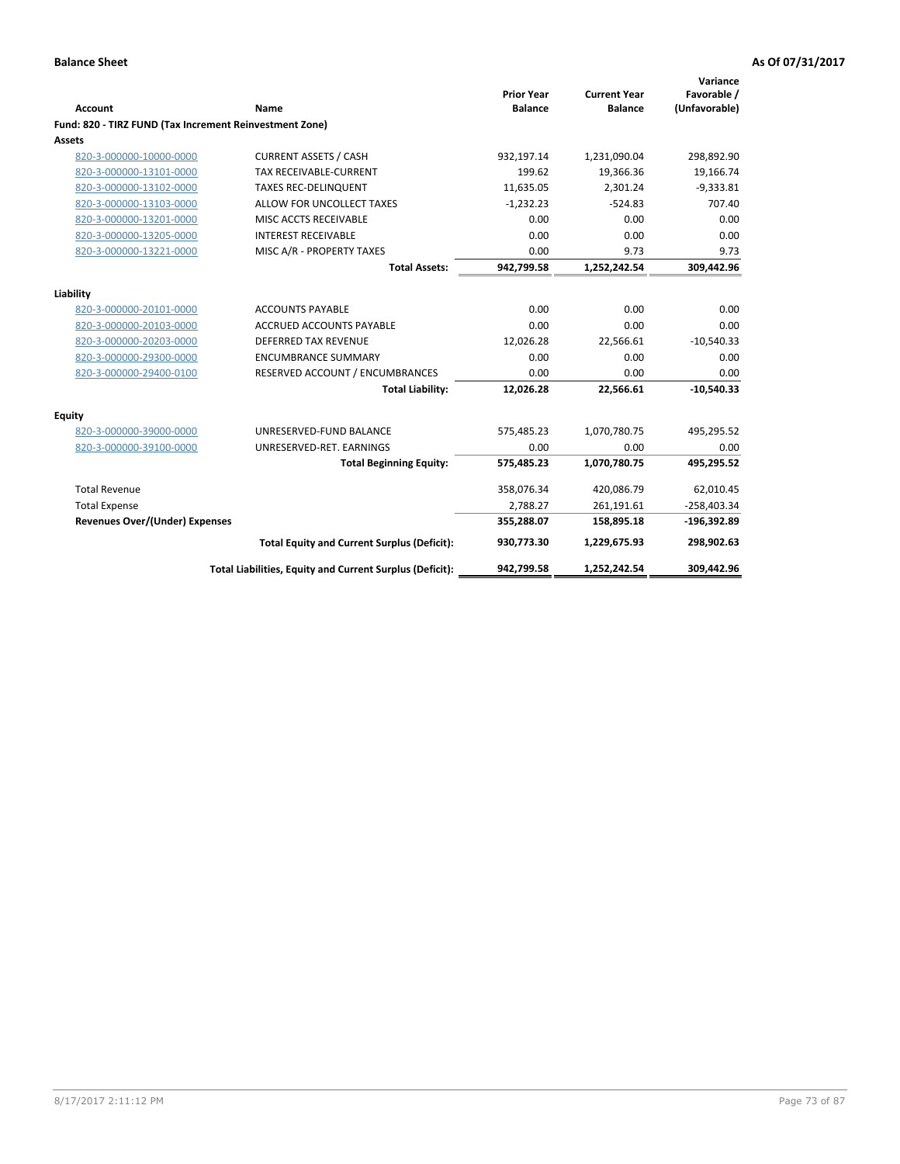|                                                         |                                                          | <b>Prior Year</b> | <b>Current Year</b> | Variance<br>Favorable / |
|---------------------------------------------------------|----------------------------------------------------------|-------------------|---------------------|-------------------------|
| <b>Account</b>                                          | Name                                                     | <b>Balance</b>    | <b>Balance</b>      | (Unfavorable)           |
| Fund: 820 - TIRZ FUND (Tax Increment Reinvestment Zone) |                                                          |                   |                     |                         |
| Assets                                                  |                                                          |                   |                     |                         |
| 820-3-000000-10000-0000                                 | <b>CURRENT ASSETS / CASH</b>                             | 932,197.14        | 1,231,090.04        | 298,892.90              |
| 820-3-000000-13101-0000                                 | <b>TAX RECEIVABLE-CURRENT</b>                            | 199.62            | 19,366.36           | 19,166.74               |
| 820-3-000000-13102-0000                                 | <b>TAXES REC-DELINQUENT</b>                              | 11,635.05         | 2,301.24            | $-9,333.81$             |
| 820-3-000000-13103-0000                                 | ALLOW FOR UNCOLLECT TAXES                                | $-1,232.23$       | $-524.83$           | 707.40                  |
| 820-3-000000-13201-0000                                 | MISC ACCTS RECEIVABLE                                    | 0.00              | 0.00                | 0.00                    |
| 820-3-000000-13205-0000                                 | <b>INTEREST RECEIVABLE</b>                               | 0.00              | 0.00                | 0.00                    |
| 820-3-000000-13221-0000                                 | MISC A/R - PROPERTY TAXES                                | 0.00              | 9.73                | 9.73                    |
|                                                         | <b>Total Assets:</b>                                     | 942,799.58        | 1,252,242.54        | 309,442.96              |
| Liability                                               |                                                          |                   |                     |                         |
| 820-3-000000-20101-0000                                 | <b>ACCOUNTS PAYABLE</b>                                  | 0.00              | 0.00                | 0.00                    |
| 820-3-000000-20103-0000                                 | <b>ACCRUED ACCOUNTS PAYABLE</b>                          | 0.00              | 0.00                | 0.00                    |
| 820-3-000000-20203-0000                                 | <b>DEFERRED TAX REVENUE</b>                              | 12,026.28         | 22,566.61           | $-10,540.33$            |
| 820-3-000000-29300-0000                                 | <b>ENCUMBRANCE SUMMARY</b>                               | 0.00              | 0.00                | 0.00                    |
|                                                         |                                                          | 0.00              | 0.00                | 0.00                    |
| 820-3-000000-29400-0100                                 | RESERVED ACCOUNT / ENCUMBRANCES                          |                   |                     |                         |
|                                                         | <b>Total Liability:</b>                                  | 12,026.28         | 22,566.61           | $-10,540.33$            |
| Equity                                                  |                                                          |                   |                     |                         |
| 820-3-000000-39000-0000                                 | UNRESERVED-FUND BALANCE                                  | 575,485.23        | 1,070,780.75        | 495,295.52              |
| 820-3-000000-39100-0000                                 | UNRESERVED-RET. EARNINGS                                 | 0.00              | 0.00                | 0.00                    |
|                                                         | <b>Total Beginning Equity:</b>                           | 575,485.23        | 1,070,780.75        | 495,295.52              |
| <b>Total Revenue</b>                                    |                                                          | 358,076.34        | 420,086.79          | 62,010.45               |
| <b>Total Expense</b>                                    |                                                          | 2,788.27          | 261,191.61          | $-258,403.34$           |
| <b>Revenues Over/(Under) Expenses</b>                   |                                                          | 355,288.07        | 158,895.18          | $-196,392.89$           |
|                                                         | <b>Total Equity and Current Surplus (Deficit):</b>       | 930,773.30        | 1,229,675.93        | 298,902.63              |
|                                                         | Total Liabilities, Equity and Current Surplus (Deficit): | 942,799.58        | 1,252,242.54        | 309,442.96              |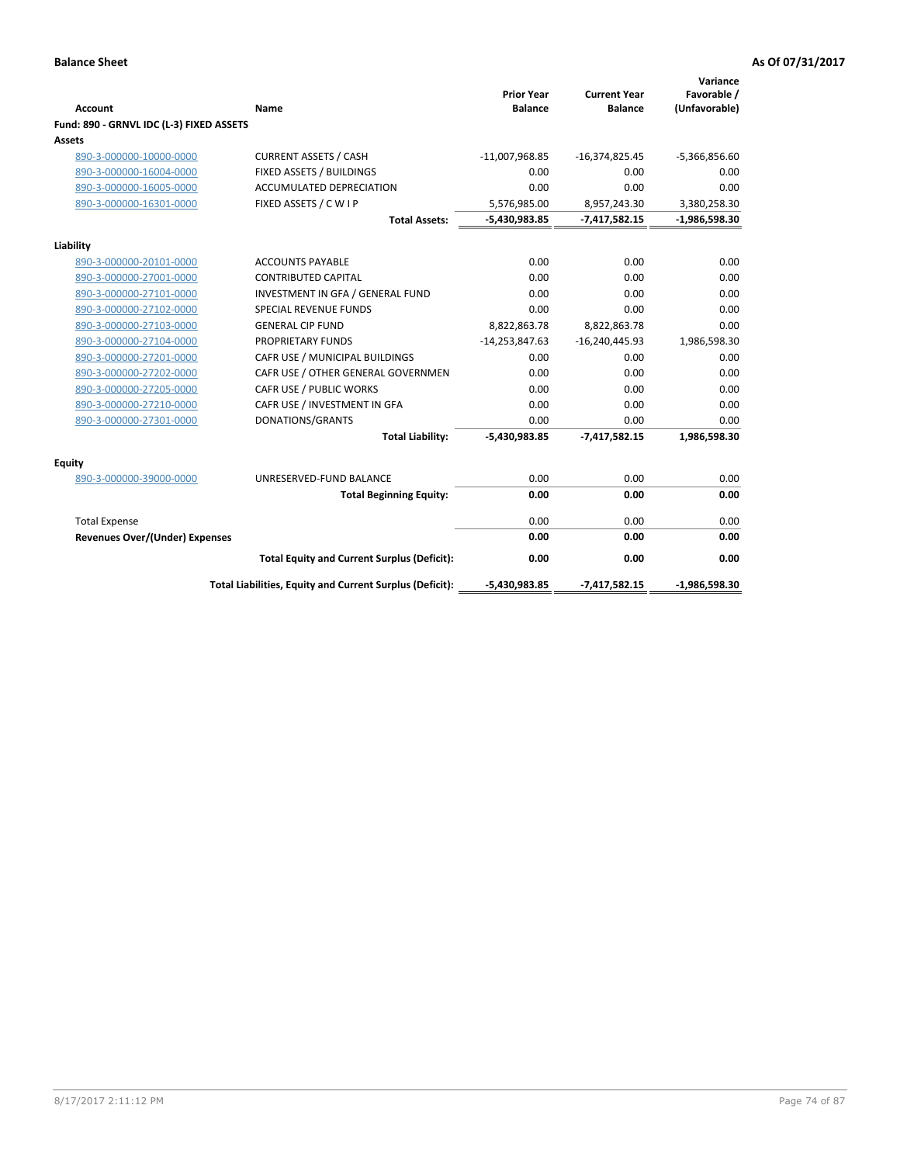|                                          |                                                          | <b>Prior Year</b> | <b>Current Year</b> | Variance<br>Favorable / |
|------------------------------------------|----------------------------------------------------------|-------------------|---------------------|-------------------------|
| <b>Account</b>                           | Name                                                     | <b>Balance</b>    | <b>Balance</b>      | (Unfavorable)           |
| Fund: 890 - GRNVL IDC (L-3) FIXED ASSETS |                                                          |                   |                     |                         |
| <b>Assets</b>                            |                                                          |                   |                     |                         |
| 890-3-000000-10000-0000                  | <b>CURRENT ASSETS / CASH</b>                             | $-11,007,968.85$  | $-16,374,825.45$    | $-5,366,856.60$         |
| 890-3-000000-16004-0000                  | FIXED ASSETS / BUILDINGS                                 | 0.00              | 0.00                | 0.00                    |
| 890-3-000000-16005-0000                  | <b>ACCUMULATED DEPRECIATION</b>                          | 0.00              | 0.00                | 0.00                    |
| 890-3-000000-16301-0000                  | FIXED ASSETS / C W I P                                   | 5,576,985.00      | 8,957,243.30        | 3,380,258.30            |
|                                          | <b>Total Assets:</b>                                     | -5,430,983.85     | $-7,417,582.15$     | $-1,986,598.30$         |
| Liability                                |                                                          |                   |                     |                         |
| 890-3-000000-20101-0000                  | <b>ACCOUNTS PAYABLE</b>                                  | 0.00              | 0.00                | 0.00                    |
| 890-3-000000-27001-0000                  | <b>CONTRIBUTED CAPITAL</b>                               | 0.00              | 0.00                | 0.00                    |
| 890-3-000000-27101-0000                  | INVESTMENT IN GFA / GENERAL FUND                         | 0.00              | 0.00                | 0.00                    |
| 890-3-000000-27102-0000                  | <b>SPECIAL REVENUE FUNDS</b>                             | 0.00              | 0.00                | 0.00                    |
| 890-3-000000-27103-0000                  | <b>GENERAL CIP FUND</b>                                  | 8,822,863.78      | 8,822,863.78        | 0.00                    |
| 890-3-000000-27104-0000                  | PROPRIETARY FUNDS                                        | $-14,253,847.63$  | $-16,240,445.93$    | 1,986,598.30            |
| 890-3-000000-27201-0000                  | CAFR USE / MUNICIPAL BUILDINGS                           | 0.00              | 0.00                | 0.00                    |
| 890-3-000000-27202-0000                  | CAFR USE / OTHER GENERAL GOVERNMEN                       | 0.00              | 0.00                | 0.00                    |
| 890-3-000000-27205-0000                  | CAFR USE / PUBLIC WORKS                                  | 0.00              | 0.00                | 0.00                    |
| 890-3-000000-27210-0000                  | CAFR USE / INVESTMENT IN GFA                             | 0.00              | 0.00                | 0.00                    |
| 890-3-000000-27301-0000                  | DONATIONS/GRANTS                                         | 0.00              | 0.00                | 0.00                    |
|                                          | <b>Total Liability:</b>                                  | $-5,430,983.85$   | $-7,417,582.15$     | 1,986,598.30            |
| Equity                                   |                                                          |                   |                     |                         |
| 890-3-000000-39000-0000                  | UNRESERVED-FUND BALANCE                                  | 0.00              | 0.00                | 0.00                    |
|                                          | <b>Total Beginning Equity:</b>                           | 0.00              | 0.00                | 0.00                    |
| <b>Total Expense</b>                     |                                                          | 0.00              | 0.00                | 0.00                    |
| <b>Revenues Over/(Under) Expenses</b>    |                                                          | 0.00              | 0.00                | 0.00                    |
|                                          | <b>Total Equity and Current Surplus (Deficit):</b>       | 0.00              | 0.00                | 0.00                    |
|                                          | Total Liabilities, Equity and Current Surplus (Deficit): | $-5,430,983.85$   | $-7,417,582.15$     | $-1,986,598.30$         |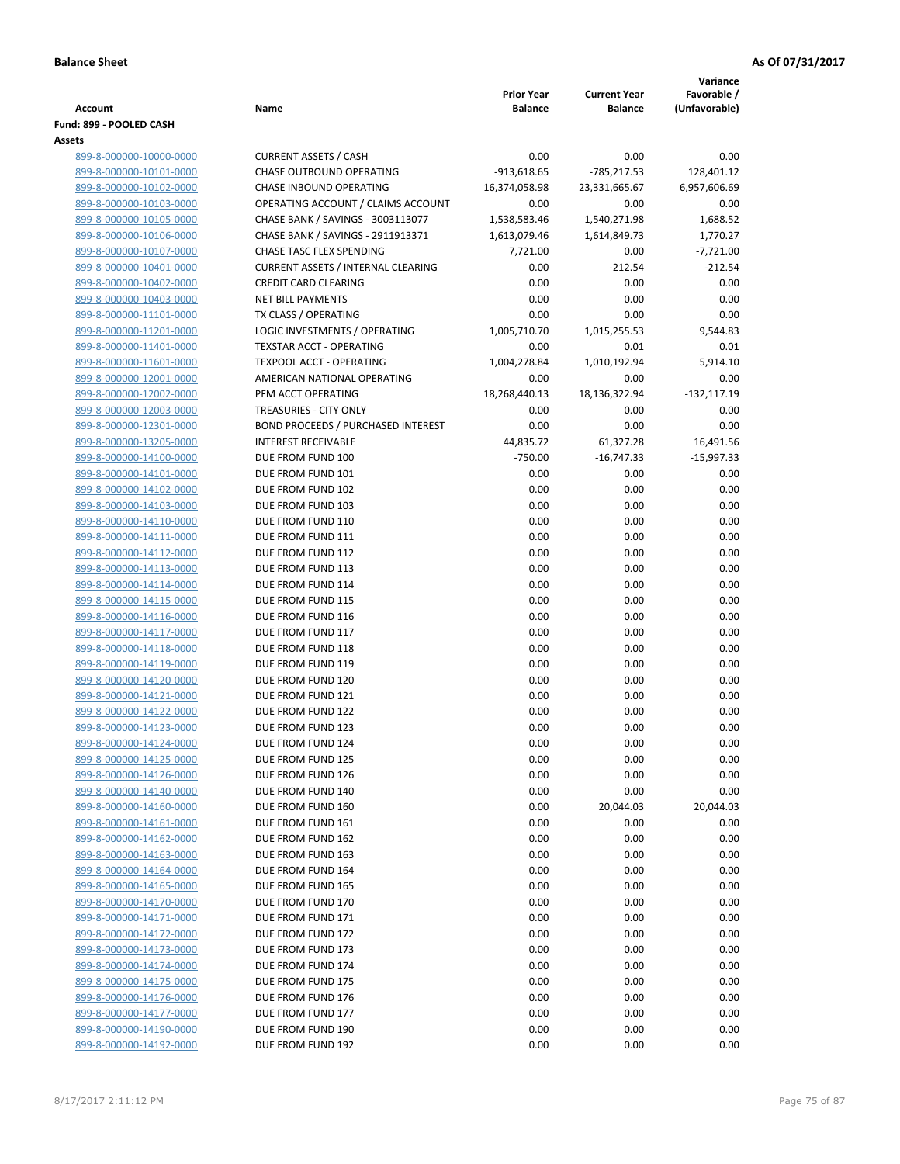|                                                    |                                                                    |                              |                                       | Variance                     |
|----------------------------------------------------|--------------------------------------------------------------------|------------------------------|---------------------------------------|------------------------------|
| <b>Account</b>                                     | Name                                                               | <b>Prior Year</b><br>Balance | <b>Current Year</b><br><b>Balance</b> | Favorable /<br>(Unfavorable) |
| Fund: 899 - POOLED CASH                            |                                                                    |                              |                                       |                              |
| <b>Assets</b>                                      |                                                                    |                              |                                       |                              |
| 899-8-000000-10000-0000                            | <b>CURRENT ASSETS / CASH</b>                                       | 0.00                         | 0.00                                  | 0.00                         |
| 899-8-000000-10101-0000                            | CHASE OUTBOUND OPERATING                                           | $-913,618.65$                | $-785,217.53$                         | 128,401.12                   |
| 899-8-000000-10102-0000                            | CHASE INBOUND OPERATING                                            | 16,374,058.98                | 23,331,665.67                         | 6,957,606.69                 |
| 899-8-000000-10103-0000                            | OPERATING ACCOUNT / CLAIMS ACCOUNT                                 | 0.00                         | 0.00                                  | 0.00                         |
| 899-8-000000-10105-0000                            | CHASE BANK / SAVINGS - 3003113077                                  | 1,538,583.46                 | 1,540,271.98                          | 1,688.52                     |
| 899-8-000000-10106-0000                            | CHASE BANK / SAVINGS - 2911913371                                  | 1,613,079.46                 | 1,614,849.73                          | 1,770.27                     |
| 899-8-000000-10107-0000                            | CHASE TASC FLEX SPENDING                                           | 7,721.00                     | 0.00                                  | $-7,721.00$                  |
| 899-8-000000-10401-0000                            | <b>CURRENT ASSETS / INTERNAL CLEARING</b>                          | 0.00                         | $-212.54$                             | $-212.54$                    |
| 899-8-000000-10402-0000                            | <b>CREDIT CARD CLEARING</b>                                        | 0.00                         | 0.00                                  | 0.00                         |
| 899-8-000000-10403-0000                            | <b>NET BILL PAYMENTS</b>                                           | 0.00                         | 0.00                                  | 0.00                         |
| 899-8-000000-11101-0000                            | TX CLASS / OPERATING                                               | 0.00                         | 0.00                                  | 0.00                         |
| 899-8-000000-11201-0000                            | LOGIC INVESTMENTS / OPERATING                                      | 1,005,710.70                 | 1,015,255.53                          | 9,544.83                     |
| 899-8-000000-11401-0000<br>899-8-000000-11601-0000 | <b>TEXSTAR ACCT - OPERATING</b><br><b>TEXPOOL ACCT - OPERATING</b> | 0.00<br>1,004,278.84         | 0.01<br>1,010,192.94                  | 0.01<br>5,914.10             |
| 899-8-000000-12001-0000                            | AMERICAN NATIONAL OPERATING                                        | 0.00                         | 0.00                                  | 0.00                         |
| 899-8-000000-12002-0000                            | PFM ACCT OPERATING                                                 | 18,268,440.13                | 18,136,322.94                         | $-132,117.19$                |
| 899-8-000000-12003-0000                            | TREASURIES - CITY ONLY                                             | 0.00                         | 0.00                                  | 0.00                         |
| 899-8-000000-12301-0000                            | <b>BOND PROCEEDS / PURCHASED INTEREST</b>                          | 0.00                         | 0.00                                  | 0.00                         |
| 899-8-000000-13205-0000                            | <b>INTEREST RECEIVABLE</b>                                         | 44,835.72                    | 61,327.28                             | 16,491.56                    |
| 899-8-000000-14100-0000                            | DUE FROM FUND 100                                                  | $-750.00$                    | $-16,747.33$                          | $-15,997.33$                 |
| 899-8-000000-14101-0000                            | DUE FROM FUND 101                                                  | 0.00                         | 0.00                                  | 0.00                         |
| 899-8-000000-14102-0000                            | DUE FROM FUND 102                                                  | 0.00                         | 0.00                                  | 0.00                         |
| 899-8-000000-14103-0000                            | DUE FROM FUND 103                                                  | 0.00                         | 0.00                                  | 0.00                         |
| 899-8-000000-14110-0000                            | DUE FROM FUND 110                                                  | 0.00                         | 0.00                                  | 0.00                         |
| 899-8-000000-14111-0000                            | DUE FROM FUND 111                                                  | 0.00                         | 0.00                                  | 0.00                         |
| 899-8-000000-14112-0000                            | DUE FROM FUND 112                                                  | 0.00                         | 0.00                                  | 0.00                         |
| 899-8-000000-14113-0000                            | DUE FROM FUND 113                                                  | 0.00                         | 0.00                                  | 0.00                         |
| 899-8-000000-14114-0000                            | DUE FROM FUND 114                                                  | 0.00                         | 0.00                                  | 0.00                         |
| 899-8-000000-14115-0000                            | DUE FROM FUND 115                                                  | 0.00                         | 0.00                                  | 0.00                         |
| 899-8-000000-14116-0000                            | DUE FROM FUND 116                                                  | 0.00                         | 0.00                                  | 0.00                         |
| 899-8-000000-14117-0000<br>899-8-000000-14118-0000 | DUE FROM FUND 117                                                  | 0.00                         | 0.00                                  | 0.00<br>0.00                 |
| 899-8-000000-14119-0000                            | DUE FROM FUND 118<br>DUE FROM FUND 119                             | 0.00<br>0.00                 | 0.00<br>0.00                          | 0.00                         |
| 899-8-000000-14120-0000                            | DUE FROM FUND 120                                                  | 0.00                         | 0.00                                  | 0.00                         |
| 899-8-000000-14121-0000                            | DUE FROM FUND 121                                                  | 0.00                         | 0.00                                  | 0.00                         |
| 899-8-000000-14122-0000                            | DUE FROM FUND 122                                                  | 0.00                         | 0.00                                  | 0.00                         |
| 899-8-000000-14123-0000                            | DUE FROM FUND 123                                                  | 0.00                         | 0.00                                  | 0.00                         |
| 899-8-000000-14124-0000                            | DUE FROM FUND 124                                                  | 0.00                         | 0.00                                  | 0.00                         |
| 899-8-000000-14125-0000                            | DUE FROM FUND 125                                                  | 0.00                         | 0.00                                  | 0.00                         |
| 899-8-000000-14126-0000                            | DUE FROM FUND 126                                                  | 0.00                         | 0.00                                  | 0.00                         |
| 899-8-000000-14140-0000                            | DUE FROM FUND 140                                                  | 0.00                         | 0.00                                  | 0.00                         |
| 899-8-000000-14160-0000                            | DUE FROM FUND 160                                                  | 0.00                         | 20,044.03                             | 20,044.03                    |
| 899-8-000000-14161-0000                            | DUE FROM FUND 161                                                  | 0.00                         | 0.00                                  | 0.00                         |
| 899-8-000000-14162-0000                            | DUE FROM FUND 162                                                  | 0.00                         | 0.00                                  | 0.00                         |
| 899-8-000000-14163-0000                            | DUE FROM FUND 163                                                  | 0.00                         | 0.00                                  | 0.00                         |
| 899-8-000000-14164-0000                            | DUE FROM FUND 164                                                  | 0.00                         | 0.00                                  | 0.00                         |
| 899-8-000000-14165-0000                            | DUE FROM FUND 165                                                  | 0.00                         | 0.00                                  | 0.00                         |
| 899-8-000000-14170-0000                            | DUE FROM FUND 170                                                  | 0.00                         | 0.00                                  | 0.00                         |
| 899-8-000000-14171-0000<br>899-8-000000-14172-0000 | DUE FROM FUND 171<br>DUE FROM FUND 172                             | 0.00<br>0.00                 | 0.00<br>0.00                          | 0.00<br>0.00                 |
| 899-8-000000-14173-0000                            | DUE FROM FUND 173                                                  | 0.00                         | 0.00                                  | 0.00                         |
| 899-8-000000-14174-0000                            | DUE FROM FUND 174                                                  | 0.00                         | 0.00                                  | 0.00                         |
| 899-8-000000-14175-0000                            | DUE FROM FUND 175                                                  | 0.00                         | 0.00                                  | 0.00                         |
| 899-8-000000-14176-0000                            | DUE FROM FUND 176                                                  | 0.00                         | 0.00                                  | 0.00                         |
| 899-8-000000-14177-0000                            | DUE FROM FUND 177                                                  | 0.00                         | 0.00                                  | 0.00                         |
| 899-8-000000-14190-0000                            | DUE FROM FUND 190                                                  | 0.00                         | 0.00                                  | 0.00                         |
| 899-8-000000-14192-0000                            | DUE FROM FUND 192                                                  | 0.00                         | 0.00                                  | 0.00                         |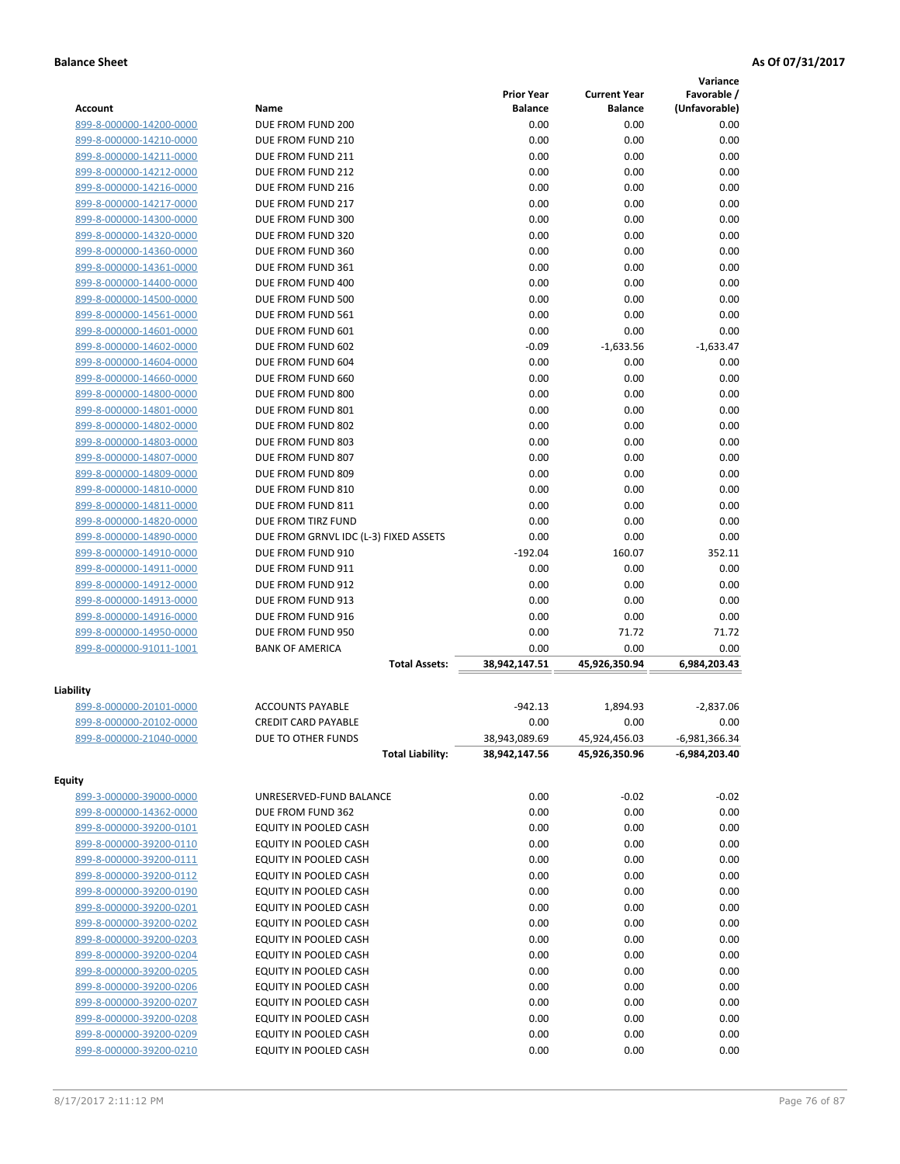|                         |                                       |                   |                     | Variance        |
|-------------------------|---------------------------------------|-------------------|---------------------|-----------------|
|                         |                                       | <b>Prior Year</b> | <b>Current Year</b> | Favorable /     |
| <b>Account</b>          | Name                                  | <b>Balance</b>    | <b>Balance</b>      | (Unfavorable)   |
| 899-8-000000-14200-0000 | DUE FROM FUND 200                     | 0.00              | 0.00                | 0.00            |
| 899-8-000000-14210-0000 | DUE FROM FUND 210                     | 0.00              | 0.00                | 0.00            |
| 899-8-000000-14211-0000 | DUE FROM FUND 211                     | 0.00              | 0.00                | 0.00            |
| 899-8-000000-14212-0000 | DUE FROM FUND 212                     | 0.00              | 0.00                | 0.00            |
| 899-8-000000-14216-0000 | DUE FROM FUND 216                     | 0.00              | 0.00                | 0.00            |
| 899-8-000000-14217-0000 | DUE FROM FUND 217                     | 0.00              | 0.00                | 0.00            |
| 899-8-000000-14300-0000 | DUE FROM FUND 300                     | 0.00              | 0.00                | 0.00            |
| 899-8-000000-14320-0000 | DUE FROM FUND 320                     | 0.00              | 0.00                | 0.00            |
| 899-8-000000-14360-0000 | DUE FROM FUND 360                     | 0.00              | 0.00                | 0.00            |
| 899-8-000000-14361-0000 | DUE FROM FUND 361                     | 0.00              | 0.00                | 0.00            |
| 899-8-000000-14400-0000 | DUE FROM FUND 400                     | 0.00              | 0.00                | 0.00            |
| 899-8-000000-14500-0000 | DUE FROM FUND 500                     | 0.00              | 0.00                | 0.00            |
| 899-8-000000-14561-0000 | DUE FROM FUND 561                     | 0.00              | 0.00                | 0.00            |
| 899-8-000000-14601-0000 | DUE FROM FUND 601                     | 0.00              | 0.00                | 0.00            |
| 899-8-000000-14602-0000 | DUE FROM FUND 602                     | $-0.09$           | $-1,633.56$         | $-1,633.47$     |
| 899-8-000000-14604-0000 | DUE FROM FUND 604                     | 0.00              | 0.00                | 0.00            |
| 899-8-000000-14660-0000 | DUE FROM FUND 660                     | 0.00              | 0.00                | 0.00            |
| 899-8-000000-14800-0000 | DUE FROM FUND 800                     | 0.00              | 0.00                | 0.00            |
| 899-8-000000-14801-0000 | DUE FROM FUND 801                     | 0.00              | 0.00                | 0.00            |
| 899-8-000000-14802-0000 | DUE FROM FUND 802                     | 0.00              | 0.00                | 0.00            |
| 899-8-000000-14803-0000 | DUE FROM FUND 803                     | 0.00              | 0.00                | 0.00            |
| 899-8-000000-14807-0000 | DUE FROM FUND 807                     | 0.00              | 0.00                | 0.00            |
| 899-8-000000-14809-0000 | DUE FROM FUND 809                     | 0.00              | 0.00                | 0.00            |
| 899-8-000000-14810-0000 | DUE FROM FUND 810                     | 0.00              | 0.00                | 0.00            |
| 899-8-000000-14811-0000 | DUE FROM FUND 811                     | 0.00              | 0.00                | 0.00            |
| 899-8-000000-14820-0000 | DUE FROM TIRZ FUND                    | 0.00              | 0.00                | 0.00            |
| 899-8-000000-14890-0000 | DUE FROM GRNVL IDC (L-3) FIXED ASSETS | 0.00              | 0.00                | 0.00            |
|                         | DUE FROM FUND 910                     | $-192.04$         | 160.07              | 352.11          |
| 899-8-000000-14910-0000 |                                       |                   |                     |                 |
| 899-8-000000-14911-0000 | DUE FROM FUND 911                     | 0.00              | 0.00                | 0.00<br>0.00    |
| 899-8-000000-14912-0000 | DUE FROM FUND 912                     | 0.00              | 0.00                |                 |
| 899-8-000000-14913-0000 | DUE FROM FUND 913                     | 0.00<br>0.00      | 0.00                | 0.00<br>0.00    |
| 899-8-000000-14916-0000 | DUE FROM FUND 916                     |                   | 0.00                | 71.72           |
| 899-8-000000-14950-0000 | DUE FROM FUND 950                     | 0.00              | 71.72               |                 |
| 899-8-000000-91011-1001 | <b>BANK OF AMERICA</b>                | 0.00              | 0.00                | 0.00            |
|                         | <b>Total Assets:</b>                  | 38,942,147.51     | 45,926,350.94       | 6,984,203.43    |
| Liability               |                                       |                   |                     |                 |
| 899-8-000000-20101-0000 | <b>ACCOUNTS PAYABLE</b>               | $-942.13$         | 1,894.93            | $-2,837.06$     |
| 899-8-000000-20102-0000 | <b>CREDIT CARD PAYABLE</b>            | 0.00              | 0.00                | 0.00            |
| 899-8-000000-21040-0000 | DUE TO OTHER FUNDS                    | 38,943,089.69     | 45,924,456.03       | $-6,981,366.34$ |
|                         | <b>Total Liability:</b>               | 38,942,147.56     | 45,926,350.96       | -6,984,203.40   |
|                         |                                       |                   |                     |                 |
| <b>Equity</b>           |                                       |                   |                     |                 |
| 899-3-000000-39000-0000 | UNRESERVED-FUND BALANCE               | 0.00              | $-0.02$             | $-0.02$         |
| 899-8-000000-14362-0000 | DUE FROM FUND 362                     | 0.00              | 0.00                | 0.00            |
| 899-8-000000-39200-0101 | EQUITY IN POOLED CASH                 | 0.00              | 0.00                | 0.00            |
| 899-8-000000-39200-0110 | EQUITY IN POOLED CASH                 | 0.00              | 0.00                | 0.00            |
| 899-8-000000-39200-0111 | EQUITY IN POOLED CASH                 | 0.00              | 0.00                | 0.00            |
| 899-8-000000-39200-0112 | EQUITY IN POOLED CASH                 | 0.00              | 0.00                | 0.00            |
| 899-8-000000-39200-0190 | EQUITY IN POOLED CASH                 | 0.00              | 0.00                | 0.00            |
| 899-8-000000-39200-0201 | EQUITY IN POOLED CASH                 | 0.00              | 0.00                | 0.00            |
| 899-8-000000-39200-0202 | EQUITY IN POOLED CASH                 | 0.00              | 0.00                | 0.00            |
| 899-8-000000-39200-0203 | EQUITY IN POOLED CASH                 | 0.00              | 0.00                | 0.00            |
| 899-8-000000-39200-0204 | EQUITY IN POOLED CASH                 | 0.00              | 0.00                | 0.00            |
| 899-8-000000-39200-0205 | EQUITY IN POOLED CASH                 | 0.00              | 0.00                | 0.00            |
| 899-8-000000-39200-0206 | EQUITY IN POOLED CASH                 | 0.00              | 0.00                | 0.00            |
| 899-8-000000-39200-0207 | EQUITY IN POOLED CASH                 | 0.00              | 0.00                | 0.00            |
| 899-8-000000-39200-0208 | EQUITY IN POOLED CASH                 | 0.00              | 0.00                | 0.00            |
| 899-8-000000-39200-0209 | EQUITY IN POOLED CASH                 | 0.00              | 0.00                | 0.00            |
| 899-8-000000-39200-0210 | EQUITY IN POOLED CASH                 | 0.00              | 0.00                | 0.00            |
|                         |                                       |                   |                     |                 |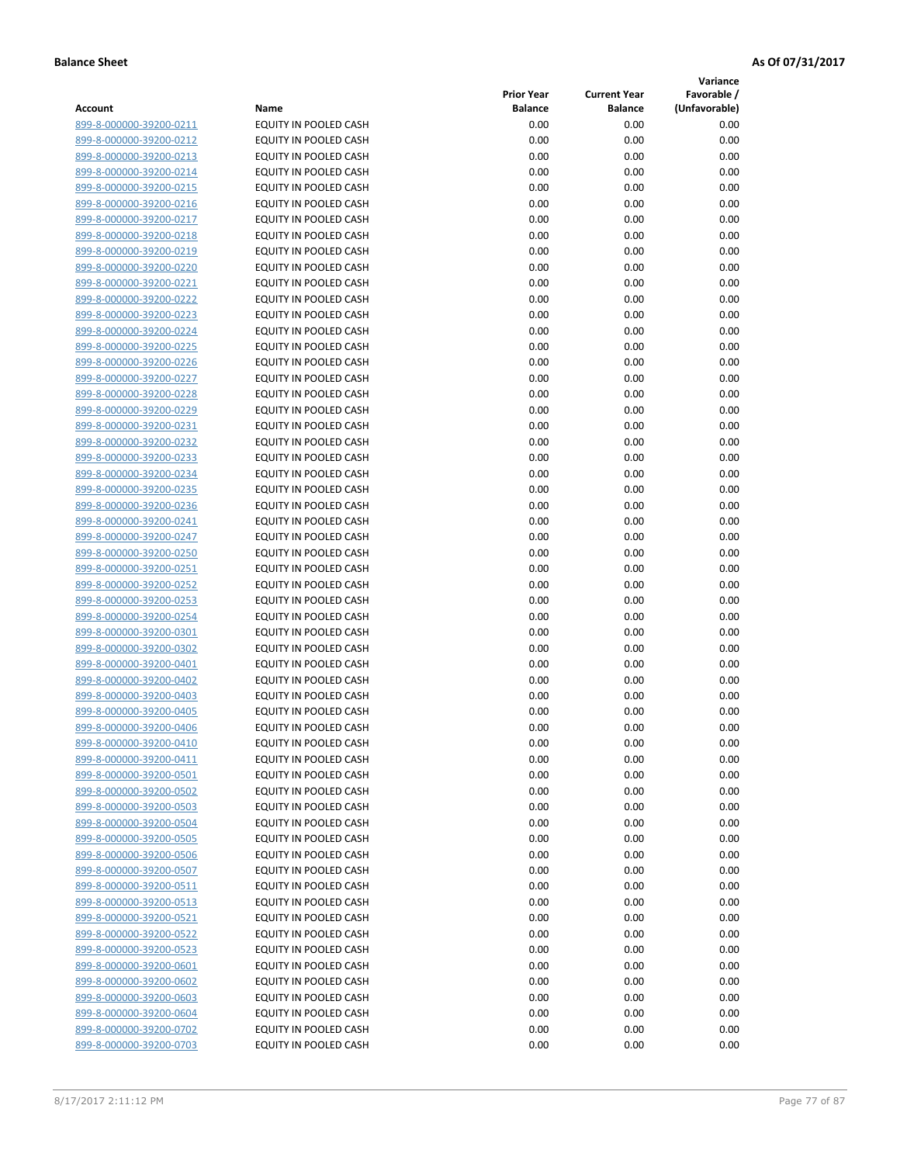**Variance**

| Account                 | Name                         | <b>Prior Year</b><br><b>Balance</b> | <b>Current Year</b><br><b>Balance</b> | Favorable /<br>(Unfavorable) |
|-------------------------|------------------------------|-------------------------------------|---------------------------------------|------------------------------|
| 899-8-000000-39200-0211 | EQUITY IN POOLED CASH        | 0.00                                | 0.00                                  | 0.00                         |
| 899-8-000000-39200-0212 | EQUITY IN POOLED CASH        | 0.00                                | 0.00                                  | 0.00                         |
| 899-8-000000-39200-0213 | EQUITY IN POOLED CASH        | 0.00                                | 0.00                                  | 0.00                         |
| 899-8-000000-39200-0214 | EQUITY IN POOLED CASH        | 0.00                                | 0.00                                  | 0.00                         |
| 899-8-000000-39200-0215 | <b>EQUITY IN POOLED CASH</b> | 0.00                                | 0.00                                  | 0.00                         |
| 899-8-000000-39200-0216 | EQUITY IN POOLED CASH        | 0.00                                | 0.00                                  | 0.00                         |
| 899-8-000000-39200-0217 | EQUITY IN POOLED CASH        | 0.00                                | 0.00                                  | 0.00                         |
| 899-8-000000-39200-0218 | EQUITY IN POOLED CASH        | 0.00                                | 0.00                                  | 0.00                         |
| 899-8-000000-39200-0219 | EQUITY IN POOLED CASH        | 0.00                                | 0.00                                  | 0.00                         |
| 899-8-000000-39200-0220 | EQUITY IN POOLED CASH        | 0.00                                | 0.00                                  | 0.00                         |
| 899-8-000000-39200-0221 | <b>EQUITY IN POOLED CASH</b> | 0.00                                | 0.00                                  | 0.00                         |
| 899-8-000000-39200-0222 | EQUITY IN POOLED CASH        | 0.00                                | 0.00                                  | 0.00                         |
| 899-8-000000-39200-0223 | EQUITY IN POOLED CASH        | 0.00                                | 0.00                                  | 0.00                         |
| 899-8-000000-39200-0224 | EQUITY IN POOLED CASH        | 0.00                                | 0.00                                  | 0.00                         |
| 899-8-000000-39200-0225 | EQUITY IN POOLED CASH        | 0.00                                | 0.00                                  | 0.00                         |
| 899-8-000000-39200-0226 | EQUITY IN POOLED CASH        | 0.00                                | 0.00                                  | 0.00                         |
| 899-8-000000-39200-0227 | EQUITY IN POOLED CASH        | 0.00                                | 0.00                                  | 0.00                         |
| 899-8-000000-39200-0228 | EQUITY IN POOLED CASH        | 0.00                                | 0.00                                  | 0.00                         |
| 899-8-000000-39200-0229 | EQUITY IN POOLED CASH        | 0.00                                | 0.00                                  | 0.00                         |
| 899-8-000000-39200-0231 | EQUITY IN POOLED CASH        | 0.00                                | 0.00                                  | 0.00                         |
| 899-8-000000-39200-0232 | EQUITY IN POOLED CASH        | 0.00                                | 0.00                                  | 0.00                         |
| 899-8-000000-39200-0233 | EQUITY IN POOLED CASH        | 0.00                                | 0.00                                  | 0.00                         |
| 899-8-000000-39200-0234 | EQUITY IN POOLED CASH        | 0.00                                | 0.00                                  | 0.00                         |
| 899-8-000000-39200-0235 | EQUITY IN POOLED CASH        | 0.00                                | 0.00                                  | 0.00                         |
| 899-8-000000-39200-0236 | EQUITY IN POOLED CASH        | 0.00                                | 0.00                                  | 0.00                         |
| 899-8-000000-39200-0241 | EQUITY IN POOLED CASH        | 0.00                                | 0.00                                  | 0.00                         |
| 899-8-000000-39200-0247 | EQUITY IN POOLED CASH        | 0.00                                | 0.00                                  | 0.00                         |
| 899-8-000000-39200-0250 | EQUITY IN POOLED CASH        | 0.00                                | 0.00                                  | 0.00                         |
| 899-8-000000-39200-0251 | EQUITY IN POOLED CASH        | 0.00                                | 0.00                                  | 0.00                         |
| 899-8-000000-39200-0252 | EQUITY IN POOLED CASH        | 0.00                                | 0.00                                  | 0.00                         |
| 899-8-000000-39200-0253 | EQUITY IN POOLED CASH        | 0.00                                | 0.00                                  | 0.00                         |
| 899-8-000000-39200-0254 | EQUITY IN POOLED CASH        | 0.00                                | 0.00                                  | 0.00                         |
| 899-8-000000-39200-0301 | EQUITY IN POOLED CASH        | 0.00                                | 0.00                                  | 0.00                         |
| 899-8-000000-39200-0302 | EQUITY IN POOLED CASH        | 0.00                                | 0.00                                  | 0.00                         |
| 899-8-000000-39200-0401 | EQUITY IN POOLED CASH        | 0.00                                | 0.00                                  | 0.00                         |
| 899-8-000000-39200-0402 | EQUITY IN POOLED CASH        | 0.00                                | 0.00                                  | 0.00                         |
| 899-8-000000-39200-0403 | EQUITY IN POOLED CASH        | 0.00                                | 0.00                                  | 0.00                         |
| 899-8-000000-39200-0405 | EQUITY IN POOLED CASH        | 0.00                                | 0.00                                  | 0.00                         |
| 899-8-000000-39200-0406 | EQUITY IN POOLED CASH        | 0.00                                | 0.00                                  | 0.00                         |
| 899-8-000000-39200-0410 | <b>EQUITY IN POOLED CASH</b> | 0.00                                | 0.00                                  | 0.00                         |
| 899-8-000000-39200-0411 | <b>EQUITY IN POOLED CASH</b> | 0.00                                | 0.00                                  | 0.00                         |
| 899-8-000000-39200-0501 | EQUITY IN POOLED CASH        | 0.00                                | 0.00                                  | 0.00                         |
| 899-8-000000-39200-0502 | EQUITY IN POOLED CASH        | 0.00                                | 0.00                                  | 0.00                         |
| 899-8-000000-39200-0503 | EQUITY IN POOLED CASH        | 0.00                                | 0.00                                  | 0.00                         |
| 899-8-000000-39200-0504 | <b>EQUITY IN POOLED CASH</b> | 0.00                                | 0.00                                  | 0.00                         |
| 899-8-000000-39200-0505 | <b>EQUITY IN POOLED CASH</b> | 0.00                                | 0.00                                  | 0.00                         |
| 899-8-000000-39200-0506 | EQUITY IN POOLED CASH        | 0.00                                | 0.00                                  | 0.00                         |
| 899-8-000000-39200-0507 | EQUITY IN POOLED CASH        | 0.00                                | 0.00                                  | 0.00                         |
| 899-8-000000-39200-0511 | EQUITY IN POOLED CASH        | 0.00                                | 0.00                                  | 0.00                         |
| 899-8-000000-39200-0513 | EQUITY IN POOLED CASH        | 0.00                                | 0.00                                  | 0.00                         |
| 899-8-000000-39200-0521 | EQUITY IN POOLED CASH        | 0.00                                | 0.00                                  | 0.00                         |
| 899-8-000000-39200-0522 | EQUITY IN POOLED CASH        | 0.00                                | 0.00                                  | 0.00                         |
| 899-8-000000-39200-0523 | EQUITY IN POOLED CASH        | 0.00                                | 0.00                                  | 0.00                         |
| 899-8-000000-39200-0601 | EQUITY IN POOLED CASH        | 0.00                                | 0.00                                  | 0.00                         |
| 899-8-000000-39200-0602 | EQUITY IN POOLED CASH        | 0.00                                | 0.00                                  | 0.00                         |
| 899-8-000000-39200-0603 | EQUITY IN POOLED CASH        | 0.00                                | 0.00                                  | 0.00                         |
| 899-8-000000-39200-0604 | EQUITY IN POOLED CASH        | 0.00                                | 0.00                                  | 0.00                         |
| 899-8-000000-39200-0702 | EQUITY IN POOLED CASH        | 0.00                                | 0.00                                  | 0.00                         |
| 899-8-000000-39200-0703 | EQUITY IN POOLED CASH        | 0.00                                | 0.00                                  | 0.00                         |
|                         |                              |                                     |                                       |                              |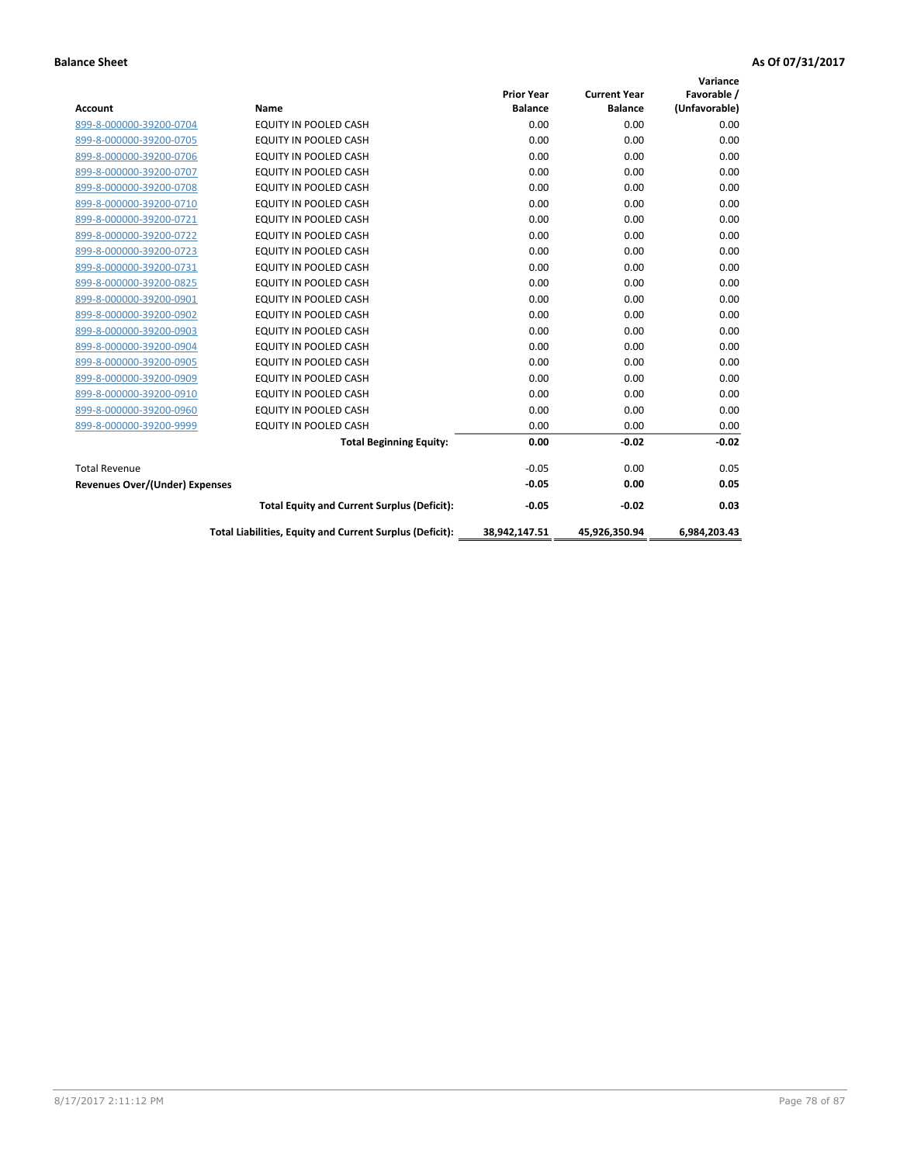|                                       |                                                          |                                     |                                       | Variance                     |
|---------------------------------------|----------------------------------------------------------|-------------------------------------|---------------------------------------|------------------------------|
| <b>Account</b>                        | Name                                                     | <b>Prior Year</b><br><b>Balance</b> | <b>Current Year</b><br><b>Balance</b> | Favorable /<br>(Unfavorable) |
| 899-8-000000-39200-0704               | <b>EQUITY IN POOLED CASH</b>                             | 0.00                                | 0.00                                  | 0.00                         |
| 899-8-000000-39200-0705               | <b>EQUITY IN POOLED CASH</b>                             | 0.00                                | 0.00                                  | 0.00                         |
| 899-8-000000-39200-0706               | <b>EQUITY IN POOLED CASH</b>                             | 0.00                                | 0.00                                  | 0.00                         |
| 899-8-000000-39200-0707               | EQUITY IN POOLED CASH                                    | 0.00                                | 0.00                                  | 0.00                         |
| 899-8-000000-39200-0708               | <b>EQUITY IN POOLED CASH</b>                             | 0.00                                | 0.00                                  | 0.00                         |
| 899-8-000000-39200-0710               | <b>EQUITY IN POOLED CASH</b>                             | 0.00                                | 0.00                                  | 0.00                         |
| 899-8-000000-39200-0721               | EQUITY IN POOLED CASH                                    | 0.00                                | 0.00                                  | 0.00                         |
| 899-8-000000-39200-0722               | EQUITY IN POOLED CASH                                    | 0.00                                | 0.00                                  | 0.00                         |
| 899-8-000000-39200-0723               | EQUITY IN POOLED CASH                                    | 0.00                                | 0.00                                  | 0.00                         |
| 899-8-000000-39200-0731               | <b>EQUITY IN POOLED CASH</b>                             | 0.00                                | 0.00                                  | 0.00                         |
| 899-8-000000-39200-0825               | <b>EQUITY IN POOLED CASH</b>                             | 0.00                                | 0.00                                  | 0.00                         |
| 899-8-000000-39200-0901               | EQUITY IN POOLED CASH                                    | 0.00                                | 0.00                                  | 0.00                         |
| 899-8-000000-39200-0902               | EQUITY IN POOLED CASH                                    | 0.00                                | 0.00                                  | 0.00                         |
| 899-8-000000-39200-0903               | <b>EQUITY IN POOLED CASH</b>                             | 0.00                                | 0.00                                  | 0.00                         |
| 899-8-000000-39200-0904               | <b>EQUITY IN POOLED CASH</b>                             | 0.00                                | 0.00                                  | 0.00                         |
| 899-8-000000-39200-0905               | <b>EQUITY IN POOLED CASH</b>                             | 0.00                                | 0.00                                  | 0.00                         |
| 899-8-000000-39200-0909               | EQUITY IN POOLED CASH                                    | 0.00                                | 0.00                                  | 0.00                         |
| 899-8-000000-39200-0910               | <b>EQUITY IN POOLED CASH</b>                             | 0.00                                | 0.00                                  | 0.00                         |
| 899-8-000000-39200-0960               | <b>EQUITY IN POOLED CASH</b>                             | 0.00                                | 0.00                                  | 0.00                         |
| 899-8-000000-39200-9999               | EQUITY IN POOLED CASH                                    | 0.00                                | 0.00                                  | 0.00                         |
|                                       | <b>Total Beginning Equity:</b>                           | 0.00                                | $-0.02$                               | $-0.02$                      |
| <b>Total Revenue</b>                  |                                                          | $-0.05$                             | 0.00                                  | 0.05                         |
| <b>Revenues Over/(Under) Expenses</b> |                                                          | $-0.05$                             | 0.00                                  | 0.05                         |
|                                       | <b>Total Equity and Current Surplus (Deficit):</b>       | $-0.05$                             | $-0.02$                               | 0.03                         |
|                                       | Total Liabilities, Equity and Current Surplus (Deficit): | 38,942,147.51                       | 45,926,350.94                         | 6,984,203.43                 |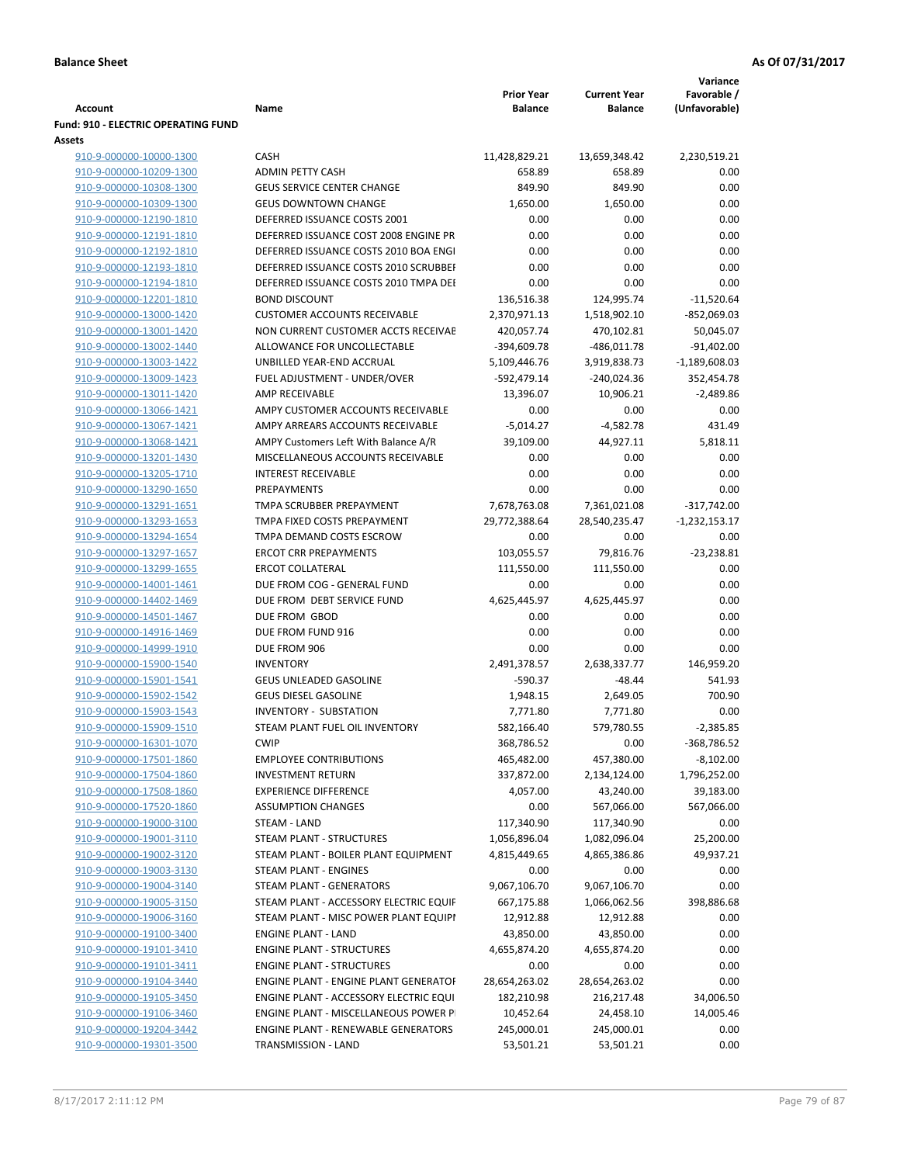|                                     |                                            |                   |                     | Variance        |
|-------------------------------------|--------------------------------------------|-------------------|---------------------|-----------------|
|                                     |                                            | <b>Prior Year</b> | <b>Current Year</b> | Favorable /     |
| <b>Account</b>                      | Name                                       | <b>Balance</b>    | <b>Balance</b>      | (Unfavorable)   |
| Fund: 910 - ELECTRIC OPERATING FUND |                                            |                   |                     |                 |
| <b>Assets</b>                       |                                            |                   |                     |                 |
| 910-9-000000-10000-1300             | <b>CASH</b>                                | 11,428,829.21     | 13,659,348.42       | 2,230,519.21    |
| 910-9-000000-10209-1300             | <b>ADMIN PETTY CASH</b>                    | 658.89            | 658.89              | 0.00            |
| 910-9-000000-10308-1300             | <b>GEUS SERVICE CENTER CHANGE</b>          | 849.90            | 849.90              | 0.00            |
| 910-9-000000-10309-1300             | <b>GEUS DOWNTOWN CHANGE</b>                | 1,650.00          | 1,650.00            | 0.00            |
| 910-9-000000-12190-1810             | DEFERRED ISSUANCE COSTS 2001               | 0.00              | 0.00                | 0.00            |
| 910-9-000000-12191-1810             | DEFERRED ISSUANCE COST 2008 ENGINE PR      | 0.00              | 0.00                | 0.00            |
| 910-9-000000-12192-1810             | DEFERRED ISSUANCE COSTS 2010 BOA ENGI      | 0.00              | 0.00                | 0.00            |
| 910-9-000000-12193-1810             | DEFERRED ISSUANCE COSTS 2010 SCRUBBEF      | 0.00              | 0.00                | 0.00            |
| 910-9-000000-12194-1810             | DEFERRED ISSUANCE COSTS 2010 TMPA DEI      | 0.00              | 0.00                | 0.00            |
| 910-9-000000-12201-1810             | <b>BOND DISCOUNT</b>                       | 136,516.38        | 124,995.74          | $-11,520.64$    |
| 910-9-000000-13000-1420             | <b>CUSTOMER ACCOUNTS RECEIVABLE</b>        | 2,370,971.13      | 1,518,902.10        | $-852,069.03$   |
| 910-9-000000-13001-1420             | NON CURRENT CUSTOMER ACCTS RECEIVAE        | 420,057.74        | 470,102.81          | 50,045.07       |
| 910-9-000000-13002-1440             | ALLOWANCE FOR UNCOLLECTABLE                | -394,609.78       | $-486,011.78$       | $-91,402.00$    |
| 910-9-000000-13003-1422             | UNBILLED YEAR-END ACCRUAL                  | 5,109,446.76      | 3,919,838.73        | $-1,189,608.03$ |
| 910-9-000000-13009-1423             | FUEL ADJUSTMENT - UNDER/OVER               | -592,479.14       | $-240,024.36$       | 352,454.78      |
| 910-9-000000-13011-1420             | AMP RECEIVABLE                             | 13,396.07         | 10,906.21           | $-2,489.86$     |
| 910-9-000000-13066-1421             | AMPY CUSTOMER ACCOUNTS RECEIVABLE          | 0.00              | 0.00                | 0.00            |
| 910-9-000000-13067-1421             | AMPY ARREARS ACCOUNTS RECEIVABLE           | $-5,014.27$       | $-4,582.78$         | 431.49          |
| 910-9-000000-13068-1421             | AMPY Customers Left With Balance A/R       | 39,109.00         | 44,927.11           | 5,818.11        |
| 910-9-000000-13201-1430             | MISCELLANEOUS ACCOUNTS RECEIVABLE          | 0.00              | 0.00                | 0.00            |
| 910-9-000000-13205-1710             | <b>INTEREST RECEIVABLE</b>                 | 0.00              | 0.00                | 0.00            |
| 910-9-000000-13290-1650             | PREPAYMENTS                                | 0.00              | 0.00                | 0.00            |
| 910-9-000000-13291-1651             | TMPA SCRUBBER PREPAYMENT                   |                   |                     |                 |
|                                     |                                            | 7,678,763.08      | 7,361,021.08        | $-317,742.00$   |
| 910-9-000000-13293-1653             | TMPA FIXED COSTS PREPAYMENT                | 29,772,388.64     | 28,540,235.47       | $-1,232,153.17$ |
| 910-9-000000-13294-1654             | TMPA DEMAND COSTS ESCROW                   | 0.00              | 0.00                | 0.00            |
| 910-9-000000-13297-1657             | <b>ERCOT CRR PREPAYMENTS</b>               | 103,055.57        | 79,816.76           | $-23,238.81$    |
| 910-9-000000-13299-1655             | <b>ERCOT COLLATERAL</b>                    | 111,550.00        | 111,550.00          | 0.00            |
| 910-9-000000-14001-1461             | DUE FROM COG - GENERAL FUND                | 0.00              | 0.00                | 0.00            |
| 910-9-000000-14402-1469             | DUE FROM DEBT SERVICE FUND                 | 4,625,445.97      | 4,625,445.97        | 0.00            |
| 910-9-000000-14501-1467             | DUE FROM GBOD                              | 0.00              | 0.00                | 0.00            |
| 910-9-000000-14916-1469             | DUE FROM FUND 916                          | 0.00              | 0.00                | 0.00            |
| 910-9-000000-14999-1910             | DUE FROM 906                               | 0.00              | 0.00                | 0.00            |
| 910-9-000000-15900-1540             | <b>INVENTORY</b>                           | 2,491,378.57      | 2,638,337.77        | 146,959.20      |
| 910-9-000000-15901-1541             | <b>GEUS UNLEADED GASOLINE</b>              | $-590.37$         | $-48.44$            | 541.93          |
| 910-9-000000-15902-1542             | <b>GEUS DIESEL GASOLINE</b>                | 1,948.15          | 2,649.05            | 700.90          |
| 910-9-000000-15903-1543             | <b>INVENTORY - SUBSTATION</b>              | 7,771.80          | 7,771.80            | 0.00            |
| 910-9-000000-15909-1510             | STEAM PLANT FUEL OIL INVENTORY             | 582,166.40        | 579,780.55          | $-2,385.85$     |
| 910-9-000000-16301-1070             | <b>CWIP</b>                                | 368,786.52        | 0.00                | -368,786.52     |
| 910-9-000000-17501-1860             | <b>EMPLOYEE CONTRIBUTIONS</b>              | 465,482.00        | 457,380.00          | $-8,102.00$     |
| 910-9-000000-17504-1860             | <b>INVESTMENT RETURN</b>                   | 337,872.00        | 2,134,124.00        | 1,796,252.00    |
| 910-9-000000-17508-1860             | <b>EXPERIENCE DIFFERENCE</b>               | 4,057.00          | 43,240.00           | 39,183.00       |
| 910-9-000000-17520-1860             | <b>ASSUMPTION CHANGES</b>                  | 0.00              | 567,066.00          | 567,066.00      |
| 910-9-000000-19000-3100             | STEAM - LAND                               | 117,340.90        | 117,340.90          | 0.00            |
| 910-9-000000-19001-3110             | <b>STEAM PLANT - STRUCTURES</b>            | 1,056,896.04      | 1,082,096.04        | 25,200.00       |
| 910-9-000000-19002-3120             | STEAM PLANT - BOILER PLANT EQUIPMENT       | 4,815,449.65      | 4,865,386.86        | 49,937.21       |
| 910-9-000000-19003-3130             | STEAM PLANT - ENGINES                      | 0.00              | 0.00                | 0.00            |
| 910-9-000000-19004-3140             | STEAM PLANT - GENERATORS                   | 9,067,106.70      | 9,067,106.70        | 0.00            |
| 910-9-000000-19005-3150             | STEAM PLANT - ACCESSORY ELECTRIC EQUIF     | 667,175.88        | 1,066,062.56        | 398,886.68      |
| 910-9-000000-19006-3160             | STEAM PLANT - MISC POWER PLANT EQUIPI      | 12,912.88         | 12,912.88           | 0.00            |
| 910-9-000000-19100-3400             | <b>ENGINE PLANT - LAND</b>                 | 43,850.00         | 43,850.00           | 0.00            |
| 910-9-000000-19101-3410             | <b>ENGINE PLANT - STRUCTURES</b>           | 4,655,874.20      | 4,655,874.20        | 0.00            |
| 910-9-000000-19101-3411             | <b>ENGINE PLANT - STRUCTURES</b>           | 0.00              | 0.00                | 0.00            |
| 910-9-000000-19104-3440             | ENGINE PLANT - ENGINE PLANT GENERATOF      | 28,654,263.02     | 28,654,263.02       | 0.00            |
| 910-9-000000-19105-3450             | ENGINE PLANT - ACCESSORY ELECTRIC EQUI     | 182,210.98        | 216,217.48          | 34,006.50       |
| 910-9-000000-19106-3460             | ENGINE PLANT - MISCELLANEOUS POWER P       | 10,452.64         | 24,458.10           | 14,005.46       |
| 910-9-000000-19204-3442             | <b>ENGINE PLANT - RENEWABLE GENERATORS</b> | 245,000.01        | 245,000.01          | 0.00            |
| 910-9-000000-19301-3500             | TRANSMISSION - LAND                        | 53,501.21         | 53,501.21           | 0.00            |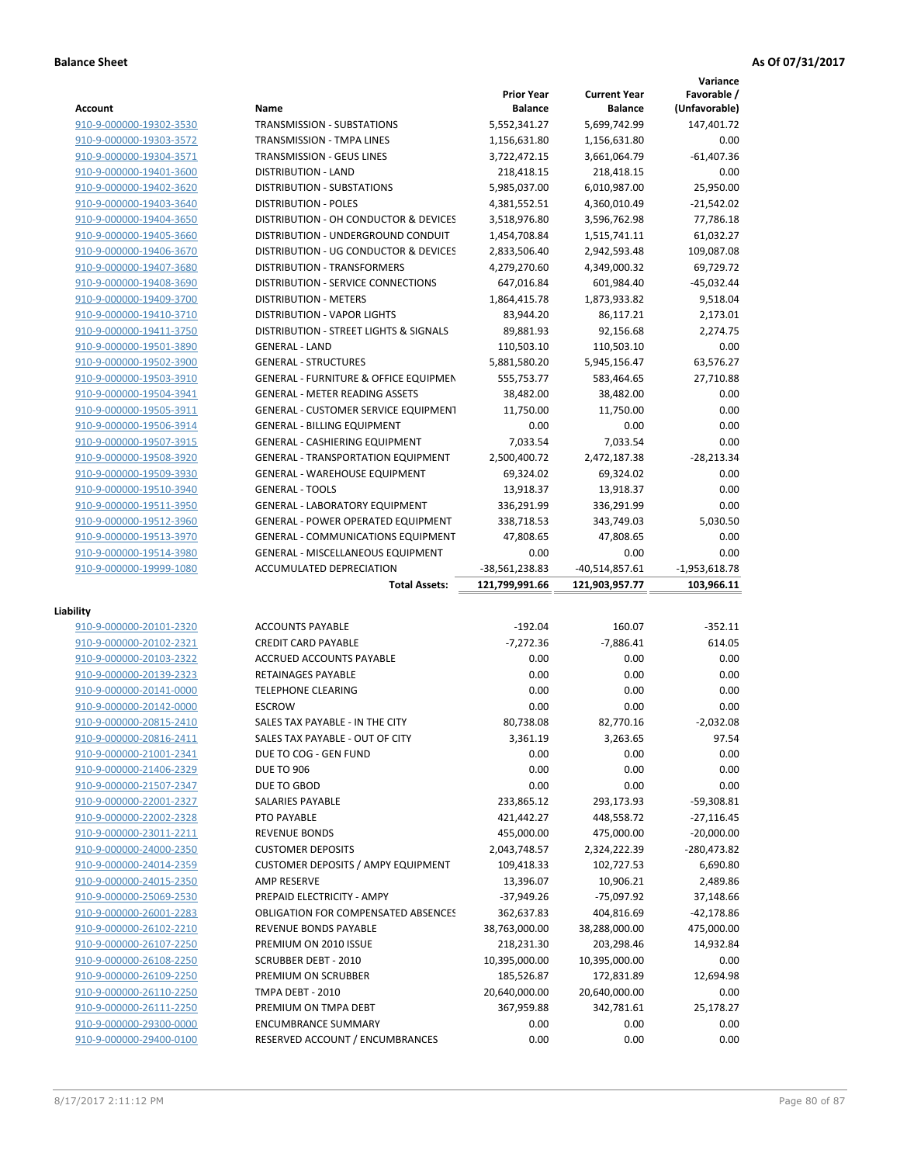|                                                    |                                                               |                   |                     | Variance            |
|----------------------------------------------------|---------------------------------------------------------------|-------------------|---------------------|---------------------|
|                                                    |                                                               | <b>Prior Year</b> | <b>Current Year</b> | Favorable /         |
| <b>Account</b>                                     | Name                                                          | <b>Balance</b>    | <b>Balance</b>      | (Unfavorable)       |
| 910-9-000000-19302-3530                            | <b>TRANSMISSION - SUBSTATIONS</b>                             | 5,552,341.27      | 5.699.742.99        | 147,401.72          |
| 910-9-000000-19303-3572                            | TRANSMISSION - TMPA LINES                                     | 1,156,631.80      | 1,156,631.80        | 0.00                |
| 910-9-000000-19304-3571                            | <b>TRANSMISSION - GEUS LINES</b>                              | 3,722,472.15      | 3,661,064.79        | $-61.407.36$        |
| 910-9-000000-19401-3600                            | <b>DISTRIBUTION - LAND</b>                                    | 218,418.15        | 218,418.15          | 0.00                |
| 910-9-000000-19402-3620                            | DISTRIBUTION - SUBSTATIONS                                    | 5,985,037.00      | 6,010,987.00        | 25,950.00           |
| 910-9-000000-19403-3640                            | <b>DISTRIBUTION - POLES</b>                                   | 4,381,552.51      | 4,360,010.49        | $-21,542.02$        |
| 910-9-000000-19404-3650                            | DISTRIBUTION - OH CONDUCTOR & DEVICES                         | 3,518,976.80      | 3,596,762.98        | 77,786.18           |
| 910-9-000000-19405-3660                            | DISTRIBUTION - UNDERGROUND CONDUIT                            | 1,454,708.84      | 1,515,741.11        | 61,032.27           |
| 910-9-000000-19406-3670                            | DISTRIBUTION - UG CONDUCTOR & DEVICES                         | 2,833,506.40      | 2,942,593.48        | 109,087.08          |
| 910-9-000000-19407-3680                            | DISTRIBUTION - TRANSFORMERS                                   | 4,279,270.60      | 4,349,000.32        | 69,729.72           |
| 910-9-000000-19408-3690                            | DISTRIBUTION - SERVICE CONNECTIONS                            | 647,016.84        | 601,984.40          | $-45,032.44$        |
| 910-9-000000-19409-3700                            | <b>DISTRIBUTION - METERS</b>                                  | 1,864,415.78      | 1,873,933.82        | 9,518.04            |
| 910-9-000000-19410-3710                            | <b>DISTRIBUTION - VAPOR LIGHTS</b>                            | 83,944.20         | 86,117.21           | 2,173.01            |
| 910-9-000000-19411-3750                            | DISTRIBUTION - STREET LIGHTS & SIGNALS                        | 89,881.93         | 92,156.68           | 2,274.75            |
| 910-9-000000-19501-3890                            | <b>GENERAL - LAND</b>                                         | 110,503.10        | 110,503.10          | 0.00                |
| 910-9-000000-19502-3900                            | <b>GENERAL - STRUCTURES</b>                                   | 5,881,580.20      | 5,945,156.47        | 63,576.27           |
| 910-9-000000-19503-3910                            | <b>GENERAL - FURNITURE &amp; OFFICE EQUIPMEN</b>              | 555,753.77        | 583,464.65          | 27,710.88           |
| 910-9-000000-19504-3941                            | <b>GENERAL - METER READING ASSETS</b>                         | 38,482.00         | 38,482.00           | 0.00                |
| 910-9-000000-19505-3911                            | <b>GENERAL - CUSTOMER SERVICE EQUIPMENT</b>                   | 11,750.00         | 11,750.00           | 0.00                |
| 910-9-000000-19506-3914                            | <b>GENERAL - BILLING EQUIPMENT</b>                            | 0.00              | 0.00                | 0.00                |
| 910-9-000000-19507-3915                            | <b>GENERAL - CASHIERING EQUIPMENT</b>                         | 7.033.54          | 7,033.54            | 0.00                |
| 910-9-000000-19508-3920                            | <b>GENERAL - TRANSPORTATION EQUIPMENT</b>                     | 2,500,400.72      | 2,472,187.38        | $-28,213.34$        |
| 910-9-000000-19509-3930                            | <b>GENERAL - WAREHOUSE EQUIPMENT</b>                          | 69,324.02         | 69,324.02           | 0.00                |
| 910-9-000000-19510-3940                            | <b>GENERAL - TOOLS</b>                                        | 13,918.37         | 13,918.37           | 0.00                |
| 910-9-000000-19511-3950                            | <b>GENERAL - LABORATORY EQUIPMENT</b>                         | 336,291.99        | 336,291.99          | 0.00                |
|                                                    |                                                               |                   |                     |                     |
| 910-9-000000-19512-3960                            | <b>GENERAL - POWER OPERATED EQUIPMENT</b>                     | 338,718.53        | 343,749.03          | 5,030.50            |
| 910-9-000000-19513-3970                            | <b>GENERAL - COMMUNICATIONS EQUIPMENT</b>                     | 47,808.65         | 47,808.65           | 0.00<br>0.00        |
| 910-9-000000-19514-3980                            | <b>GENERAL - MISCELLANEOUS EQUIPMENT</b>                      | 0.00              | 0.00                |                     |
|                                                    |                                                               |                   |                     |                     |
| 910-9-000000-19999-1080                            | ACCUMULATED DEPRECIATION                                      | -38,561,238.83    | -40,514,857.61      | $-1,953,618.78$     |
|                                                    | <b>Total Assets:</b>                                          | 121,799,991.66    | 121,903,957.77      | 103,966.11          |
|                                                    |                                                               |                   |                     |                     |
| Liability                                          |                                                               |                   |                     |                     |
| 910-9-000000-20101-2320                            | <b>ACCOUNTS PAYABLE</b>                                       | $-192.04$         | 160.07              | $-352.11$<br>614.05 |
| 910-9-000000-20102-2321                            | <b>CREDIT CARD PAYABLE</b>                                    | $-7,272.36$       | $-7,886.41$         |                     |
| 910-9-000000-20103-2322                            | ACCRUED ACCOUNTS PAYABLE                                      | 0.00              | 0.00                | 0.00                |
| 910-9-000000-20139-2323                            | RETAINAGES PAYABLE                                            | 0.00              | 0.00                | 0.00                |
| 910-9-000000-20141-0000                            | <b>TELEPHONE CLEARING</b>                                     | 0.00              | 0.00                | 0.00                |
| 910-9-000000-20142-0000                            | <b>ESCROW</b>                                                 | 0.00              | 0.00                | 0.00                |
| 910-9-000000-20815-2410                            | SALES TAX PAYABLE - IN THE CITY                               | 80,738.08         | 82,770.16           | $-2,032.08$         |
| 910-9-000000-20816-2411                            | SALES TAX PAYABLE - OUT OF CITY                               | 3,361.19          | 3,263.65            | 97.54               |
| 910-9-000000-21001-2341                            | DUE TO COG - GEN FUND                                         | 0.00              | 0.00                | 0.00                |
| 910-9-000000-21406-2329                            | <b>DUE TO 906</b>                                             | 0.00              | 0.00                | 0.00                |
| 910-9-000000-21507-2347                            | DUE TO GBOD                                                   | 0.00              | 0.00                | 0.00                |
| 910-9-000000-22001-2327                            | SALARIES PAYABLE                                              | 233,865.12        | 293,173.93          | -59,308.81          |
| 910-9-000000-22002-2328                            | PTO PAYABLE                                                   | 421,442.27        | 448,558.72          | $-27,116.45$        |
| 910-9-000000-23011-2211                            | <b>REVENUE BONDS</b>                                          | 455,000.00        | 475,000.00          | $-20,000.00$        |
| 910-9-000000-24000-2350                            | <b>CUSTOMER DEPOSITS</b>                                      | 2,043,748.57      | 2,324,222.39        | -280,473.82         |
| 910-9-000000-24014-2359                            | <b>CUSTOMER DEPOSITS / AMPY EQUIPMENT</b>                     | 109,418.33        | 102,727.53          | 6,690.80            |
| 910-9-000000-24015-2350                            | AMP RESERVE                                                   | 13,396.07         | 10,906.21           | 2,489.86            |
| 910-9-000000-25069-2530                            | PREPAID ELECTRICITY - AMPY                                    | $-37,949.26$      | $-75,097.92$        | 37,148.66           |
| 910-9-000000-26001-2283                            | OBLIGATION FOR COMPENSATED ABSENCES                           | 362,637.83        | 404,816.69          | -42,178.86          |
| 910-9-000000-26102-2210                            | REVENUE BONDS PAYABLE                                         | 38,763,000.00     | 38,288,000.00       | 475,000.00          |
| 910-9-000000-26107-2250                            | PREMIUM ON 2010 ISSUE                                         | 218,231.30        | 203,298.46          | 14,932.84           |
| 910-9-000000-26108-2250                            | <b>SCRUBBER DEBT - 2010</b>                                   | 10,395,000.00     | 10,395,000.00       | 0.00                |
| 910-9-000000-26109-2250                            | PREMIUM ON SCRUBBER                                           | 185,526.87        | 172,831.89          | 12,694.98           |
| 910-9-000000-26110-2250                            | TMPA DEBT - 2010                                              | 20,640,000.00     | 20,640,000.00       | 0.00                |
| 910-9-000000-26111-2250                            | PREMIUM ON TMPA DEBT                                          | 367,959.88        | 342,781.61          | 25,178.27           |
| 910-9-000000-29300-0000<br>910-9-000000-29400-0100 | <b>ENCUMBRANCE SUMMARY</b><br>RESERVED ACCOUNT / ENCUMBRANCES | 0.00<br>0.00      | 0.00<br>0.00        | 0.00<br>0.00        |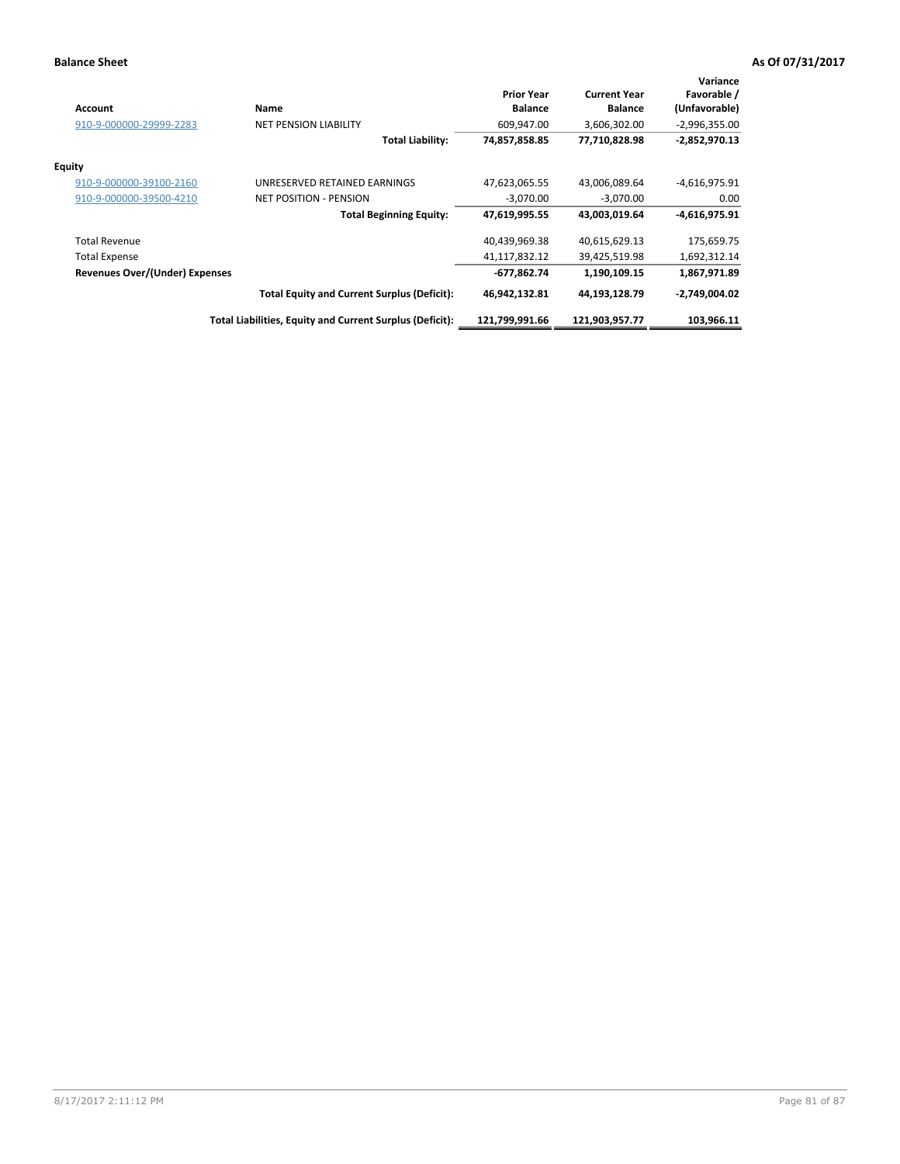| <b>Account</b>                        | Name                                                     | <b>Prior Year</b><br><b>Balance</b> | <b>Current Year</b><br><b>Balance</b> | Variance<br>Favorable /<br>(Unfavorable) |
|---------------------------------------|----------------------------------------------------------|-------------------------------------|---------------------------------------|------------------------------------------|
| 910-9-000000-29999-2283               | <b>NET PENSION LIABILITY</b>                             | 609,947.00                          | 3,606,302.00                          | $-2,996,355.00$                          |
|                                       | <b>Total Liability:</b>                                  | 74,857,858.85                       | 77,710,828.98                         | $-2,852,970.13$                          |
| <b>Equity</b>                         |                                                          |                                     |                                       |                                          |
| 910-9-000000-39100-2160               | UNRESERVED RETAINED EARNINGS                             | 47,623,065.55                       | 43,006,089.64                         | $-4,616,975.91$                          |
| 910-9-000000-39500-4210               | <b>NET POSITION - PENSION</b>                            | $-3,070.00$                         | $-3,070.00$                           | 0.00                                     |
|                                       | <b>Total Beginning Equity:</b>                           | 47,619,995.55                       | 43,003,019.64                         | -4,616,975.91                            |
| <b>Total Revenue</b>                  |                                                          | 40,439,969.38                       | 40,615,629.13                         | 175,659.75                               |
| <b>Total Expense</b>                  |                                                          | 41,117,832.12                       | 39,425,519.98                         | 1,692,312.14                             |
| <b>Revenues Over/(Under) Expenses</b> |                                                          | $-677,862.74$                       | 1,190,109.15                          | 1,867,971.89                             |
|                                       | <b>Total Equity and Current Surplus (Deficit):</b>       | 46,942,132.81                       | 44,193,128.79                         | $-2,749,004.02$                          |
|                                       | Total Liabilities, Equity and Current Surplus (Deficit): | 121,799,991.66                      | 121,903,957.77                        | 103,966.11                               |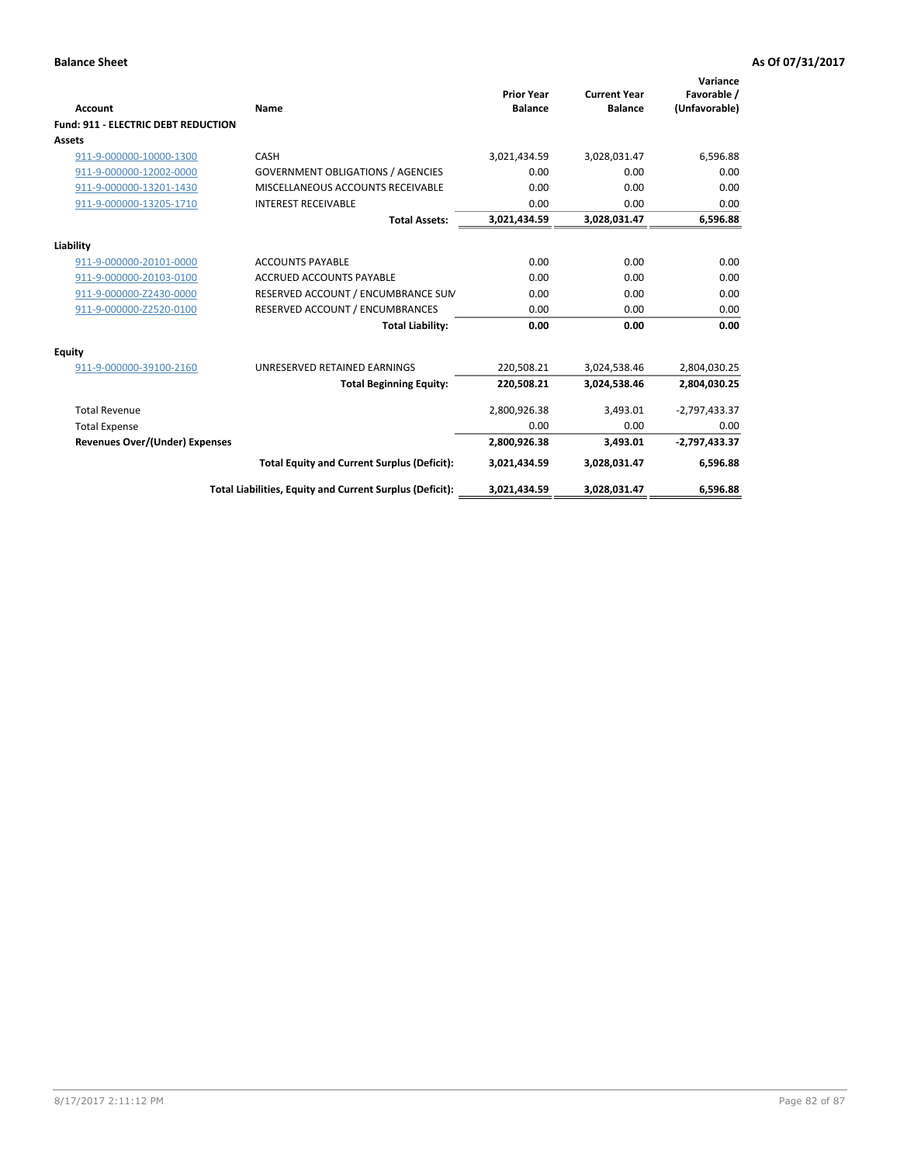| <b>Account</b>                             | Name                                                     | <b>Prior Year</b><br><b>Balance</b> | <b>Current Year</b><br><b>Balance</b> | Variance<br>Favorable /<br>(Unfavorable) |
|--------------------------------------------|----------------------------------------------------------|-------------------------------------|---------------------------------------|------------------------------------------|
| <b>Fund: 911 - ELECTRIC DEBT REDUCTION</b> |                                                          |                                     |                                       |                                          |
| Assets                                     |                                                          |                                     |                                       |                                          |
| 911-9-000000-10000-1300                    | CASH                                                     | 3,021,434.59                        | 3,028,031.47                          | 6,596.88                                 |
| 911-9-000000-12002-0000                    | <b>GOVERNMENT OBLIGATIONS / AGENCIES</b>                 | 0.00                                | 0.00                                  | 0.00                                     |
| 911-9-000000-13201-1430                    | MISCELLANEOUS ACCOUNTS RECEIVABLE                        | 0.00                                | 0.00                                  | 0.00                                     |
| 911-9-000000-13205-1710                    | <b>INTEREST RECEIVABLE</b>                               | 0.00                                | 0.00                                  | 0.00                                     |
|                                            | <b>Total Assets:</b>                                     | 3,021,434.59                        | 3,028,031.47                          | 6,596.88                                 |
| Liability                                  |                                                          |                                     |                                       |                                          |
| 911-9-000000-20101-0000                    | <b>ACCOUNTS PAYABLE</b>                                  | 0.00                                | 0.00                                  | 0.00                                     |
| 911-9-000000-20103-0100                    | <b>ACCRUED ACCOUNTS PAYABLE</b>                          | 0.00                                | 0.00                                  | 0.00                                     |
| 911-9-000000-Z2430-0000                    | RESERVED ACCOUNT / ENCUMBRANCE SUM                       | 0.00                                | 0.00                                  | 0.00                                     |
| 911-9-000000-Z2520-0100                    | RESERVED ACCOUNT / ENCUMBRANCES                          | 0.00                                | 0.00                                  | 0.00                                     |
|                                            | <b>Total Liability:</b>                                  | 0.00                                | 0.00                                  | 0.00                                     |
| Equity                                     |                                                          |                                     |                                       |                                          |
| 911-9-000000-39100-2160                    | UNRESERVED RETAINED EARNINGS                             | 220,508.21                          | 3,024,538.46                          | 2,804,030.25                             |
|                                            | <b>Total Beginning Equity:</b>                           | 220,508.21                          | 3,024,538.46                          | 2,804,030.25                             |
| <b>Total Revenue</b>                       |                                                          | 2,800,926.38                        | 3,493.01                              | $-2,797,433.37$                          |
| <b>Total Expense</b>                       |                                                          | 0.00                                | 0.00                                  | 0.00                                     |
| <b>Revenues Over/(Under) Expenses</b>      |                                                          | 2,800,926.38                        | 3,493.01                              | $-2,797,433.37$                          |
|                                            | <b>Total Equity and Current Surplus (Deficit):</b>       | 3,021,434.59                        | 3,028,031.47                          | 6,596.88                                 |
|                                            | Total Liabilities, Equity and Current Surplus (Deficit): | 3,021,434.59                        | 3,028,031.47                          | 6,596.88                                 |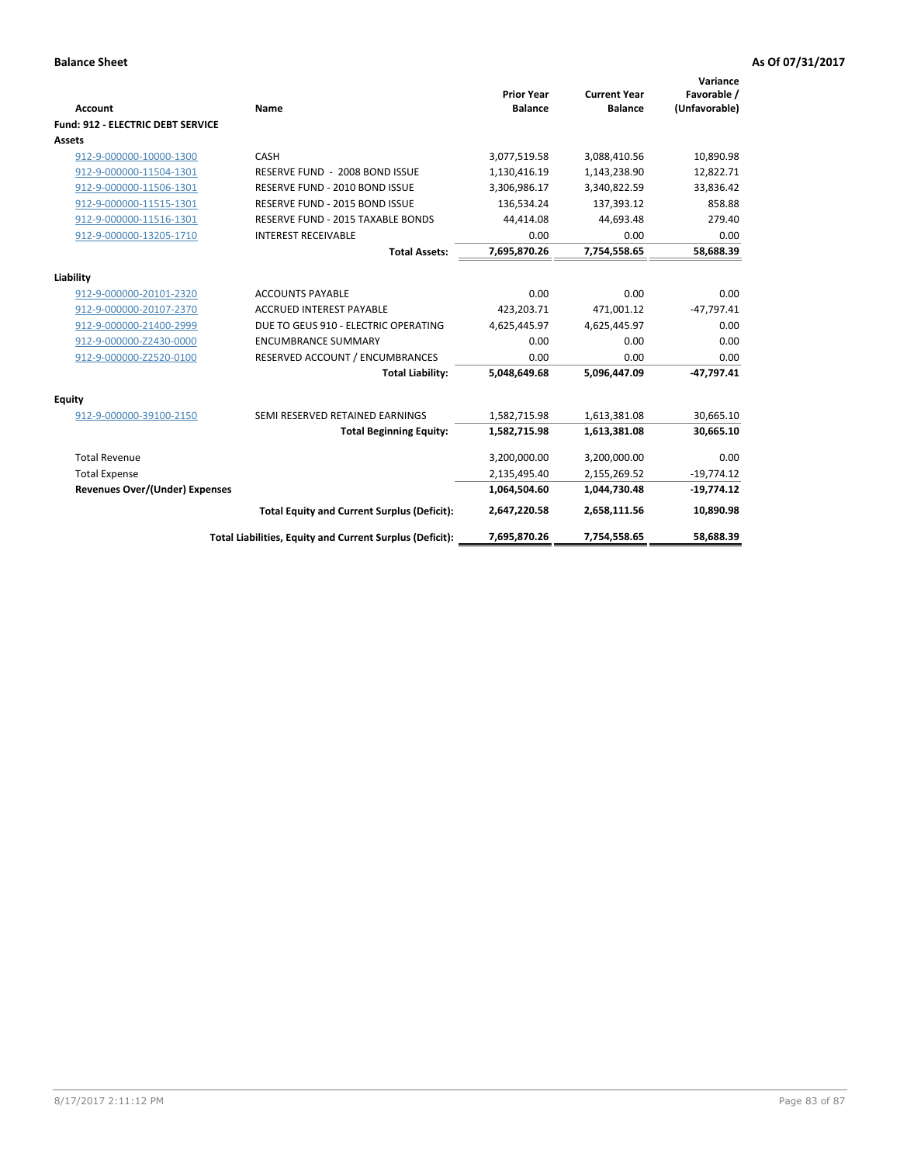| <b>Account</b>                        | Name                                                     | <b>Prior Year</b><br><b>Balance</b> | <b>Current Year</b><br><b>Balance</b> | Variance<br>Favorable /<br>(Unfavorable) |
|---------------------------------------|----------------------------------------------------------|-------------------------------------|---------------------------------------|------------------------------------------|
| Fund: 912 - ELECTRIC DEBT SERVICE     |                                                          |                                     |                                       |                                          |
| Assets                                |                                                          |                                     |                                       |                                          |
| 912-9-000000-10000-1300               | CASH                                                     | 3,077,519.58                        | 3,088,410.56                          | 10,890.98                                |
| 912-9-000000-11504-1301               | RESERVE FUND - 2008 BOND ISSUE                           | 1,130,416.19                        | 1,143,238.90                          | 12,822.71                                |
| 912-9-000000-11506-1301               | RESERVE FUND - 2010 BOND ISSUE                           | 3,306,986.17                        | 3,340,822.59                          | 33,836.42                                |
| 912-9-000000-11515-1301               | RESERVE FUND - 2015 BOND ISSUE                           | 136,534.24                          | 137,393.12                            | 858.88                                   |
| 912-9-000000-11516-1301               | <b>RESERVE FUND - 2015 TAXABLE BONDS</b>                 | 44,414.08                           | 44,693.48                             | 279.40                                   |
| 912-9-000000-13205-1710               | <b>INTEREST RECEIVABLE</b>                               | 0.00                                | 0.00                                  | 0.00                                     |
|                                       | <b>Total Assets:</b>                                     | 7,695,870.26                        | 7,754,558.65                          | 58,688.39                                |
| Liability                             |                                                          |                                     |                                       |                                          |
| 912-9-000000-20101-2320               | <b>ACCOUNTS PAYABLE</b>                                  | 0.00                                | 0.00                                  | 0.00                                     |
| 912-9-000000-20107-2370               | <b>ACCRUED INTEREST PAYABLE</b>                          | 423,203.71                          | 471,001.12                            | $-47,797.41$                             |
| 912-9-000000-21400-2999               | DUE TO GEUS 910 - ELECTRIC OPERATING                     | 4,625,445.97                        | 4,625,445.97                          | 0.00                                     |
| 912-9-000000-Z2430-0000               | <b>ENCUMBRANCE SUMMARY</b>                               | 0.00                                | 0.00                                  | 0.00                                     |
| 912-9-000000-Z2520-0100               | RESERVED ACCOUNT / ENCUMBRANCES                          | 0.00                                | 0.00                                  | 0.00                                     |
|                                       | <b>Total Liability:</b>                                  | 5,048,649.68                        | 5,096,447.09                          | $-47,797.41$                             |
| Equity                                |                                                          |                                     |                                       |                                          |
| 912-9-000000-39100-2150               | SEMI RESERVED RETAINED EARNINGS                          | 1,582,715.98                        | 1,613,381.08                          | 30,665.10                                |
|                                       | <b>Total Beginning Equity:</b>                           | 1,582,715.98                        | 1,613,381.08                          | 30,665.10                                |
| <b>Total Revenue</b>                  |                                                          | 3,200,000.00                        | 3,200,000.00                          | 0.00                                     |
| <b>Total Expense</b>                  |                                                          | 2,135,495.40                        | 2,155,269.52                          | $-19,774.12$                             |
| <b>Revenues Over/(Under) Expenses</b> |                                                          | 1,064,504.60                        | 1,044,730.48                          | $-19,774.12$                             |
|                                       | <b>Total Equity and Current Surplus (Deficit):</b>       | 2,647,220.58                        | 2,658,111.56                          | 10,890.98                                |
|                                       | Total Liabilities, Equity and Current Surplus (Deficit): | 7,695,870.26                        | 7,754,558.65                          | 58,688.39                                |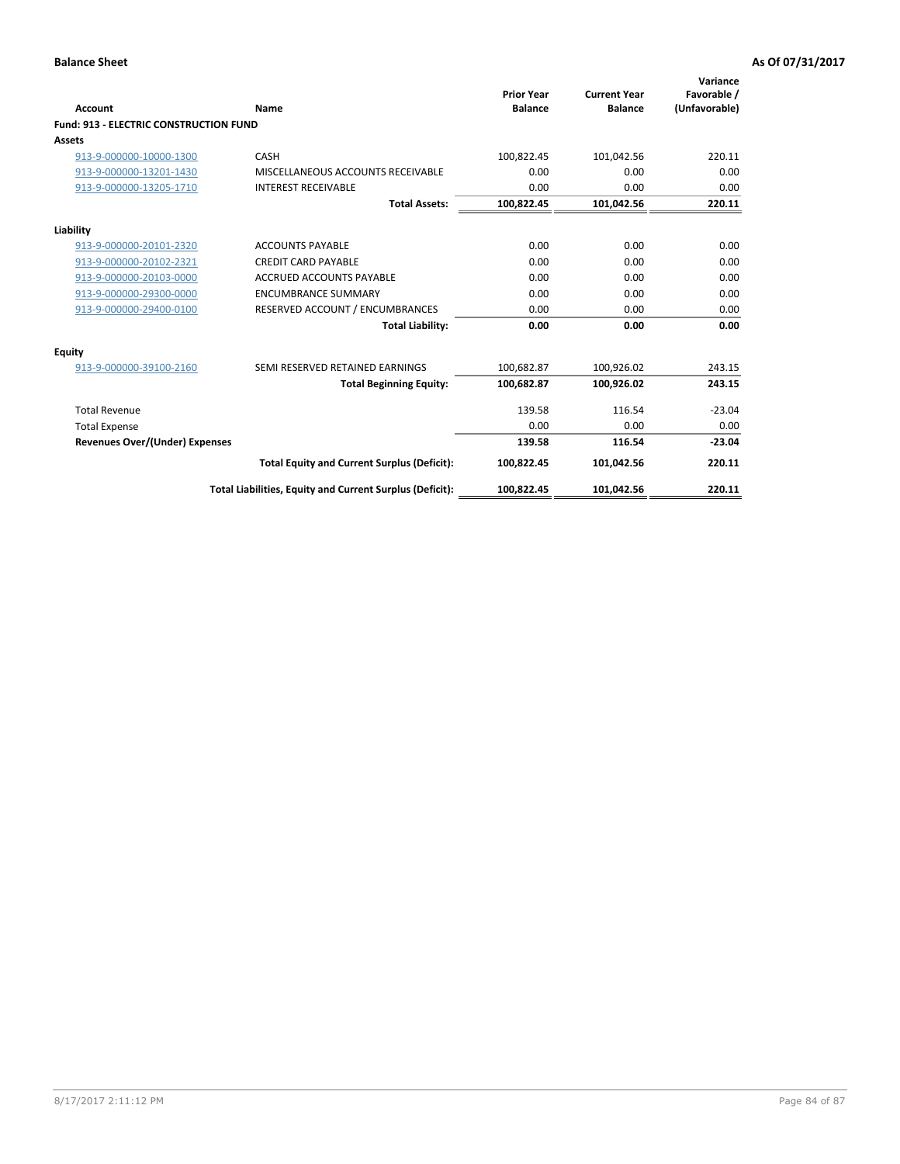| Account                                       | Name                                                     | <b>Prior Year</b><br><b>Balance</b> | <b>Current Year</b><br><b>Balance</b> | Variance<br>Favorable /<br>(Unfavorable) |
|-----------------------------------------------|----------------------------------------------------------|-------------------------------------|---------------------------------------|------------------------------------------|
| <b>Fund: 913 - ELECTRIC CONSTRUCTION FUND</b> |                                                          |                                     |                                       |                                          |
| Assets                                        |                                                          |                                     |                                       |                                          |
| 913-9-000000-10000-1300                       | CASH                                                     | 100,822.45                          | 101,042.56                            | 220.11                                   |
| 913-9-000000-13201-1430                       | MISCELLANEOUS ACCOUNTS RECEIVABLE                        | 0.00                                | 0.00                                  | 0.00                                     |
| 913-9-000000-13205-1710                       | <b>INTEREST RECEIVABLE</b>                               | 0.00                                | 0.00                                  | 0.00                                     |
|                                               | <b>Total Assets:</b>                                     | 100,822.45                          | 101,042.56                            | 220.11                                   |
| Liability                                     |                                                          |                                     |                                       |                                          |
| 913-9-000000-20101-2320                       | <b>ACCOUNTS PAYABLE</b>                                  | 0.00                                | 0.00                                  | 0.00                                     |
| 913-9-000000-20102-2321                       | <b>CREDIT CARD PAYABLE</b>                               | 0.00                                | 0.00                                  | 0.00                                     |
| 913-9-000000-20103-0000                       | <b>ACCRUED ACCOUNTS PAYABLE</b>                          | 0.00                                | 0.00                                  | 0.00                                     |
| 913-9-000000-29300-0000                       | <b>ENCUMBRANCE SUMMARY</b>                               | 0.00                                | 0.00                                  | 0.00                                     |
| 913-9-000000-29400-0100                       | RESERVED ACCOUNT / ENCUMBRANCES                          | 0.00                                | 0.00                                  | 0.00                                     |
|                                               | <b>Total Liability:</b>                                  | 0.00                                | 0.00                                  | 0.00                                     |
| <b>Equity</b>                                 |                                                          |                                     |                                       |                                          |
| 913-9-000000-39100-2160                       | SEMI RESERVED RETAINED EARNINGS                          | 100,682.87                          | 100,926.02                            | 243.15                                   |
|                                               | <b>Total Beginning Equity:</b>                           | 100.682.87                          | 100.926.02                            | 243.15                                   |
| <b>Total Revenue</b>                          |                                                          | 139.58                              | 116.54                                | $-23.04$                                 |
| <b>Total Expense</b>                          |                                                          | 0.00                                | 0.00                                  | 0.00                                     |
| Revenues Over/(Under) Expenses                |                                                          | 139.58                              | 116.54                                | $-23.04$                                 |
|                                               | <b>Total Equity and Current Surplus (Deficit):</b>       | 100,822.45                          | 101,042.56                            | 220.11                                   |
|                                               | Total Liabilities, Equity and Current Surplus (Deficit): | 100,822.45                          | 101,042.56                            | 220.11                                   |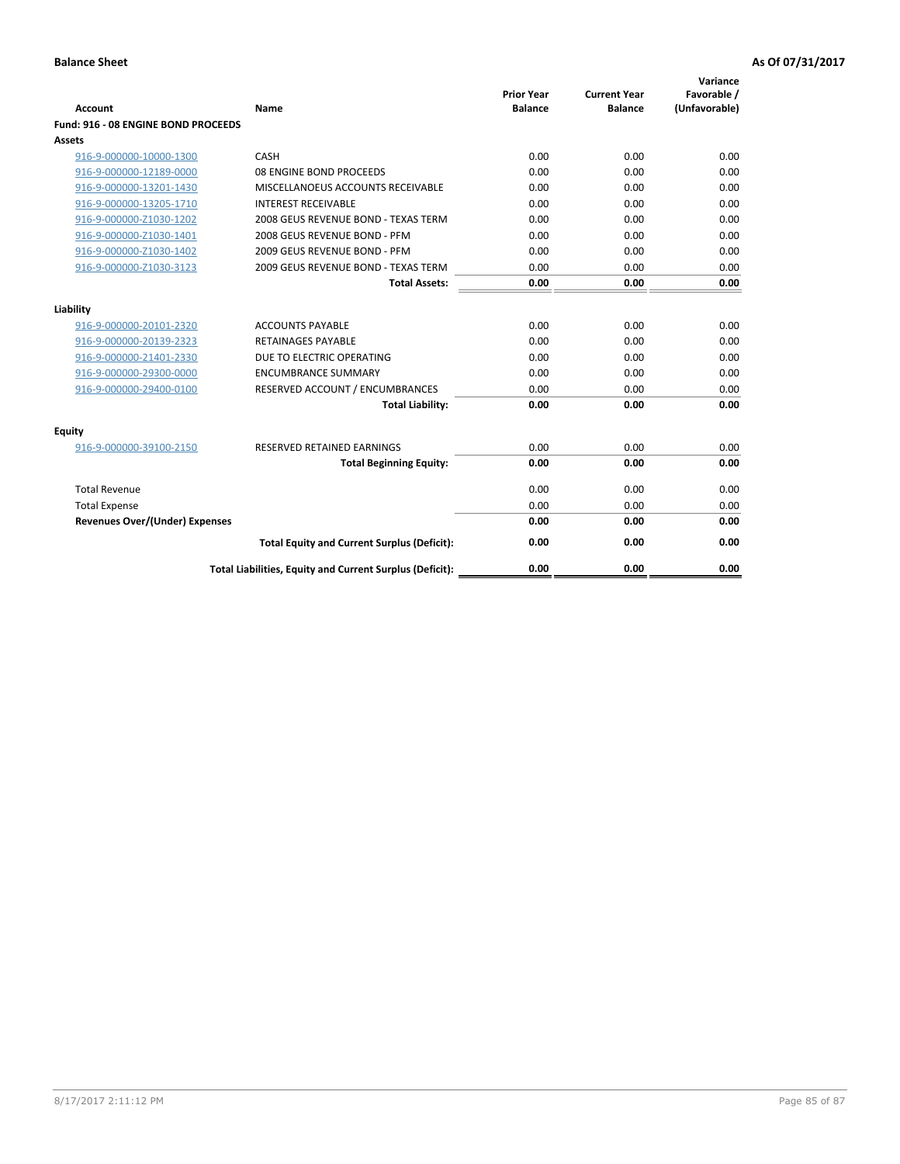| <b>Account</b>                        | Name                                                     | <b>Prior Year</b><br><b>Balance</b> | <b>Current Year</b><br><b>Balance</b> | Variance<br>Favorable /<br>(Unfavorable) |
|---------------------------------------|----------------------------------------------------------|-------------------------------------|---------------------------------------|------------------------------------------|
| Fund: 916 - 08 ENGINE BOND PROCEEDS   |                                                          |                                     |                                       |                                          |
| <b>Assets</b>                         |                                                          |                                     |                                       |                                          |
| 916-9-000000-10000-1300               | CASH                                                     | 0.00                                | 0.00                                  | 0.00                                     |
| 916-9-000000-12189-0000               | 08 ENGINE BOND PROCEEDS                                  | 0.00                                | 0.00                                  | 0.00                                     |
| 916-9-000000-13201-1430               | MISCELLANOEUS ACCOUNTS RECEIVABLE                        | 0.00                                | 0.00                                  | 0.00                                     |
| 916-9-000000-13205-1710               | <b>INTEREST RECEIVABLE</b>                               | 0.00                                | 0.00                                  | 0.00                                     |
| 916-9-000000-Z1030-1202               | 2008 GEUS REVENUE BOND - TEXAS TERM                      | 0.00                                | 0.00                                  | 0.00                                     |
| 916-9-000000-Z1030-1401               | 2008 GEUS REVENUE BOND - PFM                             | 0.00                                | 0.00                                  | 0.00                                     |
| 916-9-000000-Z1030-1402               | 2009 GEUS REVENUE BOND - PFM                             | 0.00                                | 0.00                                  | 0.00                                     |
| 916-9-000000-Z1030-3123               | 2009 GEUS REVENUE BOND - TEXAS TERM                      | 0.00                                | 0.00                                  | 0.00                                     |
|                                       | <b>Total Assets:</b>                                     | 0.00                                | 0.00                                  | 0.00                                     |
| Liability                             |                                                          |                                     |                                       |                                          |
| 916-9-000000-20101-2320               | <b>ACCOUNTS PAYABLE</b>                                  | 0.00                                | 0.00                                  | 0.00                                     |
| 916-9-000000-20139-2323               | <b>RETAINAGES PAYABLE</b>                                | 0.00                                | 0.00                                  | 0.00                                     |
| 916-9-000000-21401-2330               | DUE TO ELECTRIC OPERATING                                | 0.00                                | 0.00                                  | 0.00                                     |
| 916-9-000000-29300-0000               | <b>ENCUMBRANCE SUMMARY</b>                               | 0.00                                | 0.00                                  | 0.00                                     |
| 916-9-000000-29400-0100               | RESERVED ACCOUNT / ENCUMBRANCES                          | 0.00                                | 0.00                                  | 0.00                                     |
|                                       | <b>Total Liability:</b>                                  | 0.00                                | 0.00                                  | 0.00                                     |
|                                       |                                                          |                                     |                                       |                                          |
| <b>Equity</b>                         |                                                          |                                     |                                       |                                          |
| 916-9-000000-39100-2150               | RESERVED RETAINED EARNINGS                               | 0.00                                | 0.00                                  | 0.00                                     |
|                                       | <b>Total Beginning Equity:</b>                           | 0.00                                | 0.00                                  | 0.00                                     |
| <b>Total Revenue</b>                  |                                                          | 0.00                                | 0.00                                  | 0.00                                     |
| <b>Total Expense</b>                  |                                                          | 0.00                                | 0.00                                  | 0.00                                     |
| <b>Revenues Over/(Under) Expenses</b> |                                                          | 0.00                                | 0.00                                  | 0.00                                     |
|                                       | <b>Total Equity and Current Surplus (Deficit):</b>       | 0.00                                | 0.00                                  | 0.00                                     |
|                                       | Total Liabilities, Equity and Current Surplus (Deficit): | 0.00                                | 0.00                                  | 0.00                                     |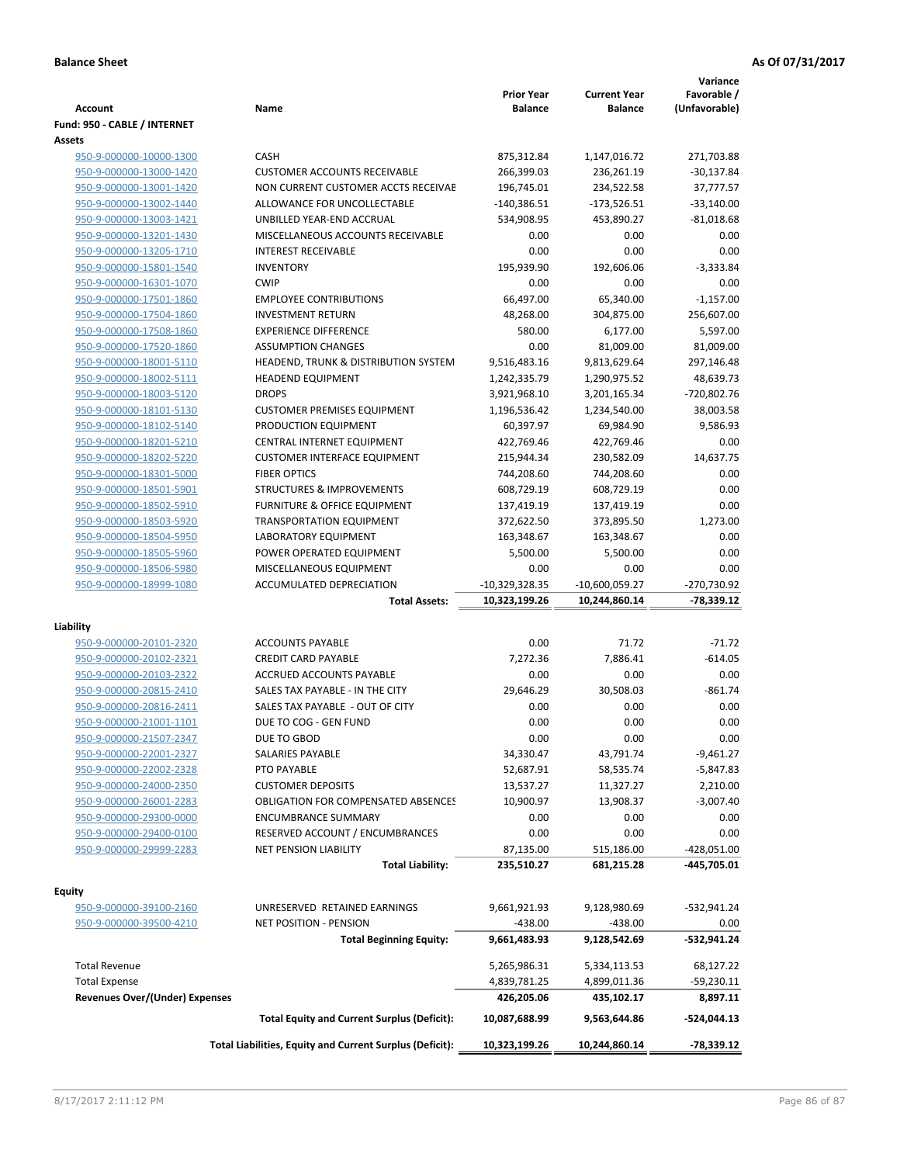|                                       |                                                          | <b>Prior Year</b> | <b>Current Year</b> | Variance<br>Favorable / |
|---------------------------------------|----------------------------------------------------------|-------------------|---------------------|-------------------------|
| <b>Account</b>                        | Name                                                     | <b>Balance</b>    | <b>Balance</b>      | (Unfavorable)           |
| Fund: 950 - CABLE / INTERNET          |                                                          |                   |                     |                         |
| Assets                                |                                                          |                   |                     |                         |
| 950-9-000000-10000-1300               | CASH                                                     | 875,312.84        | 1,147,016.72        | 271,703.88              |
| 950-9-000000-13000-1420               | <b>CUSTOMER ACCOUNTS RECEIVABLE</b>                      | 266,399.03        | 236,261.19          | $-30,137.84$            |
| 950-9-000000-13001-1420               | NON CURRENT CUSTOMER ACCTS RECEIVAE                      | 196,745.01        | 234,522.58          | 37,777.57               |
| 950-9-000000-13002-1440               | ALLOWANCE FOR UNCOLLECTABLE                              | $-140,386.51$     | $-173,526.51$       | $-33,140.00$            |
| 950-9-000000-13003-1421               | UNBILLED YEAR-END ACCRUAL                                | 534,908.95        | 453,890.27          | $-81,018.68$            |
| 950-9-000000-13201-1430               | MISCELLANEOUS ACCOUNTS RECEIVABLE                        | 0.00              | 0.00                | 0.00                    |
| 950-9-000000-13205-1710               | <b>INTEREST RECEIVABLE</b>                               | 0.00              | 0.00                | 0.00                    |
| 950-9-000000-15801-1540               | <b>INVENTORY</b>                                         | 195,939.90        | 192,606.06          | $-3,333.84$             |
| 950-9-000000-16301-1070               | <b>CWIP</b>                                              | 0.00              | 0.00                | 0.00                    |
| 950-9-000000-17501-1860               | <b>EMPLOYEE CONTRIBUTIONS</b>                            | 66,497.00         | 65,340.00           | $-1,157.00$             |
| 950-9-000000-17504-1860               | <b>INVESTMENT RETURN</b>                                 | 48,268.00         | 304,875.00          | 256,607.00              |
| 950-9-000000-17508-1860               | <b>EXPERIENCE DIFFERENCE</b>                             | 580.00            | 6,177.00            | 5,597.00                |
| 950-9-000000-17520-1860               | <b>ASSUMPTION CHANGES</b>                                | 0.00              | 81,009.00           | 81,009.00               |
| 950-9-000000-18001-5110               | HEADEND, TRUNK & DISTRIBUTION SYSTEM                     | 9,516,483.16      | 9,813,629.64        | 297,146.48              |
| 950-9-000000-18002-5111               | <b>HEADEND EQUIPMENT</b>                                 | 1,242,335.79      | 1,290,975.52        | 48,639.73               |
| 950-9-000000-18003-5120               | <b>DROPS</b>                                             | 3,921,968.10      | 3,201,165.34        | -720,802.76             |
| 950-9-000000-18101-5130               | <b>CUSTOMER PREMISES EQUIPMENT</b>                       | 1,196,536.42      | 1,234,540.00        | 38,003.58               |
| 950-9-000000-18102-5140               | PRODUCTION EQUIPMENT                                     | 60,397.97         | 69,984.90           | 9,586.93                |
| 950-9-000000-18201-5210               | CENTRAL INTERNET EQUIPMENT                               | 422,769.46        | 422,769.46          | 0.00                    |
| 950-9-000000-18202-5220               | <b>CUSTOMER INTERFACE EQUIPMENT</b>                      | 215,944.34        | 230,582.09          | 14,637.75               |
| 950-9-000000-18301-5000               | <b>FIBER OPTICS</b>                                      | 744,208.60        | 744,208.60          | 0.00                    |
| 950-9-000000-18501-5901               | <b>STRUCTURES &amp; IMPROVEMENTS</b>                     | 608,729.19        | 608,729.19          | 0.00                    |
| 950-9-000000-18502-5910               | <b>FURNITURE &amp; OFFICE EQUIPMENT</b>                  | 137,419.19        | 137,419.19          | 0.00                    |
| 950-9-000000-18503-5920               | <b>TRANSPORTATION EQUIPMENT</b>                          | 372,622.50        | 373,895.50          | 1,273.00                |
| 950-9-000000-18504-5950               | LABORATORY EQUIPMENT                                     | 163,348.67        | 163,348.67          | 0.00                    |
| 950-9-000000-18505-5960               | POWER OPERATED EQUIPMENT                                 | 5,500.00          | 5,500.00            | 0.00                    |
| 950-9-000000-18506-5980               | MISCELLANEOUS EQUIPMENT                                  | 0.00              | 0.00                | 0.00                    |
| 950-9-000000-18999-1080               | <b>ACCUMULATED DEPRECIATION</b>                          | $-10,329,328.35$  | $-10,600,059.27$    | -270,730.92             |
|                                       | <b>Total Assets:</b>                                     | 10,323,199.26     | 10,244,860.14       | $-78,339.12$            |
| Liability                             |                                                          |                   |                     |                         |
| 950-9-000000-20101-2320               | <b>ACCOUNTS PAYABLE</b>                                  | 0.00              | 71.72               | $-71.72$                |
| 950-9-000000-20102-2321               | <b>CREDIT CARD PAYABLE</b>                               | 7,272.36          | 7,886.41            | $-614.05$               |
| 950-9-000000-20103-2322               | ACCRUED ACCOUNTS PAYABLE                                 | 0.00              | 0.00                | 0.00                    |
| 950-9-000000-20815-2410               | SALES TAX PAYABLE - IN THE CITY                          | 29,646.29         | 30,508.03           | $-861.74$               |
| 950-9-000000-20816-2411               | SALES TAX PAYABLE - OUT OF CITY                          | 0.00              | 0.00                | 0.00                    |
| 950-9-000000-21001-1101               | DUE TO COG - GEN FUND                                    | 0.00              | 0.00                | 0.00                    |
| 950-9-000000-21507-2347               | DUE TO GBOD                                              | 0.00              | 0.00                | 0.00                    |
| 950-9-000000-22001-2327               | SALARIES PAYABLE                                         | 34,330.47         | 43,791.74           | $-9,461.27$             |
| 950-9-000000-22002-2328               | PTO PAYABLE                                              | 52,687.91         | 58,535.74           | -5,847.83               |
| 950-9-000000-24000-2350               | <b>CUSTOMER DEPOSITS</b>                                 | 13,537.27         | 11,327.27           | 2,210.00                |
| 950-9-000000-26001-2283               | <b>OBLIGATION FOR COMPENSATED ABSENCES</b>               | 10,900.97         | 13,908.37           | $-3,007.40$             |
| 950-9-000000-29300-0000               | <b>ENCUMBRANCE SUMMARY</b>                               | 0.00              | 0.00                | 0.00                    |
| 950-9-000000-29400-0100               | RESERVED ACCOUNT / ENCUMBRANCES                          | 0.00              | 0.00                | 0.00                    |
| 950-9-000000-29999-2283               | NET PENSION LIABILITY                                    | 87,135.00         | 515,186.00          | $-428,051.00$           |
|                                       | <b>Total Liability:</b>                                  | 235,510.27        | 681,215.28          | -445,705.01             |
|                                       |                                                          |                   |                     |                         |
| <b>Equity</b>                         |                                                          |                   |                     |                         |
| 950-9-000000-39100-2160               | UNRESERVED RETAINED EARNINGS                             | 9,661,921.93      | 9,128,980.69        | -532,941.24             |
| 950-9-000000-39500-4210               | <b>NET POSITION - PENSION</b>                            | $-438.00$         | $-438.00$           | 0.00                    |
|                                       | <b>Total Beginning Equity:</b>                           | 9,661,483.93      | 9,128,542.69        | -532,941.24             |
| <b>Total Revenue</b>                  |                                                          | 5,265,986.31      | 5,334,113.53        | 68,127.22               |
| <b>Total Expense</b>                  |                                                          | 4,839,781.25      | 4,899,011.36        | $-59,230.11$            |
| <b>Revenues Over/(Under) Expenses</b> |                                                          | 426,205.06        | 435,102.17          | 8,897.11                |
|                                       | <b>Total Equity and Current Surplus (Deficit):</b>       | 10,087,688.99     | 9,563,644.86        | $-524,044.13$           |
|                                       |                                                          |                   |                     |                         |
|                                       | Total Liabilities, Equity and Current Surplus (Deficit): | 10,323,199.26     | 10,244,860.14       | -78,339.12              |